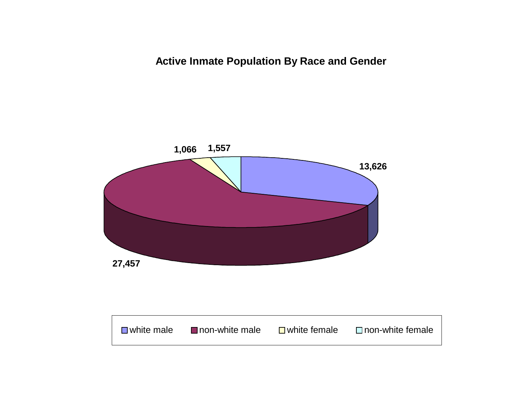**Active Inmate Population By Race and Gender**

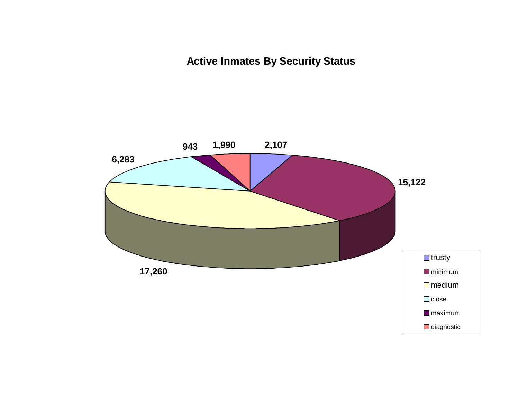**Active Inmates By Security Status**

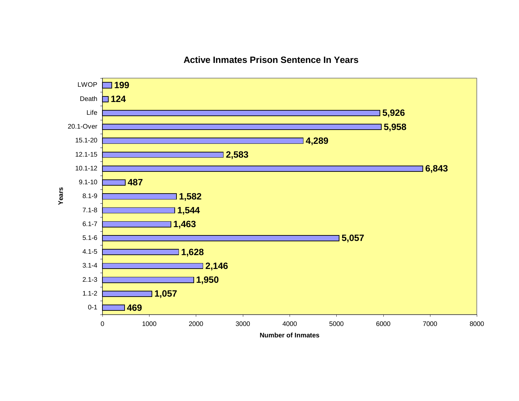

## **Active Inmates Prison Sentence In Years**

**Number of Inmates**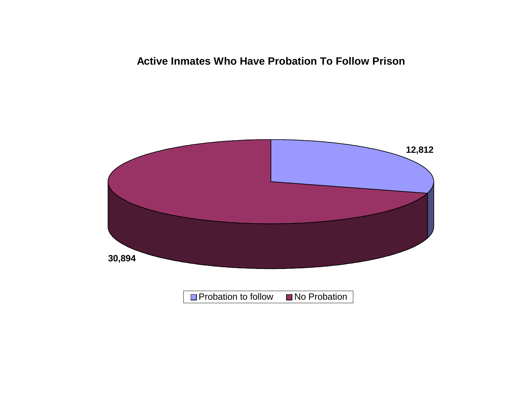# **Active Inmates Who Have Probation To Follow Prison**

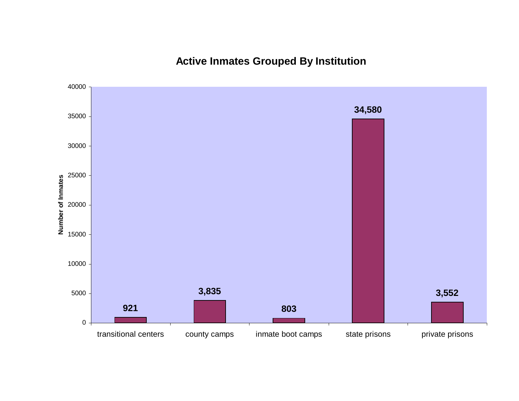# **Active Inmates Grouped By Institution**

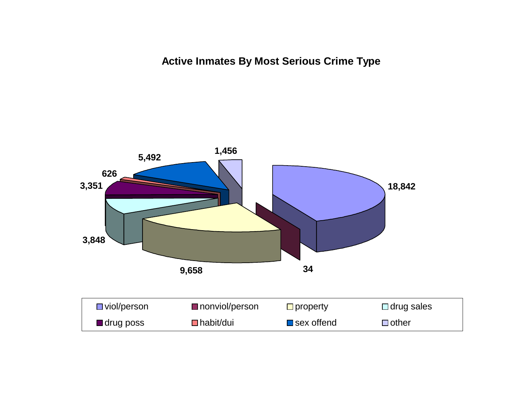**Active Inmates By Most Serious Crime Type**

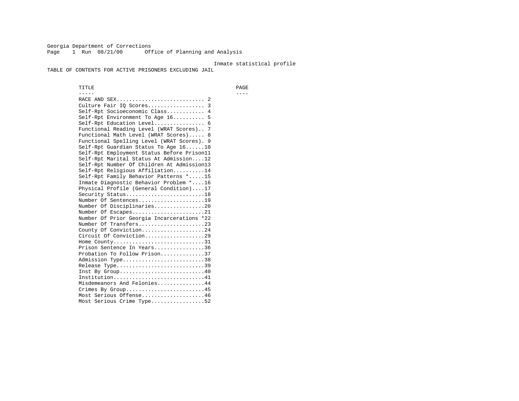Georgia Department of Corrections Page 1 Run 08/21/00 Office of Planning and Analysis

#### Inmate statistical profile

TABLE OF CONTENTS FOR ACTIVE PRISONERS EXCLUDING JAIL

 TITLE PAGE ----- ---- RACE AND SEX............................ 2 Culture Fair IQ Scores.................. 3 Self-Rpt Socioeconomic Class............ 4 Self-Rpt Environment To Age 16.......... 5 Self-Rpt Education Level................ 6 Functional Reading Level (WRAT Scores).. 7 Functional Math Level (WRAT Scores)..... 8 Functional Spelling Level (WRAT Scores). 9 Self-Rpt Guardian Status To Age 16......10 Self-Rpt Employment Status Before Prison11 Self-Rpt Marital Status At Admission....12 Self-Rpt Number Of Children At Admission13 Self-Rpt Religious Affiliation..........14 Self-Rpt Family Behavior Patterns \*.....15 Inmate Diagnostic Behavior Problem \*....16 Physical Profile (General Condition)....17 Security Status...........................18 Number Of Sentences.....................19 Number Of Disciplinaries................20 Number Of Escapes........................21 Number Of Prior Georgia Incarcerations \*22 Number Of Transfers.....................23 County Of Conviction....................24 Circuit Of Conviction...................29 Home County................................31 Prison Sentence In Years................36 Probation To Follow Prison..............37Admission Type.............................38 Release Type...............................39 Inst By Group..............................40 Institution................................41 Misdemeanors And Felonies...............44 Crimes By Group.........................45 Most Serious Offense....................46 Most Serious Crime Type.................52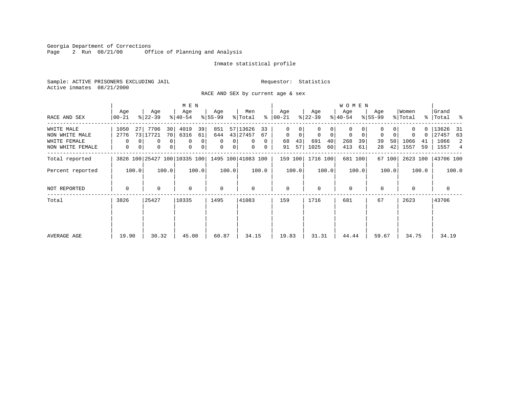Georgia Department of Corrections<br>Page 2 Run 08/21/00 0ff Office of Planning and Analysis

#### Inmate statistical profile

Sample: ACTIVE PRISONERS EXCLUDING JAIL **Requestor:** Statistics Active inmates 08/21/2000

RACE AND SEX by current age & sex

|                                  |                              |    |                  |               | M E N            |          |                         |                            |                      |               |                      |                  |                  |          | <b>WOMEN</b>            |          |                  |          |                  |          |                      |            |
|----------------------------------|------------------------------|----|------------------|---------------|------------------|----------|-------------------------|----------------------------|----------------------|---------------|----------------------|------------------|------------------|----------|-------------------------|----------|------------------|----------|------------------|----------|----------------------|------------|
| RACE AND SEX                     | Age<br>00-21                 |    | Age<br>$ 22-39 $ |               | Age<br>$ 40-54 $ |          | Age<br>$8 55-99$        |                            | Men<br>% Total       |               | Age<br>$8   00 - 21$ |                  | Age<br>$ 22-39 $ |          | Age<br>$ 40-54 $        |          | Age<br>$8 55-99$ |          | Women<br>% Total |          | Grand<br>%   Total % |            |
| WHITE MALE<br>NON WHITE MALE     | 1050<br>2776                 | 27 | 7706<br>73 17721 | 30<br>70      | 4019<br>6316     | 39<br>61 | 851<br>644              |                            | 57 13626<br>43 27457 | 33<br>67      | $\Omega$<br>$\Omega$ | 0<br>$\mathbf 0$ | $\mathbf 0$      | $\Omega$ | $\Omega$<br>$\mathbf 0$ | 0        | $\mathbf 0$      | $\Omega$ |                  | 0<br>0   | 13626<br>27457       | - 31<br>63 |
| WHITE FEMALE<br>NON WHITE FEMALE | 0<br>0                       | 0  | $\Omega$<br>0    | $\Omega$<br>0 | 0<br>$\mathbf 0$ | 0<br>0   | $\Omega$<br>$\mathbf 0$ | $\Omega$<br>0 <sup>1</sup> | 0<br>0               | $\Omega$<br>0 | 68<br>91             | 43<br>57         | 691<br>1025      | 40<br>60 | 268<br>413              | 39<br>61 | 39<br>28         | 58<br>42 | 1066<br>1557     | 41<br>59 | 1066<br>1557         | 2<br>4     |
| Total reported                   | 3826 100 25427 100 10335 100 |    |                  |               |                  |          |                         |                            | 1495 100 41083 100   |               | 159 100              |                  | 1716 100         |          | 681 100                 |          |                  | 67 100   | 2623 100         |          | 43706 100            |            |
| Percent reported                 | 100.0                        |    |                  | 100.0         |                  | 100.0    |                         | 100.0                      |                      | 100.0         |                      | 100.0            |                  | 100.0    |                         | 100.0    |                  | 100.0    |                  | 100.0    |                      | 100.0      |
| NOT REPORTED                     | 0                            |    | 0                |               | $\mathbf 0$      |          | $\mathbf 0$             |                            | 0                    |               | $\mathbf 0$          |                  | $\Omega$         |          | 0                       |          | $\Omega$         |          | $\Omega$         |          | $\mathbf 0$          |            |
| Total                            | 3826<br>25427                |    |                  |               | 10335            |          | 1495                    |                            | 41083                |               | 159                  |                  | 1716             |          | 681                     |          | 67               |          | 2623             |          | 43706                |            |
| AVERAGE AGE                      | 19.90                        |    | 30.32            |               | 45.00            |          | 60.87                   |                            | 34.15                |               | 19.83                |                  | 31.31            |          | 44.44                   |          | 59.67            |          | 34.75            |          | 34.19                |            |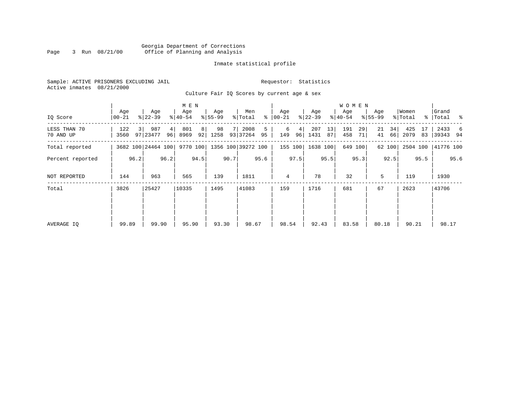#### Georgia Department of Corrections Page 3 Run 08/21/00 Office of Planning and Analysis

#### Inmate statistical profile

Sample: ACTIVE PRISONERS EXCLUDING JAIL **Requestor:** Statistics Active inmates 08/21/2000

Culture Fair IQ Scores by current age & sex

|                           |                  |      |                    |          | M E N            |         |                  |      |                    |         |                  |         |                 |          | <b>WOMEN</b>     |          |                  |          |                  |          |                      |      |
|---------------------------|------------------|------|--------------------|----------|------------------|---------|------------------|------|--------------------|---------|------------------|---------|-----------------|----------|------------------|----------|------------------|----------|------------------|----------|----------------------|------|
| IQ Score                  | Age<br>$00 - 21$ |      | Age<br>$ 22-39 $   |          | Age<br>$ 40-54 $ |         | Age<br>$8 55-99$ |      | Men<br>% Total     | ႜ       | Age<br>$00 - 21$ |         | Age<br>$ 22-39$ |          | Age<br>$ 40-54 $ |          | Age<br>$8 55-99$ |          | Women<br>% Total |          | Grand<br>%   Total % |      |
| LESS THAN 70<br>70 AND UP | 122<br>3560      | 3    | 987<br>97 23477    | 4 <br>96 | 801<br>8969      | 8<br>92 | 98<br>1258       |      | 2008<br>93 37264   | 5<br>95 | 6<br>149         | 4       | 207<br>96 1431  | 13<br>87 | 191<br>458       | 29<br>71 | 21<br>41         | 34<br>66 | 425<br>2079      | 17<br>83 | 2433<br> 39343 94    | 6    |
| Total reported            |                  |      | 3682 100 24464 100 |          | 9770 100         |         |                  |      | 1356 100 39272 100 |         |                  | 155 100 | 1638 100        |          |                  | 649 100  |                  | 62 100   | 2504 100         |          | 41776 100            |      |
| Percent reported          |                  | 96.2 |                    | 96.2     |                  | 94.5    |                  | 90.7 |                    | 95.6    |                  | 97.5    |                 | 95.5     |                  | 95.3     |                  | 92.5     |                  | 95.5     |                      | 95.6 |
| NOT REPORTED              | 144              |      | 963                |          | 565              |         | 139              |      | 1811               |         | 4                |         | 78              |          | 32               |          | 5                |          | 119              |          | 1930                 |      |
| Total                     | 3826             |      | 25427              |          | 10335            |         | 1495             |      | 41083              |         | 159              |         | 1716            |          | 681              |          | 67               |          | 2623             |          | 43706                |      |
|                           |                  |      |                    |          |                  |         |                  |      |                    |         |                  |         |                 |          |                  |          |                  |          |                  |          |                      |      |
|                           |                  |      |                    |          |                  |         |                  |      |                    |         |                  |         |                 |          |                  |          |                  |          |                  |          |                      |      |
| AVERAGE IO                | 99.89            |      | 99.90              |          | 95.90            |         | 93.30            |      | 98.67              |         | 98.54            |         | 92.43           |          | 83.58            |          | 80.18            |          | 90.21            |          | 98.17                |      |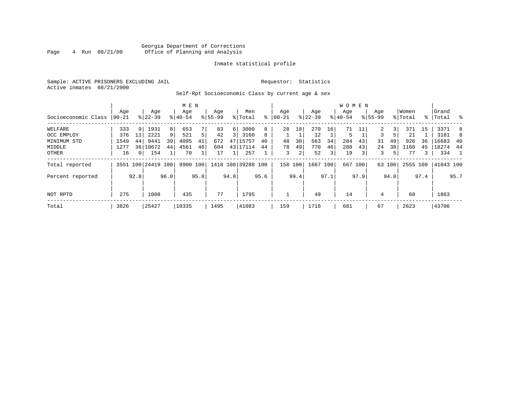#### Georgia Department of Corrections<br>4 Run 08/21/00 Office of Planning and Analysis Page 4 Run  $08/21/00$  Office of Planning and Analysis

#### Inmate statistical profile

Sample: ACTIVE PRISONERS EXCLUDING JAIL **Requestor:** Statistics Active inmates 08/21/2000

### Self-Rpt Socioeconomic Class by current age & sex

|                     |          |          |                    |      | M E N     |      |             |                |                             |      |           |      |           |               | <b>WOMEN</b> |                         |             |        |          |      |           |                          |
|---------------------|----------|----------|--------------------|------|-----------|------|-------------|----------------|-----------------------------|------|-----------|------|-----------|---------------|--------------|-------------------------|-------------|--------|----------|------|-----------|--------------------------|
|                     | Age      |          | Age                |      | Age       |      | Age         |                | Men                         |      | Age       |      | Age       |               | Age          |                         | Age         |        | Women    |      | Grand     |                          |
| Socioeconomic Class | $ 00-21$ |          | $ 22-39 $          |      | $8 40-54$ |      | $8155 - 99$ |                | % Total                     | ∻    | $ 00-21 $ |      | $ 22-39 $ |               | $ 40-54$     |                         | $8155 - 99$ |        | % Total  |      | %   Total | း                        |
| WELFARE             | 333      | 9        | 1931               | 8    | 653       |      | 83          | 6              | 3000                        | 8    | 28        | 18   | 270       | 16            | 71           | 11                      | 2           | 3      | 371      | 15   | 3371      | 8                        |
| OCC EMPLOY          | 376      | 11       | 2221               | 9    | 521       |      | 42          | $\overline{3}$ | 3160                        | 8    |           |      | 12        |               | 5            |                         | 3           |        | 21       |      | 3181      | 8                        |
| MINIMUM STD         | 1549     | 44       | 9441               | 39   | 4095      | 41   | 672         | 47             | 15757                       | 40   | 48        | 30   | 563       | 34            | 284          | 43                      | 31          | 49     | 926      | 36   | 16683     | -40                      |
| MIDDLE              | 1277     | 361      | 10672              | 44   | 4561      | 46   | 604         |                | 43 17114                    | 44   | 78        | 49   | 770       | 46            | 288          | 43                      | 24          | 38     | 1160     | 45   | 18274     | 44                       |
| OTHER               | 16       | $\Omega$ | 154                |      | 70        |      | 17          |                | 257                         |      | 3         | 2    | 52        | $\frac{3}{ }$ | 19           | $\overline{\mathbf{3}}$ | 3           | 5.     | 77       | 3    | 334       | $\overline{\phantom{1}}$ |
| Total reported      |          |          | 3551 100 24419 100 |      |           |      |             |                | 9900 100 1418 100 39288 100 |      | 158       | 100  | 1667      | 100           | 667          | 100                     |             | 63 100 | 2555 100 |      | 41843 100 |                          |
| Percent reported    |          | 92.8     |                    | 96.0 |           | 95.8 |             | 94.8           |                             | 95.6 |           | 99.4 |           | 97.1          |              | 97.9                    |             | 94.0   |          | 97.4 |           | 95.7                     |
|                     |          |          |                    |      |           |      |             |                |                             |      |           |      |           |               |              |                         |             |        |          |      |           |                          |
| NOT RPTD            | 275      |          | 1008               |      | 435       |      | 77          |                | 1795                        |      |           |      | 49        |               | 14           |                         | 4           |        | 68       |      | 1863      |                          |
| Total               | 3826     |          | 25427              |      | 10335     |      | 1495        |                | 41083                       |      | 159       |      | 1716      |               | 681          |                         | 67          |        | 2623     |      | 43706     |                          |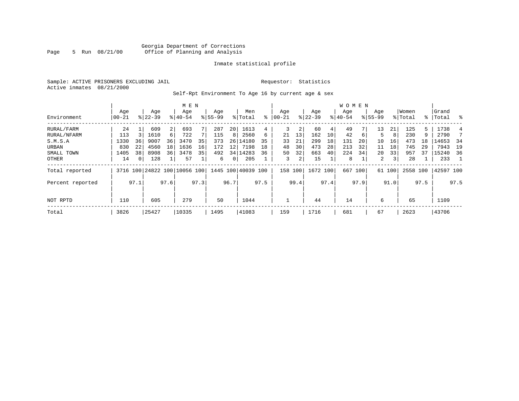#### Georgia Department of Corrections Page 5 Run 08/21/00 Office of Planning and Analysis

#### Inmate statistical profile

Sample: ACTIVE PRISONERS EXCLUDING JAIL **Requestor:** Statistics Active inmates 08/21/2000

Self-Rpt Environment To Age 16 by current age & sex

|                  |                  |          |                  |      | M E N                        |      |                    |      |                    |      |                 |      |                  |      | <b>WOMEN</b>    |      |                    |        |                  |      |                 |      |
|------------------|------------------|----------|------------------|------|------------------------------|------|--------------------|------|--------------------|------|-----------------|------|------------------|------|-----------------|------|--------------------|--------|------------------|------|-----------------|------|
| Environment      | Age<br>$00 - 21$ |          | Age<br>$8 22-39$ |      | Age<br>$8140 - 54$           |      | Age<br>$8155 - 99$ |      | Men<br>% Total     | ႜ    | Aqe<br>$ 00-21$ |      | Age<br>$ 22-39 $ |      | Aqe<br>$ 40-54$ |      | Age<br>$8155 - 99$ |        | Women<br>% Total | ႜ    | Grand<br> Total | ွေ   |
| RURAL/FARM       | 24               |          | 609              | 2    | 693                          |      | 287                | 20   | 1613               | 4    | 3               | 2    | 60               | 4    | 49              |      | 13                 | 21     | 125              | 5    | 1738            | 4    |
| RURAL/NFARM      | 113              |          | 1610             | 6    | 722                          |      | 115                | 8    | 2560               | 6    | 21              | 13   | 162              | 10   | 42              | 6    | 5                  | 8      | 230              | 9    | 2790            |      |
| S.M.S.A          | 1330             | 36       | 9007             | 36   | 3470                         | 35   | 373                | 26   | 14180              | 35   | 33              | 21   | 299              | 18   | 131             | 20   | 10                 | 16     | 473              | 18   | 14653           | 34   |
| URBAN            | 830              | 22       | 4560             | 18   | 1636                         | 16   | 172                | 12   | 7198               | 18   | 48              | 30   | 473              | 28   | 213             | 32   | 11                 | 18     | 745              | 29   | 7943            | 19   |
| SMALL TOWN       | 1405             | 38       | 8908             | 36   | 3478                         | 35   | 492                |      | 34 14283           | 36   | 50              | 32   | 663              | 40   | 224             | 34   | 20                 | 33     | 957              | 37   | 15240           | 36   |
| OTHER            | 14               | $\Omega$ | 128              |      | 57                           |      | 6                  | 0    | 205                |      | 3               | 2    | 15               |      | 8               |      | $\overline{a}$     | 3      | 28               |      | 233             |      |
| Total reported   |                  |          |                  |      | 3716 100 24822 100 10056 100 |      |                    |      | 1445 100 40039 100 |      | 158 100         |      | 1672 100         |      | 667             | 100  |                    | 61 100 | 2558 100         |      | 42597 100       |      |
| Percent reported |                  | 97.1     |                  | 97.6 |                              | 97.3 |                    | 96.7 |                    | 97.5 |                 | 99.4 |                  | 97.4 |                 | 97.9 |                    | 91.0   |                  | 97.5 |                 | 97.5 |
| NOT RPTD         | 110              |          | 605              |      | 279                          |      | 50                 |      | 1044               |      |                 |      | 44               |      | 14              |      | 6                  |        | 65               |      | 1109            |      |
| Total            | 3826             |          | 25427            |      | 10335                        |      | 1495               |      | 41083              |      | 159             |      | 1716             |      | 681             |      | 67                 |        | 2623             |      | 43706           |      |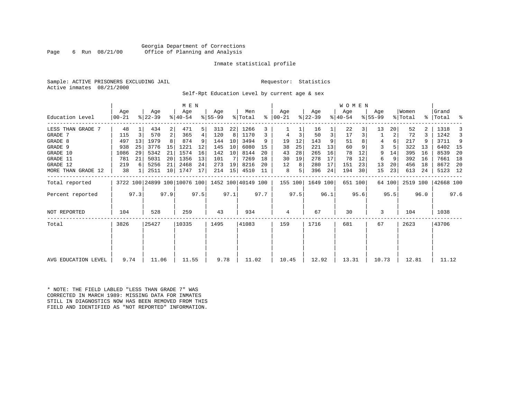#### Georgia Department of Corrections Page 6 Run 08/21/00 Office of Planning and Analysis

#### Inmate statistical profile

Sample: ACTIVE PRISONERS EXCLUDING JAIL **Requestor:** Statistics Active inmates 08/21/2000

Self-Rpt Education Level by current age & sex

|                     |                |      |                              |                | M E N              |      | Age       |      | Men                |      | Age           |      |                  |      | WOMEN<br>Age |         | Age       |        | Women    |      | Grand     |      |
|---------------------|----------------|------|------------------------------|----------------|--------------------|------|-----------|------|--------------------|------|---------------|------|------------------|------|--------------|---------|-----------|--------|----------|------|-----------|------|
| Education Level     | Age<br>  00-21 |      | Age<br>$ 22-39 $             |                | Age<br>$8140 - 54$ |      | $8 55-99$ |      | % Total            |      | $8   00 - 21$ |      | Age<br>$ 22-39 $ |      | $ 40-54 $    |         | $8 55-99$ |        | % Total  |      | %   Total | ್ಠಿ  |
| LESS THAN GRADE 7   | 48             |      | 434                          | 2              | 471                | 5    | 313       | 22   | 1266               |      |               |      | 16               |      | 22           |         | 13        | 20     | 52       |      | 1318      |      |
| GRADE 7             | 115            | 3    | 570                          | 2 <sup>1</sup> | 365                | 4    | 120       | 8    | 1170               | 3    |               | 3    | 50               | 3    | 17           |         |           | 2      | 72       | 3    | 1242      |      |
| GRADE 8             | 497            | 13   | 1979                         |                | 874                |      | 144       | 10   | 3494               | 9    | 19            | 12   | 143              | 9    | 51           |         | 4         | 6      | 217      |      | 3711      | 9    |
| GRADE 9             | 938            | 25   | 3776                         | 15             | 1221               | 12   | 145       | 10   | 6080               | 15   | 38            | 25   | 221              | 13   | 60           |         | 3         |        | 322      | 13   | 6402      | - 15 |
| GRADE 10            | 1086           | 29   | 5342                         | 21             | 1574               | 16   | 142       | 10   | 8144               | 20   | 43            | 28   | 265              | 16   | 78           | 12      | 9         | 14     | 395      | 16   | 8539      | 20   |
| GRADE 11            | 781            | 21   | 5031                         | 20             | 1356               | 13   | 101       |      | 7269               | 18   | 30            | 19   | 278              | 17   | 78           | 12      | 6         | 9      | 392      | 16   | 7661      | 18   |
| GRADE 12            | 219            | 6    | 5256                         | 21             | 2468               | 24   | 273       | 19   | 8216               | 20   | 12            | 8    | 280              | 17   | 151          | 23      | 13        | 20     | 456      | 18   | 8672      | - 20 |
| MORE THAN GRADE 12  | 38             |      | 2511                         | 10             | 1747               | 17   | 214       | 15   | 4510               | 11   | 8             | 5.   | 396              | 24   | 194          | 30      | 15        | 23     | 613      | 24   | 5123 12   |      |
| Total reported      |                |      | 3722 100 24899 100 10076 100 |                |                    |      |           |      | 1452 100 40149 100 |      | 155 100       |      | 1649 100         |      |              | 651 100 |           | 64 100 | 2519 100 |      | 42668 100 |      |
| Percent reported    |                | 97.3 |                              | 97.9           |                    | 97.5 |           | 97.1 |                    | 97.7 |               | 97.5 |                  | 96.1 |              | 95.6    |           | 95.5   |          | 96.0 |           | 97.6 |
| NOT REPORTED        | 104            |      | 528                          |                | 259                |      | 43        |      | 934                |      | 4             |      | 67               |      | 30           |         | 3         |        | 104      |      | 1038      |      |
| Total               | 3826           |      | 25427                        |                | 10335              |      | 1495      |      | 41083              |      | 159           |      | 1716             |      | 681          |         | 67        |        | 2623     |      | 43706     |      |
|                     |                |      |                              |                |                    |      |           |      |                    |      |               |      |                  |      |              |         |           |        |          |      |           |      |
|                     |                |      |                              |                |                    |      |           |      |                    |      |               |      |                  |      |              |         |           |        |          |      |           |      |
| AVG EDUCATION LEVEL | 9.74           |      | 11.06                        |                | 11.55              |      | 9.78      |      | 11.02              |      | 10.45         |      | 12.92            |      | 13.31        |         | 10.73     |        | 12.81    |      | 11.12     |      |

\* NOTE: THE FIELD LABLED "LESS THAN GRADE 7" WAS CORRECTED IN MARCH 1989: MISSING DATA FOR INMATES STILL IN DIAGNOSTICS NOW HAS BEEN REMOVED FROM THIS FIELD AND IDENTIFIED AS "NOT REPORTED" INFORMATION.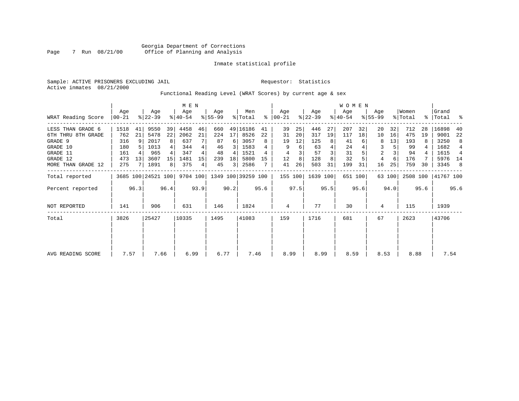Sample: ACTIVE PRISONERS EXCLUDING JAIL **Requestor:** Statistics Active inmates 08/21/2000

Functional Reading Level (WRAT Scores) by current age & sex

|                    |              |       |                    |                |                  | M E N |                  |      |                    |      |                  |      |                  |      | <b>WOMEN</b>     |         |                    |        |                  |      |                |      |
|--------------------|--------------|-------|--------------------|----------------|------------------|-------|------------------|------|--------------------|------|------------------|------|------------------|------|------------------|---------|--------------------|--------|------------------|------|----------------|------|
| WRAT Reading Score | Age<br>00-21 |       | Age<br>$ 22-39 $   |                | Age<br>$ 40-54 $ |       | Age<br>$8 55-99$ |      | Men<br>% Total     | ႜ    | Age<br>$ 00-21 $ |      | Age<br>$ 22-39 $ |      | Age<br>$ 40-54 $ |         | Age<br>$8155 - 99$ |        | Women<br>% Total | ႜ    | Grand<br>Total | ႜ    |
| LESS THAN GRADE 6  | 1518         | 41    | 9550               | 39             | 4458             | 46    | 660              |      | 49 16186           | 41   | 39               | 25   | 446              | 27   | 207              | 32      | 20                 | 32     | 712              | 28   | 16898          | 40   |
| 6TH THRU 8TH GRADE | 762          | 21    | 5478               | 22             | 2062             | 21    | 224              | 17   | 8526               | 22   | 31               | 20   | 317              | 19   | 117              | 18      | 10                 | 16     | 475              | 19   | 9001           | 22   |
| GRADE 9            | 316          | 9     | 2017               | 8              | 637              |       | 87               | 6    | 3057               | 8    | 19               | 12   | 125              |      | 41               |         | 8                  | 13     | 193              | 8    | 3250           | 8    |
| GRADE 10           | 180          |       | 1013               |                | 344              | 4     | 46               |      | 1583               |      | 9                | 6    | 63               |      | 24               |         | 3                  |        | 99               |      | 1682           | 4    |
| GRADE 11           | 161          |       | 965                |                | 347              |       | 48               | 4    | 1521               |      | 4                |      | 57               |      | 31               |         | $\overline{c}$     |        | 94               |      | 1615           | 4    |
| GRADE 12           | 473          | 13    | 3607               | 15             | 1481             | 15    | 239              | 18   | 5800               | 15   | 12               | 8    | 128              |      | 32               |         | 4                  | 6      | 176              |      | 5976 14        |      |
| MORE THAN GRADE 12 | 275          |       | 1891               | 8 <sup>1</sup> | 375              | 4     | 45               | 3    | 2586               |      | 41               | 26   | 503              | 31   | 199              | 31      | 16                 | 25     | 759              | 30   | 3345           | -8   |
| Total reported     |              |       | 3685 100 24521 100 |                | 9704 100         |       |                  |      | 1349 100 39259 100 |      | 155 100          |      | 1639 100         |      |                  | 651 100 |                    | 63 100 | 2508 100         |      | 41767 100      |      |
| Percent reported   |              | 96.3  |                    | 96.4           |                  | 93.9  |                  | 90.2 |                    | 95.6 |                  | 97.5 |                  | 95.5 |                  | 95.6    |                    | 94.0   |                  | 95.6 |                | 95.6 |
| NOT REPORTED       | 141          |       | 906                |                | 631              |       | 146              |      | 1824               |      | 4                |      | 77               |      | 30               |         | 4                  |        | 115              |      | 1939           |      |
| Total              | 3826         | 25427 |                    |                | 10335            |       | 1495             |      | 41083              |      | 159              |      | 1716             |      | 681              |         | 67                 |        | 2623             |      | 43706          |      |
|                    |              |       |                    |                |                  |       |                  |      |                    |      |                  |      |                  |      |                  |         |                    |        |                  |      |                |      |
|                    |              |       |                    |                |                  |       |                  |      |                    |      |                  |      |                  |      |                  |         |                    |        |                  |      |                |      |
| AVG READING SCORE  | 7.57         |       | 7.66               |                | 6.99             |       | 6.77             |      | 7.46               |      | 8.99             |      | 8.99             |      | 8.59             |         | 8.53               |        | 8.88             |      | 7.54           |      |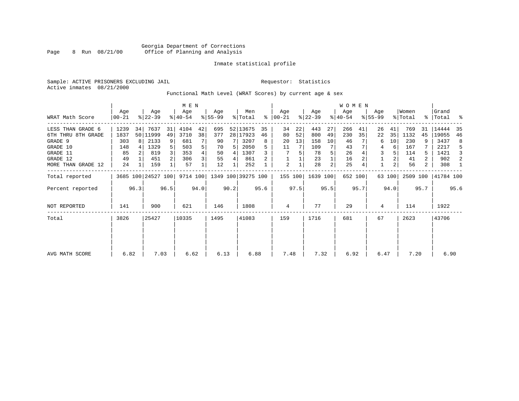Sample: ACTIVE PRISONERS EXCLUDING JAIL **Requestor:** Statistics Active inmates 08/21/2000

Functional Math Level (WRAT Scores) by current age & sex

|                                |                  | M E N |                    |                |                  |      |                 |       |                    |         |                      |          |                  |          | <b>WOMEN</b>     |         |                    |          |                  |        |                    |         |
|--------------------------------|------------------|-------|--------------------|----------------|------------------|------|-----------------|-------|--------------------|---------|----------------------|----------|------------------|----------|------------------|---------|--------------------|----------|------------------|--------|--------------------|---------|
| WRAT Math Score                | Age<br>$00 - 21$ |       | Age<br>$ 22-39 $   |                | Age<br>$ 40-54 $ |      | Aqe<br>$ 55-99$ |       | Men<br>% Total     |         | Aqe<br>$8   00 - 21$ |          | Age<br>$ 22-39 $ |          | Age<br>$ 40-54 $ |         | Age<br>$8155 - 99$ |          | Women<br>% Total |        | Grand<br>% Total % |         |
| LESS THAN GRADE 6              | 1239             | 34    | 7637               | 31             | 4104             | 42   | 695             |       | 52 13675           | 35      | 34                   | 22       | 443              | 27       | 266              | 41      | 26                 | 41       | 769              | 31     | 14444              | 35      |
| 6TH THRU 8TH GRADE<br>GRADE 9  | 1837<br>303      |       | 50   11999<br>2133 | 49<br>9        | 3710<br>681      | 38   | 377<br>90       |       | 28   17923<br>3207 | 46<br>8 | 80<br>20             | 52<br>13 | 800<br>158       | 49<br>10 | 230<br>46        | 35      | 22<br>6            | 35<br>10 | 1132<br>230      | 45     | 19055<br>3437      | 46<br>8 |
| GRADE 10<br>GRADE 11           | 148<br>85        |       | 1329<br>819        | 5 <sup>1</sup> | 503<br>353       | 5    | 70<br>50        | 4     | 2050<br>1307       |         | 11                   | 5        | 109<br>78        |          | 43<br>26         |         | 4<br>3             | 6        | 167<br>114       | 5.     | 2217<br>1421       | -5<br>3 |
| GRADE 12<br>MORE THAN GRADE 12 | 49<br>24         |       | 451<br>159         | 2              | 306<br>57        | 3    | 55<br>12        | 4     | 861<br>252         |         | $\overline{2}$       |          | 23<br>28         | 2        | 16<br>25         |         |                    | 2        | 41<br>56         | 2<br>2 | 902<br>308         | 2<br>1  |
| Total reported                 |                  |       | 3685 100 24527 100 |                | 9714 100         |      |                 |       | 1349 100 39275 100 |         | 155 100              |          | 1639 100         |          |                  | 652 100 |                    | 63 100   | 2509 100         |        | 41784 100          |         |
| Percent reported               |                  | 96.3  |                    | 96.5           |                  | 94.0 |                 | 90.2  |                    | 95.6    |                      | 97.5     |                  | 95.5     |                  | 95.7    |                    | 94.0     |                  | 95.7   |                    | 95.6    |
| NOT REPORTED                   | 141              |       | 900                |                | 621              |      | 146             |       | 1808               |         | 4                    |          | 77               |          | 29               |         | 4                  |          | 114              |        | 1922               |         |
| Total                          | 3826<br>25427    |       |                    | 10335          |                  | 1495 |                 | 41083 |                    | 159     |                      | 1716     |                  | 681      |                  | 67      |                    | 2623     |                  | 43706  |                    |         |
|                                |                  |       |                    |                |                  |      |                 |       |                    |         |                      |          |                  |          |                  |         |                    |          |                  |        |                    |         |
|                                |                  |       |                    |                |                  |      |                 |       |                    |         |                      |          |                  |          |                  |         |                    |          |                  |        |                    |         |
| AVG MATH SCORE                 | 6.82             |       | 7.03               |                | 6.62             |      | 6.13            |       | 6.88               |         | 7.48                 |          | 7.32             |          | 6.92             |         | 6.47               |          | 7.20             |        | 6.90               |         |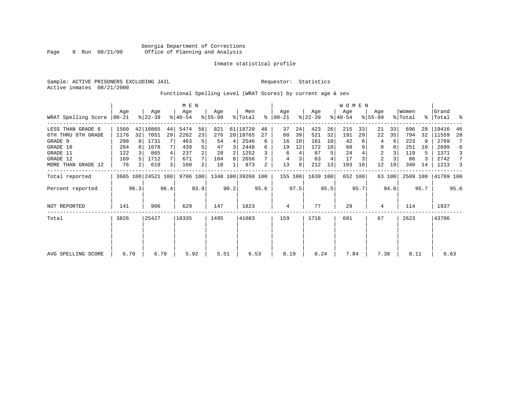Sample: ACTIVE PRISONERS EXCLUDING JAIL **Requestor:** Statistics Active inmates 08/21/2000

Functional Spelling Level (WRAT Scores) by current age & sex

|                     |                 | M E N          |                    |      |                  |                |                 |      |                    |      |                  |      |                  |      | <b>WOMEN</b>     |         |                    |        |                  |      |                    |      |
|---------------------|-----------------|----------------|--------------------|------|------------------|----------------|-----------------|------|--------------------|------|------------------|------|------------------|------|------------------|---------|--------------------|--------|------------------|------|--------------------|------|
| WRAT Spelling Score | Aqe<br>$ 00-21$ |                | Age<br>$ 22-39 $   |      | Age<br>$8 40-54$ |                | Aqe<br>$ 55-99$ |      | Men<br>% Total     | ႜ    | Age<br>$00 - 21$ |      | Age<br>$ 22-39 $ |      | Age<br>$ 40-54 $ |         | Age<br>$8155 - 99$ |        | Women<br>% Total |      | Grand<br>%   Total | ႜ    |
| LESS THAN GRADE 6   | 1560            |                | 42 10865           | 44   | 5474             | 56             | 821             |      | 61 18720           | 48   | 37               | 24   | 423              | 26   | 215              | 33      | 21                 | 33     | 696              | 28   | 19416              | 46   |
| 6TH THRU 8TH GRADE  | 1176            | 32             | 7051               | 29   | 2262             | 23             | 276             |      | 20   10765         | 27   | 60               | 39   | 521              | 32   | 191              | 29      | 22                 | 35     | 794              | 32   | 11559              | 28   |
| GRADE 9             | 298             | 81             | 1731               | 7    | 463              | 5              | 54              | 4    | 2546               | 6    | 16               | 10   | 161              | 10   | 42               |         | 4                  | 6      | 223              |      | 2769               |      |
| GRADE 10            | 284             |                | 1678               |      | 439              |                | 47              | 3    | 2448               | 6    | 19               | 12   | 172              | 10   | 60               |         | 0                  |        | 251              | 10   | 2699               | 6    |
| GRADE 11            | 122             |                | 865                |      | 237              |                | 28              | 2    | 1252               |      | 6                | 4    | 87               | 5    | 24               |         | 2                  |        | 119              | 5    | 1371               | 3    |
| GRADE 12            | 169             |                | 1712               |      | 671              |                | 104             | 8    | 2656               |      | 4                | 3    | 63               |      | 17               |         | 2                  |        | 86               |      | 2742               | 7    |
| MORE THAN GRADE 12  | 76              | 2 <sub>1</sub> | 619                |      | 160              | $\overline{2}$ | 18              |      | 873                | 2    | 13               | 8    | 212              | 13   | 103              | 16      | 12                 | 19     | 340              | 14   | 1213               | 3    |
| Total reported      |                 |                | 3685 100 24521 100 |      | 9706 100         |                |                 |      | 1348 100 39260 100 |      | 155 100          |      | 1639 100         |      |                  | 652 100 |                    | 63 100 | 2509 100         |      | 41769 100          |      |
| Percent reported    |                 | 96.3           |                    | 96.4 |                  | 93.9           |                 | 90.2 |                    | 95.6 |                  | 97.5 |                  | 95.5 |                  | 95.7    |                    | 94.0   |                  | 95.7 |                    | 95.6 |
| <b>NOT REPORTED</b> | 141             |                | 906                |      | 629              |                | 147             |      | 1823               |      | 4                |      | 77               |      | 29               |         | 4                  |        | 114              |      | 1937               |      |
| Total               | 3826            |                | 25427              |      | 10335            |                | 1495            |      | 41083              |      | 159              |      | 1716             |      | 681              |         | 67                 |        | 2623             |      | 43706              |      |
|                     |                 |                |                    |      |                  |                |                 |      |                    |      |                  |      |                  |      |                  |         |                    |        |                  |      |                    |      |
|                     |                 |                |                    |      |                  |                |                 |      |                    |      |                  |      |                  |      |                  |         |                    |        |                  |      |                    |      |
| AVG SPELLING SCORE  | 6.79            |                | 6.79               |      | 5.92             |                | 5.51            |      | 6.53               |      | 8.19             |      | 8.24             |      | 7.84             |         | 7.38               |        | 8.11             |      | 6.63               |      |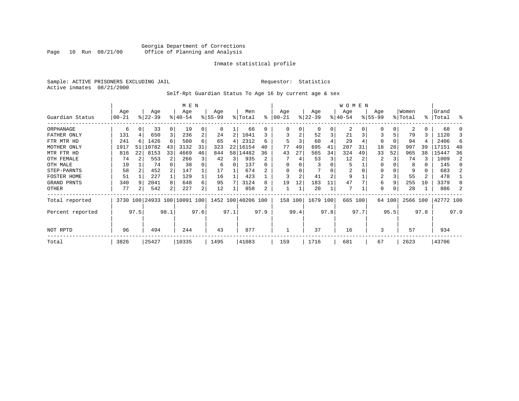#### Georgia Department of Corrections Page 10 Run 08/21/00 Office of Planning and Analysis

#### Inmate statistical profile

Sample: ACTIVE PRISONERS EXCLUDING JAIL **Requestor:** Statistics Active inmates 08/21/2000

#### Self-Rpt Guardian Status To Age 16 by current age & sex

|                  |           | M E N        |                              |          |          |                |           |      |           |              |          |      |           |      | <b>WOMEN</b> |          |                |          |          |      |           |      |
|------------------|-----------|--------------|------------------------------|----------|----------|----------------|-----------|------|-----------|--------------|----------|------|-----------|------|--------------|----------|----------------|----------|----------|------|-----------|------|
|                  | Age       |              | Age                          |          | Age      |                | Age       |      | Men       |              | Age      |      | Age       |      | Age          |          | Age            |          | Women    |      | Grand     |      |
| Guardian Status  | $ 00-21$  |              | $ 22-39 $                    |          | $ 40-54$ |                | $8 55-99$ |      | % Total   | ៖            | $ 00-21$ |      | $ 22-39 $ |      | $ 40-54$     |          | $ 55-99$       |          | % Total  |      | %   Total | ႜ    |
| ORPHANAGE        | 6         | 0            | 33                           | $\Omega$ | 19       | 0              | 8         |      | 66        | $\Omega$     | O        | 0    | $\Omega$  | 0    | 2            | $\Omega$ | O              | $\Omega$ | 2        | 0    | 68        |      |
| FATHER ONLY      | 131       |              | 650                          | 3        | 236      | 2              | 24        | 2    | 1041      |              |          |      | 52        | 3    | 21           | 3        |                | 5        | 79       | 3    | 1120      | 3    |
| FTR MTR HD       | 241       |              | 1426                         | б.       | 580      | 6              | 65        | 4    | 2312      | 6            | 5        |      | 60        |      | 29           |          | 0              | 0        | 94       |      | 2406      | 6    |
| MOTHER ONLY      | 1917      | 51           | 10782                        | 43       | 3132     | 31             | 323       | 22   | 16154     | 40           | 77       | 49   | 695       | 41   | 207          | 31       | 18             | 28       | 997      | 39   | 17151     | 40   |
| MTR FTR HD       | 816       | 22           | 8153                         | 33       | 4669     | 46             | 844       | 58   | 14482     | 36           | 43       | 27   | 565       | 34   | 324          | 49       | 33             | 52       | 965      | 38   | 15447     | 36   |
| OTH FEMALE       | 74        |              | 553                          | 2        | 266      | 3              | 42        | 3    | 935       | $\mathbf{2}$ |          |      | 53        | 3    | 12           |          | 2              |          | 74       |      | 1009      | 2    |
| OTH MALE         | 19        |              | 74                           |          | 38       |                | 6         | 0    | 137       | 0            | $\Omega$ |      |           |      | 5            |          | 0              |          | 8        | 0    | 145       |      |
| STEP-PARNTS      | 58        |              | 452                          | 2        | 147      |                | 17        |      | 674       |              |          |      |           |      | 2            |          | 0              |          | 9        | 0    | 683       |      |
| FOSTER HOME      | 51        |              | 227                          |          | 129      |                | 16        |      | 423       |              |          |      | 41        | 2    | 9            |          | $\overline{2}$ |          | 55       | 2    | 478       |      |
| GRAND PRNTS      | 340       |              | 2041                         | 8        | 648      | 6              | 95        |      | 3124      | 8            | 19       | 12   | 183       | 11   | 47           |          | 6              | 9        | 255      | 10   | 3379      |      |
| OTHER            | 77        |              | 542                          | 2        | 227      | 2 <sub>1</sub> | 12        |      | 858       |              |          |      | 20        |      | 7            |          | 0              |          | 28       |      | 886       |      |
| Total reported   |           |              | 3730 100 24933 100 10091 100 |          |          |                | 1452 100  |      | 40206 100 |              | 158 100  |      | 1679 100  |      |              | 665 100  |                | 64 100   | 2566 100 |      | 42772 100 |      |
| Percent reported |           | 97.5<br>98.1 |                              |          |          | 97.6           |           | 97.1 |           | 97.9         |          | 99.4 |           | 97.8 |              | 97.7     |                | 95.5     |          | 97.8 |           | 97.9 |
| NOT RPTD         | 494<br>96 |              |                              |          | 244      |                | 43        |      | 877       |              |          |      | 37        |      | 16           |          | 3              |          | 57       |      | 934       |      |
| Total            | 3826      |              | 25427                        |          | 10335    |                | 1495      |      | 41083     |              | 159      |      | 1716      |      | 681          |          | 67             |          | 2623     |      | 43706     |      |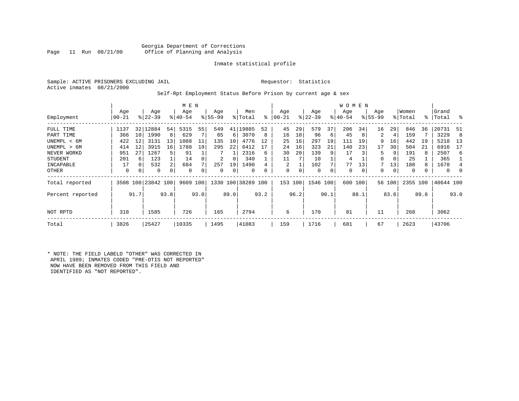#### Georgia Department of Corrections<br>Page 11 Run 08/21/00 office of Planning and Analysis Office of Planning and Analysis

#### Inmate statistical profile

Sample: ACTIVE PRISONERS EXCLUDING JAIL **Requestor:** Statistics Active inmates 08/21/2000

#### Self-Rpt Employment Status Before Prison by current age & sex

|                  |           |      |                    |                 | M E N       |      |           |             |                    |      |           |      |           |      | <b>WOMEN</b> |             |           |        |          |      |              |          |
|------------------|-----------|------|--------------------|-----------------|-------------|------|-----------|-------------|--------------------|------|-----------|------|-----------|------|--------------|-------------|-----------|--------|----------|------|--------------|----------|
|                  | Age       |      | Age                |                 | Age         |      | Age       |             | Men                |      | Age       |      | Age       |      | Age          |             | Age       |        | Women    |      | Grand        |          |
| Employment       | $00 - 21$ |      | $ 22-39 $          |                 | $8 40-54$   |      | $ 55-99 $ |             | % Total            | ႜ    | $00 - 21$ |      | $ 22-39 $ |      | $ 40-54 $    |             | $ 55-99 $ |        | % Total  |      | %   Total    | - 옹      |
| FULL TIME        | 1137      | 32   | 12884              | 54              | 5315        | 55   | 549       | 41          | 9885               | 52   | 45        | 29   | 579       | 37   | 206          | 34          | 16        | 29     | 846      | 36   | 20731        | 51       |
| PART TIME        | 366       | 10   | 1990               | 8               | 629         |      | 85        | 6           | 3070               | 8    | 16        | 10   | 96        | 6    | 45           | 8           | 2         | 4      | 159      |      | 3229         | 8        |
| UNEMPL < 6M      | 422       | 12   | 3131               | 13              | 1088        | 11   | 135       | 10          | 4776               | 12   | 25        | 16   | 297       | 19   | 111          | 19          | 9         | 16     | 442      | 19   | 5218         | 13       |
| UNEMPL > 6M      | 414       | 12   | 3915               | 16 <sup>1</sup> | 1788        | 19   | 295       | 22          | 6412               |      | 24        | 16   | 323       | 21   | 140          | 23          | 17        | 30     | 504      | 21   | 6916         | 17       |
| NEVER WORKD      | 951       | 27   | 1267               | 5               | 91          |      |           |             | 2316               | 6    | 30        | 20   | 139       |      | 17           |             | 5.        | 9      | 191      | 8    | 2507         | 6        |
| <b>STUDENT</b>   | 201       | 6    | 123                |                 | 14          |      | 2         | 0           | 340                |      | 11        |      | 10        |      | 4            |             | 0         | 0      | 25       |      | 365          |          |
| INCAPABLE        | 17        | 0    | 532                | 2               | 684         |      | 257       | 19          | 1490               |      | 2         |      | 102       |      | 77           | 13          |           | 13     | 188      |      | 1678         | 4        |
| OTHER            | 0         | 0    | 0                  | 0               | $\mathbf 0$ |      | 0         | $\mathbf 0$ | 0                  | 0    | 0         |      | 0         |      | 0            | $\mathbf 0$ | 0         | 0      | $\Omega$ |      | $\mathbf{0}$ | $\Omega$ |
| Total reported   |           |      | 3508 100 23842 100 |                 | 9609 100    |      |           |             | 1330 100 38289 100 |      | 153 100   |      | 1546      | 100  | 600 100      |             |           | 56 100 | 2355 100 |      | 40644 100    |          |
| Percent reported |           | 91.7 |                    | 93.8            |             | 93.0 |           | 89.0        |                    | 93.2 |           | 96.2 |           | 90.1 |              | 88.1        |           | 83.6   |          | 89.8 |              | 93.0     |
| NOT RPTD         | 318       |      | 1585               |                 | 726         |      | 165       |             | 2794               |      | 6         |      | 170       |      | 81           |             | 11        |        | 268      |      | 3062         |          |
| Total            | 3826      |      | 25427              |                 | 10335       |      | 1495      |             | 41083              |      | 159       |      | 1716      |      | 681          |             | 67        |        | 2623     |      | 43706        |          |

\* NOTE: THE FIELD LABELD "OTHER" WAS CORRECTED IN APRIL 1989; INMATES CODED "PRE-OTIS NOT REPORTED" NOW HAVE BEEN REMOVED FROM THIS FIELD AND IDENTIFIED AS "NOT REPORTED".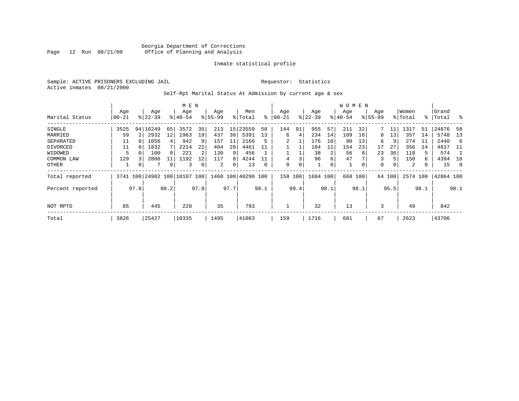Sample: ACTIVE PRISONERS EXCLUDING JAIL **Requestor:** Statistics Active inmates 08/21/2000

Self-Rpt Marital Status At Admission by current age & sex

|                  |           |                |                         |      | M E N       |      |          |      |               |          |          |      |           |      | W O M E N |      |              |        |          |      |           |          |
|------------------|-----------|----------------|-------------------------|------|-------------|------|----------|------|---------------|----------|----------|------|-----------|------|-----------|------|--------------|--------|----------|------|-----------|----------|
|                  | Age       |                | Age                     |      | Age         |      | Age      |      | Men           |          | Age      |      | Age       |      | Age       |      | Age          |        | Women    |      | Grand     |          |
| Marital Status   | $00 - 21$ |                | $8 22-39$               |      | $8140 - 54$ |      | $ 55-99$ |      | % Total       | ႜ        | $ 00-21$ |      | $ 22-39 $ |      | $ 40-54$  |      | $8155 - 99$  |        | % Total  | % ิ  | Total     | ွေ       |
| SINGLE           | 3525      |                | 94 16249                | 65   | 3572        | 35   | 213      | 15   | 23559         | 58       | 144      | 91   | 955       | 57   | 211       | 32   |              |        | 1317     | 51   | 24876     | -58      |
| MARRIED          | 59        | 2 <sup>1</sup> | 2932                    | 12   | 1963        | 19   | 437      | 30   | 5391          | 13       | 6        | 4    | 234       | 14   | 109       | 16   | 8            | 13     | 357      | 14   | 5748      | 13       |
| SEPARATED        | 11        |                | 1056                    | 4    | 942         | 9    | 157      | 11   | 2166          |          |          |      | 176       | 10   | 90        | 13   | 6            | 9      | 274      | -11  | 2440      | 6        |
| DIVORCED         | 11        |                | 1832                    |      | 2214        | 22   | 404      | 28   | 4461          | 11       |          |      | 184       | 11   | 154       | 23   | 17           | 27     | 356      | 14   | 4817      | -11      |
| WIDOWED          |           |                | 100                     |      | 221         | 2    | 130      | 9    | 456           |          |          |      | 38        | 2    | 56        | 8    | 23           | 36     | 118      | 5    | 574       |          |
| COMMON LAW       | 129       |                | 2806                    | 11   | 1192        | 12   | 117      | 8    | 4244          |          | 4        | 3    | 96        | 6    | 47        |      | 3            | 5      | 150      | 6    | 4394      | 10       |
| OTHER            |           |                | 7                       | 0    | 3           | 0    | 2        | 0    | 13            | $\Omega$ | 0        | 0    |           | 0    | 1         |      | $\mathbf{0}$ | 0      | 2        | 0    | 15        | $\Omega$ |
| Total reported   | 3741      |                | 100 24982 100 10107 100 |      |             |      | 1460     |      | 100 40290 100 |          | 158      | 100  | 1684 100  |      | 668       | 100  |              | 64 100 | 2574 100 |      | 42864 100 |          |
| Percent reported |           | 97.8           |                         | 98.2 |             | 97.8 |          | 97.7 |               | 98.1     |          | 99.4 |           | 98.1 |           | 98.1 |              | 95.5   |          | 98.1 |           | 98.1     |
|                  |           |                |                         |      |             |      |          |      |               |          |          |      |           |      |           |      |              |        |          |      |           |          |
| NOT RPTD         | 85        |                | 445                     |      | 228         |      | 35       |      | 793           |          |          |      | 32        |      | 13        |      | 3            |        | 49       |      | 842       |          |
| Total            | 3826      |                | 25427                   |      | 10335       |      | 1495     |      | 41083         |          | 159      |      | 1716      |      | 681       |      | 67           |        | 2623     |      | 43706     |          |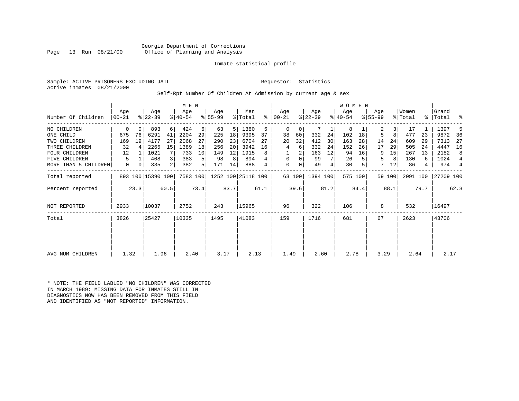Georgia Department of Corrections<br>Page 13 Run 08/21/00 office of Planning and Analysis Office of Planning and Analysis

#### Inmate statistical profile

Sample: ACTIVE PRISONERS EXCLUDING JAIL **Requestor:** Statistics Active inmates 08/21/2000

#### Self-Rpt Number Of Children At Admission by current age & sex

|                      | Aqe        |      | Age               |      | M E N<br>Age |      | Age      |      | Men                |      | Age           |        | Age       |      | <b>WOMEN</b><br>Age |         | Age         |        | Women    |      | Grand     |                |
|----------------------|------------|------|-------------------|------|--------------|------|----------|------|--------------------|------|---------------|--------|-----------|------|---------------------|---------|-------------|--------|----------|------|-----------|----------------|
| Number Of Children   | $ 00 - 21$ |      | $ 22-39 $         |      | $ 40-54 $    |      | $ 55-99$ |      | % Total            |      | $8   00 - 21$ |        | $ 22-39 $ |      | $ 40-54 $           |         | $8155 - 99$ |        | % Total  |      | %   Total | ್ಠಿ            |
| NO CHILDREN          | 0          | 0    | 893               | 6    | 424          | 6    | 63       | 5    | 1380               | 5    | 0             | 0      |           |      | 8                   |         | 2           | 3      | 17       |      | 1397      | 5              |
| ONE CHILD            | 675        | 76   | 6291              | 41   | 2204         | 29   | 225      | 18   | 9395               | 37   | 38            | 60     | 332       | 24   | 102                 | 18      | 5           | 8      | 477      | 23   | 9872      | 36             |
| TWO CHILDREN         | 169        | 19   | 4177              | 27   | 2068         | 27   | 290      | 23   | 6704               | 27   | 20            | 32     | 412       | 30   | 163                 | 28      | 14          | 24     | 609      | 29   | 7313      | 27             |
| THREE CHILDREN       | 32         |      | 2265              | 15   | 1389         | 18   | 256      | 20   | 3942               | 16   | 4             | 6      | 332       | 24   | 152                 | 26      | 17          | 29     | 505      | 24   | 4447      | 16             |
| <b>FOUR CHILDREN</b> | 12         |      | 1021              | 7    | 733          | 10   | 149      | 12   | 1915               | 8    |               | 2      | 163       | 12   | 94                  | 16      | 9           | 15     | 267      | 13   | 2182      | 8              |
| FIVE CHILDREN        | 5          |      | 408               | 3    | 383          | 5    | 98       | 8    | 894                |      | 0             | 0      | 99        |      | 26                  |         | 5           | 8      | 130      | 6    | 1024      | $\overline{4}$ |
| MORE THAN 5 CHILDREN | 0          | 0    | 335               | 2    | 382          | 5    | 171      | 14   | 888                | 4    | 0             | 0      | 49        | 4    | 30                  |         | 7           | 12     | 86       | 4    | 974       | $\overline{4}$ |
| Total reported       |            |      | 893 100 15390 100 |      | 7583 100     |      |          |      | 1252 100 25118 100 |      |               | 63 100 | 1394 100  |      |                     | 575 100 |             | 59 100 | 2091 100 |      | 27209 100 |                |
| Percent reported     |            | 23.3 |                   | 60.5 |              | 73.4 |          | 83.7 |                    | 61.1 |               | 39.6   |           | 81.2 |                     | 84.4    |             | 88.1   |          | 79.7 |           | 62.3           |
| <b>NOT REPORTED</b>  | 2933       |      | 10037             |      | 2752         |      | 243      |      | 15965              |      | 96            |        | 322       |      | 106                 |         | 8           |        | 532      |      | 16497     |                |
| Total                | 3826       |      | 25427             |      | 10335        |      | 1495     |      | 41083              |      | 159           |        | 1716      |      | 681                 |         | 67          |        | 2623     |      | 43706     |                |
|                      |            |      |                   |      |              |      |          |      |                    |      |               |        |           |      |                     |         |             |        |          |      |           |                |
|                      |            |      |                   |      |              |      |          |      |                    |      |               |        |           |      |                     |         |             |        |          |      |           |                |
| AVG NUM CHILDREN     | 1.32       |      | 1.96              |      | 2.40         |      | 3.17     |      | 2.13               |      | 1.49          |        | 2.60      |      | 2.78                |         | 3.29        |        | 2.64     |      | 2.17      |                |

\* NOTE: THE FIELD LABLED "NO CHILDREN" WAS CORRECTED IN MARCH 1989: MISSING DATA FOR INMATES STILL IN DIAGNOSTICS NOW HAS BEEN REMOVED FROM THIS FIELD AND IDENTIFIED AS "NOT REPORTED" INFORMATION.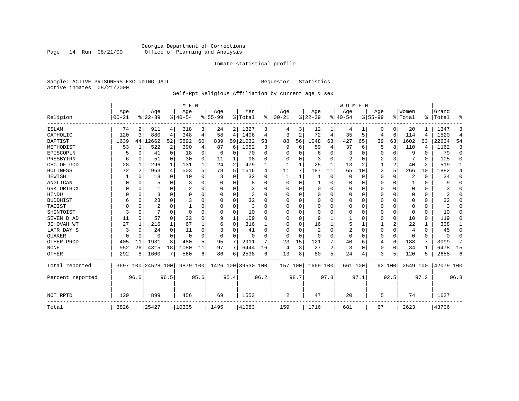#### Georgia Department of Corrections<br>Page 14 Run 08/21/00 Office of Planning and Analysis Page 14 Run 08/21/00 Office of Planning and Analysis

#### Inmate statistical profile

Sample: ACTIVE PRISONERS EXCLUDING JAIL **Requestor:** Statistics Active inmates 08/21/2000

### Self-Rpt Religious Affiliation by current age & sex

|                  |           |                |                |             | M E N     |          |           |             |               |              |          |          |                |      | <b>WOMEN</b> |          |           |             |          |          |           |                |
|------------------|-----------|----------------|----------------|-------------|-----------|----------|-----------|-------------|---------------|--------------|----------|----------|----------------|------|--------------|----------|-----------|-------------|----------|----------|-----------|----------------|
|                  | Age       |                | Age            |             | Age       |          | Age       |             | Men           |              | Age      |          | Age            |      | Aqe          |          | Age       |             | Women    |          | Grand     |                |
| Religion         | $00 - 21$ |                | $ 22-39 $      |             | $8 40-54$ |          | $8 55-99$ |             | % Total       | ွေ           | $ 00-21$ |          | $ 22-39$       |      | $ 40-54$     |          | $8 55-99$ |             | % Total  | ፠        | Total     | ዱ              |
| ISLAM            | 74        | 2              | 911            | 4           | 318       | 3        | 24        |             | 2 1327        | 3            | 4        | 3        | 12             |      | 4            |          | 0         | 0           | 20       |          | 1347      | 3              |
| CATHOLIC         | 120       | 3              | 880            | 4           | 348       | 4        | 58        | 4           | 1406          | 4            | 3        | 2        | 72             | 4    | 35           | 5        | 4         | 6           | 114      | 4        | 1520      | $\overline{4}$ |
| <b>BAPTIST</b>   | 1639      | 44             | 12662          | 52          | 5892      | 60       | 839       | 59          | 21032         | 53           | 88       | 56       | 1048           | 63   | 427          | 65       | 39        | 63          | 1602     | 63       | 22634     | 54             |
| METHODIST        | 53        | 1              | 522            | 2           | 390       | 4        | 87        | 6           | 1052          | 3            | 9        | 6        | 59             | 4    | 37           | 6        | 5         | 8           | 110      | 4        | 1162      | 3              |
| EPISCOPLN        |           | 0              | 41             | $\mathbf 0$ | 18        | 0        | 6         | 0           | 70            | $\Omega$     | U        | O        | 6              | 0    | 3            | $\Omega$ | 0         | 0           | 9        | $\Omega$ | 79        | $\mathbf 0$    |
| PRESBYTRN        | 6         | 0              | 51             | $\Omega$    | 30        | $\Omega$ | 11        | 1           | 98            | U            | U        | U        | 3              | 0    | 2            | 0        | 2         | 3           |          | $\Omega$ | 105       | $\Omega$       |
| CHC OF GOD       | 28        | 1              | 296            | 1           | 131       |          | 24        | 2           | 479           |              | 1        |          | 25             | 1    | 13           | 2        |           | 2           | 40       | 2        | 519       | 1              |
| HOLINESS         | 72        | $\overline{c}$ | 963            | 4           | 503       | 5        | 78        | 5           | 1616          | 4            | 11       |          | 187            | 11   | 65           | 10       | 3         | 5           | 266      | 10       | 1882      | 4              |
| <b>JEWISH</b>    |           | $\Omega$       | 18             | $\Omega$    | 10        | $\Omega$ | 3         | U           | 32            | O            |          |          |                | 0    | $\Omega$     | $\Omega$ | 0         | 0           | 2        | $\Omega$ | 34        | $\Omega$       |
| ANGLICAN         |           | $\Omega$       | 5              | $\Omega$    | 3         |          |           | 0           | 8             |              | $\Omega$ | 0        |                | 0    | 0            | $\Omega$ | 0         | $\Omega$    |          | $\Omega$ | 9         | $\Omega$       |
| GRK ORTHDX       |           | $\Omega$       |                | $\Omega$    |           | O        | n         | 0           | 3             | U            | U        | U        | $\Omega$       | 0    | $\Omega$     | 0        | 0         | $\Omega$    | $\Omega$ | $\Omega$ |           | $\Omega$       |
| HINDU            |           | $\Omega$       | 3              | $\Omega$    | $\Omega$  | $\Omega$ |           | 0           | 3             | <sup>0</sup> | U        |          | 0              | U    | $\Omega$     | $\Omega$ | 0         | $\Omega$    | O        | $\Omega$ |           | $\Omega$       |
| <b>BUDDHIST</b>  | 6         | $\Omega$       | 23             | $\Omega$    | 3         |          |           | 0           | 32            | U            | $\Omega$ |          | $\Omega$       | O    | $\Omega$     | $\Omega$ | Ω         | $\Omega$    | $\Omega$ | $\Omega$ | 32        | $\Omega$       |
| TAOIST           |           | $\Omega$       | $\overline{c}$ | $\Omega$    |           |          |           | 0           | 3             | n            | U        | O        | $\Omega$       | 0    | $\Omega$     | $\Omega$ | 0         | $\Omega$    | $\Omega$ | $\Omega$ | κ         | $\Omega$       |
| SHINTOIST        | 3         | $\Omega$       |                | $\Omega$    | $\Omega$  |          |           | $\Omega$    | 10            | O            | U        | $\cap$   | $\overline{0}$ | U    | O            | $\Omega$ | 0         | $\mathbf 0$ | $\Omega$ | $\Omega$ | 10        | $\Omega$       |
| SEVEN D AD       | 11        | $\Omega$       | 57             | $\Omega$    | 32        | $\Omega$ | 9         | $\mathbf 1$ | 109           | U            | U        | $\cap$   | 9              |      |              | $\Omega$ | 0         | $\mathbf 0$ | 10       | $\Omega$ | 119       | O              |
| JEHOVAH WT       | 27        | 1              | 216            | 1           | 67        |          | 6         | 0           | 316           |              | U        | O        | 16             |      | 5            |          |           | 2           | 22       |          | 338       | 1              |
| LATR DAY S       | 3         | $\Omega$       | 24             | $\Omega$    | 11        |          |           | 0           | 41            | n            | 0        |          | $\overline{2}$ | 0    | 2            | 0        | 0         | 0           | 4        | $\Omega$ | 45        | 0              |
| <b>OUAKER</b>    |           | $\Omega$       | 0              | 0           | $\Omega$  | 0        | O         | 0           | $\Omega$      |              | $\Omega$ | $\Omega$ | 0              | 0    | $\Omega$     | 0        | 0         | $\mathbf 0$ | $\Omega$ | $\Omega$ | $\Omega$  | 0              |
| OTHER PROD       | 405       | 11             | 1931           | 8           | 480       | 5        | 95        | 7           | 2911          | 7            | 23       | 15       | 121            | 7    | 40           | 6        | 4         | 6           | 188      | 7        | 3099      | 7              |
| <b>NONE</b>      | 952       | 26             | 4315           | 18          | 1080      | 11       | 97        | 7           | 6444          | 16           | 4        | 3        | 27             | 2    | 3            | $\Omega$ | 0         | $\mathbf 0$ | 34       | 1        | 6478      | 15             |
| <b>OTHER</b>     | 292       | 8              | 1600           | 7           | 560       | 6        | 86        | 6           | 2538          | 6            | 13       | 8        | 80             | 5    | 24           | 4        | 3         | 5           | 120      | 5        | 2658      | 6              |
| Total reported   | 3697      |                | 100 24528 100  |             | 9879 100  |          | 1426      |             | 100 39530 100 |              | 157 100  |          | 1669 100       |      | 661 100      |          |           | 62 100      | 2549     | 100      | 42079 100 |                |
| Percent reported |           | 96.6           |                | 96.5        |           | 95.6     |           | 95.4        |               | 96.2         |          | 98.7     |                | 97.3 |              | 97.1     |           | 92.5        |          | 97.2     |           | 96.3           |
| NOT RPTD         | 129       |                | 899            |             | 456       |          | 69        |             | 1553          |              | 2        |          | 47             |      | 20           |          | 5         |             | 74       |          | 1627      |                |
| Total            | 3826      |                | 25427          |             | 10335     |          | 1495      |             | 41083         |              | 159      |          | 1716           |      | 681          |          | 67        |             | 2623     |          | 43706     |                |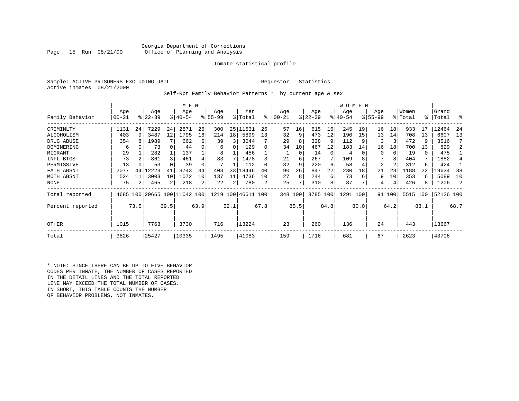#### Georgia Department of Corrections<br>Page 15 Run 08/21/00 office of Planning and Analysis Office of Planning and Analysis

#### Inmate statistical profile

Sample: ACTIVE PRISONERS EXCLUDING JAIL **Requestor:** Statistics Active inmates 08/21/2000

Self-Rpt Family Behavior Patterns \* by current age & sex

|                  |       |      |                              |                | M E N       |      |           |      |                    |      |           |               |           |      | <b>WOMEN</b> |      |             |        |          |      |           |      |
|------------------|-------|------|------------------------------|----------------|-------------|------|-----------|------|--------------------|------|-----------|---------------|-----------|------|--------------|------|-------------|--------|----------|------|-----------|------|
|                  | Age   |      | Age                          |                | Age         |      | Age       |      | Men                |      | Age       |               | Age       |      | Age          |      | Age         |        | Women    |      | Grand     |      |
| Family Behavior  | 00-21 |      | $ 22-39 $                    |                | $8140 - 54$ |      | $8 55-99$ |      | % Total            | ి    | $00 - 21$ | $\frac{8}{3}$ | $22 - 39$ |      | $ 40-54 $    |      | $8155 - 99$ |        | % Total  | ႜ    | Total     | °    |
| CRIMINLTY        | 1131  | 24   | 7229                         | 24             | 2871        | 26   | 300       | 25   | 11531              | 25   | 57        | 16            | 615       | 16   | 245          | 19   | 16          | 18     | 933      | 17   | 12464     | 24   |
| ALCOHOLISM       | 403   | 9    | 3487                         | 12             | 1795        | 16   | 214       | 18   | 5899               | 13   | 32        | 9             | 473       | 12   | 190          | 15   | 13          | 14     | 708      | 13   | 6607      | 13   |
| DRUG ABUSE       | 354   |      | 1989                         |                | 662         | 6    | 39        | 3    | 3044               |      | 29        | 8             | 328       | 9    | 112          |      | 3           | 3      | 472      |      | 3516      |      |
| DOMINERING       | 6     |      | 73                           | 0              | 44          |      | 6         | 0    | 129                | 0    | 34        | 10            | 467       | 12   | 183          | 14   | 16          | 18     | 700      | 13   | 829       |      |
| MIGRANT          | 29    |      | 282                          |                | 137         |      | 8         |      | 456                |      |           | 0             | 14        | 0    | 4            |      | $\Omega$    |        | 19       | 0    | 475       |      |
| INFL BTGS        | 73    |      | 861                          | 3              | 461         |      | 83        |      | 1478               |      | 21        | 6             | 267       | 7    | 109          |      |             | 8      | 404      |      | 1882      |      |
| PERMISSIVE       | 13    |      | 53                           |                | 39          |      |           |      | 112                |      | 32        | 9             | 220       | 6    | 58           |      | 2           | 2      | 312      | 6    | 424       |      |
| FATH ABSNT       | 2077  | 44   | 12223                        |                | 3743        | 34   | 403       | 33   | 18446              | 40   | 90        | 26            | 847       | 22   | 230          | 18   | 21          | 23     | 1188     | 22   | 19634     | 38   |
| MOTH ABSNT       | 524   | 11   | 3003                         | 10             | 1072        | 10   | 137       | 11   | 4736               | 10   | 27        | 8             | 244       | 6    | 73           | 6    | 9           | 10     | 353      | 6    | 5089      | 10   |
| NONE             | 75    |      | 465                          | $\overline{2}$ | 218         | 2    | 22        | 2    | 780                | 2    | 25        |               | 310       | 8    | 87           |      |             |        | 426      | 8    | 1206      |      |
| Total reported   |       |      | 4685 100 29665 100 11042 100 |                |             |      |           |      | 1219 100 46611 100 |      | 348 100   |               | 3785 100  |      | 1291 100     |      |             | 91 100 | 5515 100 |      | 52126 100 |      |
| Percent reported |       | 73.5 |                              | 69.5           |             | 63.9 |           | 52.1 |                    | 67.8 |           | 85.5          |           | 84.8 |              | 80.0 |             | 64.2   |          | 83.1 |           | 68.7 |
| <b>OTHER</b>     | 1015  |      | 7763                         |                | 3730        |      | 716       |      | 13224              |      | 23        |               | 260       |      | 136          |      | 24          |        | 443      |      | 13667     |      |
| Total            | 3826  |      | 25427                        |                | 10335       |      | 1495      |      | 41083              |      | 159       |               | 1716      |      | 681          |      | 67          |        | 2623     |      | 43706     |      |

\* NOTE: SINCE THERE CAN BE UP TO FIVE BEHAVIOR CODES PER INMATE, THE NUMBER OF CASES REPORTED IN THE DETAIL LINES AND THE TOTAL REPORTED LINE MAY EXCEED THE TOTAL NUMBER OF CASES. IN SHORT, THIS TABLE COUNTS THE NUMBER OF BEHAVIOR PROBLEMS, NOT INMATES.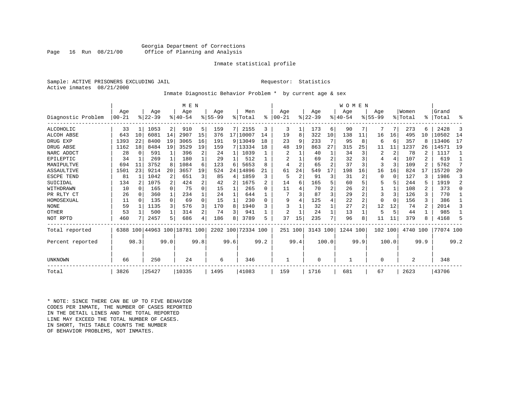#### Georgia Department of Corrections<br>Page 16 Run 08/21/00 Office of Planning and Analysis Office of Planning and Analysis

#### Inmate statistical profile

Sample: ACTIVE PRISONERS EXCLUDING JAIL **Requestor:** Statistics Active inmates 08/21/2000

#### Inmate Diagnostic Behavior Problem \* by current age & sex

|                    |                  |      |                  |              | M E N                        |      |                  |                 |                            |      |                  |                |                  |       | WOMEN            |                |                  |                |                  |                |                 |                |
|--------------------|------------------|------|------------------|--------------|------------------------------|------|------------------|-----------------|----------------------------|------|------------------|----------------|------------------|-------|------------------|----------------|------------------|----------------|------------------|----------------|-----------------|----------------|
| Diagnostic Problem | Age<br>$00 - 21$ |      | Age<br>$ 22-39 $ |              | Age<br>$8 40-54$             |      | Aqe<br>$8 55-99$ |                 | Men<br>$\frac{1}{2}$ Total | ፠    | Age<br>$00 - 21$ |                | Age<br>$8 22-39$ |       | Age<br>$8 40-54$ |                | Age<br>$8 55-99$ |                | Women<br>% Total | ⊱              | Grand<br> Total | ႜ              |
|                    |                  |      |                  |              |                              |      |                  |                 |                            |      |                  |                |                  |       |                  |                |                  |                |                  |                |                 |                |
| ALCOHOLIC          | 33               | 1    | 1053             | 2            | 910                          | 5    | 159              | 7               | 2155                       | 3    | 3                | 1              | 173              | 6     | 90               | 7              |                  | 7              | 273              | 6              | 2428            | 3              |
| ALCOH ABSE         | 643              | 10   | 6081             | 14           | 2907                         | 15   | 376              | 17 <sup>1</sup> | 10007                      | 14   | 19               | 8              | 322              | 10    | 138              | 11             | 16               | 16             | 495              | 10             | 10502           | 14             |
| DRUG EXP           | 1393             | 22   | 8400             | 19           | 3065                         | 16   | 191              | 9               | 13049                      | 18   | 23               | 9              | 233              |       | 95               | 8              | 6                | 6              | 357              | 8              | 13406           | 17             |
| DRUG ABSE          | 1162             | 18   | 8484             | 19           | 3529                         | 19   | 159              |                 | 7 13334                    | 18   | 48               | 19             | 863              | 27    | 315              | 25             | 11               | 11             | 1237             | 26             | 14571           | 19             |
| NARC ADDCT         | 28               | 0    | 591              | $\mathbf{1}$ | 396                          |      | 24               |                 | 1039                       |      | 2                |                | 40               |       | 34               | 3 <sub>1</sub> | $\overline{2}$   | $\overline{2}$ | 78               |                | 1117            |                |
| EPILEPTIC          | 34               | 1    | 269              | 1            | 180                          |      | 29               |                 | 512                        |      |                  |                | 69               |       | 32               | 3              |                  | 4              | 107              | 2              | 619             |                |
| MANIPULTVE         | 694              | 11   | 3752             | 8            | 1084                         | 6    | 123              | 6               | 5653                       | 8    | 4                | $\overline{a}$ | 65               | 2     | 37               | 3              |                  | 3              | 109              | 2              | 5762            | 7              |
| ASSAULTIVE         | 1501             | 23   | 9214             | 20           | 3657                         | 19   | 524              | 24              | 14896                      | 21   | 61               | 24             | 549              | 17    | 198              | 16             | 16               | 16             | 824              | 17             | 15720           | 20             |
| ESCPE TEND         | 81               |      | 1042             | 2            | 651                          |      | 85               | 4               | 1859                       | ζ    | 5                | $\overline{2}$ | 91               | 3     | 31               | 2              |                  | $\Omega$       | 127              |                | 1986            | 3              |
| SUICIDAL           | 134              | 2    | 1075             | 2            | 424                          | 2    | 42               | 2               | 1675                       |      | 14               | 6              | 165              |       | 60               | 5.             |                  | 5              | 244              | 5              | 1919            | $\overline{a}$ |
| WITHDRAWN          | 10               | 0    | 165              | $\Omega$     | 75                           |      | 15               |                 | 265                        | O    | 11               |                | 70               |       | 26               |                |                  |                | 108              | 2              | 373             | $\Omega$       |
| PR RLTY CT         | 26               | 0    | 360              | $\mathbf{1}$ | 234                          |      | 24               |                 | 644                        |      |                  |                | 87               |       | 29               |                | 3                | 3              | 126              | 3              | 770             |                |
| HOMOSEXUAL         | 11               | 0    | 135              | $\Omega$     | 69                           | O    | 15               | 1               | 230                        | O    | 9                |                | 125              |       | 22               | 2              |                  | $\Omega$       | 156              | 3              | 386             |                |
| <b>NONE</b>        | 59               |      | 1135             | 3            | 576                          |      | 170              | 8               | 1940                       |      |                  |                | 32               |       | 27               | $\overline{a}$ | 12               | 12             | 74               | $\overline{a}$ | 2014            | 3              |
| OTHER              | 53               |      | 500              | $\mathbf{1}$ | 314                          |      | 74               | 3               | 941                        |      | $\overline{2}$   |                | 24               |       | 13               |                |                  | 5              | 44               |                | 985             |                |
| NOT RPTD           | 460              |      | 2457             | 5            | 686                          |      | 186              | 8               | 3789                       | 5    | 37               | 15             | 235              |       | 96               | 8              | 11               | 11             | 379              |                | 4168            | 5              |
| Total reported     |                  |      |                  |              | 6388 100 44963 100 18781 100 |      | 2202 100         |                 | 72334 100                  |      | 251 100          |                | 3143 100         |       | 1244 100         |                | 102 100          |                | 4740 100         |                | 77074 100       |                |
| Percent reported   |                  | 98.3 |                  | 99.0         |                              | 99.8 |                  | 99.6            |                            | 99.2 |                  | 99.4           |                  | 100.0 |                  | 99.9           |                  | 100.0          |                  | 99.9           |                 | 99.2           |
| UNKNOWN            | 66               |      | 250              |              | 24                           |      | 6                |                 | 346                        |      |                  |                | $\Omega$         |       |                  |                |                  |                | 2                |                | 348             |                |
| Total              | 3826             |      | 25427            |              | 10335                        |      | 1495             |                 | 41083                      |      | 159              |                | 1716             |       | 681              |                | 67               |                | 2623             |                | 43706           |                |

\* NOTE: SINCE THERE CAN BE UP TO FIVE BEHAVIOR CODES PER INMATE, THE NUMBER OF CASES REPORTED IN THE DETAIL LINES AND THE TOTAL REPORTED LINE MAY EXCEED THE TOTAL NUMBER OF CASES.IN SHORT, THIS TABLE COUNTS THE NUMBER OF BEHAVIOR PROBLEMS, NOT INMATES.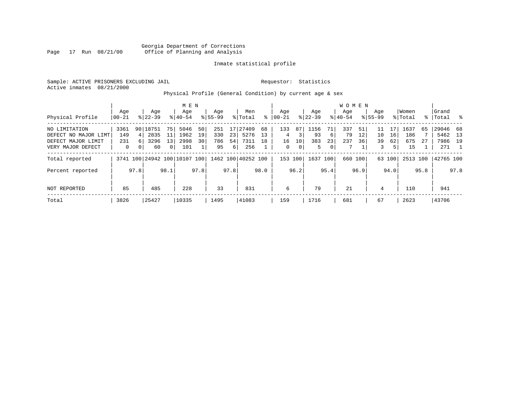Georgia Department of Corrections Page 17 Run 08/21/00 Office of Planning and Analysis

#### Inmate statistical profile

Sample: ACTIVE PRISONERS EXCLUDING JAIL **Requestor:** Statistics Active inmates 08/21/2000

Physical Profile (General Condition) by current age & sex

|                      |       |                 |           |                | M E N                        |      |             |          |                    |      |          |      |             |                | W O M E N |         |             |        |          |           |           |      |
|----------------------|-------|-----------------|-----------|----------------|------------------------------|------|-------------|----------|--------------------|------|----------|------|-------------|----------------|-----------|---------|-------------|--------|----------|-----------|-----------|------|
|                      | Aqe   |                 | Age       |                | Age                          |      | Aqe         |          | Men                |      | Age      |      | Age         |                | Age       |         | Aqe         |        | Women    |           | Grand     |      |
| Physical Profile     | 00-21 |                 | $8 22-39$ |                | $8 40-54$                    |      | $8155 - 99$ |          | % Total            | ႜ    | $ 00-21$ |      | $8$   22-39 |                | $8 40-54$ |         | $8155 - 99$ |        | % Total  | $\approx$ | Total     | း    |
| NO LIMITATION        | 3361  | 90 <sub>1</sub> | 18751     | 751            | 5046                         | 50   | 251         | 17       | 27409              | 68   | 133      | 87   | 1156        | 71             | 337       | 51      |             |        | 1637     | 65        | 29046 68  |      |
| DEFECT NO MAJOR LIMT | 149   | 4               | 2835      | 11             | 1962                         | 19   | 330         | 23       | 5276               | 13   | 4        | 3    | 93          | 6 <sup>1</sup> | 79        | 12      | 10          | 16     | 186      |           | 5462 13   |      |
| DEFECT MAJOR LIMIT   | 231   | 6 <sup>1</sup>  | 3296      | 13             | 2998                         | 30   | 786         | 54       | 7311               | 18   | 16       | 10   | 383         | 23             | 237       | 36      | 39          | 62     | 675      | 27        | 7986 19   |      |
| VERY MAJOR DEFECT    | 0     | 0               | 60        | 0 <sup>1</sup> | 101                          |      | 95          | $6 \mid$ | 256                |      | 0        | 0    | 5           | $\overline{0}$ | 7         |         | 3           | 5      | 15       |           | 271       |      |
| Total reported       |       |                 |           |                | 3741 100 24942 100 10107 100 |      |             |          | 1462 100 40252 100 |      | 153 100  |      | 1637 100    |                |           | 660 100 |             | 63 100 | 2513 100 |           | 42765 100 |      |
| Percent reported     |       | 97.8            |           | 98.1           |                              | 97.8 |             | 97.8     |                    | 98.0 |          | 96.2 |             | 95.4           |           | 96.9    |             | 94.0   |          | 95.8      |           | 97.8 |
| NOT REPORTED         | 85    |                 | 485       |                | 228                          |      | 33          |          | 831                |      | 6        |      | 79          |                | 21        |         | 4           |        | 110      |           | 941       |      |
| Total                | 3826  |                 | 25427     |                | 10335                        |      | 1495        |          | 41083              |      | 159      |      | 1716        |                | 681       |         | 67          |        | 2623     |           | 43706     |      |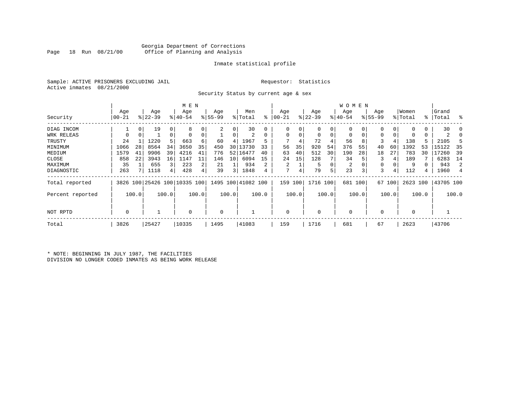#### Georgia Department of Corrections Office of Planning and Analysis

#### Inmate statistical profile

Sample: ACTIVE PRISONERS EXCLUDING JAIL **Requestor:** Statistics Active inmates 08/21/2000

Security Status by current age & sex

|                  |           |       |                              |       | M E N       |       |             |       |                    |       |          |       |             |       | W O M E N |       |             |        |             |             |           |                |
|------------------|-----------|-------|------------------------------|-------|-------------|-------|-------------|-------|--------------------|-------|----------|-------|-------------|-------|-----------|-------|-------------|--------|-------------|-------------|-----------|----------------|
|                  | Age       |       | Age                          |       | Age         |       | Age         |       | Men                |       | Age      |       | Age         |       | Age       |       | Age         |        | Women       |             | Grand     |                |
| Security         | $00 - 21$ |       | $ 22-39 $                    |       | $8140 - 54$ |       | $ 55-99 $   |       | % Total            | ႜႜ    | $ 00-21$ |       | $ 22-39 $   |       | $ 40-54 $ |       | $8155 - 99$ |        | % Total     | $\approx$ 1 | Total     | း              |
| DIAG INCOM       |           | 0     | 19                           | 0     | 8           |       |             | 0     | 30                 | 0     |          |       | 0           | 0     | 0         |       | 0           | 0      |             | 0           | 30        | -0             |
| WRK RELEAS       | $\Omega$  | 0     |                              | 0     |             | 0     |             | 0     | 2                  | 0     | $\Omega$ | 0     | $\mathbf 0$ | 0     | 0         |       | 0           |        | 0           | 0           | 2         |                |
| TRUSTY           | 24        |       | 1220                         | 5     | 663         | 6     | 60          | 4     | 1967               | 5     |          |       | 72          |       | 56        | 8     | 3           | 4      | 138         | 5.          | 2105      |                |
| MINIMUM          | 1066      | 28    | 8564                         | 34    | 3650        | 35    | 450         | 30    | 13730              | 33    | 56       | 35    | 920         | 54    | 376       | 55    | 40          | 60     | 1392        | 53          | 15122     | 35             |
| MEDIUM           | 1579      | 41    | 9906                         | 39    | 4216        | 41    | 776         | 52    | 16477              | 40    | 63       | 40    | 512         | 30    | 190       | 28    | 18          | 27     | 783         | 30          | 17260     | 39             |
| CLOSE            | 858       | 22    | 3943                         | 16    | 1147        | 11    | 146         | 10    | 6094               | 15    | 24       | 15    | 128         |       | 34        | 5     | 3           |        | 189         |             | 6283      | 14             |
| MAXIMUM          | 35        |       | 655                          | 3     | 223         | 2     | 21          |       | 934                | 2     | 2        |       | 5           |       | 2         |       | 0           |        | 9           |             | 943       | 2              |
| DIAGNOSTIC       | 263       |       | 1118                         | 4     | 428         | 4     | 39          | 3     | 1848               | 4     | 7        |       | 79          | 5     | 23        | 3     | 3           | 4      | 112         | 4           | 1960      | $\overline{4}$ |
| Total reported   |           |       | 3826 100 25426 100 10335 100 |       |             |       |             |       | 1495 100 41082 100 |       | 159      | 100   | 1716 100    |       | 681       | 100   |             | 67 100 | 2623 100    |             | 43705 100 |                |
| Percent reported |           | 100.0 |                              | 100.0 |             | 100.0 |             | 100.0 |                    | 100.0 |          | 100.0 |             | 100.0 |           | 100.0 |             | 100.0  |             | 100.0       |           | 100.0          |
| NOT RPTD         | 0         |       |                              |       | $\mathbf 0$ |       | $\mathbf 0$ |       |                    |       | $\Omega$ |       | $\mathbf 0$ |       | 0         |       | $\Omega$    |        | $\mathbf 0$ |             |           |                |
| Total            | 3826      |       | 25427                        |       | 10335       |       | 1495        |       | 41083              |       | 159      |       | 1716        |       | 681       |       | 67          |        | 2623        |             | 43706     |                |

\* NOTE: BEGINNING IN JULY 1987, THE FACILITIES DIVISION NO LONGER CODED INMATES AS BEING WORK RELEASE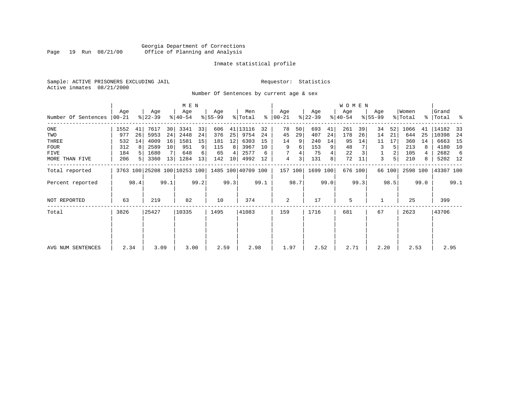#### Georgia Department of Corrections Page 19 Run 08/21/00 Office of Planning and Analysis

#### Inmate statistical profile

Sample: ACTIVE PRISONERS EXCLUDING JAIL **Requestor:** Statistics Active inmates 08/21/2000

Number Of Sentences by current age & sex

|                     |              |      |                  |      | M E N                        |      |                  |                 |                    |      |                      |         |                  |      | W O M E N        |         |                    |        |                  |      |                    |      |
|---------------------|--------------|------|------------------|------|------------------------------|------|------------------|-----------------|--------------------|------|----------------------|---------|------------------|------|------------------|---------|--------------------|--------|------------------|------|--------------------|------|
| Number Of Sentences | Age<br>00-21 |      | Age<br>$ 22-39 $ |      | Age<br>$ 40-54 $             |      | Age<br>$8 55-99$ |                 | Men<br>% Total     |      | Age<br>$8   00 - 21$ |         | Age<br>$ 22-39 $ |      | Age<br>$8 40-54$ |         | Age<br>$8155 - 99$ |        | Women<br>% Total |      | Grand<br>%   Total | ႜ    |
| ONE                 | 1552         | 41   | 7617             | 30   | 3341                         | 33   | 606              |                 | 41   13116         | 32   | 78                   | 50      | 693              | 41   | 261              | 39      | 34                 | 52     | 1066             | 41   | 14182              | 33   |
| TWO                 | 977          | 26   | 5953             | 24   | 2448                         | 24   | 376              | 25              | 9754               | 24   | 45                   | 29      | 407              | 24   | 178              | 26      | 14                 | 21     | 644              | 25   | 10398              | -24  |
| THREE               | 532          | 14   | 4009             | 16   | 1581                         | 15   | 181              | 12              | 6303               | 15   | 14                   | 9       | 240              | 14   | 95               | 14      | 11                 | 17     | 360              | 14   | 6663               | 15   |
| <b>FOUR</b>         | 312          | 8    | 2589             | 10   | 951                          | 9    | 115              | 8               | 3967               | 10   | 9                    | 6       | 153              | 9    | 48               |         | 3                  | 5      | 213              | 8    | 4180               | 10   |
| FIVE                | 184          |      | 1680             |      | 648                          | 6    | 65               |                 | 2577               | 6    |                      |         | 75               |      | 22               |         |                    | 2      | 105              |      | 2682               | -6   |
| MORE THAN FIVE      | 206          |      | 3360             | 13   | 1284                         | 13   | 142              | 10 <sup>1</sup> | 4992               | 12   | 4                    | 3       | 131              | 8    | 72               | 11      | 3                  | 5      | 210              | 8    | 5202 12            |      |
| Total reported      |              |      |                  |      | 3763 100 25208 100 10253 100 |      |                  |                 | 1485 100 40709 100 |      |                      | 157 100 | 1699 100         |      |                  | 676 100 |                    | 66 100 | 2598 100         |      | 43307 100          |      |
| Percent reported    |              | 98.4 |                  | 99.1 |                              | 99.2 |                  | 99.3            |                    | 99.1 |                      | 98.7    |                  | 99.0 |                  | 99.3    |                    | 98.5   |                  | 99.0 |                    | 99.1 |
| NOT REPORTED        | 63           |      | 219              |      | 82                           |      | 10               |                 | 374                |      | 2                    |         | 17               |      | 5                |         |                    |        | 25               |      | 399                |      |
| Total               | 3826         |      | 25427            |      | 10335                        |      | 1495             |                 | 41083              |      | 159                  |         | 1716             |      | 681              |         | 67                 |        | 2623             |      | 43706              |      |
|                     |              |      |                  |      |                              |      |                  |                 |                    |      |                      |         |                  |      |                  |         |                    |        |                  |      |                    |      |
| AVG NUM SENTENCES   | 2.34         |      | 3.09             |      | 3.00                         |      | 2.59             |                 | 2.98               |      | 1.97                 |         | 2.52             |      | 2.71             |         | 2.20               |        | 2.53             |      | 2.95               |      |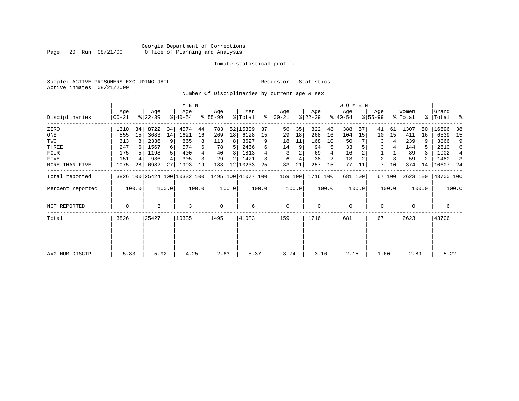#### Georgia Department of Corrections<br>Page 20 Run 08/21/00 Office of Planning and Analysis Page 20 Run 08/21/00 Office of Planning and Analysis

#### Inmate statistical profile

Sample: ACTIVE PRISONERS EXCLUDING JAIL **Requestor:** Statistics Active inmates 08/21/2000

Number Of Disciplinaries by current age & sex

|                  |                |       |                  |       | M E N            |       |                  |       |                                                 |       |                  |       |                  |       | W O M E N        |         |                  |        |                  |       |                      |                |
|------------------|----------------|-------|------------------|-------|------------------|-------|------------------|-------|-------------------------------------------------|-------|------------------|-------|------------------|-------|------------------|---------|------------------|--------|------------------|-------|----------------------|----------------|
| Disciplinaries   | Age<br>  00-21 |       | Age<br>$ 22-39 $ |       | Age<br>$8 40-54$ |       | Age<br>$ 55-99 $ |       | Men<br>% Total                                  | ႜ     | Age<br>$ 00-21 $ |       | Age<br>$ 22-39 $ |       | Age<br>$ 40-54 $ |         | Age<br>$ 55-99 $ |        | Women<br>% Total |       | Grand<br>%   Total % |                |
| ZERO             | 1310           | 34    | 8722             | 34    | 4574             | 44    | 783              |       | 52 15389                                        | 37    | 56               | 35    | 822              | 48    | 388              | 57      | 41               | 61     | 1307             | 50    | 16696                | 38             |
| ONE              | 555            | 15    | 3683             | 14    | 1621             | 16    | 269              | 18    | 6128                                            | 15    | 29               | 18    | 268              | 16    | 104              | 15      | 10               | 15     | 411              | 16    | 6539                 | 15             |
| TWO              | 313            | 8     | 2336             | 9     | 865              |       | 113              | 8     | 3627                                            | 9     | 18               | 11    | 168              | 10    | 50               |         | 3                | 4      | 239              | 9     | 3866                 | 9              |
| THREE            | 247            | 6     | 1567             | 6     | 574              |       | 78               | 5.    | 2466                                            |       | 14               | 9     | 94               | 5     | 33               |         | 3                |        | 144              | 5.    | 2610                 | 6              |
| <b>FOUR</b>      | 175            |       | 1198             | .5    | 400              |       | 40               | 3     | 1813                                            |       |                  |       | 69               |       | 16               |         |                  |        | 89               |       | 1902                 | $\overline{4}$ |
| FIVE             | 151            |       | 936              | 4     | 305              |       | 29               |       | 1421                                            |       | 6                |       | 38               | 2     | 13               |         | 2                |        | 59               |       | 1480                 | 3              |
| MORE THAN FIVE   | 1075           | 28    | 6982             | 27    | 1993             | 19    | 183              | 12    | 10233                                           | 25    | 33               | 21    | 257              | 15    | 77               | 11      | 7                | 10     | 374              | 14    | 10607 24             |                |
| Total reported   |                |       |                  |       |                  |       |                  |       | 3826 100 25424 100 10332 100 1495 100 41077 100 |       | 159 100          |       | 1716 100         |       |                  | 681 100 |                  | 67 100 | 2623 100         |       | 43700 100            |                |
| Percent reported |                | 100.0 |                  | 100.0 |                  | 100.0 |                  | 100.0 |                                                 | 100.0 |                  | 100.0 |                  | 100.0 |                  | 100.0   |                  | 100.0  |                  | 100.0 |                      | 100.0          |
| NOT REPORTED     | 0              |       | 3                |       | 3                |       | 0                |       | 6                                               |       | 0                |       | $\mathbf 0$      |       | 0                |         | 0                |        | 0                |       | 6                    |                |
| Total            | 3826           |       | 25427            |       | 10335            |       | 1495             |       | 41083                                           |       | 159              |       | 1716             |       | 681              |         | 67               |        | 2623             |       | 43706                |                |
|                  |                |       |                  |       |                  |       |                  |       |                                                 |       |                  |       |                  |       |                  |         |                  |        |                  |       |                      |                |
|                  |                |       |                  |       |                  |       |                  |       |                                                 |       |                  |       |                  |       |                  |         |                  |        |                  |       |                      |                |
| AVG NUM DISCIP   | 5.83           |       | 5.92             |       | 4.25             |       | 2.63             |       | 5.37                                            |       | 3.74             |       | 3.16             |       | 2.15             |         | 1.60             |        | 2.89             |       | 5.22                 |                |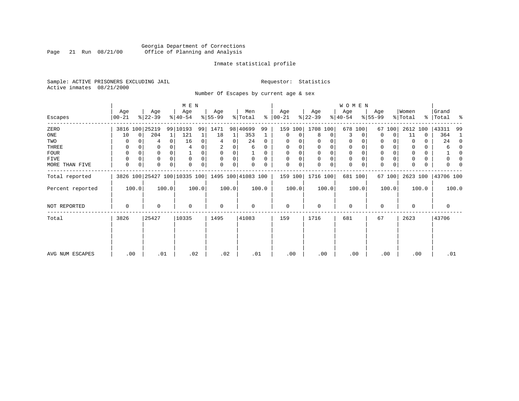#### Georgia Department of Corrections<br>Page 21 Run 08/21/00 Office of Planning and Analysis Page 21 Run 08/21/00 Office of Planning and Analysis

#### Inmate statistical profile

Sample: ACTIVE PRISONERS EXCLUDING JAIL **Requestor:** Statistics Active inmates 08/21/2000

Number Of Escapes by current age & sex

|                  |                  |             |                  |          | M E N                        |       |                 |       |                    |          |                 |       |                  |       | WOMEN            |             |                  |             |                  |       |                    |              |
|------------------|------------------|-------------|------------------|----------|------------------------------|-------|-----------------|-------|--------------------|----------|-----------------|-------|------------------|-------|------------------|-------------|------------------|-------------|------------------|-------|--------------------|--------------|
| Escapes          | Age<br>$00 - 21$ |             | Age<br>$ 22-39 $ |          | Age<br>$ 40-54 $             |       | Age<br>$ 55-99$ |       | Men<br>% Total     | ွေ       | Age<br>$ 00-21$ |       | Age<br>$ 22-39 $ |       | Age<br>$ 40-54 $ |             | Age<br>$8 55-99$ |             | Women<br>% Total |       | Grand<br>%   Total | ಿ            |
| ZERO             |                  |             | 3816 100 25219   |          | 99 10193                     | 99    | 1471            |       | 98 40699           | 99       | 159             | 100   | 1708 100         |       |                  | 678 100     | 67               | 100         | 2612 100         |       | 43311              | 99           |
| ONE              | 10               | $\mathbf 0$ | 204              | $1\vert$ | 121                          |       | 18              | 1     | 353                |          | 0               | 0     | 8                | 0     | 3                | $\Omega$    | $\Omega$         | $\Omega$    | 11               | 0     | 364                | -1           |
| TWO              | 0                |             | 4                | 0        | 16                           | 0     | 4               | 0     | 24                 | $\Omega$ | $\Omega$        |       | 0                | 0     | 0                |             | 0                |             | $\Omega$         | 0     | 24                 | 0            |
| THREE            | 0                |             |                  |          |                              |       |                 |       | 6                  | 0        | $\Omega$        |       | 0                |       | 0                |             | 0                |             |                  |       | 6                  | $\Omega$     |
| <b>FOUR</b>      | $\Omega$         | $\Omega$    | 0                | 0        |                              | 0     | $\Omega$        | 0     |                    | $\Omega$ | $\Omega$        | 0     | $\Omega$         | 0     | $\Omega$         | $\Omega$    | 0                |             | <sup>0</sup>     | 0     |                    | <sup>0</sup> |
| FIVE             | $\Omega$         | 0           | 0                |          | $\mathbf 0$                  | 0     | $\mathbf 0$     | 0     | 0                  | $\Omega$ | $\Omega$        | 0     | 0                | 0     | 0                | $\Omega$    | 0                |             |                  | 0     |                    |              |
| MORE THAN FIVE   | 0                | 0           | 0                | 0        | $\Omega$                     | 0     | 0               | 0     | $\Omega$           | 0        | $\Omega$        | 0     | 0                | 0     | 0                | $\mathbf 0$ | 0                | $\mathbf 0$ | $\Omega$         | 0     | 0                  |              |
| Total reported   |                  |             |                  |          | 3826 100 25427 100 10335 100 |       |                 |       | 1495 100 41083 100 |          | 159 100         |       | 1716 100         |       |                  | 681 100     |                  | 67 100      | 2623 100         |       | 43706 100          |              |
| Percent reported |                  | 100.0       |                  | 100.0    |                              | 100.0 |                 | 100.0 |                    | 100.0    |                 | 100.0 |                  | 100.0 |                  | 100.0       |                  | 100.0       |                  | 100.0 |                    | 100.0        |
| NOT REPORTED     | $\Omega$         |             | 0                |          | $\mathbf 0$                  |       | $\mathbf 0$     |       | 0                  |          | $\mathbf 0$     |       | 0                |       | $\mathbf 0$      |             | 0                |             | $\Omega$         |       | 0                  |              |
| Total            | 3826             |             | 25427            |          | 10335                        |       | 1495            |       | 41083              |          | 159             |       | 1716             |       | 681              |             | 67               |             | 2623             |       | 43706              |              |
|                  |                  |             |                  |          |                              |       |                 |       |                    |          |                 |       |                  |       |                  |             |                  |             |                  |       |                    |              |
| AVG NUM ESCAPES  |                  | .00         | .01              |          | .02                          |       | .02             |       |                    | .01      | .00             |       | .00              |       | .00              |             | .00              |             | .00              |       | .01                |              |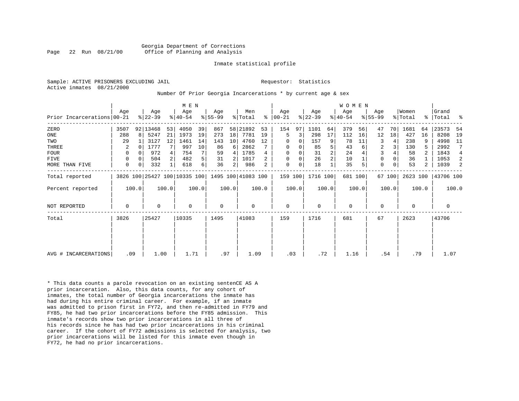Active inmates 08/21/2000

#### Sample: ACTIVE PRISONERS EXCLUDING JAIL **Requestor:** Statistics

#### Number Of Prior Georgia Incarcerations \* by current age & sex

|                            |             |          |           |       | M E N     |       |                                                 |       |         |       |             |          |           |                | <b>WOMEN</b> |       |             |        |          |       |             |       |
|----------------------------|-------------|----------|-----------|-------|-----------|-------|-------------------------------------------------|-------|---------|-------|-------------|----------|-----------|----------------|--------------|-------|-------------|--------|----------|-------|-------------|-------|
|                            | Age         |          | Age       |       | Age       |       | Age                                             |       | Men     |       | Age         |          | Age       |                | Age          |       | Age         |        | Women    |       | Grand       |       |
| Prior Incarcerations 00-21 |             |          | $ 22-39 $ |       | $ 40-54 $ |       | $ 55-99 $                                       |       | % Total | ⊱     | $ 00-21 $   |          | $ 22-39 $ |                | $ 40-54 $    |       | $8155 - 99$ |        | % Total  |       | %   Total % |       |
| ZERO                       | 3507        |          | 92 13468  | 53    | 4050      | 39    | 867                                             | 58    | 21892   | 53    | 154         | 97       | 1101      | 64             | 379          | 56    | 47          | 70     | 1681     | 64    | 23573       | -54   |
| ONE                        | 288         | 8        | 5247      | 21    | 1973      | 19    | 273                                             | 18    | 7781    | 19    | 5           | 3        | 298       | 17             | 112          | 16    | 12          | 18     | 427      | 16    | 8208        | 19    |
| TWO                        | 29          |          | 3127      | 12    | 1461      | 14    | 143                                             | 10    | 4760    | 12    | 0           |          | 157       | 9              | 78           | 11    | 3           |        | 238      |       | 4998        | 11    |
| THREE                      | 2           |          | 1777      |       | 997       | 10    | 86                                              | 6     | 2862    |       | 0           |          | 85        | 5              | 43           |       | 2           |        | 130      | 5     | 2992        | 7     |
| <b>FOUR</b>                | 0           |          | 972       |       | 754       | 7     | 59                                              | 4     | 1785    |       | $\mathbf 0$ | $\Omega$ | 31        | $\overline{2}$ | 24           |       |             |        | 58       |       | 1843        | 4     |
| FIVE                       | 0           | $\Omega$ | 504       | 2     | 482       | 5     | 31                                              |       | 1017    | 2.    | $\Omega$    | 0        | 26        | $\overline{2}$ | 10           |       | 0           |        | 36       |       | 1053        | 2     |
| MORE THAN FIVE             | $\mathbf 0$ | 0        | 332       |       | 618       | б.    | 36                                              | 2     | 986     | 2     | $\mathbf 0$ | 0        | 18        |                | 35           |       | $\mathbf 0$ |        | 53       | 2     | 1039        | 2     |
| Total reported             |             |          |           |       |           |       | 3826 100 25427 100 10335 100 1495 100 41083 100 |       |         |       | 159 100     |          | 1716 100  |                | 681 100      |       |             | 67 100 | 2623 100 |       | 43706 100   |       |
| Percent reported           |             | 100.0    |           | 100.0 |           | 100.0 |                                                 | 100.0 |         | 100.0 |             | 100.0    |           | 100.0          |              | 100.0 |             | 100.0  |          | 100.0 |             | 100.0 |
| <b>NOT REPORTED</b>        | 0           |          | 0         |       | $\Omega$  |       | 0                                               |       | 0       |       | $\mathbf 0$ |          | $\Omega$  |                | 0            |       | $\Omega$    |        | $\Omega$ |       | 0           |       |
| Total                      | 3826        |          | 25427     |       | 10335     |       | 1495                                            |       | 41083   |       | 159         |          | 1716      |                | 681          |       | 67          |        | 2623     |       | 43706       |       |
|                            |             |          |           |       |           |       |                                                 |       |         |       |             |          |           |                |              |       |             |        |          |       |             |       |
|                            |             |          |           |       |           |       |                                                 |       |         |       |             |          |           |                |              |       |             |        |          |       |             |       |
|                            |             |          |           |       |           |       |                                                 |       |         |       |             |          |           |                |              |       |             |        |          |       |             |       |
| AVG # INCARCERATIONS       |             | .09      | 1.00      |       | 1.71      |       | .97                                             |       | 1.09    |       | .03         |          | .72       |                | 1.16         |       |             | .54    | .79      |       | 1.07        |       |

\* This data counts a parole revocation on an existing sentenCE AS A prior incarceration. Also, this data counts, for any cohort of inmates, the total number of Georgia incarcerations the inmate has had during his entire criminal career. For example, if an inmate was admitted to prison first in FY72, and then re-admitted in FY79 and FY85, he had two prior incarcerations before the FY85 admission. This inmate's records show two prior incarcerations in all three of his records since he has had two prior incarcerations in his criminal career. If the cohort of FY72 admissions is selected for analysis, two prior incarcerations will be listed for this inmate even though in FY72, he had no prior incarcerations.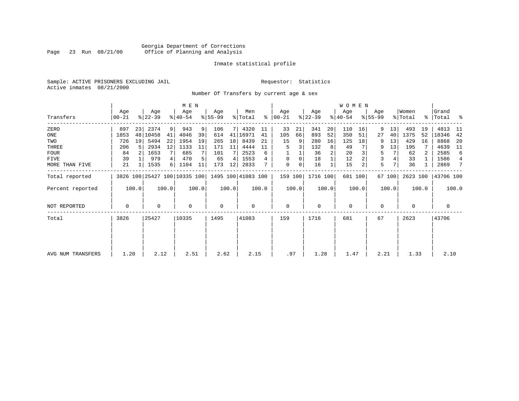#### Georgia Department of Corrections Page 23 Run 08/21/00 Office of Planning and Analysis

#### Inmate statistical profile

Sample: ACTIVE PRISONERS EXCLUDING JAIL **Requestor:** Statistics Active inmates 08/21/2000

Number Of Transfers by current age & sex

|                   |                |       |                  |       | M E N            |       |                  |       |                                                 |       |                  |       |                  |       | WOMEN            |         |                  |        |                              |       |                      |                |
|-------------------|----------------|-------|------------------|-------|------------------|-------|------------------|-------|-------------------------------------------------|-------|------------------|-------|------------------|-------|------------------|---------|------------------|--------|------------------------------|-------|----------------------|----------------|
| Transfers         | Age<br>  00-21 |       | Age<br>$ 22-39 $ |       | Age<br>$ 40-54 $ |       | Age<br>$ 55-99 $ |       | Men<br>% Total                                  | ∻     | Age<br>$ 00-21 $ |       | Age<br>$ 22-39 $ |       | Age<br>$ 40-54 $ |         | Age<br>$ 55-99 $ |        | Women<br>$\frac{1}{2}$ Total |       | Grand<br>%   Total % |                |
| ZERO              | 897            | 23    | 2374             | 9     | 943              | 9     | 106              |       | 4320                                            | 11    | 33               | 21    | 341              | 20    | 110              | 16      | 9                | 13     | 493                          | 19    | 4813                 | -11            |
| ONE               | 1853           |       | 48 10458         | 41    | 4046             | 39    | 614              | 41    | 16971                                           | 41    | 105              | 66    | 893              | 52    | 350              | 51      | 27               | 40     | 1375                         | 52    | 18346                | 42             |
| TWO               | 726            | 19    | 5494             | 22    | 1954             | 19    | 265              | 18    | 8439                                            | 21    | 15               | 9     | 280              | 16    | 125              | 18      | 9                | 13     | 429                          | 16    | 8868                 | -20            |
| THREE             | 206            | 5     | 2934             | 12    | 1133             | 11    | 171              | 11    | 4444                                            |       | 5                |       | 132              | 8     | 49               |         | 9                | 13     | 195                          |       | 4639                 | - 11           |
| FOUR              | 84             |       | 1653             |       | 685              |       | 101              |       | 2523                                            | 6     |                  |       | 36               |       | 20               |         | 5                |        | 62                           | 2     | 2585                 | 6              |
| FIVE              | 39             |       | 979              | 4     | 470              |       | 65               | 4     | 1553                                            |       | $\Omega$         | 0     | 18               |       | 12               |         | 3                |        | 33                           |       | 1586                 | $\overline{4}$ |
| MORE THAN FIVE    | 21             |       | 1535             | 6     | 1104             | 11    | 173              | 12    | 2833                                            |       | 0                | 0     | 16               |       | 15               |         | 5                |        | 36                           |       | 2869                 | 7              |
| Total reported    |                |       |                  |       |                  |       |                  |       | 3826 100 25427 100 10335 100 1495 100 41083 100 |       | 159 100          |       | 1716 100         |       |                  | 681 100 |                  | 67 100 | 2623 100                     |       | 43706 100            |                |
| Percent reported  |                | 100.0 |                  | 100.0 |                  | 100.0 |                  | 100.0 |                                                 | 100.0 |                  | 100.0 |                  | 100.0 |                  | 100.0   |                  | 100.0  |                              | 100.0 |                      | 100.0          |
| NOT REPORTED      | 0              |       | 0                |       | $\mathbf 0$      |       | 0                |       | 0                                               |       | $\mathbf 0$      |       | $\mathbf 0$      |       | $\mathbf 0$      |         | 0                |        | 0                            |       | 0                    |                |
| Total             | 3826           |       | 25427            |       | 10335            |       | 1495             |       | 41083                                           |       | 159              |       | 1716             |       | 681              |         | 67               |        | 2623                         |       | 43706                |                |
|                   |                |       |                  |       |                  |       |                  |       |                                                 |       |                  |       |                  |       |                  |         |                  |        |                              |       |                      |                |
|                   |                |       |                  |       |                  |       |                  |       |                                                 |       |                  |       |                  |       |                  |         |                  |        |                              |       |                      |                |
| AVG NUM TRANSFERS | 1.20           |       | 2.12             |       | 2.51             |       | 2.62             |       | 2.15                                            |       | .97              |       | 1.28             |       | 1.47             |         | 2.21             |        | 1.33                         |       | 2.10                 |                |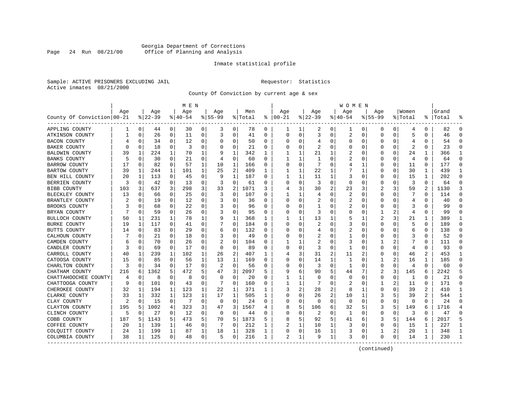#### Georgia Department of Corrections Page 24 Run 08/21/00 Office of Planning and Analysis

#### Inmate statistical profile

Sample: ACTIVE PRISONERS EXCLUDING JAIL **Requestor:** Statistics Active inmates 08/21/2000

County Of Conviction by current age & sex

|                            |     |             |          |              | M E N     |          |             |          |         |          |          |             |                |                | W O M E N |              |             |          |         |          |           |              |
|----------------------------|-----|-------------|----------|--------------|-----------|----------|-------------|----------|---------|----------|----------|-------------|----------------|----------------|-----------|--------------|-------------|----------|---------|----------|-----------|--------------|
|                            | Age |             | Age      |              | Age       |          | Age         |          | Men     |          | Age      |             | Age            |                | Age       |              | Aqe         |          | Women   |          | Grand     |              |
| County Of Conviction 00-21 |     |             | $ 22-39$ |              | $8 40-54$ |          | $8155 - 99$ |          | % Total | ి        | $ 00-21$ |             | $ 22-39$       |                | $ 40-54$  |              | $8155 - 99$ |          | % Total |          | %   Total |              |
| APPLING COUNTY             | 1   | $\mathbf 0$ | 44       | 0            | 30        | 0        | 3           | 0        | 78      | 0        | ı        | 1           | 2              | 0              | 1         | 0            | 0           | 0        | 4       | 0        | 82        | $\Omega$     |
| ATKINSON COUNTY            |     | $\Omega$    | 26       | 0            | 11        | 0        | 3           | 0        | 41      | 0        | $\Omega$ | $\mathbf 0$ | 3              | 0              | 2         | 0            | 0           | $\Omega$ | 5       | $\Omega$ | 46        | $\Omega$     |
| <b>BACON COUNTY</b>        |     | 0           | 34       | 0            | 12        | 0        | $\Omega$    | 0        | 50      | 0        | C        | 0           | 4              | 0              | $\Omega$  | 0            | 0           | 0        | 4       | 0        | 54        | ∩            |
| <b>BAKER COUNTY</b>        | U   | 0           | 18       | 0            | 3         | 0        | $\Omega$    | 0        | 21      | 0        |          | 0           | 2              | $\Omega$       | 0         | 0            | 0           | O        | 2       | O        | 23        | $\Omega$     |
| <b>BALDWIN COUNTY</b>      | 39  | 1           | 224      | 1            | 70        | 1        |             | 1        | 342     | 1        |          | 1           | 21             | 1              | 2         | $\mathsf{C}$ | $\Omega$    | $\Omega$ | 24      | 1        | 366       | $\mathbf{1}$ |
| <b>BANKS COUNTY</b>        | 5   | $\mathbf 0$ | 30       | $\Omega$     | 21        | 0        | 4           | 0        | 60      | 0        | 1        | 1           | $\mathbf{1}$   | $\Omega$       | 2         | 0            | 0           | 0        | 4       | 0        | 64        | $\Omega$     |
| <b>BARROW COUNTY</b>       | 17  | 0           | 82       | 0            | 57        | 1        | 10          | 1        | 166     | 0        | O        | $\mathbf 0$ | 7              | $\Omega$       | 4         | 1            | 0           | 0        | 11      | $\Omega$ | 177       | $\Omega$     |
| <b>BARTOW COUNTY</b>       | 39  | 1           | 244      | $\mathbf{1}$ | 101       | 1        | 25          | 2        | 409     | 1        | 1        | 1           | 22             | 1              |           | 1            | 0           | $\Omega$ | 30      | 1        | 439       | $\mathbf{1}$ |
| BEN HILL COUNTY            | 20  | 1           | 113      | 0            | 45        | 0        | 9           | 1        | 187     | 0        | -1       | 1           | 11             | 1              | 3         | 0            | 0           | 0        | 15      | 1        | 202       | $\Omega$     |
| BERRIEN COUNTY             | 3   | 0           | 42       | 0            | 13        | 0        | 3           | 0        | 61      | 0        | C        | 0           | 3              | 0              | $\Omega$  | 0            | 0           | 0        | 3       | $\Omega$ | 64        | $\Omega$     |
| <b>BIBB COUNTY</b>         | 103 | 3           | 637      | 3            | 298       | 3        | 33          | 2        | 1071    | 3        |          | 3           | 30             | 2              | 23        | 3            | 2           | 3        | 59      | 2        | 1130      | 3            |
| BLECKLEY COUNTY            | 13  | $\mathbf 0$ | 66       | 0            | 25        | 0        | 3           | 0        | 107     | 0        |          | 1           | 4              | $\Omega$       | 2         | $\mathbf 0$  | $\Omega$    | $\Omega$ | 7       | 0        | 114       | $\Omega$     |
| BRANTLEY COUNTY            | 2   | $\Omega$    | 19       | 0            | 12        | 0        | 3           | 0        | 36      | 0        | O        | 0           | 2              | 0              | 2         | $\mathbf 0$  | $\Omega$    | $\Omega$ | 4       | 0        | 40        | $\Omega$     |
| BROOKS COUNTY              |     | 0           | 68       | $\Omega$     | 22        | $\Omega$ |             | $\Omega$ | 96      | $\Omega$ | C        | $\Omega$    | $\mathbf{1}$   | 0              | 2         | 0            | $\Omega$    | O        | 3       | $\Omega$ | 99        | $\Omega$     |
| BRYAN COUNTY               |     | $\Omega$    | 59       | 0            | 26        | 0        | 3           | 0        | 95      | 0        | C        | 0           | 3              | $\Omega$       | 0         | 0            | 1           |          | 4       | 0        | 99        | $\Omega$     |
| BULLOCH COUNTY             | 50  | 1           | 231      |              | 78        | 1        | 9           | 1        | 368     | 1        |          | 1           | 13             | 1              | 5         | 1            | 2           | 3        | 21      | 1        | 389       | -1           |
| <b>BURKE COUNTY</b>        | 19  | 1           | 117      | 0            | 41        | 0        |             | $\Omega$ | 184     | U        | C        | $\Omega$    | 2              | O              | 3         | 0            | $\Omega$    | O        | 5       | $\Omega$ | 189       | $\Omega$     |
| BUTTS COUNTY               | 14  | $\mathbf 0$ | 83       | 0            | 29        | 0        | 6           | 0        | 132     | 0        | O        | 0           | 4              | $\Omega$       | 2         | $\mathbf 0$  | $\Omega$    | $\Omega$ | 6       | 0        | 138       | $\Omega$     |
| CALHOUN COUNTY             |     | $\mathbf 0$ | 21       | 0            | 18        | 0        | 3           | 0        | 49      | 0        |          | 0           | 2              | $\Omega$       |           | $\mathbf 0$  | $\Omega$    | $\Omega$ | 3       | 0        | 52        | $\Omega$     |
| CAMDEN COUNTY              | 6   | $\Omega$    | 70       | $\Omega$     | 26        | $\Omega$ |             | $\Omega$ | 104     | 0        |          | 1           | $\overline{2}$ | 0              | 3         | $\Omega$     | 1           |          | 7       | $\Omega$ | 111       | $\Omega$     |
| CANDLER COUNTY             | 3   | $\Omega$    | 69       | $\Omega$     | 17        | $\Omega$ | $\Omega$    | 0        | 89      | 0        | C        | 0           | 3              | 0              |           | 0            | 0           | $\Omega$ | 4       | 0        | 93        | $\Omega$     |
| CARROLL COUNTY             | 40  | 1           | 239      | 1            | 102       | 1        | 26          | 2        | 407     | 1        |          | 3           | 31             | $\overline{2}$ | 11        | 2            | 0           | O        | 46      | 2        | 453       | -1           |
| CATOOSA COUNTY             | 15  | $\Omega$    | 85       | 0            | 56        | 1        | 13          | 1        | 169     | U        | C        | 0           | 14             | 1              | 1         | $\Omega$     | 1           | 2        | 16      | 1        | 185       | ∩            |
| CHARLTON COUNTY            | 3   | $\Omega$    | 34       | 0            | 17        | $\Omega$ | 2           | 0        | 56      | 0        | O        | 0           | 3              | 0              | 1         | 0            | $\Omega$    | 0        | 4       | 0        | 60        |              |
| CHATHAM COUNTY             | 216 | 6           | 1362     | 5            | 472       | 5        | 47          | 3        | 2097    | 5        | g        | 6           | 90             | 5              | 44        |              | 2           | 3        | 145     | 6        | 2242      |              |
| CHATTAHOOCHEE COUNTY       | 4   | $\mathbf 0$ | 8        | 0            | 8         | 0        | $\Omega$    | 0        | 20      | 0        |          | 1           | $\Omega$       | $\Omega$       | $\Omega$  | $\mathbf 0$  | 0           | $\Omega$ | 1       | $\Omega$ | 21        | $\Omega$     |
| CHATTOOGA COUNTY           | 9   | $\Omega$    | 101      | 0            | 43        | 0        |             | $\Omega$ | 160     | 0        |          | 1           |                | $\Omega$       | 2         | 0            | 1           | 2        | 11      | 0        | 171       | $\Omega$     |
| CHEROKEE COUNTY            | 32  | 1           | 194      | 1            | 123       | 1        | 22          | 1        | 371     | 1        |          | 2           | 28             | $\overline{2}$ | 8         | 1            | 0           | O        | 39      | 2        | 410       | -1           |
| CLARKE COUNTY              | 33  | 1           | 332      | 1            | 123       | 1        | 17          | 1        | 505     | 1        | C        | 0           | 26             | $\overline{a}$ | 10        | 1            | 3           | 5        | 39      | 2        | 544       | -1           |
| CLAY COUNTY                | 2   | $\Omega$    | 15       | $\mathbf 0$  | 7         | 0        | $\Omega$    | 0        | 24      | U        | O        | 0           | $\Omega$       | $\Omega$       | 0         | $\Omega$     | $\Omega$    | 0        | 0       | 0        | 24        | $\Omega$     |
| CLAYTON COUNTY             | 195 | 5           | 1002     | 4            | 323       | 3        | 47          | 3        | 1567    | 4        | 8        | 5           | 106            | 6              | 32        | 5            | 3           | 5        | 149     | 6        | 1716      |              |
| CLINCH COUNTY              | 5   | $\mathbf 0$ | 27       | 0            | 12        | 0        | $\mathbf 0$ | 0        | 44      | 0        | $\Omega$ | 0           | 2              | 0              | 1         | $\mathbf 0$  | 0           | 0        | 3       | $\Omega$ | 47        | $\Omega$     |
| COBB COUNTY                | 187 | 5           | 1143     | 5            | 473       | 5        | 70          | 5        | 1873    | 5        | 8        | 5           | 92             | 5              | 41        | 6            | 3           | 5        | 144     | 6        | 2017      | 5            |
| COFFEE COUNTY              | 20  | 1           | 139      | 1            | 46        | 0        |             | 0        | 212     |          |          | 1           | 10             | 1              | 3         | 0            | $\Omega$    | O        | 15      | 1        | 227       | 1            |
| COLQUITT COUNTY            | 24  | 1           | 199      | 1            | 87        | 1        | 18          | 1        | 328     | 1        | 0        | 0           | 16             | 1              | 3         | 0            | 1           | 2        | 20      | 1        | 348       | -1           |
| COLUMBIA COUNTY            | 38  | 1           | 125      | 0            | 48        | 0        | 5           | 0        | 216     | 1        | 2        | 1           | 9              | 1              | 3         | 0            | $\Omega$    | 0        | 14      | 1        | 230       | -1           |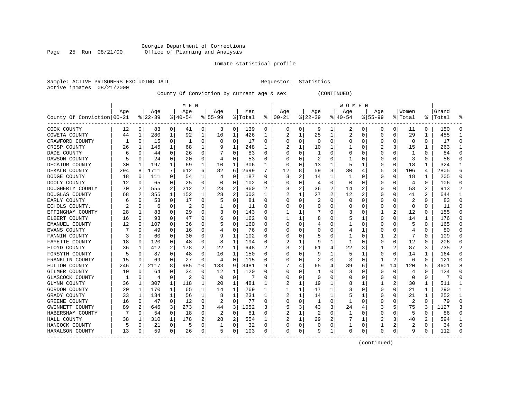#### Georgia Department of Corrections Page 25 Run 08/21/00 Office of Planning and Analysis

#### Inmate statistical profile

|                           | Sample: ACTIVE PRISONERS EXCLUDING JAIL | Requestor: Statistics |  |
|---------------------------|-----------------------------------------|-----------------------|--|
| Active inmates 08/21/2000 |                                         |                       |  |

County Of Conviction by current age & sex (CONTINUED)

|                            |     |             |          |          | M E N     |          |           |             |         |   |          |                |           |          | W O M E N |                |             |          |             |          |           |          |
|----------------------------|-----|-------------|----------|----------|-----------|----------|-----------|-------------|---------|---|----------|----------------|-----------|----------|-----------|----------------|-------------|----------|-------------|----------|-----------|----------|
|                            | Age |             | Age      |          | Age       |          | Age       |             | Men     |   | Age      |                | Age       |          | Age       |                | Age         |          | Women       |          | Grand     |          |
| County Of Conviction 00-21 |     |             | $ 22-39$ |          | $8 40-54$ |          | $8 55-99$ |             | % Total | ႜ | $ 00-21$ |                | $8 22-39$ |          | $ 40-54$  |                | $8155 - 99$ |          | % Total     |          | %   Total |          |
| COOK COUNTY                | 12  | 0           | 83       | 0        | 41        | 0        | 3         | 0           | 139     | 0 | 0        | 0              | 9         | 1        | 2         | 0              | 0           | 0        | 11          | 0        | 150       | $\Omega$ |
| COWETA COUNTY              | 44  | 1           | 280      | 1        | 92        | 1        | 10        | 1           | 426     | 1 | 2        | 1              | 25        | 1        | 2         | 0              | $\Omega$    | 0        | 29          | 1        | 455       | -1       |
| CRAWFORD COUNTY            |     | $\Omega$    | 15       | 0        | -1        | 0        | $\Omega$  | 0           | 17      | 0 | O        | $\Omega$       | $\Omega$  | 0        | $\Omega$  | $\Omega$       | 0           | 0        | $\Omega$    | $\Omega$ | 17        | ∩        |
| CRISP COUNTY               | 26  | 1           | 145      | 1        | 68        | 1        |           | 1           | 248     | 1 |          | 1              | 10        | 1        |           | $\Omega$       |             | 3        | 15          | 1        | 263       |          |
| DADE COUNTY                | 6   | $\Omega$    | 44       | 0        | 26        | $\Omega$ |           | $\Omega$    | 83      | 0 |          | $\Omega$       | -1        | $\Omega$ | $\Omega$  | 0              | 0           | 0        | -1          | 0        | 84        |          |
| DAWSON COUNTY              |     | $\Omega$    | 24       | 0        | 20        | 0        | 4         | $\Omega$    | 53      | 0 |          | 0              | 2         | 0        |           | 0              | 0           | 0        | 3           | 0        | 56        |          |
| DECATUR COUNTY             | 30  | 1           | 197      | 1        | 69        | 1        | 10        | 1           | 306     | 1 | O        | 0              | 13        | 1        | 5         | 1              | 0           | $\Omega$ | 18          | 1        | 324       | -1       |
| DEKALB COUNTY              | 294 | 8           | 1711     | 7        | 612       | 6        | 82        | 6           | 2699    | 7 | 12       | 8              | 59        | 3        | 30        | 4              | 5           | 8        | 106         | 4        | 2805      | 6        |
| DODGE COUNTY               | 18  | 0           | 111      | $\Omega$ | 54        | 1        | 4         | 0           | 187     | 0 | 3        | 2              | 14        | 1        | -1        | 0              | 0           | O        | 18          | 1        | 205       | $\Omega$ |
| DOOLY COUNTY               | 12  | 0           | 65       | 0        | 25        | 0        | O         | 0           | 102     | 0 |          | 0              | 4         | $\Omega$ | 0         | 0              | 0           | 0        | 4           | 0        | 106       | $\Omega$ |
| DOUGHERTY COUNTY           | 70  | 2           | 555      | 2        | 212       | 2        | 23        | 2           | 860     |   |          | 2              | 36        | 2        | 14        |                | O           | O        | 53          | 2        | 913       |          |
| DOUGLAS COUNTY             | 68  | 2           | 355      | 1        | 152       | 1        | 28        | 2           | 603     | 1 |          | 1              | 27        | 2        | 12        | $\overline{2}$ | O           | O        | 41          | 2        | 644       | -1       |
| EARLY COUNTY               | 6   | $\Omega$    | 53       | $\Omega$ | 17        | O        | 5         | $\Omega$    | 81      | U | O        | $\Omega$       |           | $\Omega$ | $\Omega$  | $\Omega$       | $\Omega$    | $\Omega$ | 2           | $\Omega$ | 83        | $\Omega$ |
| ECHOLS COUNTY.             | 2   | 0           | 6        | $\Omega$ | 2         | 0        |           | 0           | 11      | U |          | 0              | C         | $\Omega$ | 0         | 0              | 0           | 0        | $\mathbf 0$ | O        | 11        |          |
| EFFINGHAM COUNTY           | 28  | 1           | 83       | 0        | 29        | O        | 3         | 0           | 143     | O |          | 1              |           | $\Omega$ | 3         | $\mathbf 0$    |             | 2        | 12          | $\Omega$ | 155       | $\Omega$ |
| ELBERT COUNTY              | 16  | 0           | 93       | 0        | 47        | 0        | 6         | 0           | 162     | 0 |          | 1              | 8         | O        | 5         | 1              | O           | O        | 14          | 1        | 176       | ∩        |
| EMANUEL COUNTY             | 12  | 0           | 107      | 0        | 36        | 0        |           | 0           | 160     | U | n        | 0              |           | 0        |           | 0              | 0           | O        | 5           | 0        | 165       | ∩        |
| EVANS COUNTY               |     | 0           | 49       | 0        | 16        | 0        |           | 0           | 76      | 0 |          | 0              | O         | 0        | 4         | 1              | 0           | 0        | 4           | 0        | 80        | ∩        |
| FANNIN COUNTY              |     | 0           | 60       | O        | 30        | 0        | 9         | 1           | 102     | 0 |          | 0              | 5         | 0        |           | 0              |             |          |             | 0        | 109       |          |
| FAYETTE COUNTY             | 18  | 0           | 120      | 0        | 48        | 0        | 8         | 1           | 194     | 0 |          | 1              | 9         | 1        | 1         | 0              | O           | O        | 12          | 0        | 206       |          |
| FLOYD COUNTY               | 36  | -1          | 412      | 2        | 178       | 2        | 22        | 1           | 648     | 2 |          | $\overline{a}$ | 61        | 4        | 22        | 3              |             | 2        | 87          | 3        | 735       | 2        |
| FORSYTH COUNTY             | 5   | $\Omega$    | 87       | 0        | 48        | 0        | 10        | 1           | 150     | 0 | O        | 0              | 9         | 1        | 5         |                | 0           | O        | 14          | 1        | 164       | n        |
| FRANKLIN COUNTY            | 15  | 0           | 69       | 0        | 27        | 0        | 4         | $\mathbf 0$ | 115     | 0 |          | 0              | 2         | $\Omega$ | 3         | 0              | 1           | 2        | 6           | 0        | 121       |          |
| FULTON COUNTY              | 246 | 7           | 2117     | 8        | 985       | 10       | 133       | 9           | 3481    | 9 |          | 4              | 65        | 4        | 39        | 6              | 9           | 14       | 120         | 5        | 3601      |          |
| GILMER COUNTY              | 10  | 0           | 64       | O        | 34        | 0        | 12        | 1           | 120     | U | C        | 0              | -1        | 0        | 3         | 0              | 0           | 0        | 4           | $\Omega$ | 124       | ∩        |
| GLASCOCK COUNTY            |     | 0           | 4        | 0        | 2         | 0        | $\Omega$  | 0           | 7       | 0 | C        | 0              | 0         | 0        | 0         | 0              | 0           | 0        | 0           | 0        | 7         | $\Omega$ |
| GLYNN COUNTY               | 36  | 1           | 307      | 1        | 118       | 1        | 20        | 1           | 481     | 1 | 2        | 1              | 19        | 1        | 8         | 1              |             | 2        | 30          | 1        | 511       | -1       |
| GORDON COUNTY              | 20  | 1           | 170      |          | 65        | 1        | 14        | 1           | 269     | 1 |          | 1              | 17        | 1        | 3         | 0              | 0           | 0        | 21          | 1        | 290       |          |
| GRADY COUNTY               | 33  | 1           | 134      | 1        | 56        | 1        | 8         | 1           | 231     | 1 |          | 1              | 14        | 1        |           |                | 0           | O        | 21          | 1        | 252       | -1       |
| GREENE COUNTY              | 16  | $\Omega$    | 47       | 0        | 12        | 0        | 2         | $\Omega$    | 77      | 0 | O        | $\Omega$       | -1        | 0        | -1        | $\Omega$       | 0           | O        | 2           | $\Omega$ | 79        | ∩        |
| GWINNETT COUNTY            | 89  | 2           | 646      | 3        | 273       | 3        | 44        | 3           | 1052    | 3 | 5        | 3              | 43        | 3        | 24        | 4              | 3           |          | 75          | 3        | 1127      | 3        |
| HABERSHAM COUNTY           |     | 0           | 54       | 0        | 18        | 0        | 2         | 0           | 81      | 0 | 2        | 1              | 2         | $\Omega$ |           | 0              | 0           | 0        | 5           | 0        | 86        |          |
| HALL COUNTY                | 38  | 1           | 310      | 1        | 178       | 2        | 28        | 2           | 554     | 1 |          | 1              | 29        | 2        |           | 1              | 2           | 3        | 40          | 2        | 594       |          |
| HANCOCK COUNTY             | 5   | $\mathbf 0$ | 21       | 0        | 5         | 0        |           | 0           | 32      | 0 | O        | 0              | 0         | 0        |           | 0              | 1           | 2        | 2           | $\Omega$ | 34        | $\Omega$ |
| HARALSON COUNTY            | 13  | 0           | 59       | 0        | 26        | 0        | 5         | 0           | 103     | 0 | $\Omega$ | 0              | 9         | 1        | 0         | 0              | $\Omega$    | 0        | 9           | 0        | 112       | ∩        |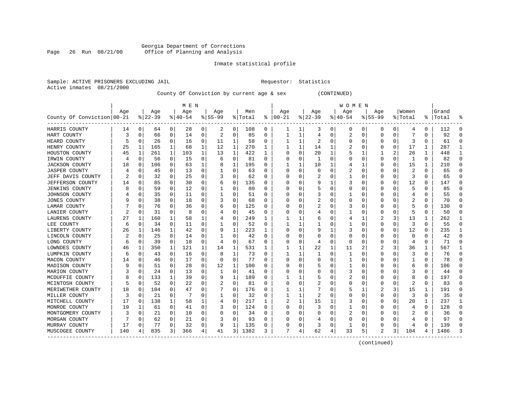#### Georgia Department of Corrections Page 26 Run 08/21/00 Office of Planning and Analysis

#### Inmate statistical profile

|  |                           | Sample: ACTIVE PRISONERS EXCLUDING JAI |  |
|--|---------------------------|----------------------------------------|--|
|  | Active inmates 08/21/2000 |                                        |  |

IL Requestor: Statistics

County Of Conviction by current age & sex (CONTINUED)

|                            |     |          |           |          | M E N     |          |           |             |         |          |               |          |              |          | W O M E N |              |             |          |              |               |       |           |
|----------------------------|-----|----------|-----------|----------|-----------|----------|-----------|-------------|---------|----------|---------------|----------|--------------|----------|-----------|--------------|-------------|----------|--------------|---------------|-------|-----------|
|                            | Age |          | Age       |          | Age       |          | Age       |             | Men     |          | Age           |          | Age          |          | Age       |              | Age         |          | Women        |               | Grand |           |
| County Of Conviction 00-21 |     |          | $8 22-39$ |          | $8 40-54$ |          | $8 55-99$ |             | % Total |          | $8   00 - 21$ |          | $ 22-39 $    |          | $ 40-54$  |              | $8155 - 99$ |          | % Total      | $\frac{8}{6}$ | Total | ႜ         |
| HARRIS COUNTY              | 14  | 0        | 64        | 0        | 28        | 0        | 2         | 0           | 108     | 0        |               | 1        | 3            | 0        | 0         | 0            | 0           | 0        | 4            | 0             | 112   | 0         |
| HART COUNTY                | 3   | 0        | 66        | 0        | 14        | 0        | 2         | 0           | 85      | 0        |               | 1        | 4            | 0        | 2         | 0            | $\Omega$    | 0        |              | 0             | 92    | $\cap$    |
| HEARD COUNTY               |     | 0        | 26        | 0        | 16        | 0        | 11        | 1           | 58      | 0        |               | 1        | 2            | 0        | O         | $\Omega$     | O           | 0        | 3            | 0             | 61    | $\cap$    |
| HENRY COUNTY               | 25  | 1        | 165       | 1        | 68        | 1        | 12        | 1           | 270     | 1        |               | 1        | 14           | 1        |           | <sup>0</sup> | n           | 0        | 17           | 1             | 287   | -1        |
| HOUSTON COUNTY             | 45  | 1        | 261       | 1        | 103       | 1        | 13        | 1           | 422     | 1        | O             | 0        | 20           | 1        | 5         | 1            |             | 2        | 26           | 1             | 448   | -1        |
| IRWIN COUNTY               | 4   | 0        | 56        | 0        | 15        | 0        | 6         | 0           | 81      | 0        |               | 0        | 1            | $\Omega$ |           | $\Omega$     | $\Omega$    | 0        | $\mathbf{1}$ | 0             | 82    | $\bigcap$ |
| <b>JACKSON COUNTY</b>      | 18  | 0        | 106       | 0        | 63        | 1        | 8         | 1           | 195     | U        |               | 1        | 10           |          |           | 1            | $\Omega$    | 0        | 15           | 1             | 210   | $\Omega$  |
| <b>JASPER COUNTY</b>       |     | 0        | 45        | 0        | 13        | 0        |           | 0           | 63      | U        | C             | 0        | <sup>0</sup> | O        | 2         | $\Omega$     | O           | 0        | 2            | 0             | 65    | $\Omega$  |
| JEFF DAVIS COUNTY          |     | 0        | 32        | 0        | 25        | 0        | 3         | 0           | 62      | 0        | O             | $\Omega$ |              | O        |           | 0            | O           | 0        | 3            | 0             | 65    | $\Omega$  |
| JEFFERSON COUNTY           | 14  | 0        | 85        | 0        | 30        | 0        | b         | 0           | 135     | U        |               | 0        | 9            |          | 3         | 0            | O           | 0        | 12           | 0             | 147   | $\Omega$  |
| <b>JENKINS COUNTY</b>      |     | $\Omega$ | 59        | $\Omega$ | 12        | $\Omega$ |           | $\Omega$    | 80      | U        |               | O        |              | O        | Ω         | C            | $\Omega$    |          | 5            | U             | 85    |           |
| JOHNSON COUNTY             |     | $\Omega$ | 35        | $\Omega$ | 11        | 0        |           | O           | 51      | U        |               | $\Omega$ |              | O        |           | <sup>0</sup> | O           | O        | 4            | 0             | 55    | C         |
| <b>JONES COUNTY</b>        |     | $\Omega$ | 38        | $\Omega$ | 18        | 0        | 3         | 0           | 68      | 0        |               | $\Omega$ |              | 0        | 0         | $\Omega$     | O           | 0        | 2            | 0             | 70    | $\cap$    |
| LAMAR COUNTY               |     | 0        | 76        | $\Omega$ | 36        | 0        |           | 0           | 125     | 0        |               | 0        | 2            | 0        | 3         | $\Omega$     |             | 0        | 5            | 0             | 130   | C         |
| LANIER COUNTY              |     | 0        | 31        | 0        | 8         | 0        |           | 0           | 45      | 0        |               | 0        | 4            | O        |           | $\Omega$     | $\Omega$    | 0        | 5            | 0             | 50    | $\cap$    |
| LAURENS COUNTY             | 27  | 1        | 160       | 1        | 58        | 1        |           | 0           | 249     | 1        |               | 1        | 6            | 0        |           | 1            |             | 3        | 13           | 1             | 262   | -1        |
| LEE COUNTY                 | 6   | 0        | 34        | $\Omega$ | 11        | 0        |           | 0           | 52      | $\Omega$ |               | 1        |              | 0        |           | $\Omega$     | $\Omega$    | 0        | 3            | $\Omega$      | 55    | $\Omega$  |
| LIBERTY COUNTY             | 26  | 1        | 146       | 1        | 42        | 0        | 9         | 1           | 223     |          |               | 0        | 9            |          | 3         | 0            | 0           | 0        | 12           | 0             | 235   | -1        |
| LINCOLN COUNTY             |     | 0        | 25        | 0        | 14        | 0        |           | 0           | 42      | 0        |               | 0        |              | 0        | 0         | C            | O           |          | 0            | 0             | 42    | $\cap$    |
| LONG COUNTY                | 6   | 0        | 39        | $\Omega$ | 18        | 0        | 4         | 0           | 67      | 0        | O             | $\Omega$ | 4            | 0        | $\Omega$  | <sup>0</sup> | O           | 0        | 4            | 0             | 71    | $\cap$    |
| LOWNDES COUNTY             | 46  | 1        | 350       | 1        | 121       | 1        | 14        | 1           | 531     | 1        |               | 1        | 22           | 1        | 11        | 2            |             | 3        | 36           | 1             | 567   | ı         |
| LUMPKIN COUNTY             | 6   | 0        | 43        | 0        | 16        | 0        | 8         | 1           | 73      | 0        |               | 1        |              | $\Omega$ | 1         | $\Omega$     | 0           | 0        | 3            | 0             | 76    | $\Omega$  |
| MACON COUNTY               | 14  | 0        | 46        | 0        | 17        | 0        | 0         | $\mathbf 0$ | 77      | 0        |               | 0        | 0            | 0        |           | 0            | 0           | 0        |              | 0             | 78    | $\bigcap$ |
| MADISON COUNTY             |     | 0        | 51        | 0        | 28        | 0        | 12        | 1           | 100     | U        |               | $\Omega$ |              | O        |           | $\Omega$     | $\Omega$    | O        | 6            | 0             | 106   | $\Omega$  |
| MARION COUNTY              |     | 0        | 24        | 0        | 13        | 0        | 1         | 0           | 41      | U        | O             | 0        | O            | 0        |           | 0            | O           | O        |              | 0             | 44    | $\Omega$  |
| MCDUFFIE COUNTY            | 8   | 0        | 133       | 1        | 39        | 0        | 9         | 1           | 189     | U        |               | 1        |              | O        | 2         | 0            | $\Omega$    | 0        | 8            | 0             | 197   | $\Omega$  |
| MCINTOSH COUNTY            |     | 0        | 52        | 0        | 22        | 0        |           | $\Omega$    | 81      | U        |               | 0        |              | O        | 0         | 0            | $\Omega$    | O        | 2            | U             | 83    | $\cap$    |
| MERIWETHER COUNTY          | 18  | 0        | 104       | 0        | 47        | O        |           | $\Omega$    | 176     | U        |               | 1        |              | O        | 5         |              |             | 3        | 15           | 1             | 191   | n         |
| MILLER COUNTY              | Р   | 0        | 21        | $\Omega$ |           | $\Omega$ |           | 0           | 32      | U        | 1             | 1        | 2            | O        | Ω         | $\Omega$     | $\Omega$    | 0        | 3            | 0             | 35    | n         |
| MITCHELL COUNTY            | 17  | 0        | 138       | 1        | 58        | 1        | 4         | 0           | 217     | 1        | 2             | 1        | 15           | 1        | 3         | $\Omega$     | $\Omega$    | $\Omega$ | 20           | 1             | 237   | -1        |
| MONROE COUNTY              | 19  | 1        | 61        | 0        | 41        | $\Omega$ | 3         | 0           | 124     | 0        | O             | 0        | 3            | $\Omega$ | 1         | $\Omega$     | 0           | $\Omega$ | 4            | 0             | 128   | $\bigcap$ |
| MONTGOMERY COUNTY          |     | 0        | 21        | 0        | 10        | 0        |           | 0           | 34      | 0        |               | $\Omega$ | O            | O        | 2         | $\Omega$     | $\Omega$    | 0        |              | 0             | 36    | $\cap$    |
| MORGAN COUNTY              |     | $\Omega$ | 62        | 0        | 21        | 0        |           | 0           | 93      | U        |               | $\Omega$ |              | O        | O         | $\Omega$     | $\Omega$    | 0        |              | 0             | 97    | $\Omega$  |
| MURRAY COUNTY              | 17  | 0        | 77        | 0        | 32        | 0        | 9         | 1           | 135     | 0        |               | 0        |              | 0        |           | $\Omega$     | O           | 0        |              | 0             | 139   | $\cap$    |
| MUSCOGEE COUNTY            | 140 | 4        | 835       | 3        | 366       | 4        | 41        | 3           | 1382    | 3        | 7             | 4        | 62           | 4        | 33        | 5            | 2           | 3        | 104          | 4             | 1486  |           |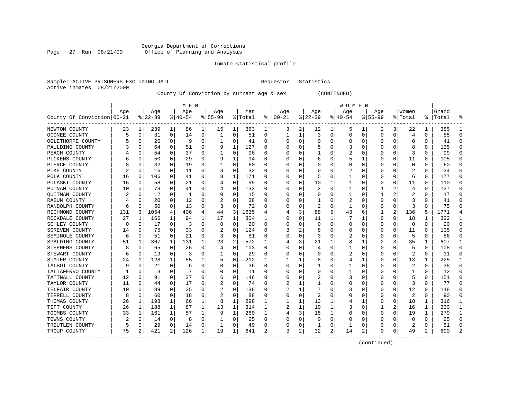#### Georgia Department of Corrections Page 27 Run 08/21/00 Office of Planning and Analysis

### Inmate statistical profile

|  |                           | Sample: ACTIVE PRISONERS EXCLUDING JAI |  |
|--|---------------------------|----------------------------------------|--|
|  | Active inmates 08/21/2000 |                                        |  |

IL Requestor: Statistics

County Of Conviction by current age & sex (CONTINUED)

|                            |          |             |          |          | M E N     |          |           |          |         |          |          |              |              |              | W O M E N |             |             |          |                         |              |           |               |
|----------------------------|----------|-------------|----------|----------|-----------|----------|-----------|----------|---------|----------|----------|--------------|--------------|--------------|-----------|-------------|-------------|----------|-------------------------|--------------|-----------|---------------|
|                            | Age      |             | Age      |          | Age       |          | Age       |          | Men     |          | Age      |              | Age          |              | Age       |             | Age         |          | Women                   |              | Grand     |               |
| County Of Conviction 00-21 |          |             | $ 22-39$ |          | $8 40-54$ |          | $8 55-99$ |          | % Total | ႜ        | $ 00-21$ |              | $8 22-39$    |              | $ 40-54$  |             | $8155 - 99$ |          | % Total                 |              | %   Total |               |
| NEWTON COUNTY              | 23       | 1           | 239      | 1        | 86        | 1        | 15        | 1        | 363     | 1        | 3        | 2            | 12           | 1            | 5         | 1           | 2           | 3        | 22                      | 1            | 385       |               |
| OCONEE COUNTY              | 5        | 0           | 31       | 0        | 14        | 0        |           | 0        | 51      | 0        |          | 1            | 3            | 0            | 0         | 0           | $\Omega$    | 0        | 4                       | 0            | 55        | ∩             |
| OGLETHORPE COUNTY          |          | $\Omega$    | 26       | 0        | -9        | 0        |           | $\Omega$ | 41      | U        | C        | $\Omega$     | $\Omega$     | O            | U         | $\Omega$    | $\Omega$    | O        | <sup>0</sup>            | $\Omega$     | 41        | ∩             |
| PAULDING COUNTY            |          | $\Omega$    | 64       | $\Omega$ | 51        | 0        | 9         | 1        | 127     | U        |          | $\Omega$     |              | 0            |           | $\Omega$    | O           | O        | 8                       | 0            | 135       | ∩             |
| PEACH COUNTY               |          | $\Omega$    | 54       | $\Omega$ | 37        | 0        |           | 0        | 96      | U        |          | $\Omega$     |              | 0            | 2         | 0           | O           | $\Omega$ | 3                       | O            | 99        |               |
| PICKENS COUNTY             |          | 0           | 50       | 0        | 29        | 0        | 9         | 1        | 94      | U        |          | 0            | 6            | 0            |           | 1           | 0           | $\Omega$ | 11                      | O            | 105       |               |
| PIERCE COUNTY              |          | 0           | 32       | 0        | 19        | 0        |           | 0        | 60      | U        |          | 0            | C            | 0            | U         | $\mathbf 0$ | O           | O        | $\mathbf 0$             | $\Omega$     | 60        | ∩             |
| PIKE COUNTY                |          | 0           | 16       | 0        | 11        | 0        |           | 0        | 32      | 0        |          | 0            | C            | 0            | 2         | 0           | 0           | O        | 2                       | $\Omega$     | 34        | ∩             |
| POLK COUNTY                | 16       | 0           | 106      | 0        | 41        | 0        | 8         | 1        | 171     | 0        | O        | 0            | 5            | 0            |           | 0           | 0           | 0        | 6                       | 0            | 177       | ∩             |
| PULASKI COUNTY             | 16       | 0           | 58       | 0        | 21        | 0        |           | 0        | 99      | 0        |          | 0            | 10           | 1            | 1         | 0           | 0           | O        | 11                      | O            | 110       | $\Omega$      |
| PUTNAM COUNTY              | 10       | 0           | 78       | 0        | 41        | 0        |           | $\Omega$ | 133     | 0        |          | $\Omega$     |              | 0            |           | 0           | 1           |          | 4                       | 0            | 137       | $\cap$        |
| <b>OUITMAN COUNTY</b>      |          | n           | 12       | 0        | -1        | 0        | O         | 0        | 15      | 0        |          | 0            | O            | O            | 1         | 0           | 1           | 2        | 2                       | 0            | 17        | $\cap$        |
| RABUN COUNTY               |          | $\Omega$    | 20       | $\Omega$ | 12        | 0        |           | $\Omega$ | 38      | U        |          | $\Omega$     | -1           | 0            | 2         | $\Omega$    | 0           | U        | 3                       | 0            | 41        |               |
| RANDOLPH COUNTY            | 6        | $\Omega$    | 50       | $\Omega$ | 13        | 0        | 3         | $\Omega$ | 72      | 0        |          | $\Omega$     | 2            | $\Omega$     | 1         | 0           | 0           | $\Omega$ | 3                       | O            | 75        |               |
| RICHMOND COUNTY            | 131      | 3           | 1054     | 4        | 406       | 4        | 44        | 3        | 1635    | 4        |          | 3            | 88           | 5            | 43        | 6           |             | 2        | 136                     | 5            | 1771      |               |
| ROCKDALE COUNTY            | 27       | 1           | 166      | 1        | 94        | 1        | 17        | 1        | 304     | 1        |          | 0            | 11           | 1            |           | 1           | 0           | $\Omega$ | 18                      | 1            | 322       | $\mathbf{1}$  |
| <b>SCHLEY COUNTY</b>       | $\Omega$ | $\Omega$    | 17       | $\Omega$ | 3         | $\Omega$ | $\Omega$  | $\Omega$ | 20      | $\Omega$ |          | 0            | $\Omega$     | $\Omega$     | $\Omega$  | $\Omega$    | O           | $\Omega$ | $\mathbf 0$             | $\Omega$     | 20        | $\Omega$      |
| <b>SCREVEN COUNTY</b>      | 14       | $\Omega$    | 75       | $\Omega$ | 33        | 0        | 2         | 0        | 124     | U        | 3        | 2            | 8            | O            | 0         | 0           | 0           | $\Omega$ | 11                      | 0            | 135       | ∩             |
| SEMINOLE COUNTY            | 6        | 0           | 51       | 0        | 21        | 0        | 3         | $\Omega$ | 81      | U        |          | 0            | 3            | 0            | 2         | 0           | O           | O        | 5                       | O            | 86        |               |
| SPALDING COUNTY            | 51       | 1           | 367      | 1        | 131       | 1        | 23        | 2        | 572     |          |          | 3            | 21           | 1            | 8         |             |             | 3        | 35                      | 1            | 607       | -1            |
| STEPHENS COUNTY            | 8        | $\Omega$    | 65       | 0        | 26        | 0        | 4         | $\Omega$ | 103     | U        |          | 0            | 4            | 0            |           | 0           | O           | O        | 5                       | 0            | 108       | ∩             |
| STEWART COUNTY             | 6        | 0           | 19       | 0        | 3         | 0        |           | 0        | 29      | 0        | O        | 0            | O            | 0            |           | 0           | 0           | 0        | $\overline{\mathbf{c}}$ | 0            | 31        | $\cap$        |
| SUMTER COUNTY              | 24       | 1           | 128      | 1        | 55        | 1        | 5         | 0        | 212     | 1        |          | 1            | 8            | 0            | 4         | 1           | 0           | $\Omega$ | 13                      | 1            | 225       |               |
| TALBOT COUNTY              |          | $\mathbf 0$ | 21       | 0        | 6         | 0        |           | 0        | 36      | 0        |          | 0            |              | 0            |           | 0           | 0           | 0        | $\overline{c}$          | 0            | 38        | $\Omega$      |
| TALIAFERRO COUNTY          |          | 0           | 3        | $\Omega$ |           | 0        |           | 0        | 11      | U        |          | 0            | 0            | 0            |           | 0           | O           | O        |                         | 0            | 12        | ∩             |
| TATTNALL COUNTY            | 12       | 0           | 91       | 0        | 37        | 0        | 6         | 0        | 146     | U        | O        | 0            | 2            | 0            | 3         | 0           | 0           | O        | 5                       | 0            | 151       | ∩             |
| TAYLOR COUNTY              | 11       | 0           | 44       | 0        | 17        | 0        | 2         | 0        | 74      | 0        |          | 1            |              | 0            | 0         | 0           | 0           | O        | 3                       | 0            | 77        | $\Omega$      |
| TELFAIR COUNTY             | 10       | $\Omega$    | 89       | 0        | 35        | 0        | 2         | 0        | 136     | U        |          | 1            |              | O            | 3         | 0           | 0           | O        | 12                      | O            | 148       | ∩             |
| TERRELL COUNTY             | 8        | $\Omega$    | 60       | 0        | 18        | 0        |           | $\Omega$ | 88      | U        |          | 0            |              | $\Omega$     |           | C           | $\Omega$    | $\Omega$ |                         | $\Omega$     | 90        | $\Omega$      |
| THOMAS COUNTY              | 26       | 1           | 198      | 1        | 66        | 1        | 8         | 1        | 298     | 1        |          | $\mathbf{1}$ | 13           | 1            | 4         | 1           | $\Omega$    | $\Omega$ | 18                      | $\mathbf{1}$ | 316       | -1            |
| TIFT COUNTY                | 26       | 1           | 188      | 1        | 87        | 1        | 13        | 1        | 314     | 1        |          | 1            | 10           | $\mathbf{1}$ | 3         | $\Omega$    | 1           | 2        | 16                      | 1            | 330       | -1            |
| TOOMBS COUNTY              | 33       | 1           | 161      | 1        | 57        | 1        | 9         | 1        | 260     | 1        | 4        | 3            | 15           | 1            | $\Omega$  | $\mathbf 0$ | $\Omega$    | $\Omega$ | 19                      | 1            | 279       | $\mathbf{1}$  |
| TOWNS COUNTY               | 2        | 0           | 14       | 0        | 8         | 0        |           | 0        | 25      | 0        |          | 0            | $\Omega$     | 0            | 0         | 0           | 0           | O        | 0                       | 0            | 25        | $\Omega$      |
| TREUTLEN COUNTY            | 5        | 0           | 29       | 0        | 14        | 0        |           | 0        | 49      | 0        |          | 0            | $\mathbf{1}$ | 0            |           | 0           | O           | 0        | 2                       | 0            | 51        | $\Omega$      |
| TROUP COUNTY<br>-------    | 75       | 2           | 421      | 2        | 126       | 1        | 19        | 1        | 641     | 2        | 3        | 2            | 32           | 2            | 14        | 2           | O           | 0        | 49                      | 2            | 690       | $\mathcal{D}$ |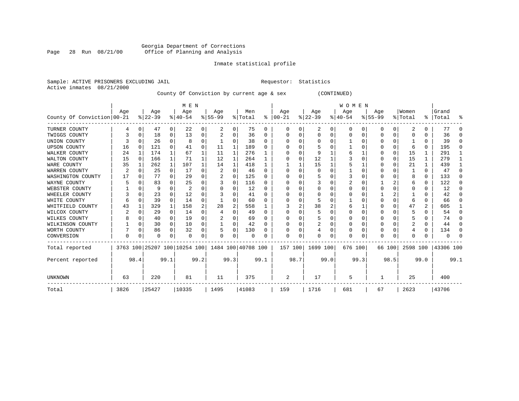#### Georgia Department of Corrections Page 28 Run 08/21/00 Office of Planning and Analysis

#### Inmate statistical profile

Active inmates 08/21/2000

Sample: ACTIVE PRISONERS EXCLUDING JAIL **Requestor:** Statistics

County Of Conviction by current age & sex (CONTINUED)

|                            |                |          |          |              | M E N                        |          |                    |          |         |              |          |      |          |      | <b>WOMEN</b> |      |           |          |          |               |           |          |
|----------------------------|----------------|----------|----------|--------------|------------------------------|----------|--------------------|----------|---------|--------------|----------|------|----------|------|--------------|------|-----------|----------|----------|---------------|-----------|----------|
|                            | Age            |          | Age      |              | Age                          |          | Age                |          | Men     |              | Age      |      | Age      |      | Age          |      | Age       |          | Women    |               | Grand     |          |
| County Of Conviction 00-21 |                |          | $ 22-39$ |              | $8140 - 54$                  |          | $8 55-99$          |          | % Total | ႜ            | $ 00-21$ |      | $ 22-39$ |      | $ 40-54$     |      | $8 55-99$ |          | % Total  | $\frac{1}{6}$ | Total     | ႜ        |
| TURNER COUNTY              |                | 0        | 47       | 0            | 22                           | 0        | 2                  | 0        | 75      | 0            | O        |      | 2        | 0    | $\Omega$     | 0    | 0         | 0        | 2        |               | 77        | ∩        |
| TWIGGS COUNTY              |                | 0        | 18       | 0            | 13                           | 0        |                    | 0        | 36      | $\Omega$     |          |      | $\Omega$ | U    |              | O    |           | $\Omega$ |          |               | 36        | $\Omega$ |
| UNION COUNTY               |                | O        | 26       | $\Omega$     | 8                            | $\Omega$ |                    | U        | 38      | $\Omega$     |          |      | n        |      |              |      |           | 0        |          |               | 39        | $\Omega$ |
| <b>UPSON COUNTY</b>        | 16             | $\Omega$ | 121      | 0            | 41                           | 0        | 11                 | 1        | 189     | <sup>0</sup> |          |      |          |      |              |      |           | U        | 6        | 0             | 195       | $\Omega$ |
| WALKER COUNTY              | 24             | 1        | 174      | $\mathbf{1}$ | 67                           |          | 11                 | 1        | 276     |              |          | O    |          |      |              |      |           | $\Omega$ | 15       |               | 291       |          |
| WALTON COUNTY              | 15             | $\Omega$ | 166      | $\mathbf{1}$ | 71                           |          | 12                 | 1        | 264     |              |          |      | 12       |      |              |      |           | 0        | 15       |               | 279       |          |
| WARE COUNTY                | 35             |          | 262      | 1            | 107                          |          | 14                 | 1        | 418     |              |          |      | 15       |      |              |      |           | U        | 21       |               | 439       |          |
| WARREN COUNTY              | $\overline{2}$ |          | 25       | $\Omega$     | 17                           | $\Omega$ |                    | $\Omega$ | 46      | $\Omega$     |          |      | 0        |      |              |      |           |          |          | 0             | 47        | $\Omega$ |
| WASHINGTON COUNTY          | 17             | O        | 77       | $\Omega$     | 29                           | $\Omega$ |                    | O        | 125     | <sup>0</sup> |          |      |          |      |              |      |           | U        |          | 0             | 133       | $\Omega$ |
| WAYNE COUNTY               |                |          | 83       | 0            | 25                           | 0        |                    | $\Omega$ | 116     | <sup>0</sup> |          |      |          |      |              |      |           |          | 6        |               | 122       | $\Omega$ |
| WEBSTER COUNTY             |                | 0        | 9        | 0            | 2                            | $\Omega$ |                    | 0        | 12      | $\Omega$     |          |      | 0        | U    |              |      |           | U        |          |               | 12        | $\Omega$ |
| WHEELER COUNTY             |                | O        | 23       | 0            | 12                           | U        |                    | U        | 41      | $\Omega$     |          |      | n        |      |              |      |           |          |          |               | 42        | $\Omega$ |
| WHITE COUNTY               |                | O        | 39       | 0            | 14                           | 0        |                    | 0        | 60      | O            |          |      |          |      |              |      |           | U        |          | U             | 66        | O        |
| WHITFIELD COUNTY           | 43             | 1        | 329      | 1            | 158                          | 2        | 28                 | 2        | 558     |              |          |      | 38       | 2    |              |      |           | 0        | 47       | 2             | 605       |          |
| WILCOX COUNTY              | 2              | O        | 29       | 0            | 14                           | 0        |                    | O        | 49      | $\Omega$     |          |      | 5        |      |              |      |           | U        |          |               | 54        | $\Omega$ |
| WILKES COUNTY              |                |          | 40       | $\Omega$     | 19                           | 0        |                    | 0        | 69      | 0            |          |      | 5        |      |              |      |           | U        |          |               | 74        | $\Omega$ |
| WILKINSON COUNTY           |                | 0        | 30       | 0            | 10                           | 0        |                    | 0        | 42      | 0            |          |      | 2        | 0    |              |      |           | 0        | 2        | 0             | 44        | $\Omega$ |
| WORTH COUNTY               |                | $\Omega$ | 86       | 0            | 32                           | 0        |                    | 0        | 130     | 0            |          |      |          | U    |              |      |           | U        |          | 0             | 134       | $\Omega$ |
| CONVERSION                 | 0              |          | 0        | 0            | $\Omega$                     | 0        | 0                  | 0        | 0       |              | n        |      | n        | 0    | U            |      | U         | 0        |          |               |           | ∩        |
| Total reported             |                |          |          |              | 3763 100 25207 100 10254 100 |          | 1484 100 40708 100 |          |         |              | 157 100  |      | 1699 100 |      | 676 100      |      |           | 66 100   | 2598 100 |               | 43306 100 |          |
| Percent reported           |                | 98.4     |          | 99.1         |                              | 99.2     |                    | 99.3     |         | 99.1         |          | 98.7 |          | 99.0 |              | 99.3 |           | 98.5     |          | 99.0          |           | 99.1     |
| <b>UNKNOWN</b>             | 63             |          | 220      |              | 81                           |          | 11                 |          | 375     |              | 2        |      | 17       |      | 5            |      |           |          | 25       |               | 400       |          |
| Total                      | 3826           |          | 25427    |              | 10335                        |          | 1495               |          | 41083   |              | 159      |      | 1716     |      | 681          |      | 67        |          | 2623     |               | 43706     |          |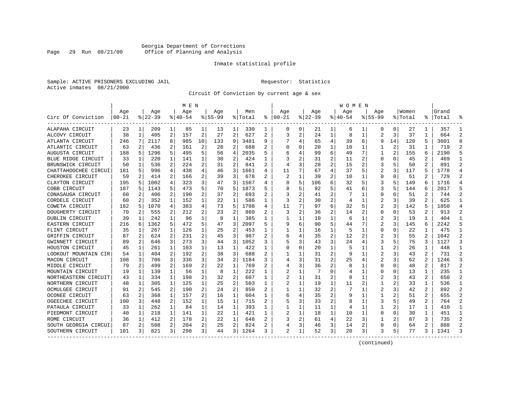#### Georgia Department of Corrections Page 29 Run 08/21/00 Office of Planning and Analysis

#### Inmate statistical profile

Sample: ACTIVE PRISONERS EXCLUDING JAIL **Requestor:** Statistics Active inmates 08/21/2000

Circuit Of Conviction by current age & sex

|                      |           |   |           |              | M E N     |    |             |                |         |              |                         |          |             |                | W O M E N |    |                |          |         |                |           |                |
|----------------------|-----------|---|-----------|--------------|-----------|----|-------------|----------------|---------|--------------|-------------------------|----------|-------------|----------------|-----------|----|----------------|----------|---------|----------------|-----------|----------------|
|                      | Age       |   | Age       |              | Age       |    | Aqe         |                | Men     |              | Age                     |          | Age         |                | Aqe       |    | Aqe            |          | Women   |                | Grand     |                |
| Circ Of Conviction   | $00 - 21$ |   | $8 22-39$ |              | $8 40-54$ |    | $8155 - 99$ |                | % Total | ి            | $ 00-21$                |          | $8$   22-39 |                | $ 40-54$  |    | $8155 - 99$    |          | % Total |                | %   Total |                |
| ALAPAHA CIRCUIT      | 23        | 1 | 209       | 1            | 85        | 1  | 13          | 1              | 330     | 1            | 0                       | 0        | 21          | 1              | 6         | 1  | 0              | 0        | 27      | 1              | 357       | -1             |
| ALCOVY CIRCUIT       | 38        | 1 | 405       | 2            | 157       | 2  | 27          | $\overline{2}$ | 627     | 2            | 3                       | 2        | 24          | 1              | 8         | 1  | $\overline{2}$ | 3        | 37      | 1              | 664       | $\overline{2}$ |
| ATLANTA CIRCUIT      | 246       | 7 | 2117      | 8            | 985       | 10 | 133         | 9              | 3481    | 9            |                         | 4        | 65          | 4              | 39        | 6  | 9              | 14       | 120     | 5              | 3601      | 8              |
| ATLANTIC CIRCUIT     | 63        | 2 | 436       | 2            | 161       | 2  | 28          | 2              | 688     | 2            |                         | U        | 20          | 1              | 10        | 1  |                | 2        | 31      |                | 719       | 2              |
| AUGUSTA CIRCUIT      | 188       | 5 | 1296      | 5            | 495       | 5  | 56          | 4              | 2035    | 5            |                         |          | 99          | 6              | 49        | 7  | 1              | 2        | 155     | 6              | 2190      |                |
| BLUE RIDGE CIRCUIT   | 33        | 1 | 220       | 1            | 141       | 1  | 30          | 2              | 424     | 1            |                         | 2        | 31          | 2              | 11        | 2  | $\Omega$       | $\Omega$ | 45      | 2              | 469       | $\mathbf{1}$   |
| BRUNSWICK CIRCUIT    | 50        | 1 | 536       | 2            | 224       | 2  | 31          | $\overline{a}$ | 841     | $\mathbf{2}$ |                         | 3        | 28          | $\overline{2}$ | 15        | 2  | 3              | 5        | 50      | $\mathbf{2}$   | 891       | $\mathcal{D}$  |
| CHATTAHOOCHEE CIRCUI | 181       | 5 | 996       | 4            | 438       | 4  | 46          | 3              | 1661    | 4            | 11                      | 7        | 67          | 4              | 37        | 5  | $\overline{2}$ | 3        | 117     | 5              | 1778      | $\overline{4}$ |
| CHEROKEE CIRCUIT     | 59        | 2 | 414       | 2            | 166       | 2  | 39          | 3              | 678     | 2            | 2                       |          | 39          | 2              | 10        | 1  | $\Omega$       | O        | 51      | 2              | 729       | 2              |
| CLAYTON CIRCUIT      | 195       | 5 | 1002      | 4            | 323       | 3  | 47          | 3              | 1567    | 4            |                         | 5        | 106         | 6              | 32        | 5  | 3              | 5        | 149     | 6              | 1716      |                |
| COBB CIRCUIT         | 187       | 5 | 1143      | 5            | 473       | 5  | 70          | 5              | 1873    |              |                         | 5        | 92          | 5              | 41        | 6  | 3              |          | 144     | 6              | 2017      |                |
| CONASAUGA CIRCUIT    | 60        | 2 | 406       | 2            | 190       | 2  | 37          | 2              | 693     | 2            |                         | 2        | 41          | $\overline{2}$ |           | -1 | 0              | O        | 51      | 2              | 744       | $\mathcal{D}$  |
| CORDELE CIRCUIT      | 60        | 2 | 352       | 1            | 152       | 1  | 22          | 1              | 586     | 1            | 3                       | 2        | 30          | $\overline{2}$ | 4         | 1  | 2              | 3        | 39      | 2              | 625       |                |
| COWETA CIRCUIT       | 182       | 5 | 1070      | 4            | 383       | 4  | 73          | 5              | 1708    | 4            | 11                      | 7        | 97          | 6              | 32        | 5  | $\overline{2}$ | 3        | 142     | 5              | 1850      |                |
| DOUGHERTY CIRCUIT    | 70        | 2 | 555       | 2            | 212       | 2  | 23          | $\overline{a}$ | 860     |              | 3                       | 2        | 36          | 2              | 14        | 2  | 0              | O        | 53      | $\overline{a}$ | 913       | 2              |
| DUBLIN CIRCUIT       | 39        | 1 | 242       | 1            | 96        | 1  | 8           | 1              | 385     | 1            |                         | 1        | 10          | 1              | 6         | 1  | 2              | 3        | 19      | 1              | 404       | -1             |
| EASTERN CIRCUIT      | 216       | 6 | 1362      | 5            | 472       | 5  | 47          | 3              | 2097    | 5            |                         | 6        | 90          | 5              | 44        | 7  |                | 3        | 145     | 6              | 2242      | 5              |
| FLINT CIRCUIT        | 35        | 1 | 267       | $\mathbf{1}$ | 126       | 1  | 25          | 2              | 453     | 1            |                         |          | 16          | 1              | 5         | 1  | 0              | 0        | 22      | 1              | 475       | 1              |
| GRIFFIN CIRCUIT      | 87        | 2 | 624       | 2            | 231       | 2  | 45          | 3              | 987     |              |                         | 4        | 35          | 2              | 12        | 2  |                |          | 55      |                | 1042      | 2              |
| GWINNETT CIRCUIT     | 89        | 2 | 646       | 3            | 273       | 3  | 44          | 3              | 1052    | 3            |                         | 3        | 43          | 3              | 24        | 4  | 3              |          | 75      | 3              | 1127      | 3              |
| HOUSTON CIRCUIT      | 45        | 1 | 261       | $\mathbf{1}$ | 103       | 1  | 13          | 1              | 422     |              |                         | $\Omega$ | 20          | $\mathbf{1}$   | 5         |    | 1              |          | 26      | 1              | 448       |                |
| LOOKOUT MOUNTAIN CIR | 54        | 1 | 404       | 2            | 192       | 2  | 38          | 3              | 688     |              |                         |          | 31          | 2              | q         | 1  |                |          | 43      | 2              | 731       | 2              |
| MACON CIRCUIT        | 108       | 3 | 706       | 3            | 336       | 3  | 34          | 2              | 1184    | 3            |                         | 3        | 31          | 2              | 25        | 4  | 2              | 3        | 62      | 2              | 1246      | 3              |
| MIDDLE CIRCUIT       | 79        | 2 | 499       | 2            | 169       | 2  | 22          | $\mathbf 1$    | 769     |              |                         | 3        | 36          | 2              |           | 1  | $\Omega$       | O        | 48      | 2              | 817       | $\overline{2}$ |
| MOUNTAIN CIRCUIT     | 19        | 1 | 139       | 1            | 56        | 1  | 8           | $\mathbf 1$    | 222     | 1            |                         | 1        | 7           | O              |           | 1  | U              | O        | 13      | 1              | 235       | $\mathbf{1}$   |
| NORTHEASTERN CIRCUIT | 43        | 1 | 334       | 1            | 198       | 2  | 32          | 2              | 607     | 1            |                         | 1        | 31          | 2              | 8         | 1  |                |          | 43      | 2              | 650       | 2              |
| NORTHERN CIRCUIT     | 48        | 1 | 305       | 1            | 125       | 1  | 25          | 2              | 503     | 1            | $\overline{\mathbf{c}}$ |          | 19          | 1              | 11        | 2  | 1              |          | 33      | 1              | 536       | -1             |
| OCMULGEE CIRCUIT     | 91        | 2 | 545       | 2            | 190       | 2  | 24          | 2              | 850     | 2            |                         |          | 32          | 2              |           |    | 2              | 3        | 42      | 2              | 892       | $\overline{2}$ |
| OCONEE CIRCUIT       | 63        | 2 | 368       | 1            | 157       | 2  | 16          | 1              | 604     |              | 6                       | 4        | 35          | 2              |           |    | 1              |          | 51      | 2              | 655       |                |
| OGEECHEE CIRCUIT     | 100       | 3 | 448       | 2            | 152       | 1  | 15          | 1              | 715     | 2            |                         | 3        | 33          | 2              | 8         | 1  | 3              |          | 49      | 2.             | 764       | $\mathcal{D}$  |
| PATAULA CIRCUIT      | 33        | 1 | 262       | 1            | 84        | 1  | 14          | 1              | 393     | 1            |                         | 1        | 11          | 1              | 4         | 1  |                | 2        | 17      | 1              | 410       | -1             |
| PIEDMONT CIRCUIT     | 40        | 1 | 218       | $\mathbf{1}$ | 141       | 1  | 22          | 1              | 421     | 1            |                         | 1        | 18          | 1              | 10        | 1  | 0              | 0        | 30      | 1              | 451       | -1             |
| ROME CIRCUIT         | 36        | 1 | 412       | 2            | 178       | 2  | 22          | 1              | 648     |              |                         | 2        | 61          | 4              | 22        | 3  |                |          | 87      | 3              | 735       | $\overline{2}$ |
| SOUTH GEORGIA CIRCUI | 87        | 2 | 508       | 2            | 204       | 2  | 25          | 2              | 824     |              |                         | 3        | 46          | 3              | 14        | 2  | $\Omega$       | $\Omega$ | 64      | 2              | 888       | $\mathcal{D}$  |
| SOUTHERN CIRCUIT     | 101       | 3 | 821       | 3            | 298       | 3  | 44          | 3              | 1264    |              | $\mathfrak{D}$          | 1        | 52          | 3              | 20        | 3  |                | 5        | 77      | 3              | 1341      | 3              |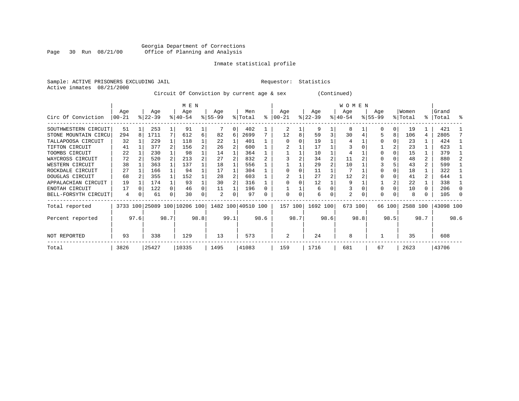#### Georgia Department of Corrections Page 30 Run 08/21/00 Office of Planning and Analysis

#### Inmate statistical profile

Sample: ACTIVE PRISONERS EXCLUDING JAIL **Requestor:** Statistics Active inmates 08/21/2000

Circuit Of Conviction by current age & sex (Continued)

|                      |                 |      |                  |                | M E N                        |      |                  |      |                    |      |                 |      |                  |      | W O M E N        |      |                    |        |                  |      |                |      |
|----------------------|-----------------|------|------------------|----------------|------------------------------|------|------------------|------|--------------------|------|-----------------|------|------------------|------|------------------|------|--------------------|--------|------------------|------|----------------|------|
| Circ Of Conviction   | Age<br>$ 00-21$ |      | Age<br>$ 22-39 $ |                | Age<br>$8 40-54$             |      | Age<br>$ 55-99 $ |      | Men<br>% Total     | နွ   | Age<br>$ 00-21$ |      | Age<br>$ 22-39 $ |      | Age<br>$ 40-54 $ |      | Age<br>$8155 - 99$ |        | Women<br>% Total | ွေ   | Grand<br>Total | ႜ    |
|                      |                 |      |                  |                |                              |      |                  |      |                    |      |                 |      |                  |      |                  |      |                    |        |                  |      |                |      |
| SOUTHWESTERN CIRCUIT | 51              |      | 253              |                | 91                           |      |                  | 0    | 402                |      | 2               |      | 9                |      | 8                |      |                    | 0      | 19               |      | 421            |      |
| STONE MOUNTAIN CIRCU | 294             | 8    | 1711             | 7              | 612                          | 6    | 82               | 6    | 2699               |      | 12              | 8    | 59               | 3    | 30               |      |                    | 8      | 106              | 4    | 2805           |      |
| TALLAPOOSA CIRCUIT   | 32              |      | 229              |                | 118                          |      | 22               |      | 401                |      | O               |      | 19               |      |                  |      |                    |        | 23               |      | 424            |      |
| TIFTON CIRCUIT       | 41              |      | 377              | $\overline{2}$ | 156                          |      | 26               |      | 600                |      |                 |      | 17               |      |                  |      |                    |        | 23               |      | 623            |      |
| TOOMBS CIRCUIT       | 22              |      | 230              |                | 98                           |      | 14               |      | 364                |      |                 |      | 10               |      |                  |      |                    |        | 15               |      | 379            |      |
| WAYCROSS CIRCUIT     | 72              |      | 520              |                | 213                          |      | 27               |      | 832                |      |                 |      | 34               |      | 11               |      |                    |        | 48               | 2    | 880            |      |
| WESTERN CIRCUIT      | 38              |      | 363              |                | 137                          |      | 18               |      | 556                |      |                 |      | 29               |      | 10               |      |                    |        | 43               |      | 599            |      |
| ROCKDALE CIRCUIT     | 27              |      | 166              |                | 94                           |      | 17               |      | 304                |      |                 |      | 11               |      |                  |      |                    |        | 18               |      | 322            |      |
| DOUGLAS CIRCUIT      | 68              |      | 355              |                | 152                          |      | 28               |      | 603                |      |                 |      | 27               |      | 12               |      |                    |        | 41               | 2    | 644            |      |
| APPALACHIAN CIRCUIT  | 19              |      | 174              |                | 93                           |      | 30               |      | 316                |      |                 |      | 12               |      | 9                |      |                    |        | 22               |      | 338            |      |
| ENOTAH CIRCUIT       | 17              |      | 122              |                | 46                           |      | 11               |      | 196                |      |                 |      | 6                |      |                  |      |                    |        | 10               | 0    | 206            |      |
| BELL-FORSYTH CIRCUIT | 4               | 0    | 61               | 0              | 30                           | 0    |                  | 0    | 97                 | 0    |                 | 0    | 6                | 0    | 2                |      | $\Omega$           | 0      | 8                | 0    | 105            |      |
| Total reported       |                 |      |                  |                | 3733 100 25089 100 10206 100 |      |                  |      | 1482 100 40510 100 |      | 157 100         |      | 1692 100         |      | 673 100          |      |                    | 66 100 | 2588 100         |      | 43098 100      |      |
| Percent reported     |                 | 97.6 |                  | 98.7           |                              | 98.8 |                  | 99.1 |                    | 98.6 |                 | 98.7 |                  | 98.6 |                  | 98.8 |                    | 98.5   |                  | 98.7 |                | 98.6 |
| NOT REPORTED         | 93              |      | 338              |                | 129                          |      | 13               |      | 573                |      | 2               |      | 24               |      | 8                |      |                    |        | 35               |      | 608            |      |
| Total                | 3826            |      | 25427            |                | 10335                        |      | 1495             |      | 41083              |      | 159             |      | 1716             |      | 681              |      | 67                 |        | 2623             |      | 43706          |      |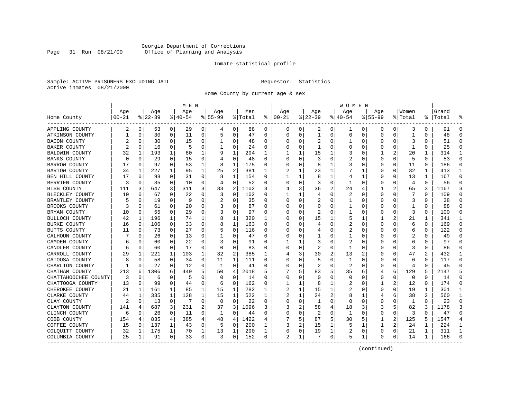#### Georgia Department of Corrections Page 31 Run 08/21/00 Office of Planning and Analysis

#### Inmate statistical profile

Sample: ACTIVE PRISONERS EXCLUDING JAIL **Requestor:** Statistics Active inmates 08/21/2000

Home County by current age & sex

|                      |            |          |          |             | M E N       |   |             |              |         |          |            |          |              |   | W O M E N   |             |             |                |              |          |           |              |
|----------------------|------------|----------|----------|-------------|-------------|---|-------------|--------------|---------|----------|------------|----------|--------------|---|-------------|-------------|-------------|----------------|--------------|----------|-----------|--------------|
|                      | Age        |          | Age      |             | Age         |   | Age         |              | Men     |          | Age        |          | Age          |   | Age         |             | Aqe         |                | Women        |          | Grand     |              |
| Home County          | $ 00 - 21$ |          | $ 22-39$ |             | $8140 - 54$ |   | $8155 - 99$ |              | % Total | နွ       | $ 00 - 21$ |          | $ 22-39$     |   | $8140 - 54$ |             | $8155 - 99$ |                | % Total      |          | %   Total |              |
| APPLING COUNTY       | 2          | 0        | 53       | 0           | 29          | 0 | 4           | 0            | 88      | 0        | 0          | 0        | 2            | 0 | ı           | 0           | 0           | 0              | 3            | 0        | 91        | $\Omega$     |
| ATKINSON COUNTY      |            | 0        | 30       | 0           | 11          | 0 | 5           | 0            | 47      | $\Omega$ | $\Omega$   | $\Omega$ | $\mathbf{1}$ | 0 | $\Omega$    | 0           | $\Omega$    | 0              | $\mathbf{1}$ | $\Omega$ | 48        | $\Omega$     |
| BACON COUNTY         |            | $\Omega$ | 30       | 0           | 15          | 0 | 1           | 0            | 48      | 0        |            | O        | 2            | 0 |             | 0           | 0           | 0              | 3            | 0        | 51        | ∩            |
| BAKER COUNTY         | 2          | 0        | 16       | 0           | 5           | 0 | 1           | 0            | 24      | 0        |            | O        | -1           | U |             | 0           | 0           | 0              | -1           | 0        | 25        | $\Omega$     |
| BALDWIN COUNTY       | 32         | 1        | 193      | 1           | 60          | 1 | 9           | 1            | 294     | 1        |            |          | 15           | 1 | 3           | $\Omega$    |             | $\overline{a}$ | 20           | 1        | 314       | 1            |
| BANKS COUNTY         | n          | $\Omega$ | 29       | $\Omega$    | 15          | 0 |             | $\mathbf 0$  | 48      | $\Omega$ | O          | O        | 3            | 0 | 2           | $\Omega$    | 0           | $\Omega$       | 5            | 0        | 53        | $\Omega$     |
| BARROW COUNTY        | 17         | 0        | 97       | 0           | 53          | 1 | 8           | $\mathbf{1}$ | 175     | 0        |            | O        | 8            | 1 | 3           | 0           | 0           | 0              | 11           | 0        | 186       | $\Omega$     |
| BARTOW COUNTY        | 34         | 1        | 227      | $\mathbf 1$ | 95          | 1 | 25          | 2            | 381     | 1        |            |          | 23           | 1 |             | 1           | 0           | 0              | 32           | 1        | 413       | -1           |
| BEN HILL COUNTY      | 17         | 0        | 98       | 0           | 31          | 0 | 8           | 1            | 154     | 0        |            | 1        | 8            | 1 | 4           | 1           | 0           | 0              | 13           | 1        | 167       | $\Omega$     |
| BERRIEN COUNTY       | 3          | $\Omega$ | 35       | $\Omega$    | 10          | 0 | 4           | $\mathbf 0$  | 52      | $\Omega$ |            | 0        | 3            | 0 |             | 0           | 0           | 0              | 4            | $\Omega$ | 56        | $\Omega$     |
| BIBB COUNTY          | 111        | 3        | 647      | 3           | 311         | 3 | 33          | 2            | 1102    | 3        |            | 3        | 36           | 2 | 24          | 4           | 1           | 2              | 65           | 3        | 1167      | 3            |
| BLECKLEY COUNTY      | 10         | $\Omega$ | 67       | 0           | 22          | 0 | 3           | 0            | 102     | $\Omega$ |            | ı.       | 4            | 0 | 2           | $\Omega$    | O           | U              | 7            | $\Omega$ | 109       | ∩            |
| BRANTLEY COUNTY      |            | $\Omega$ | 19       | 0           | q           | 0 | 2           | $\mathbf 0$  | 35      | $\Omega$ |            | $\Omega$ | 2            | U |             | 0           | U           | 0              | 3            | O        | 38        |              |
| BROOKS COUNTY        |            | $\Omega$ | 61       | 0           | 20          | 0 | 3           | 0            | 87      | $\Omega$ |            | O        | O            | U |             | 0           | U           | U              | 1            | $\Omega$ | 88        | $\Omega$     |
| BRYAN COUNTY         | 10         | 0        | 55       | 0           | 29          | 0 |             | 0            | 97      | 0        |            | O        | 2            | 0 |             | 0           | 0           | 0              | 3            | 0        | 100       | $\Omega$     |
| BULLOCH COUNTY       | 42         | 1        | 196      | $\mathbf 1$ | 74          | 1 | 8           | 1            | 320     | 1        |            |          | 15           | 1 | 5           | -1          |             |                | 21           | 1        | 341       | $\mathbf{1}$ |
| BURKE COUNTY         | 16         | $\Omega$ | 106      | $\Omega$    | 33          | 0 | 8           | 1            | 163     | $\Omega$ |            |          | 4            | U |             | $\Omega$    | $\Omega$    | U              | 6            | $\Omega$ | 169       | $\Omega$     |
| BUTTS COUNTY         | 11         | 0        | 73       | 0           | 27          | 0 | 5           | 0            | 116     | 0        |            | U        |              | U | 2           | $\Omega$    | O           | O              | 6            | 0        | 122       | ∩            |
| CALHOUN COUNTY       |            | $\Omega$ | 26       | 0           | 13          | 0 | 1           | 0            | 47      | $\Omega$ |            | O        |              | U |             | 0           | U           | 0              | 2            | O        | 49        |              |
| CAMDEN COUNTY        |            | $\Omega$ | 60       | 0           | 22          | 0 | 3           | 0            | 91      | $\Omega$ |            |          | 3            | U | 2           | 0           | U           | U              | 6            | 0        | 97        | ∩            |
| CANDLER COUNTY       | 6          | 0        | 60       | 0           | 17          | 0 | $\Omega$    | 0            | 83      | 0        |            | O        | 2            | 0 | -1          | 0           | 0           | 0              | 3            | 0        | 86        | ∩            |
| CARROLL COUNTY       | 29         | 1        | 221      | 1           | 103         | 1 | 32          | 2            | 385     | 1        |            | 3        | 30           | 2 | 13          | 2           | U           | U              | 47           | 2        | 432       | -1           |
| CATOOSA COUNTY       |            | $\Omega$ | 58       | 0           | 34          | 0 | 11          | 1            | 111     | $\Omega$ |            |          | 5            | U |             | $\Omega$    | U           | U              | 6            | O        | 117       | $\Omega$     |
| CHARLTON COUNTY      |            | 0        | 27       | 0           | 12          | 0 | -1          | 0            | 41      | 0        | O          | U        | 2            | U | 2           | $\Omega$    | 0           | 0              | 4            | 0        | 45        | ∩            |
| CHATHAM COUNTY       | 213        | 6        | 1306     | 6           | 449         | 5 | 50          | 4            | 2018    | 5        |            | 5        | 83           | 5 | 35          | 6           | 4           | 6              | 129          | 5        | 2147      |              |
| CHATTAHOOCHEE COUNTY | 3          | 0        | 6        | 0           | 5           | 0 | $\Omega$    | 0            | 14      | $\Omega$ | $\Omega$   | O        | $\Omega$     | O | $\Omega$    | $\mathbf 0$ | $\Omega$    | 0              | $\mathbf 0$  | $\Omega$ | 14        | $\Omega$     |
| CHATTOOGA COUNTY     | 13         | 0        | 99       | 0           | 44          | 0 | 6           | 0            | 162     | 0        |            | 1        | 8            | 1 | 2           | 0           | 1           | 2              | 12           | 0        | 174       | $\Omega$     |
| CHEROKEE COUNTY      | 21         | 1        | 161      | 1           | 85          | 1 | 15          | 1            | 282     | 1        | 2          |          | 15           | 1 | 2           | 0           | 0           | U              | 19           | 1        | 301       | 1            |
| CLARKE COUNTY        | 44         | 1        | 335      | 1           | 128         | 1 | 15          | 1            | 522     | 1        |            |          | 24           | 2 |             |             | 4           | 6              | 38           |          | 560       | -1           |
| CLAY COUNTY          |            | $\Omega$ | 13       | 0           | 7           | 0 | 0           | 0            | 22      | $\Omega$ | O          | O        | -1           | U | $\Omega$    | $\Omega$    | 0           | U              | 1            | 0        | 23        | ∩            |
| CLAYTON COUNTY       | 141        | 4        | 687      | 3           | 231         | 2 | 37          | 3            | 1096    | 3        | 3          | 2        | 58           | 4 | 18          | 3           | 3           | 5              | 82           | 3        | 1178      | 3            |
| CLINCH COUNTY        | 6          | 0        | 26       | 0           | 11          | 0 | 1           | 0            | 44      | $\Omega$ |            | O        | 2            | O | 1           | $\mathbf 0$ | $\Omega$    | 0              | 3            | $\Omega$ | 47        | $\Omega$     |
| COBB COUNTY          | 154        | 4        | 835      | 4           | 385         | 4 | 48          | 4            | 1422    | 4        |            |          | 87           | 5 | 30          | 5           | 1           | 2              | 125          | 5        | 1547      |              |
| COFFEE COUNTY        | 15         | 0        | 137      | 1           | 43          | 0 | 5           | 0            | 200     | 1        | 3          | 2        | 15           | 1 | 5           | -1          | 1           | 2              | 24           | 1        | 224       | 1            |
| COLQUITT COUNTY      | 32         | 1        | 175      | 1           | 70          | 1 | 13          | 1            | 290     | 1        |            | 0        | 19           | 1 | 2           | 0           | 0           | 0              | 21           | 1        | 311       | -1           |
| COLUMBIA COUNTY      | 25         | 1        | 91       | 0           | 33          | 0 | 3           | 0            | 152     | 0        | 2          | 1        | 7            | 0 | 5           | 1           | 0           | 0              | 14           | 1        | 166       |              |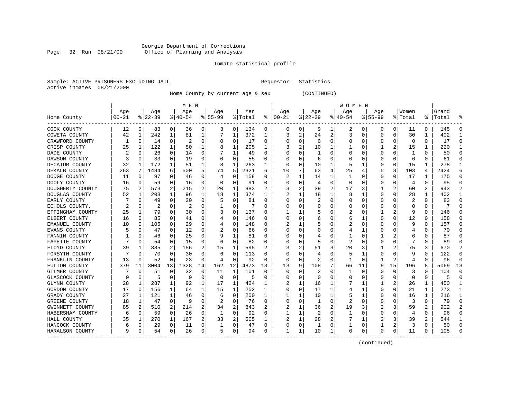#### Georgia Department of Corrections Page 32 Run 08/21/00 Office of Planning and Analysis

### Inmate statistical profile

|  | Sample: ACTIVE PRISONERS EXCLUDING JAIL |  |
|--|-----------------------------------------|--|
|  | Active inmates 08/21/2000               |  |

L Bample: Activities Requestor: Statistics

Home County by current age & sex (CONTINUED)

|                     |           |          |           |          | M E N    |    |                |              |         |          |          |   |              |                | W O M E N      |    |              |          |          |                |       |              |
|---------------------|-----------|----------|-----------|----------|----------|----|----------------|--------------|---------|----------|----------|---|--------------|----------------|----------------|----|--------------|----------|----------|----------------|-------|--------------|
|                     | Age       |          | Age       |          | Age      |    | Age            |              | Men     |          | Age      |   | Age          |                | Age            |    | Age          |          | Women    |                | Grand |              |
| Home County         | $00 - 21$ |          | $ 22-39 $ |          | $ 40-54$ |    | $8155 - 99$    |              | % Total | ႜ        | $ 00-21$ |   | $8$   22-39  |                | $8140 - 54$    |    | $8155 - 99$  |          | % Total  | ႜ              | Total |              |
| COOK COUNTY         | 12        | 0        | 83        | 0        | 36       | 0  | 3              | 0            | 134     | 0        | 0        | 0 | 9            | 1              | 2              | 0  | 0            | 0        | 11       | 0              | 145   |              |
| COWETA COUNTY       | 42        | 1        | 242       | 1        | 81       | 1  |                | 1            | 372     | 1        | 3        | 2 | 24           | $\overline{2}$ | 3              | 0  | 0            | 0        | 30       | 1              | 402   |              |
| CRAWFORD COUNTY     |           | 0        | 14        | 0        | 2        | 0  | O              | 0            | 17      | U        | O        | 0 | n            | $\Omega$       | U              | U  | O            | 0        | $\Omega$ | $\Omega$       | 17    |              |
| CRISP COUNTY        | 25        | 1        | 122       | 1        | 50       |    |                | 1            | 205     | 1        |          | 2 | 10           |                |                | 0  |              | 2        | 15       | 1              | 220   |              |
| DADE COUNTY         |           | 0        | 26        | 0        | 14       | 0  |                | 1            | 49      | U        |          | 0 |              | n              | O              |    |              | $\Omega$ |          | $\Omega$       | 50    |              |
| DAWSON COUNTY       |           | 0        | 33        | 0        | 19       | 0  |                | $\Omega$     | 55      | U        |          | 0 |              |                | U              |    | <sup>0</sup> | O        | 6        | 0              | 61    | n            |
| DECATUR COUNTY      | 32        | 1        | 172       | 1        | 51       | 1  |                | 1            | 263     | 1        | O        | 0 | 10           | -1             | 5              | -1 | 0            | 0        | 15       | 1              | 278   |              |
| DEKALB COUNTY       | 263       | 7        | 1484      | 6        | 500      | 5  | 74             | 5            | 2321    | 6        | 10       | 7 | 63           | $\overline{4}$ | 25             | 4  | 5            | 8        | 103      | 4              | 2424  |              |
| DODGE COUNTY        | 11        | 0        | 97        | 0        | 46       | 0  |                | $\Omega$     | 158     | U        | 2        | 1 | 14           |                | 1              |    | O            | O        | 17       | 1              | 175   |              |
| DOOLY COUNTY        | 16        | 0        | 59        | $\Omega$ | 16       | 0  |                | $\Omega$     | 91      | U        |          | O | 4            | $\Omega$       | $\Omega$       |    | O            | 0        | 4        | $\Omega$       | 95    |              |
| DOUGHERTY COUNTY    | 75        | 2        | 573       | 2        | 215      | 2  | 20             | 1            | 883     | 2        | 3        | 2 | 39           | 2              | 17             | 3  |              | 2        | 60       | $\overline{2}$ | 943   |              |
| DOUGLAS COUNTY      | 52        | 1        | 208       | 1        | 96       | 1  | 18             | $\mathbf{1}$ | 374     | 1        |          |   | 18           | 1              | 8              |    | 0            | 0        | 28       | 1              | 402   |              |
| EARLY COUNTY        |           | 0        | 49        | 0        | 20       | 0  |                | 0            | 81      | U        |          | 0 | 2            | O              | 0              | 0  | 0            | 0        | 2        | 0              | 83    |              |
| ECHOLS COUNTY.      | 2         | 0        | 2         | 0        | 2        | 0  |                | 0            | 7       | U        |          | 0 |              |                | 0              | 0  |              | 0        | 0        | 0              | 7     |              |
| EFFINGHAM COUNTY    | 25        | 1        | 79        | 0        | 30       | 0  |                | $\Omega$     | 137     | U        |          |   |              |                | 2              | 0  |              | 2        | 9        | 0              | 146   |              |
| ELBERT COUNTY       | 16        | 0        | 85        | 0        | 41       | 0  | 4              | 0            | 146     | U        | C        | 0 |              |                | 6              | 1  | $\Omega$     | 0        | 12       | 0              | 158   | O            |
| EMANUEL COUNTY      | 10        | 0        | 105       | 0        | 29       | 0  |                | 0            | 148     | U        |          | 1 |              |                |                | O  | O            | 0        | q        | 0              | 157   | n            |
| EVANS COUNTY        |           | 0        | 47        | 0        | 12       | 0  |                | 0            | 66      | U        | $\Box$   | 0 |              |                | 4              |    | 0            | N        |          | 0              | 70    |              |
| FANNIN COUNTY       |           | $\Omega$ | 46        | 0        | 25       | 0  |                | -1           | 81      | U        |          | 0 |              |                |                | O  |              | 2        | 6        | O              | 87    |              |
| FAYETTE COUNTY      |           | 0        | 54        | 0        | 15       | 0  | 6              | $\Omega$     | 82      | U        |          | U |              |                | $\overline{2}$ |    | O            | 0        |          | 0              | 89    |              |
| FLOYD COUNTY        | 39        | -1       | 385       | 2        | 156      | 2  | 15             | 1            | 595     | 2        |          | 2 | 51           | 3              | 20             |    |              | 2        | 75       | 3              | 670   |              |
| FORSYTH COUNTY      |           | 0        | 70        | 0        | 30       | 0  | 6              | 0            | 113     | U        | O        | O |              | O              | 5              | 1  | 0            | $\Omega$ | 9        | $\Omega$       | 122   |              |
| FRANKLIN COUNTY     | 13        | 0        | 52        | 0        | 23       | 0  | 4              | $\mathbf 0$  | 92      | U        | O        | 0 | 2            | O              | 1              | U  |              | 2        | 4        | O              | 96    |              |
| FULTON COUNTY       | 379       | 11       | 3004      | 13       | 1328     | 14 | 162            | 12           | 4873    | 13       | 13       | 9 | 108          |                | 66             | 11 | 9            | 15       | 196      | 8              | 5069  | 13           |
| GILMER COUNTY       |           | 0        | 51        | 0        | 32       | 0  | 11             | 1            | 101     | 0        | O        | 0 |              | U              | 1              | U  | 0            | 0        | 3        | 0              | 104   | $\cap$       |
| GLASCOCK COUNTY     | 0         | 0        | 5         | 0        | $\Omega$ | 0  | 0              | 0            | 5       | 0        | C        | 0 |              | O              | 0              | 0  | 0            | 0        | 0        | 0              | 5     | <sup>0</sup> |
| <b>GLYNN COUNTY</b> | 28        | 1        | 287       | 1        | 92       | 1  | 17             | 1            | 424     | 1        |          |   | 16           |                |                | 1  | 1            | 2        | 26       | 1              | 450   |              |
| GORDON COUNTY       | 17        | 0        | 156       | 1        | 64       | 1  | 15             | 1            | 252     | 1        | C        | 0 | 17           |                | 4              |    | 0            | 0        | 21       | 1              | 273   |              |
| GRADY COUNTY        | 27        | 1        | 121       | 1        | 46       | 0  | 6              | $\Omega$     | 200     | 1        |          |   | 10           | 1              | 5              | 1  |              | O        | 16       | 1              | 216   |              |
| GREENE COUNTY       | 18        | 1        | 47        | 0        | 9        | 0  | $\overline{c}$ | 0            | 76      | U        | C        | O | 1            | $\Omega$       | 2              | O  | O            | O        | 3        | $\Omega$       | 79    |              |
| GWINNETT COUNTY     | 85        | 2        | 510       | 2        | 214      | 2  | 34             | 2            | 843     |          |          |   | 36           | 2              | 19             |    |              | 3        | 59       | 2              | 902   |              |
| HABERSHAM COUNTY    | 6         | 0        | 59        | 0        | 26       | 0  |                | $\Omega$     | 92      | U        |          | 1 | 2            | $\Omega$       | 1              | 0  | 0            | $\Omega$ | 4        | $\Omega$       | 96    |              |
| HALL COUNTY         | 35        | 1        | 270       | 1        | 167      | 2  | 33             | 2            | 505     | 1        |          | 1 | 28           | 2              |                | 1  | 2            | 3        | 39       | 2              | 544   |              |
| HANCOCK COUNTY      | 6         | 0        | 29        | 0        | 11       | 0  |                | 0            | 47      | $\Omega$ |          | 0 | $\mathbf{1}$ | $\Omega$       | 1              | 0  |              | 2        | 3        | $\Omega$       | 50    |              |
| HARALSON COUNTY     | 9         | 0        | 54        | 0        | 26       | 0  | 5              | 0            | 94      | 0        | -1       | 1 | 10           | 1              | 0              | 0  | $\Omega$     | 0        | 11       | 0              | 105   |              |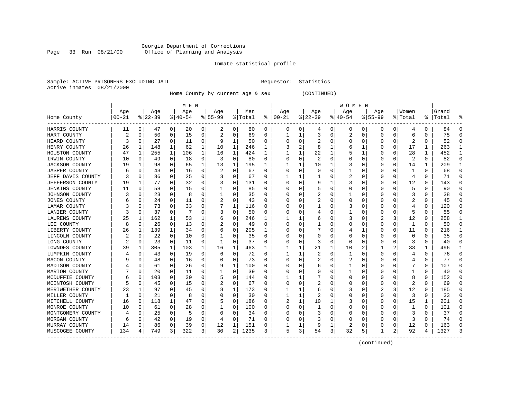#### Georgia Department of Corrections Page 33 Run 08/21/00 Office of Planning and Analysis

### Inmate statistical profile

|  | Sample: ACTIVE PRISONERS EXCLUDING JAII |  |
|--|-----------------------------------------|--|
|  | Active inmates 08/21/2000               |  |

L Bample: Activities Requestor: Statistics

Home County by current age & sex (CONTINUED)

|                         |          |              |          |              | M E N     |              |           |             |         |              |               |             |           |   | W O M E N      |   |                  |          |         |              |       |  |
|-------------------------|----------|--------------|----------|--------------|-----------|--------------|-----------|-------------|---------|--------------|---------------|-------------|-----------|---|----------------|---|------------------|----------|---------|--------------|-------|--|
|                         | Age      |              | Age      |              | Age       |              | Age       |             | Men     |              | Age           |             | Age       |   | Age            |   | Age              |          | Women   |              | Grand |  |
| Home County<br>-------- | $ 00-21$ |              | $ 22-39$ |              | $8 40-54$ |              | $8 55-99$ |             | % Total |              | $8   00 - 21$ |             | $ 22-39 $ |   | $ 40-54$       |   | $8155 - 99$      |          | % Total | ∻            | Total |  |
| HARRIS COUNTY           | 11       | 0            | 47       | 0            | 20        | 0            | 2         | 0           | 80      | 0            | 0             | 0           | 4         | 0 | 0              | 0 | 0                | 0        | 4       | 0            | 84    |  |
| HART COUNTY             | 2        | 0            | 50       | 0            | 15        | 0            | 2         | 0           | 69      | 0            | 1             | 1           | 3         | 0 | 2              | 0 | 0                | 0        | 6       | 0            | 75    |  |
| HEARD COUNTY            | 3        | $\Omega$     | 27       | $\Omega$     | 11        | 0            | 9         | 1           | 50      | 0            |               | 0           |           | 0 | $\Omega$       |   |                  | 0        | 2       | $\Omega$     | 52    |  |
| HENRY COUNTY            | 26       | -1           | 148      | 1            | 62        | $\mathbf{1}$ | 10        | 1           | 246     | 1            |               | 2           | 8         |   | 6              |   |                  | U        | 17      | 1            | 263   |  |
| HOUSTON COUNTY          | 47       | -1           | 255      | 1            | 106       | 1            | 16        | 1           | 424     | 1            |               | 1           | 22        |   |                |   |                  | 0        | 28      | $\mathbf{1}$ | 452   |  |
| IRWIN COUNTY            | 10       | 0            | 49       | 0            | 18        | 0            | 3         | 0           | 80      | 0            | 0             | $\mathbf 0$ | 2         | 0 | 0              |   |                  | 0        | 2       | $\mathbf 0$  | 82    |  |
| <b>JACKSON COUNTY</b>   | 19       | $\mathbf{1}$ | 98       | 0            | 65        | $\mathbf{1}$ | 13        | 1           | 195     | 1            | 1             | 1           | 10        |   | 3              |   |                  | 0        | 14      | 1            | 209   |  |
| <b>JASPER COUNTY</b>    | 6        | $\Omega$     | 43       | 0            | 16        | 0            | 2         | 0           | 67      | 0            | U             | 0           | 0         | U |                |   |                  | 0        |         | $\Omega$     | 68    |  |
| JEFF DAVIS COUNTY       |          | $\Omega$     | 36       | 0            | 25        | 0            |           | 0           | 67      | 0            | -1            | 1           |           | O | 2              |   | Ω                | 0        | 4       | 0            | 71    |  |
| JEFFERSON COUNTY        | 19       |              | 77       | 0            | 32        | 0            | 3         | 0           | 131     | 0            | O             | 0           | 9         |   | 3              |   | $\left( \right)$ | 0        | 12      | 0            | 143   |  |
| JENKINS COUNTY          | 11       | 0            | 58       | 0            | 15        | 0            |           | 0           | 85      | O            |               | 0           |           | 0 | O              |   |                  | 0        |         | $\Omega$     | 90    |  |
| JOHNSON COUNTY          | 3        | n            | 23       | $\Omega$     | 8         | 0            |           | $\Omega$    | 35      | 0            |               | $\Omega$    |           | 0 |                |   |                  | U        | 3       | $\Omega$     | 38    |  |
| JONES COUNTY            | 6        | n            | 24       | $\Omega$     | 11        | 0            | 2         | 0           | 43      | 0            | $\left($      | $\Omega$    |           | O | $\Omega$       |   |                  | U        | 2       | $\Omega$     | 45    |  |
| LAMAR COUNTY            | 3        | <sup>0</sup> | 73       | $\Omega$     | 33        | 0            |           | 1           | 116     | 0            |               | $\Omega$    |           | U | 3              |   |                  | O        | 4       | 0            | 120   |  |
| LANIER COUNTY           |          | $\Omega$     | 37       | 0            | 7         | 0            | 3         | 0           | 50      | 0            |               | 0           |           | 0 |                |   |                  | 0        | 5       | 0            | 55    |  |
| LAURENS COUNTY          | 25       | 1            | 162      | $\mathbf{1}$ | 53        | 1            | 6         | $\mathbf 0$ | 246     | 1            |               | 1           | 6         | O | 3              |   |                  | 3        | 12      | $\mathbf 0$  | 258   |  |
| LEE COUNTY              | 8        | $\Omega$     | 26       | 0            | 13        | $\Omega$     | 2         | 0           | 49      | 0            |               | 0           |           | O | $\Omega$       |   | U                | $\Omega$ | 1       | $\Omega$     | 50    |  |
| LIBERTY COUNTY          | 26       | -1           | 139      | 1            | 34        | 0            | 6         | 0           | 205     | ı            | O             | 0           |           | 0 |                |   | U                | 0        | 11      | $\Omega$     | 216   |  |
| LINCOLN COUNTY          | 2        | $\Omega$     | 22       | $\Omega$     | 10        | 0            |           | 0           | 35      | 0            |               | 0           |           | 0 | $\Omega$       |   |                  | 0        | O       | $\Omega$     | 35    |  |
| LONG COUNTY             |          | $\Omega$     | 23       | $\Omega$     | 11        | 0            | 1         | $\Omega$    | 37      | 0            |               | $\Omega$    | 3         | 0 | $\Omega$       |   |                  | U        | 3       | $\Omega$     | 40    |  |
| LOWNDES COUNTY          | 39       | -1           | 305      | 1            | 103       | 1            | 16        | 1           | 463     | 1            |               | 1           | 21        | 1 | 10             |   |                  | 2        | 33      | $\mathbf{1}$ | 496   |  |
| LUMPKIN COUNTY          |          | $\Omega$     | 43       | $\Omega$     | 19        | $\Omega$     | 6         | $\Omega$    | 72      | 0            | 1             | 1           |           | 0 |                |   | Ω                | 0        | 4       | $\Omega$     | 76    |  |
| MACON COUNTY            |          | 0            | 48       | 0            | 16        | 0            | 0         | 0           | 73      | 0            | 0             | $\mathbf 0$ | 2         | 0 | 2              |   |                  | 0        |         | 0            | 77    |  |
| MADISON COUNTY          |          | 0            | 61       | 0            | 26        | 0            | 9         | 1           | 100     | 0            |               | 0           | 6         | 0 |                |   |                  | 0        |         | 0            | 107   |  |
| MARION COUNTY           |          | $\Omega$     | 20       | 0            | 11        | 0            |           | 0           | 39      | 0            | U             | 0           | Ω         | O |                |   |                  | U        |         | $\Omega$     | 40    |  |
| MCDUFFIE COUNTY         | 6        | 0            | 103      | 0            | 30        | 0            | 5         | 0           | 144     | 0            |               | 1           |           | 0 | $\Omega$       |   | $\left( \right)$ | 0        | 8       | 0            | 152   |  |
| MCINTOSH COUNTY         |          | $\Omega$     | 45       | 0            | 15        | 0            | 2         | 0           | 67      | 0            | O             | 0           | 2         | 0 | $\Omega$       |   | Ω                | 0        | 2       | 0            | 69    |  |
| MERIWETHER COUNTY       | 23       |              | 97       | 0            | 45        | 0            | 8         | 1           | 173     | O            |               | 1           | 6         | 0 |                |   |                  | 3        | 12      | 0            | 185   |  |
| MILLER COUNTY           | 1        | $\Omega$     | 21       | $\Omega$     | 8         | O            | $\Omega$  | 0           | 30      | 0            | 1             | 1           |           | O | $\Omega$       |   |                  | U        | 3       | $\Omega$     | 33    |  |
| MITCHELL COUNTY         | 16       | 0            | 118      | 1            | 47        | 0            |           | 0           | 186     | 0            |               | 1           | 10        |   | 3              |   | 0                | 0        | 15      | 1            | 201   |  |
| MONROE COUNTY           | 10       | 0            | 61       | $\Omega$     | 28        | 0            | 1         | 0           | 100     | 0            | O             | $\Omega$    |           | U | $\Omega$       |   |                  | U        | 1       | $\mathbf 0$  | 101   |  |
| MONTGOMERY COUNTY       |          | 0            | 25       | 0            | 5         | 0            | $\Omega$  | 0           | 34      | 0            |               | 0           |           | O | O              |   |                  | 0        | 3       | 0            | 37    |  |
| MORGAN COUNTY           | 6        | $\Omega$     | 42       | 0            | 19        | 0            | 4         | $\mathbf 0$ | 71      | <sup>0</sup> |               | 0           |           | 0 | $\Omega$       |   |                  | 0        | ζ       | $\Omega$     | 74    |  |
| MURRAY COUNTY           | 14       | $\Omega$     | 86       | 0            | 39        | 0            | 12        | 1           | 151     | 0            | 1             | 1           | 9         | 1 | $\overline{2}$ |   |                  | 0        | 12      | 0            | 163   |  |
| MUSCOGEE COUNTY         | 134      | 4            | 749      | 3            | 322       | 3            | 30        | 2           | 1235    | 3            | 5             | 3           | 54        | 3 | 32             | 5 | -1               | 2        | 92      | 4            | 1327  |  |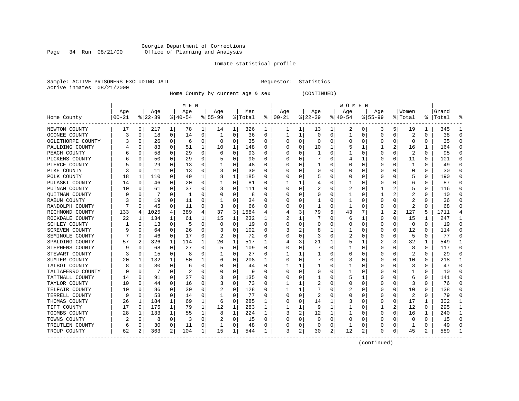#### Georgia Department of Corrections Page 34 Run 08/21/00 Office of Planning and Analysis

### Inmate statistical profile

|  | Sample: ACTIVE PRISONERS EXCLUDING JAII |  |
|--|-----------------------------------------|--|
|  | Active inmates 08/21/2000               |  |

L Bample: Active Prequestor: Statistics

Home County by current age & sex (CONTINUED)

|                       |          |             |          |          | M E N     |   |           |              |         |              |               |   |              |          | W O M E N |   |              |             |              |                |       |   |
|-----------------------|----------|-------------|----------|----------|-----------|---|-----------|--------------|---------|--------------|---------------|---|--------------|----------|-----------|---|--------------|-------------|--------------|----------------|-------|---|
|                       | Age      |             | Age      |          | Age       |   | Age       |              | Men     |              | Age           |   | Age          |          | Age       |   | Age          |             | Women        |                | Grand |   |
| Home County           | $ 00-21$ |             | $ 22-39$ |          | $8 40-54$ |   | $8 55-99$ |              | % Total |              | $8   00 - 21$ |   | $8$   22-39  |          | $ 40-54$  |   | $8155 - 99$  |             | % Total      | ႜ              | Total |   |
| NEWTON COUNTY         | 17       | 0           | 217      | 1        | 78        | 1 | 14        | 1            | 326     | 1            |               | 1 | 13           | ı        | 2         | 0 | 3            | 5           | 19           | 1              | 345   |   |
| OCONEE COUNTY         | 3        | 0           | 18       | 0        | 14        | 0 | 1         | 0            | 36      | 0            | 1             | 1 | 0            | 0        | 1         | 0 | $\Omega$     | $\mathbf 0$ | 2            | 0              | 38    | n |
| OGLETHORPE COUNTY     |          | 0           | 26       | 0        | 6         | 0 |           | 0            | 35      | U            | O             | 0 | <sup>0</sup> | $\Omega$ | U         | U |              | 0           | $\Omega$     | $\Omega$       | 35    |   |
| PAULDING COUNTY       |          | $\Omega$    | 83       | 0        | 51        | 1 | 10        | 1            | 148     | O            |               | 0 | 10           |          | 5         |   |              | 2           | 16           | 1              | 164   |   |
| PEACH COUNTY          |          | 0           | 58       | 0        | 29        | 0 |           | 0            | 93      | $\Omega$     |               | 0 |              |          |           |   | <sup>0</sup> | 0           | 2            | $\Omega$       | 95    |   |
| PICKENS COUNTY        |          | 0           | 50       | 0        | 29        | 0 |           | 0            | 90      | 0            | C             | 0 |              |          |           |   | O            | 0           | 11           | 0              | 101   | U |
| PIERCE COUNTY         |          | 0           | 29       | 0        | 13        | 0 |           | 0            | 48      | U            | C             | 0 |              |          | U         |   | O            | 0           | 1            | 0              | 49    | U |
| PIKE COUNTY           |          | 0           | 11       | 0        | 13        | 0 | 3         | 0            | 30      | U            | O             | U |              |          | Ω         |   |              | $\Omega$    | $\Omega$     | 0              | 30    | n |
| POLK COUNTY           | 18       | 1           | 110      | 0        | 49        | 1 |           | $\mathbf{1}$ | 185     | U            |               | U |              |          | Ω         |   |              |             | 5            | 0              | 190   |   |
| PULASKI COUNTY        | 14       | 0           | 46       | 0        | 20        | 0 |           | $\Omega$     | 81      | U            |               |   |              |          |           |   |              | $\Omega$    | 6            | $\Omega$       | 87    |   |
| PUTNAM COUNTY         | 10       | 0           | 61       | 0        | 37        | 0 | 3         | 0            | 111     | U            |               | U |              |          | 2         |   |              | 2           | 5            | 0              | 116   |   |
| <b>OUITMAN COUNTY</b> |          | 0           |          | 0        | 1         | 0 |           | $\Omega$     | 8       | U            |               | 0 |              |          |           |   |              | 2           |              | 0              | 10    |   |
| RABUN COUNTY          |          | 0           | 19       | 0        | 11        | 0 |           | $\Omega$     | 34      | U            |               | 0 |              |          |           |   |              | 0           | 2            | 0              | 36    |   |
| RANDOLPH COUNTY       |          | $\Omega$    | 45       | 0        | 11        | 0 | 3         | $\Omega$     | 66      | U            |               | 0 |              | O        | 1         |   |              | 0           | 2            | $\Omega$       | 68    |   |
| RICHMOND COUNTY       | 133      | 4           | 1025     | 4        | 389       | 4 | 37        | 3            | 1584    | 4            |               | 3 | 79           |          | 43        |   |              | 2           | 127          | 5              | 1711  |   |
| ROCKDALE COUNTY       | 22       | 1           | 134      | 1        | 61        | 1 | 15        | 1            | 232     | 1            |               | 1 |              |          | 6         | 1 | $\Omega$     | 0           | 15           | 1              | 247   |   |
| SCHLEY COUNTY         |          | $\Omega$    | 13       | 0        | 5         | 0 | O         | $\Omega$     | 19      | 0            | C             | 0 |              |          | 0         | O | O            | 0           | $\Omega$     | $\Omega$       | 19    | U |
| SCREVEN COUNTY        |          | C           | 64       | 0        | 26        | 0 |           | 0            | 102     | 0            |               | 2 |              |          |           |   |              | 0           | 12           | $\Omega$       | 114   |   |
| SEMINOLE COUNTY       |          | $\Omega$    | 46       | 0        | 17        | U |           | $\Omega$     | 72      | U            |               | U |              |          |           |   |              | $\Omega$    | 5            | $\Omega$       | 77    |   |
| SPALDING COUNTY       | 57       | 2           | 326      | 1        | 114       | 1 | 20        | 1            | 517     | 1            |               | 3 | 21           |          | 5         | 1 | 2            | 3           | 32           | $\mathbf{1}$   | 549   |   |
| STEPHENS COUNTY       |          | $\Omega$    | 68       | 0        | 27        | 0 | 5         | 0            | 109     | U            |               | 0 |              | U        |           |   |              | $\Omega$    | 8            | 0              | 117   |   |
| STEWART COUNTY        | 3        | $\Omega$    | 15       | $\Omega$ | 8         | 0 |           | $\Omega$     | 27      | U            |               |   |              |          | 0         |   |              | $\Omega$    | 2            | $\Omega$       | 29    |   |
| SUMTER COUNTY         | 20       | 1           | 132      |          | 50        |   |           | 0            | 208     | 1            |               | 0 |              |          | 3         |   |              | 0           | 10           | 0              | 218   |   |
| TALBOT COUNTY         |          | $\mathbf 0$ | 30       | $\Omega$ | 6         | 0 |           | 0            | 44      | O            |               |   |              |          |           |   |              | 0           | 3            | 0              | 47    | U |
| TALIAFERRO COUNTY     | n        | 0           | 7        | 0        | 2         | 0 |           | 0            | 9       | <sup>0</sup> |               | 0 |              |          |           |   | ∩            | $\Omega$    | 1            | 0              | 10    | ∩ |
| TATTNALL COUNTY       | 14       | 0           | 91       | 0        | 27        | 0 | 3         | 0            | 135     | U            | C             | 0 |              |          | 5         |   | O            | 0           | 6            | 0              | 141   | U |
| TAYLOR COUNTY         | 10       | 0           | 44       | 0        | 16        | 0 | 3         | 0            | 73      | U            |               |   | 2            |          | 0         |   | O            | 0           | 3            | 0              | 76    | U |
| TELFAIR COUNTY        | 10       | 0           | 86       | 0        | 30        | 0 | 2         | 0            | 128     | U            |               |   |              |          | 2         |   |              | 0           | 10           | $\Omega$       | 138   |   |
| TERRELL COUNTY        | 9        | $\Omega$    | 53       | $\Omega$ | 14        | 0 |           | $\Omega$     | 77      | O            | ſ             | U |              |          | U         |   |              | 0           | 2            | $\Omega$       | 79    |   |
| THOMAS COUNTY         | 26       | 1           | 184      | 1        | 69        | 1 | 6         | $\Omega$     | 285     | 1            |               | U | 14           |          | 3         |   |              | 0           | 17           | $\mathbf{1}$   | 302   |   |
| TIFT COUNTY           | 17       | $\Omega$    | 175      | 1        | 79        | 1 | 12        | 1            | 283     | 1            |               | 1 | 9            |          |           | O |              | 2           | 12           | 0              | 295   |   |
| TOOMBS COUNTY         | 28       | 1           | 133      |          | 55        | 1 | 8         | 1            | 224     | 1            | 3             | 2 | 12           |          |           |   | 0            | $\mathbf 0$ | 16           | 1              | 240   |   |
| TOWNS COUNTY          |          | 0           | 8        | 0        | 3         | 0 | 2         | 0            | 15      | U            |               | 0 | O            | O        | U         |   |              | 0           | $\Omega$     | 0              | 15    |   |
| TREUTLEN COUNTY       | 6        | 0           | 30       | 0        | 11        | 0 |           | 0            | 48      | U            |               | 0 |              | $\Omega$ |           |   |              | 0           | $\mathbf{1}$ | $\Omega$       | 49    |   |
| TROUP COUNTY          | 62       | 2           | 363      | 2        | 104       | 1 | 15        | 1            | 544     | 1            | 3             | 2 | 30           | 2        | 12        | 2 | ∩            | 0           | 45           | $\overline{c}$ | 589   |   |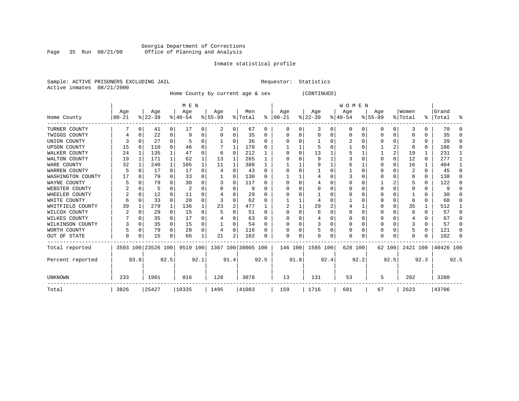#### Georgia Department of Corrections Page 35 Run 08/21/00 Office of Planning and Analysis

### Inmate statistical profile

|  | Sample: ACTIVE PRISONERS EXCLUDING JAIL | Requestor: Statistics |
|--|-----------------------------------------|-----------------------|
|  | Active inmates 08/21/2000               |                       |

Home County by current age & sex (CONTINUED)

| M E N               |          |              |                    |              |           |      |           |          |                    |          |               |          |           |          | <b>WOMEN</b> |          |           |                |          |      |           |          |
|---------------------|----------|--------------|--------------------|--------------|-----------|------|-----------|----------|--------------------|----------|---------------|----------|-----------|----------|--------------|----------|-----------|----------------|----------|------|-----------|----------|
|                     | Age      |              | Age                |              | Age       |      | Age       |          | Men                |          | Age           |          | Age       |          | Age          |          | Age       |                | Women    |      | Grand     |          |
| Home County         | $ 00-21$ |              | $ 22-39$           |              | $ 40-54 $ |      | $8 55-99$ |          | % Total            |          | $8   00 - 21$ |          | $ 22-39 $ |          | $ 40-54 $    |          | $8 55-99$ |                | % Total  | ွေ   | Total     | 옹        |
| TURNER COUNTY       |          | $\Omega$     | 41                 | 0            | 17        | 0    | 2         | 0        | 67                 | 0        | 0             | 0        | 3         | 0        | 0            | 0        | $\Omega$  | 0              | 3        | 0    | 70        | $\Omega$ |
| TWIGGS COUNTY       |          | $\Omega$     | 22                 | 0            | 9         | 0    |           | $\Omega$ | 35                 | 0        | 0             | 0        | $\Omega$  | 0        | 0            | $\Omega$ | $\Omega$  | 0              | 0        | 0    | 35        | $\Omega$ |
| UNION COUNTY        | 3        | $\Omega$     | 27                 | 0            |           | 0    |           | $\Omega$ | 36                 | 0        | $\Omega$      | 0        |           | U        | 2            | $\Omega$ | $\Omega$  | $\Omega$       | 3        | 0    | 39        | $\Omega$ |
| <b>UPSON COUNTY</b> | 15       | $\Omega$     | 110                | 0            | 46        | 0    |           |          | 178                | 0        |               | 1        |           | O        |              | 0        |           | $\overline{2}$ | 8        | 0    | 186       | $\Omega$ |
| WALKER COUNTY       | 24       | $\mathbf{1}$ | 135                |              | 47        | 0    | 6         | $\Omega$ | 212                |          | 0             | $\Omega$ | 13        |          | 5            |          |           | 2              | 19       |      | 231       | -1       |
| WALTON COUNTY       | 19       |              | 171                |              | 62        | 1    | 13        | 1        | 265                |          | $\Omega$      | U        | 9         |          | 3            | $\Omega$ | $\Omega$  | $\Omega$       | 12       | 0    | 277       | 1        |
| WARE COUNTY         | 32       |              | 240                | 1            | 105       |      | 11        |          | 388                |          |               |          | 9         |          | 6            |          | $\Omega$  | $\Omega$       | 16       |      | 404       | -1       |
| WARREN COUNTY       | 5        | <sup>0</sup> | 17                 | 0            | 17        | 0    | 4         | $\Omega$ | 43                 | 0        |               | O        |           | O        |              | $\Omega$ |           |                | 2        | 0    | 45        | $\Omega$ |
| WASHINGTON COUNTY   | 17       | <sup>0</sup> | 79                 | <sup>0</sup> | 33        | 0    |           | $\Omega$ | 130                | U        |               |          |           | U        | 3            | n        | O         |                | 8        | 0    | 138       | $\Omega$ |
| WAYNE COUNTY        |          | $\Omega$     | 79                 |              | 30        | 0    |           | $\Omega$ | 117                |          | $\Omega$      | O        |           | O        | 0            | 0        |           |                | 5        | 0    | 122       | $\Omega$ |
| WEBSTER COUNTY      | 2        | $\Omega$     | 5                  | 0            | 2         | U    |           | $\Omega$ | 9                  | O        | $\Omega$      | U        | $\Omega$  | O        | Ω            | $\Omega$ | $\Omega$  | $\Omega$       | C        | 0    | 9         | $\Omega$ |
| WHEELER COUNTY      | 2        | $\Omega$     | 12                 | 0            | 11        | 0    |           | $\Omega$ | 29                 | 0        |               | U        |           | O        |              | O        |           |                |          | U    | 30        | $\Omega$ |
| WHITE COUNTY        | 6        | <sup>0</sup> | 33                 | $\Omega$     | 20        | O    |           | $\Omega$ | 62                 | 0        |               |          |           | U        |              | C        | O         | $\Omega$       | 6        | 0    | 68        | $\Omega$ |
| WHITFIELD COUNTY    | 39       |              | 279                |              | 136       |      | 23        | 2        | 477                |          |               |          | 29        | 2        | 4            |          | $\Omega$  | $\Omega$       | 35       |      | 512       | -1       |
| WILCOX COUNTY       |          | $\Omega$     | 29                 | 0            | 15        | 0    | 5         | $\Omega$ | 51                 | 0        | $\Omega$      | 0        | 6         | O        | $\Omega$     | $\Omega$ | $\Omega$  | $\Omega$       | 6        | 0    | 57        | 0        |
| WILKES COUNTY       |          | $\Omega$     | 35                 | 0            | 17        | 0    |           | $\Omega$ | 63                 | $\Omega$ | $\Omega$      | 0        | 4         | U        | U            | $\Omega$ | $\Omega$  | $\Omega$       | 4        | 0    | 67        | $\Omega$ |
| WILKINSON COUNTY    |          | $\Omega$     | 35                 | 0            | 15        | 0    |           | $\Omega$ | 54                 | O        | $\Omega$      | U        |           | O        | 0            | $\Omega$ | $\Omega$  | $\Omega$       |          | 0    | 57        | $\Omega$ |
| WORTH COUNTY        |          | 0            | 79                 | $\Omega$     | 28        | 0    | 4         | $\Omega$ | 116                | 0        | $\Omega$      | O        |           | $\Omega$ | $\Omega$     | $\Omega$ | $\Omega$  | $\Omega$       | 5        | 0    | 121       | $\Omega$ |
| OUT OF STATE        | 0        | 0            | 15                 | 0            | 66        |      | 21        | 2        | 102                | O        | $\Omega$      | 0        | U         | 0        | 0            | O        | $\Omega$  | $\Omega$       |          | 0    | 102       | $\cap$   |
| Total reported      |          |              | 3593 100 23526 100 |              | 9519 100  |      |           |          | 1367 100 38005 100 |          | 146 100       |          | 1585 100  |          | 628 100      |          |           | 62 100         | 2421 100 |      | 40426 100 |          |
| Percent reported    |          | 93.9         |                    | 92.5         |           | 92.1 |           | 91.4     |                    | 92.5     |               | 91.8     |           | 92.4     |              | 92.2     |           | 92.5           |          | 92.3 |           | 92.5     |
| UNKNOWN             | 233      |              | 1901               |              | 816       |      | 128       |          | 3078               |          | 13            |          | 131       |          | 53           |          | 5         |                | 202      |      | 3280      |          |
| Total               | 3826     |              | 25427              |              | 10335     |      | 1495      |          | 41083              |          | 159           |          | 1716      |          | 681          |          | 67        |                | 2623     |      | 43706     |          |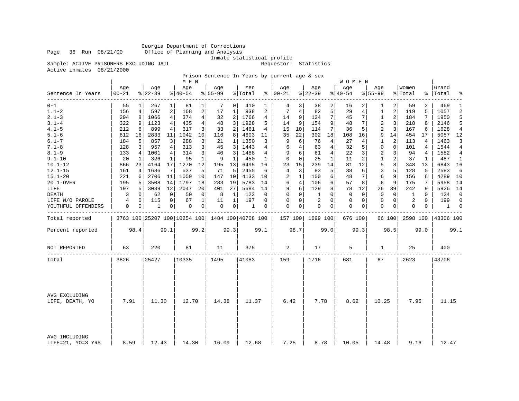Georgia Department of Corrections Page 36 Run 08/21/00 Office of Planning and Analysis

Inmate statistical profile

Sample: ACTIVE PRISONERS EXCLUDING JAIL **Requestor:** Statistics

Active inmates 08/21/2000

Prison Sentence In Years by current age & sex

|                                      |                  |                |                 |             | M E N                                           |                |                  |                |                |          |                      |                |                  |                | <b>WOMEN</b>    |          |                  |                |                  |                |                |                |
|--------------------------------------|------------------|----------------|-----------------|-------------|-------------------------------------------------|----------------|------------------|----------------|----------------|----------|----------------------|----------------|------------------|----------------|-----------------|----------|------------------|----------------|------------------|----------------|----------------|----------------|
| Sentence In Years<br>$- - - - - - -$ | Age<br>$00 - 21$ |                | Age<br>$ 22-39$ |             | Aqe<br>$ 40-54 $                                |                | Age<br>$8 55-99$ |                | Men<br>% Total |          | Aqe<br>$8   00 - 21$ |                | Aqe<br>$ 22-39$  |                | Aqe<br>$ 40-54$ |          | Aqe<br>$8 55-99$ |                | Women<br>% Total | န္             | Grand<br>Total | ႜ              |
| $0 - 1$                              | 55               | 1 <sup>1</sup> | 267             | 1           | 81                                              | $1\vert$       | 7                | 0 <sup>1</sup> | 410            | 1        | 4                    | 3 <sup>1</sup> | 38               | 2              | 16              | 2        | 1                | 2              | 59               | 2              | 469            | 1              |
| $1.1 - 2$                            | 156              | 4              | 597             | 2           | 168                                             | 2              | 17               | 1              | 938            | 2        | 7                    | 4              | 82               | 5              | 29              | 4        | $\mathbf{1}$     | $\overline{a}$ | 119              | 5              | 1057           | $\overline{c}$ |
| $2.1 - 3$                            | 294              | 8              | 1066            | 4           | 374                                             | 4              | 32               | 2              | 1766           | 4        | 14                   | 9              | 124              | 71             | 45              | 7        | $\mathbf{1}$     | 2              | 184              | 7              | 1950           | 5              |
| $3.1 - 4$                            | 322              | 9              | 1123            | 4           | 435                                             | 4              | 48               | 3              | 1928           | 5        | 14                   | 9              | 154              | 9              | 48              | 7        | 2                | 3              | 218              | 8              | 2146           |                |
| $4.1 - 5$                            | 212              | 6              | 899             | 4           | 317                                             | 3              | 33               | 2              | 1461           | 4        | 15                   | 10             | 114              | 7              | 36              | 5        | 2                | $\overline{3}$ | 167              | 6              | 1628           | 4              |
| $5.1 - 6$                            | 612              | 16             | 2833            | 11          | 1042                                            | 10             | 116              | 8              | 4603           | 11       | 35                   | 22             | 302              | 18             | 108             | 16       | 9                | 14             | 454              | 17             | 5057 12        |                |
| $6.1 - 7$                            | 184              | 5              | 857             | 3           | 288                                             | 3              | 21               | 1              | 1350           | 3        | 9                    | 6              | 76               | 4              | 27              | 4        | 1                | 2              | 113              | 4              | 1463           | 3              |
| $7.1 - 8$                            | 128              | 3              | 957             | 4           | 313                                             | 3              | 45               | 3              | 1443           | 4        | 6                    | 4              | 63               | 4              | 32              | 5        | $\mathbf 0$      | $\mathbf 0$    | 101              | 4              | 1544           | 4              |
| $8.1 - 9$                            | 133              | $\overline{4}$ | 1001            | 4           | 314                                             | 3              | 40               | 3              | 1488           | 4        | 9                    | 6              | 61               | 4              | 22              | 3        | 2                | 3              | 94               | $\overline{4}$ | 1582           | 4              |
| $9.1 - 10$                           | 20               | 1              | 326             | 1           | 95                                              | $\mathbf{1}$   | 9                | 1              | 450            | 1        | $\Omega$             | $\Omega$       | 25               | 1              | 11              | 2        | 1                | 2              | 37               | 1              | 487            | $\mathbf{1}$   |
| $10.1 - 12$                          | 866              | 23             | 4164            | 17          | 1270                                            | 12             | 195              | 13             | 6495           | 16       | 23                   | 15             | 239              | 14             | 81              | 12       | 5                | 8              | 348              | 13             | 6843           | 16             |
| $12.1 - 15$                          | 161              | 4              | 1686            | 7           | 537                                             | 5              | 71               | 5              | 2455           | 6        | 4                    | 3              | 83               | 5              | 38              | 6        | 3                | 5              | 128              | 5              | 2583           | 6              |
| $15.1 - 20$                          | 221              | 6              | 2706            | 11          | 1059                                            | 10             | 147              | 10             | 4133           | 10       | 2                    | $\mathbf{1}$   | 100              | 6              | 48              | 7        | 6                | 9              | 156              | 6              | 4289           | 10             |
| 20.1-OVER                            | 195              | 5              | 3508            | 14          | 1797                                            | 18             | 283              | 19             | 5783           | 14       | 6                    | 4              | 106              | 6              | 57              | 8        | 6                | 9              | 175              | 7              | 5958           | 14             |
| LIFE                                 | 197              | 5              | 3039            | 12          | 2047                                            | 20             | 401              | 27             | 5684           | 14       | 9                    | 6              | 129              | 8              | 78              | 12       | 26               | 39             | 242              | 9              | 5926 14        |                |
| DEATH                                | 3                | $\mathbf 0$    | 62              | 0           | 50                                              | 0              | 8                | 1              | 123            | 0        | $\Omega$             | $\overline{0}$ | 1                | $\Omega$       | $\mathbf 0$     | $\Omega$ | $\mathbf 0$      | $\mathbf 0$    | 1                | $\Omega$       | 124            | $\Omega$       |
| LIFE W/O PAROLE                      | 4                | 0              | 115             | $\mathbf 0$ | 67                                              | $\mathbf{1}$   | 11               | 1              | 197            | $\Omega$ | $\Omega$             | $\Omega$       | 2                | $\Omega$       | $\mathbf{0}$    | 0        | $\Omega$         | 0              | 2                | $\Omega$       | 199            | $\Omega$       |
| YOUTHFUL OFFENDERS                   | 0                | 0              | 1               | $\mathbf 0$ | 0                                               | $\overline{0}$ | $\mathbf 0$      | $\circ$        | 1              | 0        | $\Omega$             | $\overline{0}$ | 0                | $\overline{0}$ | $\mathbf{0}$    | 0        | 0                | 0              | $\Omega$         | $\mathbf 0$    | 1              | $\mathbf 0$    |
| Total reported                       |                  |                |                 |             | 3763 100 25207 100 10254 100 1484 100 40708 100 |                |                  |                |                |          |                      |                | 157 100 1699 100 |                | 676 100         |          |                  | 66 100         | 2598 100         |                | 43306 100      |                |
| Percent reported                     |                  | 98.4           |                 | 99.1        |                                                 | 99.2           |                  | 99.3           |                | 99.1     |                      | 98.7           |                  | 99.0           |                 | 99.3     |                  | 98.5           |                  | 99.0           |                | 99.1           |
| NOT REPORTED                         | 63               |                | 220             |             | 81                                              |                | 11               |                | 375            |          | 2                    |                | 17               |                | 5               |          | 1                |                | 25               |                | 400            |                |
| Total                                | 3826             |                | 25427           |             | 10335                                           |                | 1495             |                | 41083          |          | 159                  |                | 1716             |                | 681             |          | 67               |                | 2623             |                | 43706          |                |
|                                      |                  |                |                 |             |                                                 |                |                  |                |                |          |                      |                |                  |                |                 |          |                  |                |                  |                |                |                |
| AVG EXCLUDING<br>LIFE, DEATH, YO     | 7.91             |                | 11.30           |             | 12.70                                           |                | 14.38            |                | 11.37          |          | 6.42                 |                | 7.78             |                | 8.62            |          | 10.25            |                | 7.95             |                | 11.15          |                |
| AVG INCLUDING<br>LIFE=21, YO=3 YRS   | 8.59             |                | 12.43           |             | 14.30                                           |                | 16.09            |                | 12.68          |          | 7.25                 |                | 8.78             |                | 10.05           |          | 14.48            |                | 9.16             |                | 12.47          |                |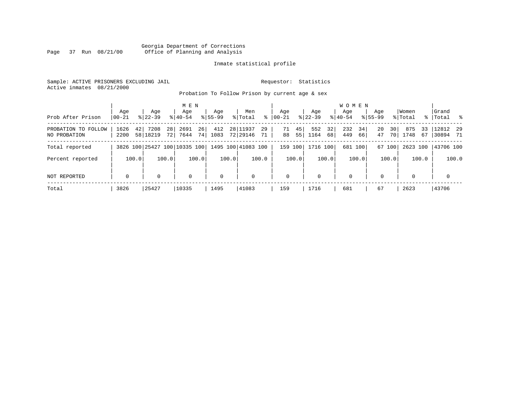#### Georgia Department of Corrections Page 37 Run 08/21/00 Office of Planning and Analysis

#### Inmate statistical profile

Sample: ACTIVE PRISONERS EXCLUDING JAIL **Requestor:** Statistics Active inmates 08/21/2000

Probation To Follow Prison by current age & sex

| Prob After Prison                   | Aqe<br>$ 00-21 $ |       | Age<br>$8122 - 39$           |          | M E N<br>Age<br>$8140 - 54$ |          | Age<br>$8155 - 99$ |       | Men<br>% Total       | ွေ         | Aqe<br>$ 00 - 21$ |          | Aqe<br>$ 22-39 $ |          | W O M E N<br>Aqe<br>$8140 - 54$ |          | Aqe<br>$8155 - 99$ |          | Women<br>% Total |          | Grand<br>%   Total %   |       |
|-------------------------------------|------------------|-------|------------------------------|----------|-----------------------------|----------|--------------------|-------|----------------------|------------|-------------------|----------|------------------|----------|---------------------------------|----------|--------------------|----------|------------------|----------|------------------------|-------|
| PROBATION TO FOLLOW<br>NO PROBATION | 1626<br>2200     | 42    | 7208<br>58 18219             | 28<br>72 | 2691<br>7644                | 26<br>74 | 412<br>1083        |       | 28 11937<br>72 29146 | 29<br>71 . | 71<br>88          | 45<br>55 | 552<br>1164      | 32<br>68 | 232<br>449                      | 34<br>66 | 20<br>47           | 30<br>70 | 875<br>1748      | 33<br>67 | $12812$ 29<br>30894 71 |       |
| Total reported                      |                  |       | 3826 100 25427 100 10335 100 |          |                             |          |                    |       | 1495 100 41083 100   |            | 159 100           |          | 1716 100         |          |                                 | 681 100  |                    | 67 100   | 2623 100         |          | 43706 100              |       |
| Percent reported                    |                  | 100.0 |                              | 100.0    |                             | 100.0    |                    | 100.0 |                      | 100.0      |                   | 100.0    |                  | 100.0    |                                 | 100.0    |                    | 100.0    |                  | 100.0    |                        | 100.0 |
| NOT REPORTED                        | $\mathbf 0$      |       | $\Omega$                     |          | 0                           |          | $\mathbf 0$        |       | $\mathbf 0$          |            | $\mathbf 0$       |          | $\mathbf{0}$     |          | $\mathbf 0$                     |          | $\Omega$           |          | $\Omega$         |          | $\mathbf 0$            |       |
| Total                               | 3826             |       | 25427                        |          | 10335                       |          | 1495               |       | 41083                |            | 159               |          | 1716             |          | 681                             |          | 67                 |          | 2623             |          | 43706                  |       |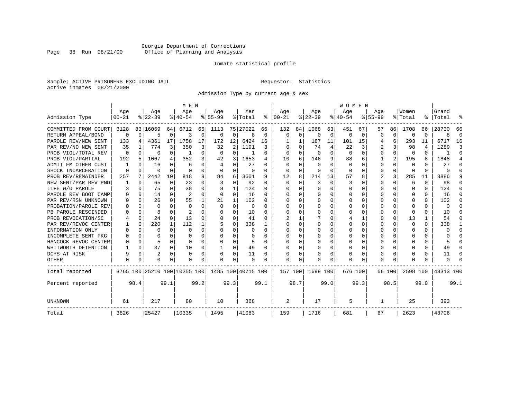#### Georgia Department of Corrections Page 38 Run 08/21/00 Office of Planning and Analysis

#### Inmate statistical profile

Sample: ACTIVE PRISONERS EXCLUDING JAIL **Requestor:** Statistics Active inmates 08/21/2000

Admission Type by current age & sex

|                      |           |              |           |             | M E N                        |          |           |                |                    |          |          |          |           |          | <b>WOMEN</b> |          |           |          |          |          |           |                |
|----------------------|-----------|--------------|-----------|-------------|------------------------------|----------|-----------|----------------|--------------------|----------|----------|----------|-----------|----------|--------------|----------|-----------|----------|----------|----------|-----------|----------------|
|                      | Age       |              | Age       |             | Age                          |          | Age       |                | Men                |          | Age      |          | Age       |          | Age          |          | Age       |          | Women    |          | Grand     |                |
| Admission Type       | $00 - 21$ |              | $8 22-39$ |             | $8 40-54$                    |          | $8 55-99$ |                | % Total            | ៖        | $ 00-21$ |          | $ 22-39 $ |          | $ 40-54$     |          | $8 55-99$ |          | % Total  |          | %   Total |                |
| COMMITTED FROM COURT | 3128      |              | 83 16069  | 64          | 6712                         | 65       | 1113      |                | 75 27022           | 66       | 132      | 84       | 1068      | 63       | 451          | 67       | 57        | 86       | 1708     | 66       | 28730     | 66             |
| RETURN APPEAL/BOND   | $\Omega$  | $\Omega$     | 5         | 0           | 3                            | $\Omega$ | 0         | 0              | R                  | $\Omega$ | $\Omega$ | $\Omega$ | $\Omega$  | $\Omega$ | U            | $\Omega$ | U         | $\Omega$ | $\Omega$ | $\Omega$ |           | $\Omega$       |
| PAROLE REV/NEW SENT  | 133       | 4            | 4361      | 17          | 1758                         |          | 172       | 12             | 6424               | 16       |          |          | 187       | 11       | 101          | 15       | 4         | 6        | 293      | 11       | 6717      | 16             |
| PAR REV/NO NEW SENT  | 35        |              | 774       | ς           | 350                          | 3        | 32        | $\overline{2}$ | 1191               | 3        |          |          | 74        | 4        | 22           | 3        | 2         | 3        | 98       | 4        | 1289      | 3              |
| PROB VIOL/TOTAL REV  | $\Omega$  | 0            | 0         | $\Omega$    |                              |          | $\Omega$  | 0              |                    | O        | O        |          | $\Omega$  | U        | n            | $\Omega$ | 0         | $\Omega$ | $\Omega$ | 0        |           | $\Omega$       |
| PROB VIOL/PARTIAL    | 192       | 5            | 1067      | 4           | 352                          | 3        | 42        | 3              | 1653               | 4        | 10       | 6        | 146       | 9        | 38           | 6        |           | 2        | 195      | 8        | 1848      | $\overline{4}$ |
| ADMIT FM OTHER CUST  |           | <sup>0</sup> | 16        | $\Omega$    | 6                            | O        | 4         | 0              | 27                 | U        | O        | O        | 0         | U        | $\Omega$     | O        | U         | $\Omega$ | 0        | 0        | 27        | ∩              |
| SHOCK INCARCERATION  | $\Omega$  | 0            | U         | $\Omega$    | ∩                            | $\Omega$ | U         | 0              | $\Omega$           | U        | $\Omega$ | $\Omega$ | $\Omega$  | 0        | ∩            | U        | 0         | $\Omega$ | $\Omega$ | $\Omega$ |           | ∩              |
| PROB REV/REMAINDER   | 257       | 7            | 2442      | 10          | 818                          |          | 84        | 6              | 3601               | 9        | 12       | 8        | 214       | 13       | 57           | 8        | 2         | 3        | 285      | 11       | 3886      | 9              |
| NEW SENT/PAR REV PND |           | $\Omega$     | 65        | $\mathbf 0$ | 23                           | O        | 3         | 0              | 92                 | O        | $\Omega$ | $\Omega$ | 3         | $\Omega$ | 3            | O        | U         | $\Omega$ | 6        | $\Omega$ | 98        |                |
| LIFE W/O PAROLE      | 3         | 0            | 75        | $\Omega$    | 38                           | O        |           | 1              | 124                | O        |          | O        | O         | U        |              | O        | U         | 0        | $\Omega$ | O        | 124       |                |
| PAROLE REV BOOT CAMP |           | 0            | 14        | $\Omega$    | $\overline{2}$               | O        | O         | $\Omega$       | 16                 | O        |          |          | O         | U        |              | O        |           | 0        | $\Omega$ | O        | 16        |                |
| PAR REV/RSN UNKNOWN  |           | $\Omega$     | 26        | $\Omega$    | 55                           |          | 21        | $\mathbf{1}$   | 102                | O        |          | O        | O         | U        |              | O        | U         | 0        | $\Omega$ | 0        | 102       |                |
| PROBATION/PAROLE REV |           | O            | U         | $\Omega$    | $\Omega$                     | O        | O         | $\Omega$       | $\Omega$           | U        | O        | O        | O         | U        |              | U        |           | 0        | $\Omega$ | 0        | $\Omega$  |                |
| PB PAROLE RESCINDED  |           | O            | ጸ         | U           | $\mathcal{D}$                |          | O         | U              | 10                 | U        | ∩        |          | O         | U        |              | U        |           | $\Omega$ | $\Omega$ | 0        | 10        |                |
| PROB REVOCATION/SC   |           | $\Omega$     | 24        | $\Omega$    | 13                           | O        | O         | O              | 41                 | U        |          |          |           | U        |              |          | U         | 0        | 13       |          | 54        |                |
| PAR REV/REVOC CENTER |           | $\Omega$     | 220       | 1           | 112                          |          | 5         | O              | 338                |          |          |          |           | U        |              | $\Omega$ | U         | O        | $\cap$   | 0        | 338       |                |
| INFORMATION ONLY     |           | 0            | 0         | $\Omega$    | O                            |          |           | U              |                    |          |          |          |           | U        |              | $\Omega$ |           | 0        | $\Omega$ | O        |           |                |
| INCOMPLETE SENT PKG  |           | 0            | U         | U           |                              |          | U         | U              |                    |          | ∩        |          |           | U        |              | O        | U         | 0        | 0        | 0        |           |                |
| HANCOCK REVOC CENTER | $\left($  | $\Omega$     | 5         | $\Omega$    | ∩                            | O        | U         | O              | 5                  | U        | ∩        | O        | O         | U        |              | $\Omega$ | U         | 0        | 0        | 0        |           | n              |
| WHITWORTH DETENTION  |           | $\Omega$     | 37        | $\Omega$    | 10                           | $\Omega$ | -1        | 0              | 49                 | $\Omega$ | ∩        | $\Omega$ | O         | U        | U            | $\Omega$ | U         | $\Omega$ | $\Omega$ | 0        | 49        | n              |
| DCYS AT RISK         | 9         | $\Omega$     | 2         | $\Omega$    | $\Omega$                     | 0        | 0         | 0              | 11                 | 0        | 0        | $\Omega$ |           | 0        | O            | $\Omega$ | 0         | 0        | 0        | 0        | 11        | ∩              |
| <b>OTHER</b>         | $\Omega$  | 0            | O         | $\Omega$    | $\Omega$                     | 0        | O         | $\Omega$       | $\Omega$           |          | $\Omega$ | $\Omega$ |           | 0        | $\cap$       | 0        | U         | 0        | C        | N        |           |                |
| Total reported       |           |              |           |             | 3765 100 25210 100 10255 100 |          |           |                | 1485 100 40715 100 |          | 157 100  |          | 1699 100  |          | 676 100      |          |           | 66 100   | 2598 100 |          | 43313 100 |                |
| Percent reported     |           | 98.4         |           | 99.1        |                              | 99.2     |           | 99.3           |                    | 99.1     |          | 98.7     |           | 99.0     |              | 99.3     |           | 98.5     |          | 99.0     |           | 99.1           |
| UNKNOWN              | 61        |              | 217       |             | 80                           |          | 10        |                | 368                |          | 2        |          | 17        |          | 5            |          | 1         |          | 25       |          | 393       |                |
| Total                | 3826      |              | 25427     |             | 10335                        |          | 1495      |                | 41083              |          | 159      |          | 1716      |          | 681          |          | 67        |          | 2623     |          | 43706     |                |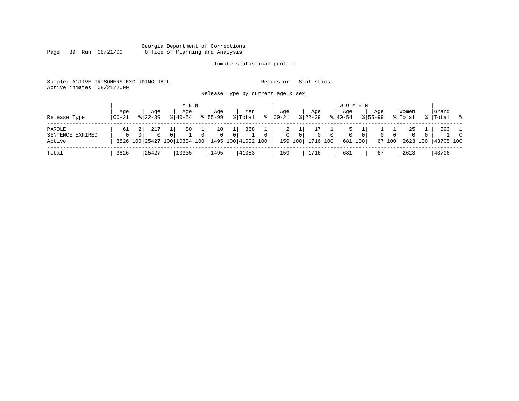#### Georgia Department of Corrections Page 39 Run 08/21/00 Office of Planning and Analysis

#### Inmate statistical profile

| Sample: ACTIVE PRISONERS EXCLUDING JAIL<br>Active inmates | 08/21/2000     |                         |                              |                    | Release Type by current age & sex |          | Requestor:        | Statistics                     |                |                                |                    |                         |                    |          |
|-----------------------------------------------------------|----------------|-------------------------|------------------------------|--------------------|-----------------------------------|----------|-------------------|--------------------------------|----------------|--------------------------------|--------------------|-------------------------|--------------------|----------|
| Release Type                                              | Aqe<br>  00-21 | Aqe<br>$8122 - 39$      | M E N<br>Age<br>$8 40-54$    | Age<br>$8155 - 99$ | Men<br>% Total                    | ႜ        | Aqe<br>$ 00 - 21$ | Age<br>$8 \mid 22 - 39$        | $ 40-54$       | <b>WOMEN</b><br>Aqe            | Aqe<br>$8155 - 99$ | Women<br>% Total        | Grand<br>%   Total | - 8      |
|                                                           |                |                         |                              |                    |                                   |          |                   |                                |                |                                |                    |                         |                    |          |
| PAROLE                                                    | 61             | 217                     | 80                           | 10                 | 368                               |          | 2                 | 17                             |                | 5                              |                    | 25                      | 393                |          |
| SENTENCE EXPIRED                                          |                | $\Omega$<br>$\mathbf 0$ | $\Omega$                     | $\mathbf 0$        | $\Omega$                          | $\Omega$ | $\mathbf 0$       | 0 <sup>1</sup><br>$\mathbf{0}$ | 0 <sup>1</sup> | $\mathbf{0}$<br>0 <sup>1</sup> | $\mathbf 0$        | $\mathbf 0$<br>$\Omega$ |                    | $\Omega$ |
| Active                                                    |                |                         | 3826 100 25427 100 10334 100 |                    | 1495 100 41082 100                |          | 159 100           | 1716 100                       |                | 681 100                        |                    | 67 100<br>2623 100      | 43705 100          |          |
| Total                                                     | 3826           | 25427                   | 10335                        | 1495               | 41083                             |          | 159               | 1716                           | 681            |                                | 67                 | 2623                    | 43706              |          |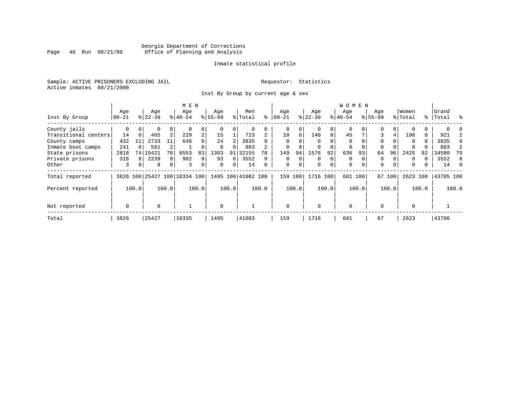#### Georgia Department of Corrections Page 40 Run 08/21/00 Office of Planning and Analysis

#### Inmate statistical profile

Sample: ACTIVE PRISONERS EXCLUDING JAIL **Requestor:** Statistics Active inmates 08/21/2000

Inst By Group by current age & sex

|                      |           |          |           |                | M E N                        |       |           |       |                    |                |             |                |             |             | WOMEN       |          |           |                |          |       |           |       |
|----------------------|-----------|----------|-----------|----------------|------------------------------|-------|-----------|-------|--------------------|----------------|-------------|----------------|-------------|-------------|-------------|----------|-----------|----------------|----------|-------|-----------|-------|
|                      | Age       |          | Age       |                | Age                          |       | Age       |       | Men                |                | Age         |                | Age         |             | Age         |          | Age       |                | Women    |       | Grand     |       |
| Inst By Group        | $00 - 21$ |          | $ 22-39 $ |                | $ 40-54 $                    |       | $8 55-99$ |       | % Total            | ⊱              | $00 - 21$   |                | $ 22-39$    |             | $ 40-54 $   |          | $8 55-99$ |                | % Total  |       | %   Total | ႜ     |
| County jails         | 0         | $\Omega$ | 0         | 0              | $\Omega$                     | 0     |           |       | 0                  |                | 0           | 0              |             | 0           | 0           |          | O         | $\Omega$       |          | Ü     |           |       |
| Transitional centers | 14        | $\Omega$ | 465       | $\overline{a}$ | 229                          | 2     | 15        |       | 723                | $\overline{2}$ | 10          | 6 <sup>1</sup> | 140         | 8           | 45          |          | 3         | 4              | 198      | 8     | 921       |       |
| County camps         | 432       | 11       | 2733      | 11             | 646                          | 6     | 24        |       | 3835               | 9              | $\Omega$    | U              | $\Omega$    |             | $\Omega$    |          | $\Omega$  |                | $\Omega$ | 0     | 3835      | 9     |
| Inmate boot camps    | 241       | 6        | 561       |                |                              |       |           |       | 803                |                |             |                |             |             | 0           |          |           |                |          |       | 803       |       |
| State prisons        | 2818      | 74 I     | 19421     | 76             | 8553                         | 83    | 1363      | 91    | 32155              | 78             | 149         | 94             | 1576        | 92          | 636         | 93       | 64        | 96             | 2425     | 92    | 34580     | 79    |
| Private prisons      | 318       | 8        | 2239      | 9              | 902                          | 9     | 93        | 6     | 3552               | 9              | $\mathbf 0$ | $\Omega$       | $\Omega$    | 0           | $\Omega$    |          | $\Omega$  |                | $\Omega$ |       | 3552      | 8     |
| Other                | 3         | 0        | 8         | 0 <sup>1</sup> | 3                            | 0     | $\Omega$  | 0     | 14                 |                | $\mathbf 0$ | $\mathbf 0$    | $\mathbf 0$ | $\mathbf 0$ | $\mathbf 0$ | $\Omega$ | 0         | $\overline{0}$ | 0        |       | 14        | 0     |
| Total reported       |           |          |           |                | 3826 100 25427 100 10334 100 |       |           |       | 1495 100 41082 100 |                | 159         | 100            | 1716 100    |             | 681 100     |          |           | 67 100         | 2623 100 |       | 43705 100 |       |
| Percent reported     |           | 100.0    |           | 100.0          |                              | 100.0 |           | 100.0 |                    | 100.0          |             | 100.0          |             | 100.0       |             | 100.0    |           | 100.0          |          | 100.0 |           | 100.0 |
| Not reported         | 0         |          | $\Omega$  |                |                              |       | $\Omega$  |       |                    |                | $\Omega$    |                | $\Omega$    |             | $\Omega$    |          | $\Omega$  |                | $\Omega$ |       |           |       |
|                      |           |          |           |                |                              |       |           |       |                    |                |             |                |             |             |             |          |           |                |          |       |           |       |
| Total                | 3826      |          | 25427     |                | 10335                        |       | 1495      |       | 41083              |                | 159         |                | 1716        |             | 681         |          | 67        |                | 2623     |       | 43706     |       |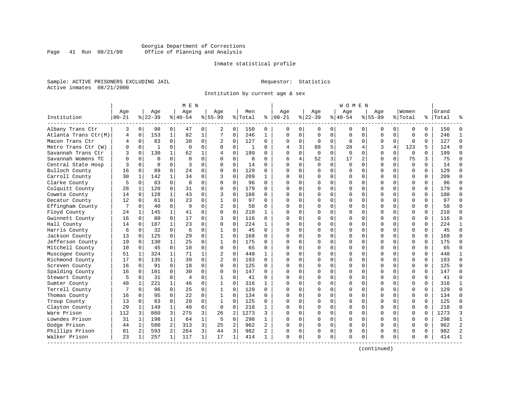#### Georgia Department of Corrections Page 41 Run 08/21/00 Office of Planning and Analysis

#### Inmate statistical profile

Sample: ACTIVE PRISONERS EXCLUDING JAIL **Requestor:** Statistics Active inmates 08/21/2000

Institution by current age & sex

| Age<br>Age<br>Men<br>Aqe<br>Aqe<br>Women<br>Grand<br>Age<br>Aqe<br>Age<br>Aqe<br>$ 22-39$<br>$8155 - 99$<br>Institution<br>$00 - 21$<br>$8 22-39$<br>$8 40-54$<br>$8155 - 99$<br>% Total<br>နွ<br>$ 00-21$<br>$ 40-54$<br>% Total<br>%   Total<br>Albany Trans Ctr<br>3<br>0<br>98<br>0<br>47<br>0<br>0<br>150<br>0<br>$\mathbf{0}$<br>0<br>0<br>150<br>2<br>$\Omega$<br>0<br>0<br>0<br>0<br>0<br>0<br>$\Omega$<br>153<br>$\mathbf{1}$<br>82<br>7<br>$\mathbf 0$<br>246<br>$\Omega$<br>246<br>Atlanta Trans Ctr(M)<br>$\mathbf 0$<br>$\mathbf{1}$<br>$\mathbf{1}$<br>$\Omega$<br>$\Omega$<br>$\mathbf 0$<br>$\mathbf 0$<br>$\Omega$<br>$\mathbf 0$<br>$\Omega$<br>$\mathbf 0$<br>$\Omega$<br>$\mathbf{1}$<br>4<br>$\mathbf 0$<br>83<br>$\Omega$<br>38<br>$\mathbf 0$<br>$\mathbf 0$<br>127<br>$\mathbf 0$<br>$\Omega$<br>127<br>$\Omega$<br>Macon Trans Ctr<br>4<br>2<br>$\Omega$<br>$\Omega$<br>$\mathbf{0}$<br>$\Omega$<br>$\Omega$<br>$\mathbf 0$<br>$\Omega$<br>$\Omega$<br>$\Omega$<br>5<br>$\mathbf 0$<br>$\Omega$<br>$\Omega$<br>$\mathbf 0$<br>$\mathbf 0$<br>3<br>3<br>4<br>123<br>124<br>$\Omega$<br>Metro Trans Ctr (W)<br>O<br>$\mathbf{1}$<br>$\Omega$<br>$\Omega$<br>88<br>28<br>4<br>5<br>-1<br>$\Omega$<br>130<br>$\mathbf{1}$<br>$\Omega$<br>199<br>$\Omega$<br>$\Omega$<br>$\Omega$<br>199<br>Savannah Trans Ctr<br>ζ<br>62<br>1<br>$\Omega$<br>$\cap$<br>0<br>$\Omega$<br>$\Omega$<br>$\Omega$<br>$\Omega$<br>$\Omega$<br>4<br>$\Omega$<br>52<br>3<br>$\Omega$<br>$\Omega$<br>$\Omega$<br>$\Omega$<br>4<br>2<br>$\Omega$<br>$\Omega$<br>75<br>3<br>75<br>Savannah Womens TC<br>$\Omega$<br>$\Omega$<br>$\Omega$<br>$\mathbf 0$<br>6<br>17<br>$\Omega$<br>U<br>0<br>$\mathbf 0$<br>8<br>$\mathbf 0$<br>3<br>0<br>$\Omega$<br>$\mathbf 0$<br>$\mathbf 0$<br>$\Omega$<br>Central State Hosp<br>0<br>$\Omega$<br>14<br>$\cap$<br>$\Omega$<br>$\mathbf 0$<br>$\Omega$<br>$\mathbf 0$<br>14<br>$\Omega$<br>0<br>0<br>Bulloch County<br>16<br>89<br>$\Omega$<br>24<br>$\Omega$<br>129<br>0<br>$\Omega$<br>$\Omega$<br>$\Omega$<br>$\Omega$<br>129<br>$\Omega$<br>$\Omega$<br>$\Omega$<br>$\Omega$<br>$\Omega$<br>$\cap$<br>0<br>$\Omega$<br>$\Omega$<br>$\Omega$<br>Carroll County<br>30<br>142<br>$\mathbf{1}$<br>34<br>$\Omega$<br>209<br>$\Omega$<br>209<br>1<br>0<br>3<br>$\mathbf{1}$<br>$\cap$<br>0<br>$\Omega$<br>0<br>$\Omega$<br>$\Omega$<br>$\Omega$<br>$\Omega$<br>$\Omega$<br>$\Omega$<br>$\mathbf 0$<br>8<br>0<br>0<br>$\Omega$<br>96<br>Clarke County<br>5<br>0<br>83<br>$\Omega$<br>$\Omega$<br>96<br>$\Omega$<br>$\Omega$<br>$\Omega$<br>0<br>$\Omega$<br>$\Omega$<br>$\Omega$<br>$\Omega$<br>C<br>120<br>$\Omega$<br>$\Omega$<br>$\Omega$<br>$\Omega$<br>$\Omega$<br>179<br>Colquitt County<br>28<br>1<br>31<br>$\Omega$<br>$\Omega$<br>179<br>$\Omega$<br>0<br>$\Omega$<br>$\Omega$<br>$\Omega$<br>$\Omega$<br>$\Omega$<br>$\Omega$<br>∩<br>43<br>$\Omega$<br>128<br>$\mathbf{1}$<br>$\Omega$<br>188<br>$\Omega$<br>$\Omega$<br>$\Omega$<br>$\Omega$<br>188<br>Coweta County<br>14<br>$\mathbf 0$<br>3<br>$\Omega$<br>$\Omega$<br>$\Omega$<br>$\Omega$<br>$\Omega$<br><sup>0</sup><br>$\Omega$<br>$\Omega$<br>$\Omega$<br>12<br>61<br>23<br>$\mathbf 0$<br>$\mathbf{1}$<br>$\mathbf 0$<br>97<br>$\Omega$<br>0<br>$\mathbf 0$<br>$\mathbf 0$<br>97<br>$\Omega$<br>Decatur County<br>$\mathbf 0$<br>$\Omega$<br>$\Omega$<br>0<br>$\Omega$<br>0<br>$\Omega$<br>$\Omega$<br>9<br>$\overline{c}$<br>$\mathbf 0$<br>58<br>58<br>$\Omega$<br>Effingham County<br>7<br>$\Omega$<br>40<br>$\Omega$<br>$\Omega$<br>$\Omega$<br>$\Omega$<br>O<br>$\Omega$<br>0<br>$\Omega$<br>$\Omega$<br>$\Omega$<br>$\Omega$<br>U<br>Floyd County<br>145<br>$\mathbf 1$<br>41<br>0<br>$\Omega$<br>0<br>210<br>$\Omega$<br>0<br>$\Omega$<br>$\Omega$<br>210<br>$\Omega$<br>24<br>1<br>1<br>∩<br>$\Omega$<br>$\Omega$<br>0<br>0<br>0<br>$\mathbf 0$<br>Gwinnett County<br>16<br>80<br>0<br>17<br>0<br>0<br>$\Omega$<br>$\Omega$<br>116<br>$\Omega$<br>0<br>3<br>116<br>$\Omega$<br>$\Omega$<br>$\Omega$<br>$\Omega$<br>0<br>$\Omega$<br>$\mathbf 0$<br>2.2.4<br>187<br>$\mathbf{1}$<br>23<br>$\Omega$<br>$\Omega$<br>$\Omega$<br>224<br>$\Omega$<br>0<br>$\Omega$<br>$\Omega$<br>$\Omega$<br>Hall County<br>14<br>$\Omega$<br>$\mathbf{1}$<br>$\Omega$<br>$\Omega$<br>$\Omega$<br>$\Omega$<br>$\mathbf{1}$<br>∩<br>$\Omega$<br>$\Omega$<br>0<br>$\Omega$<br>32<br>6<br>$\Omega$<br>45<br>$\Omega$<br>$\Omega$<br>$\Omega$<br>$\Omega$<br>$\Omega$<br>$\Omega$<br>45<br>Harris County<br>6<br>$\Omega$<br>$\mathbf{1}$<br>$\Omega$<br>$\Omega$<br>$\Omega$<br>$\Omega$<br>125<br>29<br>$\Omega$<br>$\mathbf 1$<br>$\mathbf 0$<br>168<br>$\Omega$<br>0<br>$\mathbf 0$<br>$\Omega$<br>$\Omega$<br>$\mathbf 0$<br>$\Omega$<br>168<br>$\Omega$<br>Jackson County<br>13<br>0<br>$\Omega$<br>O<br>175<br>130<br>$\mathbf{1}$<br>25<br>$\Omega$<br>$\mathbf{1}$<br>$\Omega$<br>175<br>$\Omega$<br>Jefferson County<br>19<br>$\Omega$<br>$\Omega$<br>$\Omega$<br>$\Omega$<br>$\Omega$<br>0<br>$\Omega$<br>$\Omega$<br>$\Omega$<br>$\Omega$<br>$\Omega$<br>U<br>$\Omega$<br>$\mathbf 0$<br>0<br>65<br>Mitchell County<br>10<br>45<br>10<br>0<br>$\Omega$<br>65<br>0<br>0<br>$\Omega$<br>$\Omega$<br>$\Omega$<br>$\Omega$<br>$\Omega$<br>0<br>0<br><sup>0</sup><br>$\Omega$<br>$\Omega$<br>324<br>$\mathbf{1}$<br>$\mathbf 0$<br>0<br>448<br>Muscogee County<br>51<br>71<br>1<br>2<br>448<br>$\Omega$<br>$\Omega$<br>$\mathbf 0$<br>$\Omega$<br>1<br>1<br>$\Omega$<br>O<br>0<br>0<br>$\overline{2}$<br>$\mathbf 0$<br>$\Omega$<br>Richmond County<br>17<br>135<br>$\mathbf{1}$<br>39<br>$\Omega$<br>193<br>0<br>$\Omega$<br>$\Omega$<br>$\Omega$<br>$\Omega$<br>$\Omega$<br>193<br>$\Omega$<br>$\mathbf 0$<br>$\Omega$<br>$\cap$<br>$\Omega$<br>0<br>$\mathbf 0$<br>$\Omega$<br>$\mathbf 0$<br>125<br>16<br>91<br>$\Omega$<br>18<br>0<br>0<br>125<br>0<br>$\Omega$<br>$\Omega$<br>$\mathbf 0$<br>$\Omega$<br>$\Omega$<br>Screven County<br>0<br>0<br>$\Omega$<br>$\Omega$<br>$\Omega$<br>30<br>$\mathbf 0$<br>Spalding County<br>$\mathbf 0$<br>101<br>$\mathbf 0$<br>$\mathbf 0$<br>$\Omega$<br>147<br>$\Omega$<br>$\Omega$<br>$\Omega$<br>$\Omega$<br>0<br>$\mathbf 0$<br>$\Omega$<br>0<br>$\mathbf 0$<br>$\Omega$<br>147<br>$\Omega$<br>16<br>31<br>$\Omega$<br>$\overline{4}$<br>$\Omega$<br>41<br>$\Omega$<br>$\Omega$<br>41<br>$\Omega$<br>Stewart County<br>5<br>$\Omega$<br>$\Omega$<br>$\mathbf{1}$<br>$\Omega$<br>$\Omega$<br>$\Omega$<br>$\Omega$<br>0<br>$\Omega$<br>$\Omega$<br>$\Omega$<br>$\Omega$<br>221<br>$\mathbf{1}$<br>$\Omega$<br>$\Omega$<br>0<br>316<br>Sumter County<br>48<br>1<br>46<br>$\mathbf{1}$<br>316<br>$\cap$<br>0<br>$\Omega$<br>0<br>$\Omega$<br>$\Omega$<br>$\Omega$<br>$\Omega$<br>$\mathbf{1}$<br>1<br>$\Omega$<br>Terrell County<br>$\mathbf 0$<br>129<br>129<br>96<br>$\Omega$<br>25<br>0<br>1<br>$\Omega$<br>$\Omega$<br>O<br>$\mathbf 0$<br>$\Omega$<br>$\Omega$<br>$\Omega$<br>$\Omega$<br>$\Omega$<br>0<br>$\Omega$<br>C<br>$\Omega$<br>22<br>0<br>134<br>Thomas County<br>95<br>$\Omega$<br>1<br>$\Omega$<br>134<br>$\cap$<br>$\Omega$<br>$\Omega$<br>$\Omega$<br>$\Omega$<br>$\Omega$<br>$\Omega$<br>16<br>$\Omega$<br>0<br>∩<br>$\Omega$<br>$\Omega$<br>$\mathbf 0$<br>$\mathbf 0$<br>125<br>$\Omega$<br>0<br>125<br>Troup County<br>13<br>83<br>28<br>0<br>$\Omega$<br>0<br>$\Omega$<br>$\Omega$<br>$\mathbf 0$<br>$\Omega$<br>$\Omega$<br>0<br>1<br>0<br>$\Omega$<br>$\mathbf{1}$<br>40<br>$\mathbf 0$<br>$\Omega$<br>$\mathbf 0$<br>$\mathbf 0$<br>218<br>Clayton County<br>29<br>$\mathbf 1$<br>149<br>218<br>1<br>$\Omega$<br>0<br>0<br>0<br>$\Omega$<br>$\Omega$<br>$\Omega$<br>$\Omega$<br>112<br>3<br>275<br>3<br>2<br>1273<br>1273<br>Ware Prison<br>3<br>860<br>26<br>0<br>0<br>$\Omega$<br>$\mathbf 0$<br>3<br>3<br>$\cap$<br>$\Omega$<br>$\Omega$<br>0<br>$\Omega$<br>$\Omega$<br>Lowndes Prison<br>198<br>$\mathbf{1}$<br>$\mathbf 1$<br>5<br>$\mathbf 0$<br>298<br>$\Omega$<br>$\Omega$<br>298<br>31<br>$\mathbf 1$<br>64<br>$\Omega$<br>0<br>$\Omega$<br>$\Omega$<br>$\Omega$<br>$\mathbf{1}$<br>1<br>∩<br>$\Omega$<br>$\Omega$<br>$\overline{2}$<br>Dodge Prison<br>580<br>2<br>3<br>25<br>2<br>962<br>2<br>$\Omega$<br>$\Omega$<br>962<br>44<br>1<br>313<br>$\Omega$<br>$\Omega$<br>$\Omega$<br>0<br>$\Omega$<br>$\Omega$<br>$\Omega$<br>∩<br>Phillips Prison<br>593<br>2<br>3<br>3<br>982<br>982<br>$\mathcal{D}$<br>2<br>264<br>44<br>2<br>0<br>0<br>0<br>$\mathbf 0$<br>$\Omega$<br>$\Omega$<br>$\Omega$<br>$\Omega$<br>81<br><sup>0</sup><br>$\Omega$<br>$\mathbf 1$<br>$\mathbf 1$<br>0<br>Walker Prison<br>23<br>257<br>$\mathbf 1$<br>117<br>17<br>414<br>$\Omega$<br>0<br>$\Omega$<br>$\mathbf 0$<br>$\Omega$<br>0<br>$\Omega$<br>0<br>414<br>1<br>1<br>$\Omega$ |  |  | M E N |  |  |  |  | W O M E N |  |  |  |  |
|-----------------------------------------------------------------------------------------------------------------------------------------------------------------------------------------------------------------------------------------------------------------------------------------------------------------------------------------------------------------------------------------------------------------------------------------------------------------------------------------------------------------------------------------------------------------------------------------------------------------------------------------------------------------------------------------------------------------------------------------------------------------------------------------------------------------------------------------------------------------------------------------------------------------------------------------------------------------------------------------------------------------------------------------------------------------------------------------------------------------------------------------------------------------------------------------------------------------------------------------------------------------------------------------------------------------------------------------------------------------------------------------------------------------------------------------------------------------------------------------------------------------------------------------------------------------------------------------------------------------------------------------------------------------------------------------------------------------------------------------------------------------------------------------------------------------------------------------------------------------------------------------------------------------------------------------------------------------------------------------------------------------------------------------------------------------------------------------------------------------------------------------------------------------------------------------------------------------------------------------------------------------------------------------------------------------------------------------------------------------------------------------------------------------------------------------------------------------------------------------------------------------------------------------------------------------------------------------------------------------------------------------------------------------------------------------------------------------------------------------------------------------------------------------------------------------------------------------------------------------------------------------------------------------------------------------------------------------------------------------------------------------------------------------------------------------------------------------------------------------------------------------------------------------------------------------------------------------------------------------------------------------------------------------------------------------------------------------------------------------------------------------------------------------------------------------------------------------------------------------------------------------------------------------------------------------------------------------------------------------------------------------------------------------------------------------------------------------------------------------------------------------------------------------------------------------------------------------------------------------------------------------------------------------------------------------------------------------------------------------------------------------------------------------------------------------------------------------------------------------------------------------------------------------------------------------------------------------------------------------------------------------------------------------------------------------------------------------------------------------------------------------------------------------------------------------------------------------------------------------------------------------------------------------------------------------------------------------------------------------------------------------------------------------------------------------------------------------------------------------------------------------------------------------------------------------------------------------------------------------------------------------------------------------------------------------------------------------------------------------------------------------------------------------------------------------------------------------------------------------------------------------------------------------------------------------------------------------------------------------------------------------------------------------------------------------------------------------------------------------------------------------------------------------------------------------------------------------------------------------------------------------------------------------------------------------------------------------------------------------------------------------------------------------------------------------------------------------------------------------------------------------------------------------------------------------------------------------------------------------------------------------------------------------------------------------------------------------------------------------------------------------------------------------------------------------------------------------------------------------------------------------------------------------------------------------------------------------------------------------------------------------------------------------------------------------------------------------------------------------------------------------------------------------------------------------------------------------------------------------------------------------------------------------------------------------------------------------------------------------------------------------------------------------------------------------------------------------------------------------------------------------------------------------------------------------------------------------------------------------------------------------------------------------------------------------------------------------------------------------------------------------------------------------------------------------------------------------------------------------------------------------------------------------------------------------------------------------------------------------------------------------------------------------------------------------------------------------------------------------------------------------------------------------------------------------------------------------------------------------------------------------------------------------------------------------------------------------------------------------------------------------------------------------------------------------------------------------------------------------------------------------------------------------------------------------------------------------------------------------------------------------------------------------------------------------------------------------------------------------------------------------------------------------------------------------------------------------------------------------------------------------------------------------------------------------------------------------------------------------------------------------------------------------------------------------------------------------------------------------------------------------------------------------------------------------------------------------------------------------------------------------------------------------------------------------------------------------------------------------------------------------------------------------------------------------------------------------------------------|--|--|-------|--|--|--|--|-----------|--|--|--|--|
|                                                                                                                                                                                                                                                                                                                                                                                                                                                                                                                                                                                                                                                                                                                                                                                                                                                                                                                                                                                                                                                                                                                                                                                                                                                                                                                                                                                                                                                                                                                                                                                                                                                                                                                                                                                                                                                                                                                                                                                                                                                                                                                                                                                                                                                                                                                                                                                                                                                                                                                                                                                                                                                                                                                                                                                                                                                                                                                                                                                                                                                                                                                                                                                                                                                                                                                                                                                                                                                                                                                                                                                                                                                                                                                                                                                                                                                                                                                                                                                                                                                                                                                                                                                                                                                                                                                                                                                                                                                                                                                                                                                                                                                                                                                                                                                                                                                                                                                                                                                                                                                                                                                                                                                                                                                                                                                                                                                                                                                                                                                                                                                                                                                                                                                                                                                                                                                                                                                                                                                                                                                                                                                                                                                                                                                                                                                                                                                                                                                                                                                                                                                                                                                                                                                                                                                                                                                                                                                                                                                                                                                                                                                                                                                                                                                                                                                                                                                                                                                                                                                                                                                                                                                                                                                                                                                                                                                                                                                                                                                                                                                                                                                                                                                                                                                                                                                                                                                                                                                                                                                                                                                                                                                                                                                                   |  |  |       |  |  |  |  |           |  |  |  |  |
|                                                                                                                                                                                                                                                                                                                                                                                                                                                                                                                                                                                                                                                                                                                                                                                                                                                                                                                                                                                                                                                                                                                                                                                                                                                                                                                                                                                                                                                                                                                                                                                                                                                                                                                                                                                                                                                                                                                                                                                                                                                                                                                                                                                                                                                                                                                                                                                                                                                                                                                                                                                                                                                                                                                                                                                                                                                                                                                                                                                                                                                                                                                                                                                                                                                                                                                                                                                                                                                                                                                                                                                                                                                                                                                                                                                                                                                                                                                                                                                                                                                                                                                                                                                                                                                                                                                                                                                                                                                                                                                                                                                                                                                                                                                                                                                                                                                                                                                                                                                                                                                                                                                                                                                                                                                                                                                                                                                                                                                                                                                                                                                                                                                                                                                                                                                                                                                                                                                                                                                                                                                                                                                                                                                                                                                                                                                                                                                                                                                                                                                                                                                                                                                                                                                                                                                                                                                                                                                                                                                                                                                                                                                                                                                                                                                                                                                                                                                                                                                                                                                                                                                                                                                                                                                                                                                                                                                                                                                                                                                                                                                                                                                                                                                                                                                                                                                                                                                                                                                                                                                                                                                                                                                                                                                                   |  |  |       |  |  |  |  |           |  |  |  |  |
|                                                                                                                                                                                                                                                                                                                                                                                                                                                                                                                                                                                                                                                                                                                                                                                                                                                                                                                                                                                                                                                                                                                                                                                                                                                                                                                                                                                                                                                                                                                                                                                                                                                                                                                                                                                                                                                                                                                                                                                                                                                                                                                                                                                                                                                                                                                                                                                                                                                                                                                                                                                                                                                                                                                                                                                                                                                                                                                                                                                                                                                                                                                                                                                                                                                                                                                                                                                                                                                                                                                                                                                                                                                                                                                                                                                                                                                                                                                                                                                                                                                                                                                                                                                                                                                                                                                                                                                                                                                                                                                                                                                                                                                                                                                                                                                                                                                                                                                                                                                                                                                                                                                                                                                                                                                                                                                                                                                                                                                                                                                                                                                                                                                                                                                                                                                                                                                                                                                                                                                                                                                                                                                                                                                                                                                                                                                                                                                                                                                                                                                                                                                                                                                                                                                                                                                                                                                                                                                                                                                                                                                                                                                                                                                                                                                                                                                                                                                                                                                                                                                                                                                                                                                                                                                                                                                                                                                                                                                                                                                                                                                                                                                                                                                                                                                                                                                                                                                                                                                                                                                                                                                                                                                                                                                                   |  |  |       |  |  |  |  |           |  |  |  |  |
|                                                                                                                                                                                                                                                                                                                                                                                                                                                                                                                                                                                                                                                                                                                                                                                                                                                                                                                                                                                                                                                                                                                                                                                                                                                                                                                                                                                                                                                                                                                                                                                                                                                                                                                                                                                                                                                                                                                                                                                                                                                                                                                                                                                                                                                                                                                                                                                                                                                                                                                                                                                                                                                                                                                                                                                                                                                                                                                                                                                                                                                                                                                                                                                                                                                                                                                                                                                                                                                                                                                                                                                                                                                                                                                                                                                                                                                                                                                                                                                                                                                                                                                                                                                                                                                                                                                                                                                                                                                                                                                                                                                                                                                                                                                                                                                                                                                                                                                                                                                                                                                                                                                                                                                                                                                                                                                                                                                                                                                                                                                                                                                                                                                                                                                                                                                                                                                                                                                                                                                                                                                                                                                                                                                                                                                                                                                                                                                                                                                                                                                                                                                                                                                                                                                                                                                                                                                                                                                                                                                                                                                                                                                                                                                                                                                                                                                                                                                                                                                                                                                                                                                                                                                                                                                                                                                                                                                                                                                                                                                                                                                                                                                                                                                                                                                                                                                                                                                                                                                                                                                                                                                                                                                                                                                                   |  |  |       |  |  |  |  |           |  |  |  |  |
|                                                                                                                                                                                                                                                                                                                                                                                                                                                                                                                                                                                                                                                                                                                                                                                                                                                                                                                                                                                                                                                                                                                                                                                                                                                                                                                                                                                                                                                                                                                                                                                                                                                                                                                                                                                                                                                                                                                                                                                                                                                                                                                                                                                                                                                                                                                                                                                                                                                                                                                                                                                                                                                                                                                                                                                                                                                                                                                                                                                                                                                                                                                                                                                                                                                                                                                                                                                                                                                                                                                                                                                                                                                                                                                                                                                                                                                                                                                                                                                                                                                                                                                                                                                                                                                                                                                                                                                                                                                                                                                                                                                                                                                                                                                                                                                                                                                                                                                                                                                                                                                                                                                                                                                                                                                                                                                                                                                                                                                                                                                                                                                                                                                                                                                                                                                                                                                                                                                                                                                                                                                                                                                                                                                                                                                                                                                                                                                                                                                                                                                                                                                                                                                                                                                                                                                                                                                                                                                                                                                                                                                                                                                                                                                                                                                                                                                                                                                                                                                                                                                                                                                                                                                                                                                                                                                                                                                                                                                                                                                                                                                                                                                                                                                                                                                                                                                                                                                                                                                                                                                                                                                                                                                                                                                                   |  |  |       |  |  |  |  |           |  |  |  |  |
|                                                                                                                                                                                                                                                                                                                                                                                                                                                                                                                                                                                                                                                                                                                                                                                                                                                                                                                                                                                                                                                                                                                                                                                                                                                                                                                                                                                                                                                                                                                                                                                                                                                                                                                                                                                                                                                                                                                                                                                                                                                                                                                                                                                                                                                                                                                                                                                                                                                                                                                                                                                                                                                                                                                                                                                                                                                                                                                                                                                                                                                                                                                                                                                                                                                                                                                                                                                                                                                                                                                                                                                                                                                                                                                                                                                                                                                                                                                                                                                                                                                                                                                                                                                                                                                                                                                                                                                                                                                                                                                                                                                                                                                                                                                                                                                                                                                                                                                                                                                                                                                                                                                                                                                                                                                                                                                                                                                                                                                                                                                                                                                                                                                                                                                                                                                                                                                                                                                                                                                                                                                                                                                                                                                                                                                                                                                                                                                                                                                                                                                                                                                                                                                                                                                                                                                                                                                                                                                                                                                                                                                                                                                                                                                                                                                                                                                                                                                                                                                                                                                                                                                                                                                                                                                                                                                                                                                                                                                                                                                                                                                                                                                                                                                                                                                                                                                                                                                                                                                                                                                                                                                                                                                                                                                                   |  |  |       |  |  |  |  |           |  |  |  |  |
|                                                                                                                                                                                                                                                                                                                                                                                                                                                                                                                                                                                                                                                                                                                                                                                                                                                                                                                                                                                                                                                                                                                                                                                                                                                                                                                                                                                                                                                                                                                                                                                                                                                                                                                                                                                                                                                                                                                                                                                                                                                                                                                                                                                                                                                                                                                                                                                                                                                                                                                                                                                                                                                                                                                                                                                                                                                                                                                                                                                                                                                                                                                                                                                                                                                                                                                                                                                                                                                                                                                                                                                                                                                                                                                                                                                                                                                                                                                                                                                                                                                                                                                                                                                                                                                                                                                                                                                                                                                                                                                                                                                                                                                                                                                                                                                                                                                                                                                                                                                                                                                                                                                                                                                                                                                                                                                                                                                                                                                                                                                                                                                                                                                                                                                                                                                                                                                                                                                                                                                                                                                                                                                                                                                                                                                                                                                                                                                                                                                                                                                                                                                                                                                                                                                                                                                                                                                                                                                                                                                                                                                                                                                                                                                                                                                                                                                                                                                                                                                                                                                                                                                                                                                                                                                                                                                                                                                                                                                                                                                                                                                                                                                                                                                                                                                                                                                                                                                                                                                                                                                                                                                                                                                                                                                                   |  |  |       |  |  |  |  |           |  |  |  |  |
|                                                                                                                                                                                                                                                                                                                                                                                                                                                                                                                                                                                                                                                                                                                                                                                                                                                                                                                                                                                                                                                                                                                                                                                                                                                                                                                                                                                                                                                                                                                                                                                                                                                                                                                                                                                                                                                                                                                                                                                                                                                                                                                                                                                                                                                                                                                                                                                                                                                                                                                                                                                                                                                                                                                                                                                                                                                                                                                                                                                                                                                                                                                                                                                                                                                                                                                                                                                                                                                                                                                                                                                                                                                                                                                                                                                                                                                                                                                                                                                                                                                                                                                                                                                                                                                                                                                                                                                                                                                                                                                                                                                                                                                                                                                                                                                                                                                                                                                                                                                                                                                                                                                                                                                                                                                                                                                                                                                                                                                                                                                                                                                                                                                                                                                                                                                                                                                                                                                                                                                                                                                                                                                                                                                                                                                                                                                                                                                                                                                                                                                                                                                                                                                                                                                                                                                                                                                                                                                                                                                                                                                                                                                                                                                                                                                                                                                                                                                                                                                                                                                                                                                                                                                                                                                                                                                                                                                                                                                                                                                                                                                                                                                                                                                                                                                                                                                                                                                                                                                                                                                                                                                                                                                                                                                                   |  |  |       |  |  |  |  |           |  |  |  |  |
|                                                                                                                                                                                                                                                                                                                                                                                                                                                                                                                                                                                                                                                                                                                                                                                                                                                                                                                                                                                                                                                                                                                                                                                                                                                                                                                                                                                                                                                                                                                                                                                                                                                                                                                                                                                                                                                                                                                                                                                                                                                                                                                                                                                                                                                                                                                                                                                                                                                                                                                                                                                                                                                                                                                                                                                                                                                                                                                                                                                                                                                                                                                                                                                                                                                                                                                                                                                                                                                                                                                                                                                                                                                                                                                                                                                                                                                                                                                                                                                                                                                                                                                                                                                                                                                                                                                                                                                                                                                                                                                                                                                                                                                                                                                                                                                                                                                                                                                                                                                                                                                                                                                                                                                                                                                                                                                                                                                                                                                                                                                                                                                                                                                                                                                                                                                                                                                                                                                                                                                                                                                                                                                                                                                                                                                                                                                                                                                                                                                                                                                                                                                                                                                                                                                                                                                                                                                                                                                                                                                                                                                                                                                                                                                                                                                                                                                                                                                                                                                                                                                                                                                                                                                                                                                                                                                                                                                                                                                                                                                                                                                                                                                                                                                                                                                                                                                                                                                                                                                                                                                                                                                                                                                                                                                                   |  |  |       |  |  |  |  |           |  |  |  |  |
|                                                                                                                                                                                                                                                                                                                                                                                                                                                                                                                                                                                                                                                                                                                                                                                                                                                                                                                                                                                                                                                                                                                                                                                                                                                                                                                                                                                                                                                                                                                                                                                                                                                                                                                                                                                                                                                                                                                                                                                                                                                                                                                                                                                                                                                                                                                                                                                                                                                                                                                                                                                                                                                                                                                                                                                                                                                                                                                                                                                                                                                                                                                                                                                                                                                                                                                                                                                                                                                                                                                                                                                                                                                                                                                                                                                                                                                                                                                                                                                                                                                                                                                                                                                                                                                                                                                                                                                                                                                                                                                                                                                                                                                                                                                                                                                                                                                                                                                                                                                                                                                                                                                                                                                                                                                                                                                                                                                                                                                                                                                                                                                                                                                                                                                                                                                                                                                                                                                                                                                                                                                                                                                                                                                                                                                                                                                                                                                                                                                                                                                                                                                                                                                                                                                                                                                                                                                                                                                                                                                                                                                                                                                                                                                                                                                                                                                                                                                                                                                                                                                                                                                                                                                                                                                                                                                                                                                                                                                                                                                                                                                                                                                                                                                                                                                                                                                                                                                                                                                                                                                                                                                                                                                                                                                                   |  |  |       |  |  |  |  |           |  |  |  |  |
|                                                                                                                                                                                                                                                                                                                                                                                                                                                                                                                                                                                                                                                                                                                                                                                                                                                                                                                                                                                                                                                                                                                                                                                                                                                                                                                                                                                                                                                                                                                                                                                                                                                                                                                                                                                                                                                                                                                                                                                                                                                                                                                                                                                                                                                                                                                                                                                                                                                                                                                                                                                                                                                                                                                                                                                                                                                                                                                                                                                                                                                                                                                                                                                                                                                                                                                                                                                                                                                                                                                                                                                                                                                                                                                                                                                                                                                                                                                                                                                                                                                                                                                                                                                                                                                                                                                                                                                                                                                                                                                                                                                                                                                                                                                                                                                                                                                                                                                                                                                                                                                                                                                                                                                                                                                                                                                                                                                                                                                                                                                                                                                                                                                                                                                                                                                                                                                                                                                                                                                                                                                                                                                                                                                                                                                                                                                                                                                                                                                                                                                                                                                                                                                                                                                                                                                                                                                                                                                                                                                                                                                                                                                                                                                                                                                                                                                                                                                                                                                                                                                                                                                                                                                                                                                                                                                                                                                                                                                                                                                                                                                                                                                                                                                                                                                                                                                                                                                                                                                                                                                                                                                                                                                                                                                                   |  |  |       |  |  |  |  |           |  |  |  |  |
|                                                                                                                                                                                                                                                                                                                                                                                                                                                                                                                                                                                                                                                                                                                                                                                                                                                                                                                                                                                                                                                                                                                                                                                                                                                                                                                                                                                                                                                                                                                                                                                                                                                                                                                                                                                                                                                                                                                                                                                                                                                                                                                                                                                                                                                                                                                                                                                                                                                                                                                                                                                                                                                                                                                                                                                                                                                                                                                                                                                                                                                                                                                                                                                                                                                                                                                                                                                                                                                                                                                                                                                                                                                                                                                                                                                                                                                                                                                                                                                                                                                                                                                                                                                                                                                                                                                                                                                                                                                                                                                                                                                                                                                                                                                                                                                                                                                                                                                                                                                                                                                                                                                                                                                                                                                                                                                                                                                                                                                                                                                                                                                                                                                                                                                                                                                                                                                                                                                                                                                                                                                                                                                                                                                                                                                                                                                                                                                                                                                                                                                                                                                                                                                                                                                                                                                                                                                                                                                                                                                                                                                                                                                                                                                                                                                                                                                                                                                                                                                                                                                                                                                                                                                                                                                                                                                                                                                                                                                                                                                                                                                                                                                                                                                                                                                                                                                                                                                                                                                                                                                                                                                                                                                                                                                                   |  |  |       |  |  |  |  |           |  |  |  |  |
|                                                                                                                                                                                                                                                                                                                                                                                                                                                                                                                                                                                                                                                                                                                                                                                                                                                                                                                                                                                                                                                                                                                                                                                                                                                                                                                                                                                                                                                                                                                                                                                                                                                                                                                                                                                                                                                                                                                                                                                                                                                                                                                                                                                                                                                                                                                                                                                                                                                                                                                                                                                                                                                                                                                                                                                                                                                                                                                                                                                                                                                                                                                                                                                                                                                                                                                                                                                                                                                                                                                                                                                                                                                                                                                                                                                                                                                                                                                                                                                                                                                                                                                                                                                                                                                                                                                                                                                                                                                                                                                                                                                                                                                                                                                                                                                                                                                                                                                                                                                                                                                                                                                                                                                                                                                                                                                                                                                                                                                                                                                                                                                                                                                                                                                                                                                                                                                                                                                                                                                                                                                                                                                                                                                                                                                                                                                                                                                                                                                                                                                                                                                                                                                                                                                                                                                                                                                                                                                                                                                                                                                                                                                                                                                                                                                                                                                                                                                                                                                                                                                                                                                                                                                                                                                                                                                                                                                                                                                                                                                                                                                                                                                                                                                                                                                                                                                                                                                                                                                                                                                                                                                                                                                                                                                                   |  |  |       |  |  |  |  |           |  |  |  |  |
|                                                                                                                                                                                                                                                                                                                                                                                                                                                                                                                                                                                                                                                                                                                                                                                                                                                                                                                                                                                                                                                                                                                                                                                                                                                                                                                                                                                                                                                                                                                                                                                                                                                                                                                                                                                                                                                                                                                                                                                                                                                                                                                                                                                                                                                                                                                                                                                                                                                                                                                                                                                                                                                                                                                                                                                                                                                                                                                                                                                                                                                                                                                                                                                                                                                                                                                                                                                                                                                                                                                                                                                                                                                                                                                                                                                                                                                                                                                                                                                                                                                                                                                                                                                                                                                                                                                                                                                                                                                                                                                                                                                                                                                                                                                                                                                                                                                                                                                                                                                                                                                                                                                                                                                                                                                                                                                                                                                                                                                                                                                                                                                                                                                                                                                                                                                                                                                                                                                                                                                                                                                                                                                                                                                                                                                                                                                                                                                                                                                                                                                                                                                                                                                                                                                                                                                                                                                                                                                                                                                                                                                                                                                                                                                                                                                                                                                                                                                                                                                                                                                                                                                                                                                                                                                                                                                                                                                                                                                                                                                                                                                                                                                                                                                                                                                                                                                                                                                                                                                                                                                                                                                                                                                                                                                                   |  |  |       |  |  |  |  |           |  |  |  |  |
|                                                                                                                                                                                                                                                                                                                                                                                                                                                                                                                                                                                                                                                                                                                                                                                                                                                                                                                                                                                                                                                                                                                                                                                                                                                                                                                                                                                                                                                                                                                                                                                                                                                                                                                                                                                                                                                                                                                                                                                                                                                                                                                                                                                                                                                                                                                                                                                                                                                                                                                                                                                                                                                                                                                                                                                                                                                                                                                                                                                                                                                                                                                                                                                                                                                                                                                                                                                                                                                                                                                                                                                                                                                                                                                                                                                                                                                                                                                                                                                                                                                                                                                                                                                                                                                                                                                                                                                                                                                                                                                                                                                                                                                                                                                                                                                                                                                                                                                                                                                                                                                                                                                                                                                                                                                                                                                                                                                                                                                                                                                                                                                                                                                                                                                                                                                                                                                                                                                                                                                                                                                                                                                                                                                                                                                                                                                                                                                                                                                                                                                                                                                                                                                                                                                                                                                                                                                                                                                                                                                                                                                                                                                                                                                                                                                                                                                                                                                                                                                                                                                                                                                                                                                                                                                                                                                                                                                                                                                                                                                                                                                                                                                                                                                                                                                                                                                                                                                                                                                                                                                                                                                                                                                                                                                                   |  |  |       |  |  |  |  |           |  |  |  |  |
|                                                                                                                                                                                                                                                                                                                                                                                                                                                                                                                                                                                                                                                                                                                                                                                                                                                                                                                                                                                                                                                                                                                                                                                                                                                                                                                                                                                                                                                                                                                                                                                                                                                                                                                                                                                                                                                                                                                                                                                                                                                                                                                                                                                                                                                                                                                                                                                                                                                                                                                                                                                                                                                                                                                                                                                                                                                                                                                                                                                                                                                                                                                                                                                                                                                                                                                                                                                                                                                                                                                                                                                                                                                                                                                                                                                                                                                                                                                                                                                                                                                                                                                                                                                                                                                                                                                                                                                                                                                                                                                                                                                                                                                                                                                                                                                                                                                                                                                                                                                                                                                                                                                                                                                                                                                                                                                                                                                                                                                                                                                                                                                                                                                                                                                                                                                                                                                                                                                                                                                                                                                                                                                                                                                                                                                                                                                                                                                                                                                                                                                                                                                                                                                                                                                                                                                                                                                                                                                                                                                                                                                                                                                                                                                                                                                                                                                                                                                                                                                                                                                                                                                                                                                                                                                                                                                                                                                                                                                                                                                                                                                                                                                                                                                                                                                                                                                                                                                                                                                                                                                                                                                                                                                                                                                                   |  |  |       |  |  |  |  |           |  |  |  |  |
|                                                                                                                                                                                                                                                                                                                                                                                                                                                                                                                                                                                                                                                                                                                                                                                                                                                                                                                                                                                                                                                                                                                                                                                                                                                                                                                                                                                                                                                                                                                                                                                                                                                                                                                                                                                                                                                                                                                                                                                                                                                                                                                                                                                                                                                                                                                                                                                                                                                                                                                                                                                                                                                                                                                                                                                                                                                                                                                                                                                                                                                                                                                                                                                                                                                                                                                                                                                                                                                                                                                                                                                                                                                                                                                                                                                                                                                                                                                                                                                                                                                                                                                                                                                                                                                                                                                                                                                                                                                                                                                                                                                                                                                                                                                                                                                                                                                                                                                                                                                                                                                                                                                                                                                                                                                                                                                                                                                                                                                                                                                                                                                                                                                                                                                                                                                                                                                                                                                                                                                                                                                                                                                                                                                                                                                                                                                                                                                                                                                                                                                                                                                                                                                                                                                                                                                                                                                                                                                                                                                                                                                                                                                                                                                                                                                                                                                                                                                                                                                                                                                                                                                                                                                                                                                                                                                                                                                                                                                                                                                                                                                                                                                                                                                                                                                                                                                                                                                                                                                                                                                                                                                                                                                                                                                                   |  |  |       |  |  |  |  |           |  |  |  |  |
|                                                                                                                                                                                                                                                                                                                                                                                                                                                                                                                                                                                                                                                                                                                                                                                                                                                                                                                                                                                                                                                                                                                                                                                                                                                                                                                                                                                                                                                                                                                                                                                                                                                                                                                                                                                                                                                                                                                                                                                                                                                                                                                                                                                                                                                                                                                                                                                                                                                                                                                                                                                                                                                                                                                                                                                                                                                                                                                                                                                                                                                                                                                                                                                                                                                                                                                                                                                                                                                                                                                                                                                                                                                                                                                                                                                                                                                                                                                                                                                                                                                                                                                                                                                                                                                                                                                                                                                                                                                                                                                                                                                                                                                                                                                                                                                                                                                                                                                                                                                                                                                                                                                                                                                                                                                                                                                                                                                                                                                                                                                                                                                                                                                                                                                                                                                                                                                                                                                                                                                                                                                                                                                                                                                                                                                                                                                                                                                                                                                                                                                                                                                                                                                                                                                                                                                                                                                                                                                                                                                                                                                                                                                                                                                                                                                                                                                                                                                                                                                                                                                                                                                                                                                                                                                                                                                                                                                                                                                                                                                                                                                                                                                                                                                                                                                                                                                                                                                                                                                                                                                                                                                                                                                                                                                                   |  |  |       |  |  |  |  |           |  |  |  |  |
|                                                                                                                                                                                                                                                                                                                                                                                                                                                                                                                                                                                                                                                                                                                                                                                                                                                                                                                                                                                                                                                                                                                                                                                                                                                                                                                                                                                                                                                                                                                                                                                                                                                                                                                                                                                                                                                                                                                                                                                                                                                                                                                                                                                                                                                                                                                                                                                                                                                                                                                                                                                                                                                                                                                                                                                                                                                                                                                                                                                                                                                                                                                                                                                                                                                                                                                                                                                                                                                                                                                                                                                                                                                                                                                                                                                                                                                                                                                                                                                                                                                                                                                                                                                                                                                                                                                                                                                                                                                                                                                                                                                                                                                                                                                                                                                                                                                                                                                                                                                                                                                                                                                                                                                                                                                                                                                                                                                                                                                                                                                                                                                                                                                                                                                                                                                                                                                                                                                                                                                                                                                                                                                                                                                                                                                                                                                                                                                                                                                                                                                                                                                                                                                                                                                                                                                                                                                                                                                                                                                                                                                                                                                                                                                                                                                                                                                                                                                                                                                                                                                                                                                                                                                                                                                                                                                                                                                                                                                                                                                                                                                                                                                                                                                                                                                                                                                                                                                                                                                                                                                                                                                                                                                                                                                                   |  |  |       |  |  |  |  |           |  |  |  |  |
|                                                                                                                                                                                                                                                                                                                                                                                                                                                                                                                                                                                                                                                                                                                                                                                                                                                                                                                                                                                                                                                                                                                                                                                                                                                                                                                                                                                                                                                                                                                                                                                                                                                                                                                                                                                                                                                                                                                                                                                                                                                                                                                                                                                                                                                                                                                                                                                                                                                                                                                                                                                                                                                                                                                                                                                                                                                                                                                                                                                                                                                                                                                                                                                                                                                                                                                                                                                                                                                                                                                                                                                                                                                                                                                                                                                                                                                                                                                                                                                                                                                                                                                                                                                                                                                                                                                                                                                                                                                                                                                                                                                                                                                                                                                                                                                                                                                                                                                                                                                                                                                                                                                                                                                                                                                                                                                                                                                                                                                                                                                                                                                                                                                                                                                                                                                                                                                                                                                                                                                                                                                                                                                                                                                                                                                                                                                                                                                                                                                                                                                                                                                                                                                                                                                                                                                                                                                                                                                                                                                                                                                                                                                                                                                                                                                                                                                                                                                                                                                                                                                                                                                                                                                                                                                                                                                                                                                                                                                                                                                                                                                                                                                                                                                                                                                                                                                                                                                                                                                                                                                                                                                                                                                                                                                                   |  |  |       |  |  |  |  |           |  |  |  |  |
|                                                                                                                                                                                                                                                                                                                                                                                                                                                                                                                                                                                                                                                                                                                                                                                                                                                                                                                                                                                                                                                                                                                                                                                                                                                                                                                                                                                                                                                                                                                                                                                                                                                                                                                                                                                                                                                                                                                                                                                                                                                                                                                                                                                                                                                                                                                                                                                                                                                                                                                                                                                                                                                                                                                                                                                                                                                                                                                                                                                                                                                                                                                                                                                                                                                                                                                                                                                                                                                                                                                                                                                                                                                                                                                                                                                                                                                                                                                                                                                                                                                                                                                                                                                                                                                                                                                                                                                                                                                                                                                                                                                                                                                                                                                                                                                                                                                                                                                                                                                                                                                                                                                                                                                                                                                                                                                                                                                                                                                                                                                                                                                                                                                                                                                                                                                                                                                                                                                                                                                                                                                                                                                                                                                                                                                                                                                                                                                                                                                                                                                                                                                                                                                                                                                                                                                                                                                                                                                                                                                                                                                                                                                                                                                                                                                                                                                                                                                                                                                                                                                                                                                                                                                                                                                                                                                                                                                                                                                                                                                                                                                                                                                                                                                                                                                                                                                                                                                                                                                                                                                                                                                                                                                                                                                                   |  |  |       |  |  |  |  |           |  |  |  |  |
|                                                                                                                                                                                                                                                                                                                                                                                                                                                                                                                                                                                                                                                                                                                                                                                                                                                                                                                                                                                                                                                                                                                                                                                                                                                                                                                                                                                                                                                                                                                                                                                                                                                                                                                                                                                                                                                                                                                                                                                                                                                                                                                                                                                                                                                                                                                                                                                                                                                                                                                                                                                                                                                                                                                                                                                                                                                                                                                                                                                                                                                                                                                                                                                                                                                                                                                                                                                                                                                                                                                                                                                                                                                                                                                                                                                                                                                                                                                                                                                                                                                                                                                                                                                                                                                                                                                                                                                                                                                                                                                                                                                                                                                                                                                                                                                                                                                                                                                                                                                                                                                                                                                                                                                                                                                                                                                                                                                                                                                                                                                                                                                                                                                                                                                                                                                                                                                                                                                                                                                                                                                                                                                                                                                                                                                                                                                                                                                                                                                                                                                                                                                                                                                                                                                                                                                                                                                                                                                                                                                                                                                                                                                                                                                                                                                                                                                                                                                                                                                                                                                                                                                                                                                                                                                                                                                                                                                                                                                                                                                                                                                                                                                                                                                                                                                                                                                                                                                                                                                                                                                                                                                                                                                                                                                                   |  |  |       |  |  |  |  |           |  |  |  |  |
|                                                                                                                                                                                                                                                                                                                                                                                                                                                                                                                                                                                                                                                                                                                                                                                                                                                                                                                                                                                                                                                                                                                                                                                                                                                                                                                                                                                                                                                                                                                                                                                                                                                                                                                                                                                                                                                                                                                                                                                                                                                                                                                                                                                                                                                                                                                                                                                                                                                                                                                                                                                                                                                                                                                                                                                                                                                                                                                                                                                                                                                                                                                                                                                                                                                                                                                                                                                                                                                                                                                                                                                                                                                                                                                                                                                                                                                                                                                                                                                                                                                                                                                                                                                                                                                                                                                                                                                                                                                                                                                                                                                                                                                                                                                                                                                                                                                                                                                                                                                                                                                                                                                                                                                                                                                                                                                                                                                                                                                                                                                                                                                                                                                                                                                                                                                                                                                                                                                                                                                                                                                                                                                                                                                                                                                                                                                                                                                                                                                                                                                                                                                                                                                                                                                                                                                                                                                                                                                                                                                                                                                                                                                                                                                                                                                                                                                                                                                                                                                                                                                                                                                                                                                                                                                                                                                                                                                                                                                                                                                                                                                                                                                                                                                                                                                                                                                                                                                                                                                                                                                                                                                                                                                                                                                                   |  |  |       |  |  |  |  |           |  |  |  |  |
|                                                                                                                                                                                                                                                                                                                                                                                                                                                                                                                                                                                                                                                                                                                                                                                                                                                                                                                                                                                                                                                                                                                                                                                                                                                                                                                                                                                                                                                                                                                                                                                                                                                                                                                                                                                                                                                                                                                                                                                                                                                                                                                                                                                                                                                                                                                                                                                                                                                                                                                                                                                                                                                                                                                                                                                                                                                                                                                                                                                                                                                                                                                                                                                                                                                                                                                                                                                                                                                                                                                                                                                                                                                                                                                                                                                                                                                                                                                                                                                                                                                                                                                                                                                                                                                                                                                                                                                                                                                                                                                                                                                                                                                                                                                                                                                                                                                                                                                                                                                                                                                                                                                                                                                                                                                                                                                                                                                                                                                                                                                                                                                                                                                                                                                                                                                                                                                                                                                                                                                                                                                                                                                                                                                                                                                                                                                                                                                                                                                                                                                                                                                                                                                                                                                                                                                                                                                                                                                                                                                                                                                                                                                                                                                                                                                                                                                                                                                                                                                                                                                                                                                                                                                                                                                                                                                                                                                                                                                                                                                                                                                                                                                                                                                                                                                                                                                                                                                                                                                                                                                                                                                                                                                                                                                                   |  |  |       |  |  |  |  |           |  |  |  |  |
|                                                                                                                                                                                                                                                                                                                                                                                                                                                                                                                                                                                                                                                                                                                                                                                                                                                                                                                                                                                                                                                                                                                                                                                                                                                                                                                                                                                                                                                                                                                                                                                                                                                                                                                                                                                                                                                                                                                                                                                                                                                                                                                                                                                                                                                                                                                                                                                                                                                                                                                                                                                                                                                                                                                                                                                                                                                                                                                                                                                                                                                                                                                                                                                                                                                                                                                                                                                                                                                                                                                                                                                                                                                                                                                                                                                                                                                                                                                                                                                                                                                                                                                                                                                                                                                                                                                                                                                                                                                                                                                                                                                                                                                                                                                                                                                                                                                                                                                                                                                                                                                                                                                                                                                                                                                                                                                                                                                                                                                                                                                                                                                                                                                                                                                                                                                                                                                                                                                                                                                                                                                                                                                                                                                                                                                                                                                                                                                                                                                                                                                                                                                                                                                                                                                                                                                                                                                                                                                                                                                                                                                                                                                                                                                                                                                                                                                                                                                                                                                                                                                                                                                                                                                                                                                                                                                                                                                                                                                                                                                                                                                                                                                                                                                                                                                                                                                                                                                                                                                                                                                                                                                                                                                                                                                                   |  |  |       |  |  |  |  |           |  |  |  |  |
|                                                                                                                                                                                                                                                                                                                                                                                                                                                                                                                                                                                                                                                                                                                                                                                                                                                                                                                                                                                                                                                                                                                                                                                                                                                                                                                                                                                                                                                                                                                                                                                                                                                                                                                                                                                                                                                                                                                                                                                                                                                                                                                                                                                                                                                                                                                                                                                                                                                                                                                                                                                                                                                                                                                                                                                                                                                                                                                                                                                                                                                                                                                                                                                                                                                                                                                                                                                                                                                                                                                                                                                                                                                                                                                                                                                                                                                                                                                                                                                                                                                                                                                                                                                                                                                                                                                                                                                                                                                                                                                                                                                                                                                                                                                                                                                                                                                                                                                                                                                                                                                                                                                                                                                                                                                                                                                                                                                                                                                                                                                                                                                                                                                                                                                                                                                                                                                                                                                                                                                                                                                                                                                                                                                                                                                                                                                                                                                                                                                                                                                                                                                                                                                                                                                                                                                                                                                                                                                                                                                                                                                                                                                                                                                                                                                                                                                                                                                                                                                                                                                                                                                                                                                                                                                                                                                                                                                                                                                                                                                                                                                                                                                                                                                                                                                                                                                                                                                                                                                                                                                                                                                                                                                                                                                                   |  |  |       |  |  |  |  |           |  |  |  |  |
|                                                                                                                                                                                                                                                                                                                                                                                                                                                                                                                                                                                                                                                                                                                                                                                                                                                                                                                                                                                                                                                                                                                                                                                                                                                                                                                                                                                                                                                                                                                                                                                                                                                                                                                                                                                                                                                                                                                                                                                                                                                                                                                                                                                                                                                                                                                                                                                                                                                                                                                                                                                                                                                                                                                                                                                                                                                                                                                                                                                                                                                                                                                                                                                                                                                                                                                                                                                                                                                                                                                                                                                                                                                                                                                                                                                                                                                                                                                                                                                                                                                                                                                                                                                                                                                                                                                                                                                                                                                                                                                                                                                                                                                                                                                                                                                                                                                                                                                                                                                                                                                                                                                                                                                                                                                                                                                                                                                                                                                                                                                                                                                                                                                                                                                                                                                                                                                                                                                                                                                                                                                                                                                                                                                                                                                                                                                                                                                                                                                                                                                                                                                                                                                                                                                                                                                                                                                                                                                                                                                                                                                                                                                                                                                                                                                                                                                                                                                                                                                                                                                                                                                                                                                                                                                                                                                                                                                                                                                                                                                                                                                                                                                                                                                                                                                                                                                                                                                                                                                                                                                                                                                                                                                                                                                                   |  |  |       |  |  |  |  |           |  |  |  |  |
|                                                                                                                                                                                                                                                                                                                                                                                                                                                                                                                                                                                                                                                                                                                                                                                                                                                                                                                                                                                                                                                                                                                                                                                                                                                                                                                                                                                                                                                                                                                                                                                                                                                                                                                                                                                                                                                                                                                                                                                                                                                                                                                                                                                                                                                                                                                                                                                                                                                                                                                                                                                                                                                                                                                                                                                                                                                                                                                                                                                                                                                                                                                                                                                                                                                                                                                                                                                                                                                                                                                                                                                                                                                                                                                                                                                                                                                                                                                                                                                                                                                                                                                                                                                                                                                                                                                                                                                                                                                                                                                                                                                                                                                                                                                                                                                                                                                                                                                                                                                                                                                                                                                                                                                                                                                                                                                                                                                                                                                                                                                                                                                                                                                                                                                                                                                                                                                                                                                                                                                                                                                                                                                                                                                                                                                                                                                                                                                                                                                                                                                                                                                                                                                                                                                                                                                                                                                                                                                                                                                                                                                                                                                                                                                                                                                                                                                                                                                                                                                                                                                                                                                                                                                                                                                                                                                                                                                                                                                                                                                                                                                                                                                                                                                                                                                                                                                                                                                                                                                                                                                                                                                                                                                                                                                                   |  |  |       |  |  |  |  |           |  |  |  |  |
|                                                                                                                                                                                                                                                                                                                                                                                                                                                                                                                                                                                                                                                                                                                                                                                                                                                                                                                                                                                                                                                                                                                                                                                                                                                                                                                                                                                                                                                                                                                                                                                                                                                                                                                                                                                                                                                                                                                                                                                                                                                                                                                                                                                                                                                                                                                                                                                                                                                                                                                                                                                                                                                                                                                                                                                                                                                                                                                                                                                                                                                                                                                                                                                                                                                                                                                                                                                                                                                                                                                                                                                                                                                                                                                                                                                                                                                                                                                                                                                                                                                                                                                                                                                                                                                                                                                                                                                                                                                                                                                                                                                                                                                                                                                                                                                                                                                                                                                                                                                                                                                                                                                                                                                                                                                                                                                                                                                                                                                                                                                                                                                                                                                                                                                                                                                                                                                                                                                                                                                                                                                                                                                                                                                                                                                                                                                                                                                                                                                                                                                                                                                                                                                                                                                                                                                                                                                                                                                                                                                                                                                                                                                                                                                                                                                                                                                                                                                                                                                                                                                                                                                                                                                                                                                                                                                                                                                                                                                                                                                                                                                                                                                                                                                                                                                                                                                                                                                                                                                                                                                                                                                                                                                                                                                                   |  |  |       |  |  |  |  |           |  |  |  |  |
|                                                                                                                                                                                                                                                                                                                                                                                                                                                                                                                                                                                                                                                                                                                                                                                                                                                                                                                                                                                                                                                                                                                                                                                                                                                                                                                                                                                                                                                                                                                                                                                                                                                                                                                                                                                                                                                                                                                                                                                                                                                                                                                                                                                                                                                                                                                                                                                                                                                                                                                                                                                                                                                                                                                                                                                                                                                                                                                                                                                                                                                                                                                                                                                                                                                                                                                                                                                                                                                                                                                                                                                                                                                                                                                                                                                                                                                                                                                                                                                                                                                                                                                                                                                                                                                                                                                                                                                                                                                                                                                                                                                                                                                                                                                                                                                                                                                                                                                                                                                                                                                                                                                                                                                                                                                                                                                                                                                                                                                                                                                                                                                                                                                                                                                                                                                                                                                                                                                                                                                                                                                                                                                                                                                                                                                                                                                                                                                                                                                                                                                                                                                                                                                                                                                                                                                                                                                                                                                                                                                                                                                                                                                                                                                                                                                                                                                                                                                                                                                                                                                                                                                                                                                                                                                                                                                                                                                                                                                                                                                                                                                                                                                                                                                                                                                                                                                                                                                                                                                                                                                                                                                                                                                                                                                                   |  |  |       |  |  |  |  |           |  |  |  |  |
|                                                                                                                                                                                                                                                                                                                                                                                                                                                                                                                                                                                                                                                                                                                                                                                                                                                                                                                                                                                                                                                                                                                                                                                                                                                                                                                                                                                                                                                                                                                                                                                                                                                                                                                                                                                                                                                                                                                                                                                                                                                                                                                                                                                                                                                                                                                                                                                                                                                                                                                                                                                                                                                                                                                                                                                                                                                                                                                                                                                                                                                                                                                                                                                                                                                                                                                                                                                                                                                                                                                                                                                                                                                                                                                                                                                                                                                                                                                                                                                                                                                                                                                                                                                                                                                                                                                                                                                                                                                                                                                                                                                                                                                                                                                                                                                                                                                                                                                                                                                                                                                                                                                                                                                                                                                                                                                                                                                                                                                                                                                                                                                                                                                                                                                                                                                                                                                                                                                                                                                                                                                                                                                                                                                                                                                                                                                                                                                                                                                                                                                                                                                                                                                                                                                                                                                                                                                                                                                                                                                                                                                                                                                                                                                                                                                                                                                                                                                                                                                                                                                                                                                                                                                                                                                                                                                                                                                                                                                                                                                                                                                                                                                                                                                                                                                                                                                                                                                                                                                                                                                                                                                                                                                                                                                                   |  |  |       |  |  |  |  |           |  |  |  |  |
|                                                                                                                                                                                                                                                                                                                                                                                                                                                                                                                                                                                                                                                                                                                                                                                                                                                                                                                                                                                                                                                                                                                                                                                                                                                                                                                                                                                                                                                                                                                                                                                                                                                                                                                                                                                                                                                                                                                                                                                                                                                                                                                                                                                                                                                                                                                                                                                                                                                                                                                                                                                                                                                                                                                                                                                                                                                                                                                                                                                                                                                                                                                                                                                                                                                                                                                                                                                                                                                                                                                                                                                                                                                                                                                                                                                                                                                                                                                                                                                                                                                                                                                                                                                                                                                                                                                                                                                                                                                                                                                                                                                                                                                                                                                                                                                                                                                                                                                                                                                                                                                                                                                                                                                                                                                                                                                                                                                                                                                                                                                                                                                                                                                                                                                                                                                                                                                                                                                                                                                                                                                                                                                                                                                                                                                                                                                                                                                                                                                                                                                                                                                                                                                                                                                                                                                                                                                                                                                                                                                                                                                                                                                                                                                                                                                                                                                                                                                                                                                                                                                                                                                                                                                                                                                                                                                                                                                                                                                                                                                                                                                                                                                                                                                                                                                                                                                                                                                                                                                                                                                                                                                                                                                                                                                                   |  |  |       |  |  |  |  |           |  |  |  |  |
|                                                                                                                                                                                                                                                                                                                                                                                                                                                                                                                                                                                                                                                                                                                                                                                                                                                                                                                                                                                                                                                                                                                                                                                                                                                                                                                                                                                                                                                                                                                                                                                                                                                                                                                                                                                                                                                                                                                                                                                                                                                                                                                                                                                                                                                                                                                                                                                                                                                                                                                                                                                                                                                                                                                                                                                                                                                                                                                                                                                                                                                                                                                                                                                                                                                                                                                                                                                                                                                                                                                                                                                                                                                                                                                                                                                                                                                                                                                                                                                                                                                                                                                                                                                                                                                                                                                                                                                                                                                                                                                                                                                                                                                                                                                                                                                                                                                                                                                                                                                                                                                                                                                                                                                                                                                                                                                                                                                                                                                                                                                                                                                                                                                                                                                                                                                                                                                                                                                                                                                                                                                                                                                                                                                                                                                                                                                                                                                                                                                                                                                                                                                                                                                                                                                                                                                                                                                                                                                                                                                                                                                                                                                                                                                                                                                                                                                                                                                                                                                                                                                                                                                                                                                                                                                                                                                                                                                                                                                                                                                                                                                                                                                                                                                                                                                                                                                                                                                                                                                                                                                                                                                                                                                                                                                                   |  |  |       |  |  |  |  |           |  |  |  |  |
|                                                                                                                                                                                                                                                                                                                                                                                                                                                                                                                                                                                                                                                                                                                                                                                                                                                                                                                                                                                                                                                                                                                                                                                                                                                                                                                                                                                                                                                                                                                                                                                                                                                                                                                                                                                                                                                                                                                                                                                                                                                                                                                                                                                                                                                                                                                                                                                                                                                                                                                                                                                                                                                                                                                                                                                                                                                                                                                                                                                                                                                                                                                                                                                                                                                                                                                                                                                                                                                                                                                                                                                                                                                                                                                                                                                                                                                                                                                                                                                                                                                                                                                                                                                                                                                                                                                                                                                                                                                                                                                                                                                                                                                                                                                                                                                                                                                                                                                                                                                                                                                                                                                                                                                                                                                                                                                                                                                                                                                                                                                                                                                                                                                                                                                                                                                                                                                                                                                                                                                                                                                                                                                                                                                                                                                                                                                                                                                                                                                                                                                                                                                                                                                                                                                                                                                                                                                                                                                                                                                                                                                                                                                                                                                                                                                                                                                                                                                                                                                                                                                                                                                                                                                                                                                                                                                                                                                                                                                                                                                                                                                                                                                                                                                                                                                                                                                                                                                                                                                                                                                                                                                                                                                                                                                                   |  |  |       |  |  |  |  |           |  |  |  |  |
|                                                                                                                                                                                                                                                                                                                                                                                                                                                                                                                                                                                                                                                                                                                                                                                                                                                                                                                                                                                                                                                                                                                                                                                                                                                                                                                                                                                                                                                                                                                                                                                                                                                                                                                                                                                                                                                                                                                                                                                                                                                                                                                                                                                                                                                                                                                                                                                                                                                                                                                                                                                                                                                                                                                                                                                                                                                                                                                                                                                                                                                                                                                                                                                                                                                                                                                                                                                                                                                                                                                                                                                                                                                                                                                                                                                                                                                                                                                                                                                                                                                                                                                                                                                                                                                                                                                                                                                                                                                                                                                                                                                                                                                                                                                                                                                                                                                                                                                                                                                                                                                                                                                                                                                                                                                                                                                                                                                                                                                                                                                                                                                                                                                                                                                                                                                                                                                                                                                                                                                                                                                                                                                                                                                                                                                                                                                                                                                                                                                                                                                                                                                                                                                                                                                                                                                                                                                                                                                                                                                                                                                                                                                                                                                                                                                                                                                                                                                                                                                                                                                                                                                                                                                                                                                                                                                                                                                                                                                                                                                                                                                                                                                                                                                                                                                                                                                                                                                                                                                                                                                                                                                                                                                                                                                                   |  |  |       |  |  |  |  |           |  |  |  |  |
|                                                                                                                                                                                                                                                                                                                                                                                                                                                                                                                                                                                                                                                                                                                                                                                                                                                                                                                                                                                                                                                                                                                                                                                                                                                                                                                                                                                                                                                                                                                                                                                                                                                                                                                                                                                                                                                                                                                                                                                                                                                                                                                                                                                                                                                                                                                                                                                                                                                                                                                                                                                                                                                                                                                                                                                                                                                                                                                                                                                                                                                                                                                                                                                                                                                                                                                                                                                                                                                                                                                                                                                                                                                                                                                                                                                                                                                                                                                                                                                                                                                                                                                                                                                                                                                                                                                                                                                                                                                                                                                                                                                                                                                                                                                                                                                                                                                                                                                                                                                                                                                                                                                                                                                                                                                                                                                                                                                                                                                                                                                                                                                                                                                                                                                                                                                                                                                                                                                                                                                                                                                                                                                                                                                                                                                                                                                                                                                                                                                                                                                                                                                                                                                                                                                                                                                                                                                                                                                                                                                                                                                                                                                                                                                                                                                                                                                                                                                                                                                                                                                                                                                                                                                                                                                                                                                                                                                                                                                                                                                                                                                                                                                                                                                                                                                                                                                                                                                                                                                                                                                                                                                                                                                                                                                                   |  |  |       |  |  |  |  |           |  |  |  |  |
|                                                                                                                                                                                                                                                                                                                                                                                                                                                                                                                                                                                                                                                                                                                                                                                                                                                                                                                                                                                                                                                                                                                                                                                                                                                                                                                                                                                                                                                                                                                                                                                                                                                                                                                                                                                                                                                                                                                                                                                                                                                                                                                                                                                                                                                                                                                                                                                                                                                                                                                                                                                                                                                                                                                                                                                                                                                                                                                                                                                                                                                                                                                                                                                                                                                                                                                                                                                                                                                                                                                                                                                                                                                                                                                                                                                                                                                                                                                                                                                                                                                                                                                                                                                                                                                                                                                                                                                                                                                                                                                                                                                                                                                                                                                                                                                                                                                                                                                                                                                                                                                                                                                                                                                                                                                                                                                                                                                                                                                                                                                                                                                                                                                                                                                                                                                                                                                                                                                                                                                                                                                                                                                                                                                                                                                                                                                                                                                                                                                                                                                                                                                                                                                                                                                                                                                                                                                                                                                                                                                                                                                                                                                                                                                                                                                                                                                                                                                                                                                                                                                                                                                                                                                                                                                                                                                                                                                                                                                                                                                                                                                                                                                                                                                                                                                                                                                                                                                                                                                                                                                                                                                                                                                                                                                                   |  |  |       |  |  |  |  |           |  |  |  |  |
|                                                                                                                                                                                                                                                                                                                                                                                                                                                                                                                                                                                                                                                                                                                                                                                                                                                                                                                                                                                                                                                                                                                                                                                                                                                                                                                                                                                                                                                                                                                                                                                                                                                                                                                                                                                                                                                                                                                                                                                                                                                                                                                                                                                                                                                                                                                                                                                                                                                                                                                                                                                                                                                                                                                                                                                                                                                                                                                                                                                                                                                                                                                                                                                                                                                                                                                                                                                                                                                                                                                                                                                                                                                                                                                                                                                                                                                                                                                                                                                                                                                                                                                                                                                                                                                                                                                                                                                                                                                                                                                                                                                                                                                                                                                                                                                                                                                                                                                                                                                                                                                                                                                                                                                                                                                                                                                                                                                                                                                                                                                                                                                                                                                                                                                                                                                                                                                                                                                                                                                                                                                                                                                                                                                                                                                                                                                                                                                                                                                                                                                                                                                                                                                                                                                                                                                                                                                                                                                                                                                                                                                                                                                                                                                                                                                                                                                                                                                                                                                                                                                                                                                                                                                                                                                                                                                                                                                                                                                                                                                                                                                                                                                                                                                                                                                                                                                                                                                                                                                                                                                                                                                                                                                                                                                                   |  |  |       |  |  |  |  |           |  |  |  |  |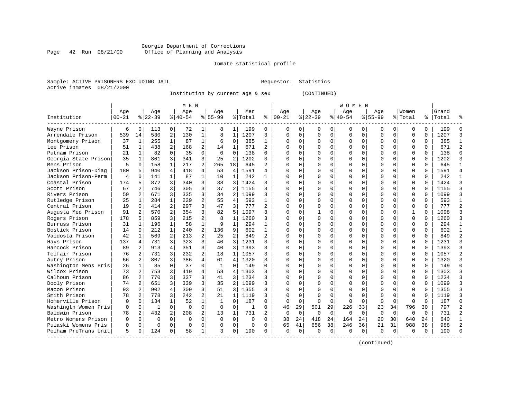#### Georgia Department of Corrections Page 42 Run 08/21/00 Office of Planning and Analysis

### Inmate statistical profile

|  | Sample: ACTIVE PRISONERS EXCLUDING JAII |  |
|--|-----------------------------------------|--|
|  | Active inmates 08/21/2000               |  |

L Bample: Active Prequestor: Statistics

Institution by current age & sex (CONTINUED)

|                      |           |                |          |                | M E N     |                |              |                |         |                |          |          |             |          | W O M E N |              |             |             |              |             |       |  |
|----------------------|-----------|----------------|----------|----------------|-----------|----------------|--------------|----------------|---------|----------------|----------|----------|-------------|----------|-----------|--------------|-------------|-------------|--------------|-------------|-------|--|
|                      | Age       |                | Age      |                | Age       |                | Age          |                | Men     |                | Age      |          | Age         |          | Age       |              | Age         |             | Women        |             | Grand |  |
| Institution          | $00 - 21$ |                | $ 22-39$ |                | $8 40-54$ |                | $8155 - 99$  |                | % Total | ి              | $ 00-21$ |          | $8$   22-39 |          | $8 40-54$ |              | $8155 - 99$ |             | % Total      | ႜ           | Total |  |
| Wayne Prison         | 6         | $\Omega$       | 113      | 0              | 72        | 1 <sup>1</sup> | 8            | 1              | 199     | 0              | 0        | 0        |             | 0        | 0         | 0            | 0           | 0           | $\Omega$     | $\Omega$    | 199   |  |
| Arrendale Prison     | 539       | 14             | 530      | 2              | 130       | $\mathbf{1}$   | 8            | $\mathbf{1}$   | 1207    | 3              | 0        | $\Omega$ | $\Omega$    | $\Omega$ | 0         | 0            | $\mathbf 0$ | $\mathbf 0$ | 0            | $\mathbf 0$ | 1207  |  |
| Montgomery Prison    | 37        | $\mathbf{1}$   | 255      | 1              | 87        | $\mathbf{1}$   | 6            | $\Omega$       | 385     | $\mathbf{1}$   | O        | $\Omega$ |             | $\Omega$ | U         | $\Omega$     | $\cap$      | $\Omega$    | $\Omega$     | $\Omega$    | 385   |  |
| Lee Prison           | 51        | $\mathbf{1}$   | 438      | 2              | 168       | $\overline{a}$ | 14           | 1              | 671     | $\overline{a}$ | O        | $\Omega$ |             | $\Omega$ | O         | 0            | C           | 0           | $\Omega$     | $\Omega$    | 671   |  |
| Putnam Prison        | 2.1       | $\mathbf{1}$   | 82       | $\Omega$       | 35        | $\Omega$       | $\Omega$     | $\Omega$       | 138     | $\Omega$       |          | $\Omega$ |             | $\Omega$ | U         | O            | $\cap$      | $\Omega$    | $\Omega$     | $\Omega$    | 138   |  |
| Georgia State Prison | 35        | 1              | 801      | 3              | 341       | 3              | 25           | 2              | 1202    | 3              |          | $\Omega$ |             | U        | U         | U            | $\bigcap$   | $\Omega$    | $\Omega$     | $\Omega$    | 1202  |  |
| Mens Prison          | 5         | $\Omega$       | 158      | $\mathbf{1}$   | 217       | $\overline{2}$ | 265          | 18             | 645     | $\mathfrak{D}$ |          | U        |             | U        | O         | U            | $\Omega$    | $\Omega$    | 0            | $\Omega$    | 645   |  |
| Jackson Prison-Diag  | 180       | 5              | 940      | 4              | 418       | 4              | 53           | 4              | 1591    | 4              | O        | U        |             | O        | O         | U            | O           | $\Omega$    | $\Omega$     | 0           | 1591  |  |
| Jackson Prison-Perm  | 4         | $\Omega$       | 141      | $\mathbf{1}$   | 87        | $\mathbf{1}$   | 10           | 1              | 242     | 1              |          | U        |             | $\Omega$ | O         | O            |             | 0           | $\Omega$     | $\Omega$    | 242   |  |
| Coastal Prison       | 174       | 5              | 872      | 3              | 340       | 3              | 38           | 3              | 1424    | ς              |          | U        |             | $\Omega$ | U         | O            | $\cap$      | $\Omega$    | $\Omega$     | $\Omega$    | 1424  |  |
| Scott Prison         | 67        | 2              | 746      | 3              | 305       | 3              | 37           | 2              | 1155    | ς              | U        | U        |             | $\Omega$ | U         | U            | $\cap$      | $\Omega$    | $\Omega$     | $\Omega$    | 1155  |  |
| Rivers Prison        | 59        | 2              | 671      | 3              | 335       | $\overline{3}$ | 34           | 2              | 1099    | ς              | O        | $\Omega$ |             | $\Omega$ | O         | 0            | $\bigcap$   | $\Omega$    | $\Omega$     | $\Omega$    | 1099  |  |
| Rutledge Prison      | 25        | 1              | 284      | $\mathbf{1}$   | 229       | $\overline{a}$ | 55           | 4              | 593     | $\mathbf{1}$   |          | $\Omega$ |             | $\Omega$ | U         | O            | C           | $\mathbf 0$ | 0            | $\Omega$    | 593   |  |
| Central Prison       | 19        | $\Omega$       | 414      | 2              | 297       | 3              | 47           | 3              | 777     | $\overline{2}$ |          | $\Omega$ |             | $\Omega$ | O         | U            | $\Omega$    | 0           | 0            | $\Omega$    | 777   |  |
| Augusta Med Prison   | 91        | 2              | 570      | $\overline{2}$ | 354       | 3              | 82           | .5             | 1097    | ς              |          | $\Omega$ |             | O        | U         | U            | $\Omega$    | $\Omega$    | $\mathbf{1}$ | $\Omega$    | 1098  |  |
| Rogers Prison        | 178       | 5              | 859      | 3              | 215       | 2              | 8            | 1              | 1260    | ς              |          | U        |             | $\Omega$ | O         | U            | $\Omega$    | $\Omega$    | $\Omega$     | $\Omega$    | 1260  |  |
| Burruss Prison       | 31        | 1              | 196      | $\mathbf{1}$   | 58        | $\mathbf{1}$   | q            | $\mathbf{1}$   | 294     |                | U        | U        |             | $\Omega$ | U         | U            | $\Omega$    | $\Omega$    | $\Omega$     | $\Omega$    | 294   |  |
| Bostick Prison       | 14        | $\Omega$       | 212      | 1              | 240       | $\overline{a}$ | 136          | 9              | 602     | 1              | U        | U        |             | $\Omega$ | U         | O            | C           | 0           | U            | $\Omega$    | 602   |  |
| Valdosta Prison      | 42        | 1              | 569      |                | 213       | $\overline{a}$ | 25           | $\overline{a}$ | 849     |                |          | U        |             | $\Omega$ | U         | U            | $\cap$      | $\Omega$    | $\Omega$     | $\Omega$    | 849   |  |
| Hays Prison          | 137       | 4              | 731      | 3              | 323       | 3              | 40           | 3              | 1231    | 3              | U        | U        |             | $\Omega$ | U         | U            | $\cap$      | $\Omega$    | $\Omega$     | $\Omega$    | 1231  |  |
| Hancock Prison       | 89        | 2              | 913      | 4              | 351       | 3              | 40           | 3              | 1393    | ς              | O        | $\Omega$ |             | $\Omega$ | O         | 0            | C           | $\Omega$    | $\Omega$     | $\Omega$    | 1393  |  |
| Telfair Prison       | 76        | 2              | 731      | 3              | 232       | $\overline{a}$ | 18           | $\mathbf{1}$   | 1057    | ς              | O        | $\Omega$ |             | $\Omega$ | O         | 0            | C           | $\Omega$    | 0            | $\Omega$    | 1057  |  |
| Autry Prison         | 66        | 2              | 807      | 3              | 386       | 4              | 61           | $\overline{4}$ | 1320    | ς              | U        | $\Omega$ |             | $\Omega$ |           | O            | $\cap$      | $\mathbf 0$ | 0            | $\Omega$    | 1320  |  |
| Washington Mens Pris | 26        | $\mathbf{1}$   | 85       | $\Omega$       | 37        | $\Omega$       | $\mathbf{1}$ | $\Omega$       | 149     | $\Omega$       |          | $\Omega$ |             | $\Omega$ | O         | O            | $\Omega$    | $\mathbf 0$ | 0            | $\Omega$    | 149   |  |
| Wilcox Prison        | 73        | 2              | 753      | 3              | 419       | 4              | 58           | 4              | 1303    | 3              |          | $\Omega$ |             | U        | O         | U            | $\Omega$    | $\Omega$    | 0            | $\Omega$    | 1303  |  |
| Calhoun Prison       | 86        | 2              | 770      | 3              | 337       | 3              | 41           | 3              | 1234    | ς              |          | U        |             | O        | O         | U            | 0           | 0           | 0            | $\Omega$    | 1234  |  |
| Dooly Prison         | 74        | 2              | 651      | 3              | 339       | 3              | 35           | 2              | 1099    | 3              | U        | U        |             |          | U         | U            | $\Omega$    | $\Omega$    | $\Omega$     | $\Omega$    | 1099  |  |
| Macon Prison         | 93        | 2              | 902      | 4              | 309       | 3              | 51           | 3              | 1355    | ς              |          | U        |             |          | O         | U            |             | $\Omega$    | U            | $\cap$      | 1355  |  |
| Smith Prison         | 78        | $\overline{a}$ | 778      | 3              | 242       | $\overline{a}$ | 21           | $\mathbf{1}$   | 1119    | ς              | U        | $\Omega$ |             | $\cap$   | U         | U            | $\cap$      | $\Omega$    | $\Omega$     | $\Omega$    | 1119  |  |
| Homerville Prison    | $\Omega$  | $\Omega$       | 134      | $\mathbf{1}$   | 52        | $\mathbf{1}$   | 1            | $\Omega$       | 187     | 0              | $\Omega$ | $\Omega$ | $\Omega$    | $\cap$   | $\Omega$  | <sup>0</sup> | $\Omega$    | $\Omega$    | $\Omega$     | $\Omega$    | 187   |  |
| Washingtn Women Pris | 0         | $\mathbf 0$    | -1       | $\Omega$       | $\Omega$  | $\Omega$       | $\Omega$     | $\Omega$       | 1       | 0              | 46       | 29       | 501         | 29       | 226       | 33           | 23          | 34          | 796          | 30          | 797   |  |
| Baldwin Prison       | 78        | 2              | 432      | $\overline{2}$ | 208       | $\overline{a}$ | 13           | $\mathbf{1}$   | 731     | $\overline{2}$ | $\Omega$ | $\Omega$ | $\Omega$    | $\Omega$ | $\Omega$  | $\Omega$     | $\Omega$    | $\Omega$    | $\Omega$     | $\Omega$    | 731   |  |
| Metro Womens Prison  | $\Omega$  | $\Omega$       | $\Omega$ | $\Omega$       | $\Omega$  | $\Omega$       | $\Omega$     | $\overline{0}$ | 0       | 0              | 38       | 24       | 418         | 24       | 164       | 24           | 20          | 30          | 640          | 24          | 640   |  |
| Pulaski Womens Pris  | O         | $\mathbf 0$    | $\Omega$ | $\Omega$       | $\Omega$  | 0              | U            | 0              | 0       | 0              | 65       | 41       | 656         | 38       | 246       | 36           | 21          | 31          | 988          | 38          | 988   |  |
| Pelham PreTrans Unit | 5         | $\Omega$       | 124      | 0              | 58        | 1              | ঽ            | $\Omega$       | 190     | 0              | $\Omega$ | 0        | $\Omega$    | $\Omega$ | $\Omega$  | 0            | $\Omega$    | 0           | <sup>0</sup> | $\Omega$    | 190   |  |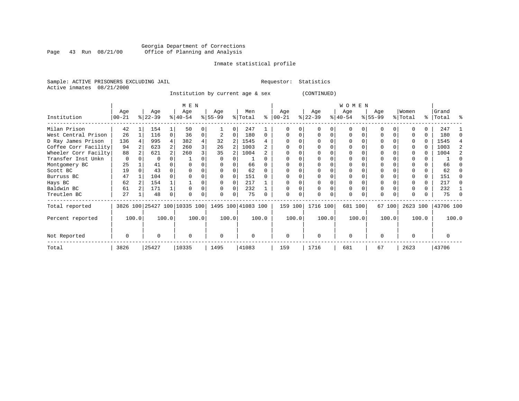#### Georgia Department of Corrections Page 43 Run 08/21/00 Office of Planning and Analysis

#### Inmate statistical profile

Sample: ACTIVE PRISONERS EXCLUDING JAIL **Requestor:** Statistics Active inmates 08/21/2000

Institution by current age & sex (CONTINUED)

|                      |                  |       |                  |       | M E N                        |                |                 |          |                    |          |                 |       |                  |   | WOMEN            |          |                 |       |                  |       |                    |       |
|----------------------|------------------|-------|------------------|-------|------------------------------|----------------|-----------------|----------|--------------------|----------|-----------------|-------|------------------|---|------------------|----------|-----------------|-------|------------------|-------|--------------------|-------|
| Institution          | Age<br>$00 - 21$ |       | Age<br>$ 22-39 $ |       | Age<br>$ 40-54 $             |                | Age<br>$ 55-99$ |          | Men<br>% Total     | ႜ        | Age<br>$ 00-21$ |       | Age<br>$ 22-39 $ |   | Age<br>$ 40-54 $ |          | Age<br>$ 55-99$ |       | Women<br>% Total |       | Grand<br>%   Total | ႜ     |
| Milan Prison         | 42               |       | 154              |       | 50                           |                |                 |          | 247                |          |                 |       |                  |   | U                |          |                 |       |                  |       | 247                |       |
| West Central Prison  | 26               |       | 116              | 0     | 36                           | 0              |                 | $\Omega$ | 180                | $\Omega$ |                 | 0     | <sup>0</sup>     | 0 | U                | O        | O               |       |                  | 0     | 180                |       |
| D Ray James Prison   | 136              |       | 995              | 4     | 382                          | 4              | 32              | 2        | 1545               |          |                 |       |                  |   | U                |          |                 |       |                  | 0     | 1545               |       |
| Coffee Corr Facility | 94               |       | 623              |       | 260                          | 3 <sub>1</sub> | 26              | 2        | 1003               |          |                 |       |                  |   |                  |          |                 |       |                  | 0     | 1003               |       |
| Wheeler Corr Facilty | 88               |       | 621              |       | 260                          | 3              | 35              |          | 1004               |          |                 |       |                  |   | U                |          |                 |       |                  | 0     | 1004               |       |
| Transfer Inst Unkn   | $\Omega$         |       |                  |       |                              |                |                 |          |                    |          |                 |       |                  |   |                  |          |                 |       |                  |       |                    |       |
| Montgomery BC        | 25               |       | 41               |       |                              |                |                 |          | 66                 |          |                 |       |                  |   |                  |          |                 |       |                  |       | 66                 |       |
| Scott BC             | 19               |       | 43               |       |                              |                |                 |          | 62                 |          |                 |       |                  |   |                  |          |                 |       |                  |       | 62                 |       |
| Burruss BC           | 47               |       | 104              |       |                              |                | $\Omega$        | $\Omega$ | 151                |          |                 |       |                  |   | $\Omega$         |          |                 |       |                  | 0     | 151                |       |
| Hays BC              | 62               |       | 154              |       |                              |                | $\Omega$        | $\Omega$ | 217                |          |                 |       |                  |   | 0                |          |                 |       |                  | 0     | 217                |       |
| Baldwin BC           | 61               |       | 171              |       |                              |                | $\Omega$        | $\Omega$ | 232                |          |                 |       |                  |   | $\mathbf 0$      |          | $\Omega$        |       |                  | 0     | 232                |       |
| Treutlen BC          | 27               |       | 48               | 0     |                              |                | 0               | 0        | 75                 |          |                 |       | 0                | 0 | 0                | $\Omega$ | $\Omega$        |       |                  |       | 75                 |       |
| Total reported       |                  |       |                  |       | 3826 100 25427 100 10335 100 |                |                 |          | 1495 100 41083 100 |          | 159 100         |       | 1716 100         |   | 681 100          |          | 67 100          |       | 2623 100         |       | 43706 100          |       |
| Percent reported     |                  | 100.0 |                  | 100.0 |                              | 100.0          |                 | 100.0    |                    | 100.0    |                 | 100.0 | 100.0            |   |                  | 100.0    |                 | 100.0 |                  | 100.0 |                    | 100.0 |
| Not Reported         | $\Omega$         |       | U                |       | $\Omega$                     |                | $\Omega$        |          | $\Omega$           |          | $\Omega$        |       | $\Omega$         |   | $\Omega$         |          | $\Omega$        |       | <sup>0</sup>     |       | U                  |       |
| Total                | 3826             |       | 25427            |       | 10335                        |                | 1495            |          | 41083              |          | 159             |       | 1716             |   | 681              |          | 67              |       | 2623             |       | 43706              |       |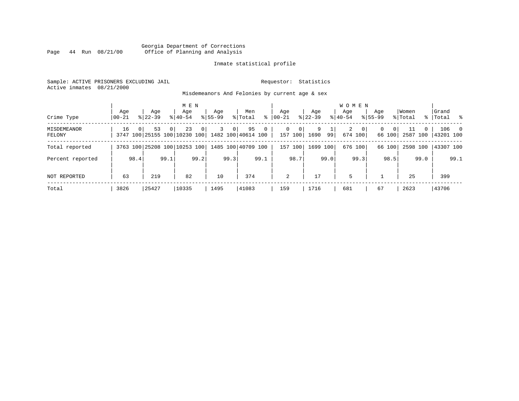#### Georgia Department of Corrections Page 44 Run 08/21/00 Office of Planning and Analysis

#### Inmate statistical profile

Sample: ACTIVE PRISONERS EXCLUDING JAIL **Requestor:** Statistics Active inmates 08/21/2000

Misdemeanors And Felonies by current age & sex

| Crime Type            | Aqe<br>$00 - 21$ |          | Aqe<br>$8122 - 39$                 |                | M E N<br>Age<br>$8140 - 54$ |      | Age<br>$8155 - 99$ |                | Men<br>% Total           | ွေ             | Age<br>$00 - 21$ |                              | Aqe<br>$8$   22-39 |      | <b>WOMEN</b><br>Aqe<br>$8 40-54$ |                  | Age<br>$8155 - 99$ |                    | Women<br>% Total |          | Grand<br>%   Total % |       |
|-----------------------|------------------|----------|------------------------------------|----------------|-----------------------------|------|--------------------|----------------|--------------------------|----------------|------------------|------------------------------|--------------------|------|----------------------------------|------------------|--------------------|--------------------|------------------|----------|----------------------|-------|
| MISDEMEANOR<br>FELONY | 16               | $\Omega$ | 53<br>3747 100 25155 100 10230 100 | 0 <sup>1</sup> | 23                          | 0    | 3                  | 0 <sup>1</sup> | 95<br>1482 100 40614 100 | $\overline{0}$ |                  | 0<br>$\mathbf{0}$<br>157 100 | 9<br>1690          | 99   | $\overline{a}$                   | - 0 I<br>674 100 | 0                  | $\Omega$<br>66 100 | 11<br>2587 100   | $\Omega$ | 143201 100           | 106 0 |
| Total reported        |                  |          | 3763 100 25208 100 10253 100       |                |                             |      |                    |                | 1485 100 40709 100       |                | 157              | 100                          | 1699 100           |      |                                  | 676 100          |                    | 66 100             | 2598 100         |          | 43307 100            |       |
| Percent reported      |                  | 98.4     |                                    | 99.1           |                             | 99.2 |                    | 99.3           |                          | 99.1           |                  | 98.7                         |                    | 99.0 |                                  | 99.3             |                    | 98.5               |                  | 99.0     |                      | 99.1  |
| NOT REPORTED          | 63               |          | 219                                |                | 82                          |      | 10                 |                | 374                      |                |                  | 2                            | 17                 |      | 5                                |                  |                    |                    | 25               |          | 399                  |       |
| Total                 | 3826             |          | 25427                              |                | 10335                       |      | 1495               |                | 41083                    |                | 159              |                              | 1716               |      | 681                              |                  | 67                 |                    | 2623             |          | 43706                |       |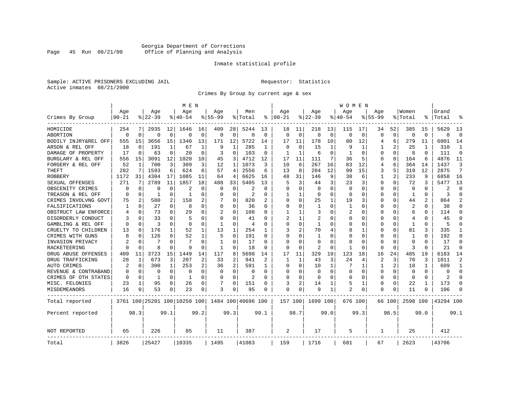#### Georgia Department of Corrections<br>Page 45 Run 08/21/00 Office of Planning and Analysis Page 45 Run 08/21/00 Office of Planning and Analysis

#### Inmate statistical profile

Sample: ACTIVE PRISONERS EXCLUDING JAIL **Requestor:** Statistics Active inmates 08/21/2000

Crimes By Group by current age & sex

|                      |           |             |           |          | M E N                        |             |              |                |                    |          |          |          |              |             | W O M E N    |             |                |             |                |                |           |                |
|----------------------|-----------|-------------|-----------|----------|------------------------------|-------------|--------------|----------------|--------------------|----------|----------|----------|--------------|-------------|--------------|-------------|----------------|-------------|----------------|----------------|-----------|----------------|
|                      | Age       |             | Age       |          | Age                          |             | Age          |                | Men                |          | Age      |          | Age          |             | Age          |             | Age            |             | Women          |                | Grand     |                |
| Crimes By Group      | $00 - 21$ |             | $8 22-39$ |          | % 40-54                      |             | $8155 - 99$  |                | % Total            | ႜ        | $ 00-21$ |          | $ 22-39$     |             | $8140 - 54$  |             | $8155 - 99$    |             | % Total        |                | Total     | °              |
| HOMICIDE             | 254       |             | 2935      | 12       | 1646                         | 16          | 409          | 28             | 5244               | 13       | 18       | 11       | 218          | 13          | 115          | 17          | 34             | 52          | 385            | 15             | 5629      | 13             |
| ABORTION             | $\Omega$  | $\mathbf 0$ | $\Omega$  | 0        | $\Omega$                     | $\mathbf 0$ | $\Omega$     | 0              | $\Omega$           | $\Omega$ | $\Omega$ | $\Omega$ | $\Omega$     | $\mathbf 0$ | $\Omega$     | $\mathbf 0$ | $\Omega$       | $\mathbf 0$ | $\Omega$       | $\Omega$       | $\Omega$  | $\Omega$       |
| BODILY INJRY&REL OFF | 555       | 15          | 3656      | 15       | 1340                         | 13          | 171          | 12             | 5722               | 14       | 17       | 11       | 178          | 10          | 80           | 12          | 4              | 6           | 279            | 11             | 6001      | 14             |
| ARSON & REL OFF      | 18        | $\mathbf 0$ | 191       | 1        | 67                           | 1           | 9            | 1              | 285                | 1        | $\Omega$ | $\Omega$ | 15           | 1           | 9            | 1           |                | 2           | 25             | 1              | 310       | 1              |
| DAMAGE OF PROPERTY   | 17        | $\Omega$    | 63        | 0        | 20                           | O           | 3            | $\Omega$       | 103                | $\Omega$ | 1        | 1        | 6            | 0           | 1            | $\Omega$    | O              | 0           | 8              | <sup>0</sup>   | 111       | $\Omega$       |
| BURGLARY & REL OFF   | 556       | 15          | 3091      | 12       | 1020                         | 10          | 45           | 3              | 4712               | 12       | 17       | 11       | 111          | 7           | 36           | 5           | 0              | 0           | 164            | 6              | 4876      | 11             |
| FORGERY & REL OFF    | 52        | 1           | 700       | 3        | 309                          | 3           | 12           | 1              | 1073               | ζ        | 10       | 6        | 267          | 16          | 83           | 12          | 4              | 6           | 364            | 14             | 1437      | 3              |
| <b>THEFT</b>         | 282       | 7           | 1593      | 6        | 624                          | 6           | 57           | 4              | 2556               | 6        | 13       | 8        | 204          | 12          | 99           | 15          | 3              | 5           | 319            | 12             | 2875      | 7              |
| <b>ROBBERY</b>       | 1172      | 31          | 4304      | 17       | 1085                         | 11          | 64           | 4              | 6625               | 16       | 48       | 31       | 146          | 9           | 38           | 6           | 1              | 2           | 233            | 9              | 6858      | 16             |
| SEXUAL OFFENSES      | 271       | 7           | 2789      | 11       | 1857                         | 18          | 488          | 33             | 5405               | 13       | 5        | 3        | 44           | 3           | 23           | 3           | U              | U           | 72             | 3              | 5477      | 13             |
| OBSCENITY CRIMES     | ∩         | $\Omega$    | O         | 0        | 2                            | O           | O            | $\Omega$       | 2                  | $\Omega$ | ∩        | ∩        | $\Omega$     | $\Omega$    | <sup>0</sup> | ∩           | O              | 0           | $\Omega$       | 0              | 2         | $\Omega$       |
| TREASON & REL OFF    |           | 0           | -1        | 0        | -1                           | O           | U            | $\Omega$       | $\overline{2}$     | O        |          |          | 0            | 0           | <sup>0</sup> | $\Omega$    | 0              | 0           | 1              | 0              | २         | $\Omega$       |
| CRIMES INVOLVNG GOVT | 75        | 2           | 580       | 2        | 158                          | 2           |              | 0              | 820                |          | ∩        | $\Omega$ | 25           | 1           | 19           | 3           | U              | 0           | 44             | $\overline{2}$ | 864       | $\mathfrak{D}$ |
| FALSIFICATIONS       | 1         | 0           | 27        | 0        | 8                            | $\Omega$    | $\Omega$     | 0              | 36                 | O        | $\Omega$ | $\Omega$ | 1            | $\Omega$    | 1            | $\Omega$    | 0              | 0           | 2              | 0              | 38        | $\Omega$       |
| OBSTRUCT LAW ENFORCE | 4         | $\Omega$    | 73        | 0        | 29                           | O           | 2            | $\Omega$       | 108                | O        |          |          | 3            | 0           | 2            | $\Omega$    | 0              | U           | 6              | U              | 114       | $\Omega$       |
| DISORDERLY CONDUCT   |           | $\Omega$    | 33        | U        | 5                            | O           | O            | O              | 41                 | U        |          |          | 2            | N           |              | O           | Ω              | U           | $\overline{4}$ |                | 45        | $\Omega$       |
| GAMBLING & REL OFF   | ∩         | ∩           | ζ         | 0        | $\Omega$                     | 0           | -1           | $\Omega$       | $\overline{4}$     | U        | ∩        | $\Omega$ | $\mathbf{1}$ | O           | n            | ∩           | U              | 0           | -1             | <sup>0</sup>   | 5         | $\Omega$       |
| CRUELTY TO CHILDREN  | 13        | 0           | 176       | 1        | 52                           | 1           | 13           | 1              | 254                | 1        | 3        | 2        | 70           | 4           | 8            | 1           | U              | 0           | 81             | 3              | 335       | 1              |
| CRIMES WITH GUNS     |           | $\Omega$    | 126       | $\Omega$ | 52                           | 1           | 5            | $\Omega$       | 191                | $\Omega$ | ∩        | ∩        | 1            | N           |              | $\Omega$    | Ω              | 0           | 1              | $\Omega$       | 192       | $\Omega$       |
| INVASION PRIVACY     |           | 0           | 7         | 0        | 7                            | $\Omega$    | $\mathbf{1}$ | 0              | 17                 | $\Omega$ | $\Omega$ | $\Omega$ | $\Omega$     | O           |              | $\Omega$    | U              | 0           | $\Omega$       | O              | 17        | $\Omega$       |
| <b>RACKETEERING</b>  |           | $\Omega$    | 8         | 0        | q                            | O           | $\mathbf{1}$ | 0              | 18                 | O        | $\Omega$ | $\Omega$ | 2            | $\Omega$    |              | $\Omega$    | Ω              | 0           | 3              | O              | 21        | $\mathbf 0$    |
| DRUG ABUSE OFFENSES  | 409       | 11          | 3723      | 15       | 1449                         | 14          | 117          | 8              | 5698               | 14       | 17       | 11       | 329          | 19          | 123          | 18          | 16             | 24          | 485            | 19             | 6183      | 14             |
| DRUG TRAFFICKING     | 28        | 1           | 673       | 3        | 207                          | 2           | 33           | $\overline{2}$ | 941                | 2        | 1        | 1        | 43           | 3           | 24           | 4           | $\overline{a}$ | 3           | 70             | 3              | 1011      | $\mathfrak{D}$ |
| AUTO CRIMES          | 2         | 0           | 300       | 1        | 253                          | 2           | 36           | 2              | 591                | 1        | $\Omega$ | $\Omega$ | 10           | 1           |              | 1           | 1              | 2           | 18             |                | 609       | $\mathbf{1}$   |
| REVENUE & CONTRABAND |           | $\Omega$    | 0         | $\Omega$ | $\Omega$                     | $\Omega$    | O            | 0              | $\Omega$           | $\Omega$ | $\Omega$ | ∩        | 0            | $\Omega$    | <sup>0</sup> | $\Omega$    | $\Omega$       | $\Omega$    | $\Omega$       | $\cap$         | ∩         | $\Omega$       |
| CRIMES OF OTH STATES | $\Omega$  | 0           | 1         | 0        | -1                           | $\Omega$    | 0            | 0              | $\overline{2}$     | $\Omega$ | ∩        | $\Omega$ | $\Omega$     | O           | <sup>0</sup> | $\Omega$    | 0              | 0           | $\Omega$       | $\Omega$       | 2         | $\Omega$       |
| MISC. FELONIES       | 23        | 1           | 95        | 0        | 26                           | 0           | 7            | 0              | 151                | O        | 3        | 2        | 14           |             | 5            | 1           | 0              | 0           | 22             |                | 173       | $\Omega$       |
| MISDEMEANORS         | 16        | $\Omega$    | 53        | 0        | 23                           | 0           | 3            | 0              | 95                 | 0        | $\Omega$ | $\Omega$ | 9            | 1           | 2            | $\Omega$    | 0              | 0           | 11             |                | 106       | $\Omega$       |
| Total reported       |           |             |           |          | 3761 100 25201 100 10250 100 |             |              |                | 1484 100 40696 100 |          | 157 100  |          | 1699 100     |             | 676 100      |             |                | 66 100      | 2598 100       |                | 43294 100 |                |
| Percent reported     |           | 98.3        |           | 99.1     |                              | 99.2        |              | 99.3           |                    | 99.1     |          | 98.7     |              | 99.0        |              | 99.3        |                | 98.5        |                | 99.0           |           | 99.1           |
| NOT REPORTED         | 65        |             | 226       |          | 85                           |             | 11           |                | 387                |          | 2        |          | 17           |             | 5            |             | 1              |             | 25             |                | 412       |                |
| Total                | 3826      |             | 25427     |          | 10335                        |             | 1495         |                | 41083              |          | 159      |          | 1716         |             | 681          |             | 67             |             | 2623           |                | 43706     |                |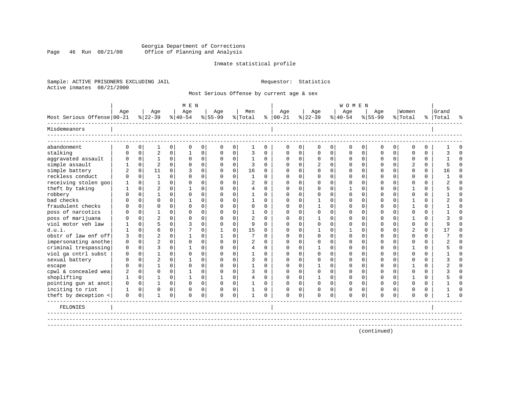#### Georgia Department of Corrections Page 46 Run 08/21/00 Office of Planning and Analysis

#### Inmate statistical profile

Sample: ACTIVE PRISONERS EXCLUDING JAIL **Requestor:** Statistics Active inmates 08/21/2000

Most Serious Offense by current age & sex

|                            |             |             |                |             | M E N                 |             |             |             |                |             |           |             |             |              | <b>WOMEN</b> |          |             |             |             |             |           |          |
|----------------------------|-------------|-------------|----------------|-------------|-----------------------|-------------|-------------|-------------|----------------|-------------|-----------|-------------|-------------|--------------|--------------|----------|-------------|-------------|-------------|-------------|-----------|----------|
|                            | Age         |             | Age            |             | Age                   |             | Age         |             | Men            |             | Age       |             | Age         |              | Age          |          | Age         |             | Women       |             | Grand     |          |
| Most Serious Offense 00-21 |             |             | $8 22-39$      |             | $\frac{1}{6}$   40-54 |             | $8155 - 99$ |             | % Total        | ∻           | $ 00-21 $ |             | $ 22-39$    |              | $ 40-54 $    |          | $8155 - 99$ |             | % Total     |             | %   Total | °        |
| Misdemeanors               |             |             |                |             |                       |             |             |             |                |             |           |             |             |              |              |          |             |             |             |             |           |          |
| abandonment                | 0           | $\mathbf 0$ | 1              | $\mathbf 0$ | $\mathbf 0$           | $\mathbf 0$ | $\mathbf 0$ | $\mathbf 0$ | 1              | $\mathbf 0$ | 0         | $\mathbf 0$ | $\mathbf 0$ | 0            | $\mathbf 0$  | 0        | 0           | $\mathbf 0$ | $\mathbf 0$ | $\mathbf 0$ |           | $\Omega$ |
| stalking                   | $\Omega$    | $\Omega$    | $\overline{2}$ | $\Omega$    | $\mathbf{1}$          | 0           | $\Omega$    | $\Omega$    | 3              | $\Omega$    | $\Omega$  | $\Omega$    | $\Omega$    | $\Omega$     | $\Omega$     | $\Omega$ | $\Omega$    | $\Omega$    | $\Omega$    | $\Omega$    |           | $\Omega$ |
| aggravated assault         | $\Omega$    | $\mathbf 0$ | 1              | $\mathbf 0$ | $\Omega$              | 0           | $\Omega$    | $\mathbf 0$ | 1              | $\Omega$    | $\Omega$  | $\Omega$    | $\mathbf 0$ | $\Omega$     | $\Omega$     | $\Omega$ | $\Omega$    | $\Omega$    | $\Omega$    | $\Omega$    |           | $\Omega$ |
| simple assault             |             | $\mathbf 0$ | $\overline{2}$ | $\Omega$    | $\Omega$              | $\mathbf 0$ | $\Omega$    | $\mathbf 0$ | 3              | $\Omega$    | $\Omega$  | 0           |             | $\Omega$     | $\Omega$     | $\Omega$ | O           | $\Omega$    |             | 0           |           | $\Omega$ |
| simple battery             |             | 0           | 11             | $\Omega$    | २                     | $\mathbf 0$ | $\Omega$    | $\mathbf 0$ | 16             | $\Omega$    | $\Omega$  |             | $\Omega$    | $\Omega$     | $\Omega$     | $\Omega$ | U           | $\Omega$    | ∩           | $\Omega$    | 16        | $\Omega$ |
| reckless conduct           | U           | $\Omega$    | $\mathbf{1}$   | $\Omega$    | $\Omega$              | $\mathbf 0$ | $\Omega$    | $\Omega$    | 1              | $\Omega$    | ∩         |             | ∩           | 0            | ∩            | $\Omega$ | ∩           | $\Omega$    | ∩           | $\Omega$    |           | $\Omega$ |
| receiving stolen goo       |             | $\Omega$    | 1              | $\Omega$    | $\Omega$              | $\Omega$    | $\Omega$    | $\Omega$    | 2              | $\Omega$    | $\Omega$  |             | $\Omega$    | $\Omega$     | $\Omega$     | $\Omega$ | U           | $\Omega$    | $\Omega$    | $\Omega$    |           | $\Omega$ |
| theft by taking            |             | $\Omega$    | $\overline{c}$ | $\Omega$    |                       | $\Omega$    | $\Omega$    | $\Omega$    | $\overline{4}$ | $\Omega$    |           |             | n           | $\Omega$     |              | $\Omega$ |             | $\Omega$    |             | $\Omega$    |           | $\Omega$ |
| robbery                    |             | $\Omega$    |                | $\Omega$    | $\Omega$              | $\Omega$    | $\Omega$    | $\Omega$    |                | $\Omega$    |           |             |             | $\Omega$     |              | $\Omega$ |             | $\Omega$    | $\cap$      | $\Omega$    |           | $\Omega$ |
| bad checks                 |             | $\Omega$    | $\Omega$       | $\Omega$    |                       | $\Omega$    | $\Omega$    | $\Omega$    |                | $\Omega$    | $\Omega$  |             |             | $\Omega$     |              | $\Omega$ |             | $\Omega$    |             | $\Omega$    |           | $\Omega$ |
| fraudulent checks          |             | $\mathbf 0$ | $\Omega$       | $\Omega$    | $\Omega$              | 0           | U           | $\Omega$    | $\Omega$       | $\Omega$    | ∩         |             |             | 0            |              | $\Omega$ |             | $\cap$      |             | $\Omega$    |           | $\Omega$ |
| poss of narcotics          | U           | $\Omega$    |                | $\Omega$    | $\Omega$              | $\Omega$    | $\Omega$    | $\Omega$    |                | $\cap$      | ∩         |             | $\Omega$    | $\Omega$     |              | $\Omega$ |             | $\Omega$    | $\cap$      | $\Omega$    |           | $\Omega$ |
| poss of marijuana          |             | $\mathbf 0$ | $\overline{c}$ | $\Omega$    | $\Omega$              | $\mathbf 0$ | $\Omega$    | $\Omega$    |                | $\Omega$    | ∩         |             |             | <sup>n</sup> |              | $\Omega$ |             | $\cap$      |             | $\Omega$    |           | $\cap$   |
| viol motor yeh law         |             | $\Omega$    |                | $\Omega$    | ્ર                    | $\Omega$    | $\Omega$    | $\Omega$    | 9              | $\Omega$    |           |             | $\Omega$    | $\Omega$     |              | $\Omega$ |             | $\Omega$    | $\cap$      | $\Omega$    |           | $\cap$   |
| d.u.i.                     |             | $\Omega$    | 6              | $\Omega$    |                       | $\Omega$    | 1           | $\Omega$    | 15             | $\Omega$    |           |             |             | $\Omega$     |              | $\Omega$ |             | $\Omega$    |             | $\Omega$    | 17        | $\Omega$ |
| obstr of law enf off       | 3           | $\Omega$    | $\overline{c}$ | $\Omega$    |                       | $\Omega$    | 1           | 0           |                | $\Omega$    | ∩         |             | $\Omega$    | 0            |              | ∩        |             | $\cap$      | ∩           | $\Omega$    |           | $\cap$   |
| impersonating anothe       | $\Omega$    | $\Omega$    | $\mathfrak{D}$ | 0           | $\Omega$              | $\Omega$    | $\Omega$    | $\Omega$    | $\overline{2}$ | $\Omega$    | ∩         |             | ∩           | $\Omega$     |              | $\Omega$ | ∩           | $\cap$      | $\Omega$    | $\Omega$    |           | $\cap$   |
| criminal trespassing       | $\Omega$    | $\Omega$    | ζ              | $\Omega$    | -1                    | $\Omega$    | $\Omega$    | $\Omega$    | 4              | $\Omega$    | ∩         |             |             | 0            |              | $\Omega$ | ∩           | $\cap$      |             | $\Omega$    |           | $\cap$   |
| viol ga cntrl subst        | $\Omega$    | $\Omega$    |                | $\Omega$    | $\Omega$              | $\Omega$    | $\Omega$    | $\Omega$    | $\mathbf{1}$   | $\Omega$    | ∩         |             | ∩           | $\Omega$     |              | $\Omega$ | U           | $\cap$      | $\cap$      | $\Omega$    |           | $\Omega$ |
| sexual battery             | U           | $\Omega$    | $\overline{c}$ | $\Omega$    | -1                    | $\Omega$    | $\Omega$    | $\Omega$    | 3              | $\Omega$    | ∩         |             | ∩           | $\Omega$     |              | $\Omega$ | በ           | $\cap$      | ∩           | $\Omega$    |           | $\cap$   |
| escape                     | 0           | $\Omega$    |                | $\Omega$    | $\Omega$              | $\Omega$    | $\Omega$    | $\Omega$    | 1              | $\Omega$    | $\Omega$  |             |             | $\Omega$     |              | $\Omega$ | ∩           | $\Omega$    |             | $\Omega$    |           | $\cap$   |
| cpwl & concealed wea       | 2           | $\mathbf 0$ | $\Omega$       | $\Omega$    | 1                     | $\mathbf 0$ | $\Omega$    | $\Omega$    | 3              | $\Omega$    | $\Omega$  | $\Omega$    | $\Omega$    | $\Omega$     |              | $\Omega$ | U           | $\Omega$    | $\Omega$    | $\Omega$    |           | $\cap$   |
| shoplifting                | 1           | $\mathbf 0$ | 1              | $\Omega$    | 1                     | $\mathbf 0$ | 1           | $\Omega$    | 4              | $\Omega$    | $\Omega$  | $\Omega$    | -1          | $\Omega$     | $\Omega$     | $\Omega$ | O           | $\Omega$    |             | $\Omega$    |           | $\cap$   |
| pointing gun at anot       | $\Omega$    | $\mathbf 0$ | $\mathbf{1}$   | $\Omega$    | $\Omega$              | $\Omega$    | $\Omega$    | $\Omega$    | $\mathbf{1}$   | $\Omega$    | $\Omega$  | $\Omega$    | $\Omega$    | $\Omega$     | $\Omega$     | $\Omega$ | 0           | $\Omega$    | $\Omega$    | $\Omega$    |           | $\cap$   |
| inciting to riot           |             | $\mathbf 0$ | $\Omega$       | $\Omega$    | $\Omega$              | 0           | O           | $\mathbf 0$ |                | $\Omega$    |           |             | 0           | 0            |              | $\Omega$ | 0           | $\Omega$    | $\Omega$    | $\Omega$    |           |          |
| theft by deception <       | $\mathbf 0$ | 0           | 1              | 0           | $\Omega$              | 0           | $\Omega$    | $\mathbf 0$ |                | $\Omega$    | $\Omega$  | $\Omega$    | $\Omega$    | 0            | $\Omega$     | 0        | $\Omega$    | $\mathbf 0$ | $\Omega$    | $\Omega$    |           |          |
| FELONIES                   |             |             |                |             |                       |             |             |             |                |             |           |             |             |              |              |          |             |             |             |             |           |          |
|                            |             |             |                |             |                       |             |             |             |                |             |           |             |             |              |              |          |             |             |             |             |           |          |
|                            |             |             |                |             |                       |             |             |             |                |             |           |             |             |              |              |          |             |             |             |             |           |          |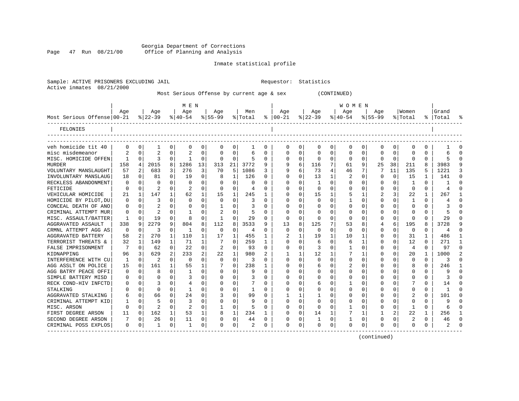Georgia Department of Corrections Page 47 Run 08/21/00 Office of Planning and Analysis

#### Inmate statistical profile

|                           | Sample: ACTIVE PRISONERS EXCLUDING JAIL | Requestor: Statistics |  |
|---------------------------|-----------------------------------------|-----------------------|--|
| Active inmates 08/21/2000 |                                         |                       |  |

Most Serious Offense by current age & sex (CONTINUED)

|                            |              |             |           |              | M E N       |              |                |              |         |          |               |          |           |          | WOMEN       |          |              |              |          |              |           |              |
|----------------------------|--------------|-------------|-----------|--------------|-------------|--------------|----------------|--------------|---------|----------|---------------|----------|-----------|----------|-------------|----------|--------------|--------------|----------|--------------|-----------|--------------|
|                            | Age          |             | Age       |              | Age         |              | Age            |              | Men     |          | Age           |          | Aqe       |          | Aqe         |          | Aqe          |              | Women    |              | Grand     |              |
| Most Serious Offense 00-21 |              |             | $8 22-39$ |              | $8140 - 54$ |              | $8155 - 99$    |              | % Total |          | $8   00 - 21$ |          | $ 22-39 $ |          | $ 40-54$    |          | $8155 - 99$  |              | % Total  |              | %   Total |              |
| FELONIES                   |              |             |           |              |             |              |                |              |         |          |               |          |           |          |             |          |              |              |          |              |           |              |
| veh homicide tit 40        | $\Omega$     | 0           | 1         | 0            | $\Omega$    | 0            | $\Omega$       | 0            |         | $\Omega$ | 0             | 0        | $\Omega$  | 0        | $\mathbf 0$ | $\Omega$ | 0            | 0            | 0        | 0            |           | ſ            |
| misc misdemeanor           |              | $\Omega$    |           | $\Omega$     |             | 0            |                | 0            | 1<br>6  | O        | $\Omega$      | 0        | $\Omega$  | $\Omega$ | 0           | 0        | <sup>0</sup> | 0            | O        | 0            | 6         | ∩            |
| MISC. HOMICIDE OFFEN       |              | $\Omega$    | ζ         | 0            |             | 0            | $\Omega$       | $\Omega$     | 5       | 0        | $\Omega$      | 0        | $\Omega$  | $\Omega$ | $\Omega$    | $\Omega$ | <sup>0</sup> | $\Omega$     | $\Omega$ | U            |           | $\Omega$     |
| <b>MURDER</b>              | 158          | 4           | 2015      | 8            | 1286        | 13           | 313            | 21           | 3772    | 9        | 9             | 6        | 116       | 7        | 61          | 9        | 25           | 38           | 211      | 8            | 3983      |              |
| VOLUNTARY MANSLAUGHT       | 57           | 2           | 683       | 3            | 276         | 3            | 70             | 5            | 1086    | 3        | 9             | 6        | 73        | 4        | 46          |          |              | 11           | 135      | 5            | 1221      |              |
| INVOLUNTARY MANSLAUG       | 18           | $\Omega$    | 81        | 0            | 19          | 0            | 8              | 1            | 126     | U        | $\Omega$      | 0        | 13        | 1        | 2           | ∩        | ∩            | $\Omega$     | 15       | 1            | 141       | ∩            |
| RECKLESS ABANDONMENT       | $\Omega$     | $\Omega$    | U         |              | $\Omega$    | U            |                | $\Omega$     | O       | U        | $\Omega$      | U        |           | $\Omega$ | 0           | C        | n            | $\Omega$     | -1       | U            |           | ſ            |
| FETICIDE                   | $\Omega$     | $\Omega$    | 2         | 0            | 2           | $\Omega$     | 0              | $\Omega$     | 4       | 0        | n             | 0        | $\Omega$  | ∩        | 0           | $\Omega$ | O            | $\Omega$     | $\Omega$ | $\Omega$     | 4         |              |
| VEHICULAR HOMICIDE         | 21           | 1           | 147       | 1            | 62          | 1            | 15             | 1            | 245     |          | 0             | 0        | 15        |          | 5           |          | 2            | 3            | 22       | 1            | 267       |              |
| HOMICIDE BY PILOT, DU      | 0            | $\Omega$    | 3         | $\Omega$     | $\Omega$    | $\Omega$     | $\Omega$       | $\Omega$     | 3       | 0        | 0             | 0        | $\Omega$  | $\Omega$ |             | $\Omega$ | 0            | $\Omega$     | -1       | $\Omega$     |           | ſ            |
| CONCEAL DEATH OF ANO       | 0            | 0           |           | 0            | 0           | 0            |                | $\Omega$     | 3       | O        | C             | 0        | 0         | $\Omega$ | 0           | $\Omega$ |              | $\Omega$     | $\Omega$ | $\Omega$     |           |              |
| CRIMINAL ATTEMPT MUR       | 0            | $\Omega$    | 2         | 0            |             | U            |                | $\Omega$     | 5       | O        | $\cap$        | 0        | $\Omega$  | $\Omega$ | U           | $\Omega$ | <sup>0</sup> | 0            | O        | <sup>0</sup> | 5         | ſ            |
| MISC. ASSAULT/BATTER       | $\mathbf{1}$ | $\Omega$    | 19        | $\Omega$     | 8           | <sup>0</sup> | -1             | $\Omega$     | 29      | O        | $\Omega$      | $\Omega$ | $\Omega$  | $\Omega$ | $\Omega$    | C        | <sup>0</sup> | $\Omega$     | O        | <sup>0</sup> | 29        | ∩            |
| AGGRAVATED ASSAULT         | 338          | 9           | 2279      | 9            | 804         | 8            | 112            | 8            | 3533    | q        | 13            | 8        | 125       | 7        | 53          | 8        |              | 6            | 195      | 8            | 3728      | Q            |
| CRMNL ATTEMPT AGG AS       | 0            | $\Omega$    | 3         | $\Omega$     | -1          | O            | $\Omega$       | $\Omega$     | 4       | U        | $\Omega$      | 0        | $\Omega$  | $\Omega$ | 0           | C        | <sup>0</sup> | $\Omega$     | 0        | 0            | 4         | ∩            |
| AGGRAVATED BATTERY         | 58           | 2           | 270       | $\mathbf{1}$ | 110         | 1            | 17             | 1            | 455     | 1        |               |          | 19        | 1        | 10          |          | 0            | $\Omega$     | 31       | 1            | 486       |              |
| TERRORIST THREATS &        | 32           | 1           | 149       |              | 71          | 1            |                | $\Omega$     | 259     |          | O             | 0        | 6         | $\Omega$ | 6           |          |              | 0            | 12       | U            | 271       |              |
| FALSE IMPRISONMENT         |              | $\Omega$    | 62        | 0            | 22          | 0            | $\overline{2}$ | $\Omega$     | 93      | 0        | $\Omega$      | U        |           | $\Omega$ |             | C        |              | 0            | 4        | O            | 97        | <sup>0</sup> |
| KIDNAPPING                 | 96           | 3           | 629       | 2            | 233         | 2            | 22             | 1            | 980     |          |               |          | 12        |          |             |          |              |              | 20       | 1            | 1000      |              |
| INTERFERENCE WITH CU       | -1           | $\Omega$    | 2         | 0            | $\Omega$    | 0            | $\Omega$       | $\Omega$     | 3       | U        | $\Omega$      | 0        | $\Omega$  | ∩        | 0           | $\Omega$ | ∩            |              | $\Omega$ | $\Omega$     | 3         |              |
| AGG ASSLT ON POLICE        | 15           | $\Omega$    | 161       | 1            | 55          | 1            |                | $\Omega$     | 238     |          | O             | 0        | 6         | ∩        | 2           | ∩        | ∩            | <sup>n</sup> | 8        | $\Omega$     | 246       |              |
| AGG BATRY PEACE OFFI       | $\Omega$     | $\Omega$    | 8         | 0            | -1          | 0            |                | $\Omega$     | 9       | 0        | O             | 0        | $\Omega$  | $\Omega$ | O           | $\Omega$ |              | 0            | O        | 0            | 9         |              |
| SIMPLE BATTERY MISD        | $\left($     | $\Omega$    | O         | $\Omega$     | 3           | 0            |                | $\Omega$     | 3       | 0        | O             | 0        | $\Omega$  | $\Omega$ | 0           | $\Omega$ |              | $\Omega$     | O        | 0            | 3         |              |
| RECK COND-HIV INFCTD       | O            | 0           | 3         | $\Omega$     |             | O            |                | $\Omega$     | 7       | 0        | O             | 0        | 6         | $\Omega$ |             | $\Omega$ |              | $\Omega$     |          | O            | 14        | ſ            |
| STALKING                   |              | 0           | $\Omega$  | 0            |             | U            |                | 0            |         | 0        |               | 0        | 0         | $\Omega$ | U           | $\Omega$ |              | 0            | O        | U            |           |              |
| AGGRAVATED STALKING        | 6            | $\mathbf 0$ | 66        | 0            | 24          | 0            |                | $\Omega$     | 99      | O        |               | 1        |           | $\Omega$ | 0           | $\Omega$ |              | $\Omega$     | 2        | $\Omega$     | 101       | C            |
| CRIMINAL ATTEMPT KID       |              | $\mathbf 0$ | 5         | 0            | 3           | 0            |                | $\Omega$     | 9       | U        | $\Omega$      | $\Omega$ | $\Omega$  | $\Omega$ | 0           | $\Omega$ | ∩            | $\Omega$     | O        | $\Omega$     | 9         | $\sqrt{ }$   |
| MISC. ARSON                | $\Omega$     | $\Omega$    | 2         | 0            | 2           | 0            |                | $\Omega$     | 5       | 0        | $\Omega$      | 0        | $\Omega$  | $\Omega$ | 1           | $\Omega$ | <sup>0</sup> | $\Omega$     | -1       | 0            | б         | ∩            |
| FIRST DEGREE ARSON         | 11           | $\Omega$    | 162       | 1            | 53          | 1            |                | $\mathbf{1}$ | 234     | 1        | $\Omega$      | $\Omega$ | 14        | 1        | 7           | 1        |              | 2            | 22       | 1            | 256       |              |
| SECOND DEGREE ARSON        | 7            | 0           | 26        | 0            | 11          | 0            | O              | 0            | 44      | 0        | 0             | 0        |           | 0        |             | 0        | O            | 0            | 2        | 0            | 46        | ∩            |
| CRIMINAL POSS EXPLOS       | $\Omega$     | 0           | 1         | 0            | -1          | 0            | ∩              | 0            | 2       | 0        | $\Omega$      | 0        | $\Omega$  | 0        | $\Omega$    | $\Omega$ | ∩            | 0            | U        | O            |           |              |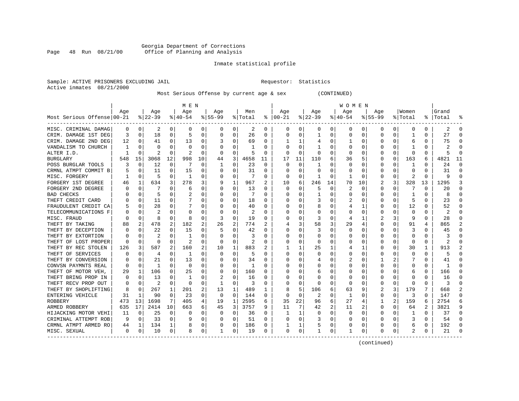#### Georgia Department of Corrections Page 48 Run 08/21/00 Office of Planning and Analysis

#### Inmate statistical profile

|                           | Sample: ACTIVE PRISONERS EXCLUDING JAIL | Requestor: Statistics |  |
|---------------------------|-----------------------------------------|-----------------------|--|
| Active inmates 08/21/2000 |                                         |                       |  |

Most Serious Offense by current age & sex (CONTINUED)

|                            |          |             |                |          | M E N         |          |           |          |                |                  |              |          |                |    | W O M E N |             |             |          |          |          |              |          |
|----------------------------|----------|-------------|----------------|----------|---------------|----------|-----------|----------|----------------|------------------|--------------|----------|----------------|----|-----------|-------------|-------------|----------|----------|----------|--------------|----------|
|                            | Age      |             | Age            |          | Age           |          | Aqe       |          | Men            |                  | Age          |          | Age            |    | Aqe       |             | Aqe         |          | Women    |          | Grand        |          |
| Most Serious Offense 00-21 |          |             | $8 22-39$      |          | $8140 - 54$   |          | $8 55-99$ |          | % Total        | ႜ                | $ 00-21$     |          | $ 22-39$       |    | $ 40-54$  |             | $8155 - 99$ |          | % Total  |          | %   Total    |          |
| MISC. CRIMINAL DAMAG       | 0        | 0           | 2              | 0        | 0             | 0        | 0         | 0        | 2              | 0                | 0            | 0        | 0              | 0  | 0         | 0           | 0           | 0        | 0        | 0        |              |          |
| CRIM. DAMAGE 1ST DEG       | 3        | 0           | 18             | 0        | 5             | 0        | 0         | 0        | 26             | $\Omega$         | <sup>0</sup> | 0        | 1              | 0  | U         | 0           | 0           | 0        |          | 0        | 27           |          |
| CRIM. DAMAGE 2ND DEG       | 12       | 0           | 41             | 0        | 13            | 0        |           | 0        | 69             | 0                |              | 1        |                | 0  |           | 0           | 0           | 0        | 6        | 0        | 75           |          |
| VANDALISM TO CHURCH        |          | $\Omega$    | $\Omega$       | U        | 0             | 0        |           | O        |                | 0                |              | $\Omega$ |                | U  |           | 0           | O           | 0        |          | 0        |              |          |
| ALTER I.D.                 |          | 0           | 2              | 0        | 2             | 0        |           | 0        | 5              | 0                |              | 0        | 0              | 0  |           | 0           | 0           | 0        | 0        | 0        |              |          |
| <b>BURGLARY</b>            | 548      | 15          | 3068           | 12       | 998           | 10       | 44        | 3        | 4658           | 11               | 17           | 11       | 110            | 6  | 36        | 5           | 0           | 0        | 163      | 6        | 4821         | 11       |
| POSS BURGLAR TOOLS         |          | 0           | 12             | 0        | -7            | 0        | 1         | 0        | 23             | 0                | n            | 0        | -1             | 0  | O         | 0           | 0           | 0        | -1       | 0        | 24           | ∩        |
| CRMNL ATMPT COMMIT B       |          | 0           | 11             | $\Omega$ | 15            | 0        | 0         | 0        | 31             | 0                | O            | 0        | 0              | 0  |           | 0           | 0           | $\Omega$ | $\Omega$ | $\Omega$ | 31           | ∩        |
| MISC. FORGERY              |          | 0           | 5              | $\Omega$ | -1            | 0        | 0         | 0        |                | $\Omega$         | $\Omega$     | 0        |                | 0  |           | 0           | 0           | 0        | 2        | O        |              | $\Omega$ |
| FORGERY 1ST DEGREE         | 46       | 1           | 634            | 3        | 278           | 3        | 9         | 1        | 967            |                  | 10           | 6        | 246            | 14 | 70        | 10          | 2           | 3        | 328      | 13       | 1295         | 3        |
| FORGERY 2ND DEGREE         |          | $\Omega$    |                |          | 6             | 0        | 0         | $\Omega$ | 13             | $\Omega$         | $\Omega$     |          | 5              | 0  | 2         | $\Omega$    | 0           | O        |          | $\Omega$ | 20           |          |
| <b>BAD CHECKS</b>          |          | $\Omega$    | 5              | O        |               | $\Omega$ |           | $\Omega$ | 7              | 0                |              | U        |                | 0  |           | 0           | 0           | 0        |          | 0        |              |          |
| THEFT CREDIT CARD          |          | 0           | 11             | 0        |               | 0        |           | $\Omega$ | 18             | 0                |              | 0        | 3              | 0  | 2         | 0           | 0           | 0        | 5        | 0        | 23           |          |
| FRAUDULENT CREDIT CA       |          | 0           | 28             | 0        |               | 0        |           | $\Omega$ | 40             | O                |              | 0        | 8              | 0  |           | 1           | 0           | 0        | 12       | 0        | 52           |          |
| TELECOMMUNICATIONS F       |          | $\Omega$    | $\overline{2}$ | U        | $\Omega$      | 0        | O         | $\Omega$ | 2              | O                |              | 0        |                | 0  | C         | $\Omega$    | 0           | 0        | $\Omega$ | 0        | 2            |          |
| MISC. FRAUD                |          | 0           | 8              | $\Omega$ | 8             | $\Omega$ | 3         | 0        | 19             | $\Omega$         |              | $\Omega$ | 3              | U  | 4         | 1           | 2           | 3        | 9        | 0        | 28           |          |
| THEFT BY TAKING            | 88       | 2           | 478            | 2        | 182           | 2        | 26        | 2        | 774            |                  |              | 3        | 58             | 3  | 29        | 4           | 0           | 0        | 91       | 4        | 865          |          |
| THEFT BY DECEPTION         |          | 0           | 22             | O        | 15            | 0        |           | 0        | 42             | O                |              | U        | 3              | 0  | O         | 0           | 0           | O        | 3        | O        | 45           |          |
| THEFT BY EXTORTION         |          | $\Omega$    |                |          |               | O        |           | $\Omega$ | 3              | O                |              | U        | <sup>0</sup>   | U  |           | $\Omega$    | U           | O        | O        | O        |              |          |
| THEFT OF LOST PROPER       | n        | 0           | $\Omega$       | U        | $\mathcal{D}$ | $\Omega$ | $\Omega$  | $\Omega$ | $\mathfrak{D}$ | O                |              | 0        | $\Omega$       | U  |           | 0           | O           | O        | $\Omega$ | $\Omega$ | 2            |          |
| THEFT BY REC STOLEN        | 126      | 3           | 587            | 2        | 160           | 2        | 10        | 1        | 883            | 2                |              | 1        | 25             | 1  |           | 1           | O           | $\Omega$ | 30       | 1        | 913          |          |
| THEFT OF SERVICES          |          | $\mathbf 0$ | 4              | 0        | 1             | $\Omega$ | 0         | $\Omega$ | 5              | 0                |              | $\Omega$ | O              | O  |           | 0           | 0           | 0        | 0        | $\Omega$ | $\mathsf{h}$ |          |
| THEFT BY CONVERSION        |          | $\mathbf 0$ | 21             | 0        | 13            | 0        |           | 0        | 34             | 0                |              | 0        |                | 0  | 2         | 0           |             |          |          | O        | 41           |          |
| CONVSN PAYMNTS REAL        |          | $\mathbf 0$ | $\mathbf{1}$   | U        | 0             | $\Omega$ | O         | 0        |                | O                |              | U        |                | U  |           | 0           | U           | O        | C        | 0        | -1           | ∩        |
| THEFT OF MOTOR VEH,        | 29       | 1           | 106            | 0        | 25            | 0        | 0         | 0        | 160            | 0                |              | 0        | 6              | 0  |           | 0           | O           | 0        | 6        | 0        | 166          | ∩        |
| THEFT BRING PROP IN        | $\left($ | 0           | 13             | U        | 1             | 0        |           | 0        | 16             | $\left( \right)$ |              | U        | 0              | U  |           | 0           | 0           | 0        | $\left($ | O        | 16           |          |
| THEFT RECV PROP OUT        |          | 0           | 2              | 0        | 0             | 0        |           | 0        | 3              | 0                |              | 0        | O              | 0  |           | 0           | 0           | 0        | -C       | U        |              |          |
| THEFT BY SHOPLIFTING       |          | 0           | 267            | 1        | 201           | 2        | 13        | 1        | 489            |                  |              | 5        | 106            | 6  | 63        | 9           |             | 3        | 179      |          | 668          |          |
| ENTERING VEHICLE           | 31       | 1           | 90             | $\Omega$ | 23            | $\Omega$ | $\Omega$  | $\Omega$ | 144            | O                | ∩            | 0        | $\overline{2}$ | U  | 1         | 0           | 0           | 0        | 3        | 0        | 147          |          |
| <b>ROBBERY</b>             | 473      | 13          | 1698           | 7        | 405           | 4        | 19        | 1        | 2595           | 6                | 35           | 22       | 96             | 6  | 27        | 4           | 1           | 2        | 159      | 6        | 2754         |          |
| ARMED ROBBERY              | 635      | 17          | 2414           | 10       | 663           | 6        | 45        | 3        | 3757           | 9                | 11           | 7        | 42             | 2  | 11        | 2           | 0           | 0        | 64       | 2        | 3821         | 9        |
| HIJACKING MOTOR VEHI       | 11       | 0           | 25             | 0        | C             | 0        | 0         | 0        | 36             | 0                |              | 1        | 0              | 0  | O         | $\mathbf 0$ | 0           | 0        |          | $\Omega$ | 37           | $\cap$   |
| CRIMINAL ATTEMPT ROB       | 9        | 0           | 33             | $\Omega$ | ç             | $\Omega$ | 0         | $\Omega$ | 51             | $\Omega$         | <sup>0</sup> | $\Omega$ | 3              | 0  |           | $\Omega$    | 0           | O        | 3        | $\Omega$ | 54           | $\cap$   |
| CRMNL ATMPT ARMED RO       | 44       | 1           | 134            | 1        | 8             | 0        | 0         | 0        | 186            | 0                |              | 1        |                | 0  | 0         | 0           | 0           | 0        | 6        | 0        | 192          |          |
| MISC. SEXUAL               | $\Omega$ | 0           | 10             | 0        | 8             | 0        |           | 0        | 19             | 0                | $\Omega$     | 0        |                | 0  |           | 0           | O           | 0        | 2        | 0        | 21           |          |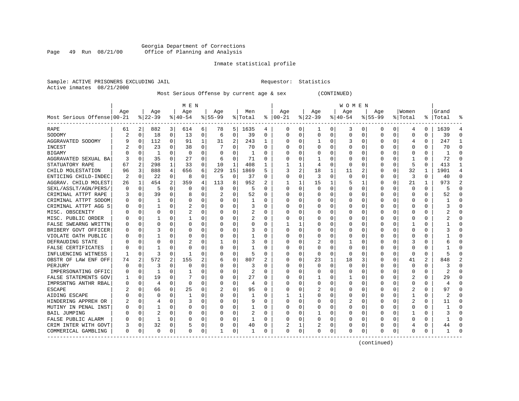#### Georgia Department of Corrections Page 49 Run 08/21/00 Office of Planning and Analysis

#### Inmate statistical profile

|                           | Sample: ACTIVE PRISONERS EXCLUDING JAIL | Requestor: Statistics |  |
|---------------------------|-----------------------------------------|-----------------------|--|
| Active inmates 08/21/2000 |                                         |                       |  |

#### Most Serious Offense by current age & sex (CONTINUED)

|                            |          |             |                |                | M E N          |          |          |              |         |          |               |                |              |   | <b>WOMEN</b> |             |             |          |              |          |               |                |
|----------------------------|----------|-------------|----------------|----------------|----------------|----------|----------|--------------|---------|----------|---------------|----------------|--------------|---|--------------|-------------|-------------|----------|--------------|----------|---------------|----------------|
|                            | Age      |             | Age            |                | Age            |          | Age      |              | Men     |          | Age           |                | Age          |   | Aqe          |             | Age         |          | Women        |          | Grand         |                |
| Most Serious Offense 00-21 |          |             | $8 22-39$      |                | $8 40-54$      |          | $ 55-99$ |              | % Total |          | $8   00 - 21$ |                | $ 22-39$     |   | $ 40-54$     |             | $8155 - 99$ |          | % Total      |          | %   Total     |                |
| RAPE                       | 61       | 2           | 882            | 3              | 614            | 6        | 78       | 5            | 1635    | 4        | 0             | 0              | 1            | 0 | 3            | 0           | 0           | 0        | 4            | 0        | 1639          | 4              |
| SODOMY                     |          | 0           | 18             | 0              | 13             | 0        | 6        | 0            | 39      | 0        | $\Omega$      | 0              | 0            | 0 | $\Omega$     | 0           | $\Omega$    | 0        | 0            | $\Omega$ | 39            | $\Omega$       |
| AGGRAVATED SODOMY          | 9        | $\mathbf 0$ | 112            | 0              | 91             | 1        | 31       | 2            | 243     | 1        | <sup>0</sup>  | $\Omega$       | $\mathbf{1}$ | 0 | 3            | 0           | U           | O        | 4            | $\Omega$ | 247           | $\mathbf{1}$   |
| INCEST                     |          | 0           | 23             | U              | 38             | 0        |          | $\Omega$     | 70      | $\Omega$ |               | $\Omega$       | $\Omega$     | 0 | C            | $\mathbf 0$ | U           | $\Omega$ | $\mathbf 0$  | 0        | 70            | $\cap$         |
| <b>BIGAMY</b>              |          | $\Omega$    | 1              | 0              | $\mathbf 0$    | 0        | 0        | $\Omega$     | 1       | 0        |               | $\Omega$       | $\Omega$     | 0 |              | 0           | U           | $\Omega$ | 0            | $\Omega$ |               | ∩              |
| AGGRAVATED SEXUAL BA       |          | $\mathbf 0$ | 35             | 0              | 27             | 0        | 6        | 0            | 71      | 0        |               | 0              |              | 0 |              | 0           | 0           | 0        |              | $\Omega$ | 72            | $\Omega$       |
| STATUATORY RAPE            | 67       | 2           | 298            | $\mathbf{1}$   | 33             | $\Omega$ | 10       | $\mathbf{1}$ | 408     | 1        |               | 1              | 4            | O | $\Omega$     | $\mathbf 0$ | 0           | $\Omega$ | 5            | $\Omega$ | 413           | $\mathbf{1}$   |
| CHILD MOLESTATION          | 96       | 3           | 888            | 4              | 656            | 6        | 229      | 15           | 1869    | 5        | 3             | $\overline{a}$ | 18           | 1 | 11           | 2           | 0           | $\Omega$ | 32           | 1        | 1901          | $\overline{4}$ |
| ENTICING CHILD-INDEC       | 2        | 0           | 22             | $\Omega$       | 8              | 0        | 5        | 0            | 37      | O        | $\Omega$      | $\Omega$       | 3            | 0 | 0            | 0           | 0           | $\Omega$ | 3            | $\Omega$ | 40            | $\Omega$       |
| AGGRAV. CHILD MOLEST       | 26       | 1           | 454            | 2              | 359            | 4        | 113      | 8            | 952     | 2        |               |                | 15           | 1 | 5            | 1           | 0           | O        | 21           | 1        | 973           | $\overline{2}$ |
| SEXL/ASSLT/AGN/PERS/       | $\Omega$ | $\mathbf 0$ | 5              | O              | 0              | O        | $\Omega$ | $\Omega$     | 5       | $\Omega$ | $\Omega$      | $\Omega$       | $\Omega$     | O |              | $\mathbf 0$ | $\Omega$    | $\Omega$ | $\Omega$     | $\Omega$ |               | $\cap$         |
| CRIMINAL ATTPT RAPE        |          | 0           | 39             | $\Omega$       | 8              | $\Omega$ |          | $\Omega$     | 52      | $\Omega$ | $\Omega$      | $\Omega$       | $\Omega$     | O | $\Omega$     | $\Omega$    | $\Omega$    | U        | $\Omega$     | 0        | 52            | $\Omega$       |
| CRIMINAL ATTPT SODOM       | $\Omega$ | $\Omega$    | 1              | $\Omega$       | $\Omega$       | $\Omega$ | O        | $\Omega$     | 1       | 0        |               | $\Omega$       | $\Omega$     | 0 |              | $\Omega$    | 0           | $\Omega$ | $\Omega$     | 0        |               |                |
| CRIMINAL ATTPT AGG S       |          | 0           | 1              | 0              | 2              | 0        |          | $\Omega$     | 3       | 0        |               | $\Omega$       | 0            | 0 |              | 0           | 0           | 0        | 0            | 0        |               | $\Omega$       |
| MISC. OBSCENITY            |          | $\mathbf 0$ | 0              | U              | 2              | 0        | O        | 0            | 2       | O        |               | $\Omega$       | 0            | 0 | C            | 0           | U           | 0        | 0            | 0        |               | $\cap$         |
| MISC. PUBLIC ORDER         |          | $\Omega$    | 1              | U              | -1             | $\Omega$ | O        | $\Omega$     | 2       | $\Omega$ |               | 0              | 0            | 0 | $\Omega$     | $\Omega$    | 0           | 0        | $\Omega$     | $\Omega$ |               | ∩              |
| FALSE SWEARNG WRITTN       |          | $\mathbf 0$ | $\Omega$       | U              | $\Omega$       | $\Omega$ | O        | $\Omega$     | 0       | $\Omega$ |               | 1              | $\Omega$     | 0 | $\Omega$     | 0           | 0           | 0        |              | 0        |               | ∩              |
| BRIBERY GOVT OFFICER       |          | $\mathbf 0$ | 3              | U              | $\Omega$       | 0        | O        | $\Omega$     | 3       | 0        |               | 0              | 0            | 0 | C            | 0           | 0           | 0        | 0            | N        |               |                |
| VIOLATE OATH PUBLIC        |          | $\mathbf 0$ |                | U              | 0              | 0        | 0        | $\Omega$     |         | 0        | <sup>0</sup>  | O              | $\Omega$     | 0 | C            | 0           | 0           | U        | $\Omega$     | O        |               |                |
| DEFRAUDING STATE           |          | $\Omega$    | O              | U              | $\overline{2}$ | 0        |          | $\Omega$     | 3       | 0        | ∩             | $\Omega$       | 2            | 0 |              | 0           | U           | U        | 3            | 0        |               |                |
| FALSE CERTIFICATES         |          | $\Omega$    |                | U              | $\Omega$       | 0        | 0        | 0            |         | 0        |               | $\Omega$       | $\Omega$     | 0 | C            | 0           | 0           | 0        | $\Omega$     | 0        |               |                |
| INFLUENCING WITNESS        |          | 0           | 3              | $\Omega$       | -1             | 0        | 0        | $\mathbf 0$  | 5       | 0        |               | $\Omega$       | 0            | 0 | C            | 0           | 0           | $\Omega$ | 0            | 0        |               |                |
| OBSTR OF LAW ENF OFF       | 74       | 2           | 572            | $\overline{2}$ | 155            | 2        | 6        | 0            | 807     | 2        |               | 0              | 23           | 1 | 18           | 3           | 0           | 0        | 41           | 2        | 848           |                |
| PERJURY                    | U        | $\mathbf 0$ | 3              | U              | $\mathbf 0$    | $\Omega$ | O        | 0            | 3       | O        | $\Omega$      | $\Omega$       | 0            | O | $\Omega$     | $\mathbf 0$ | $\Omega$    | $\Omega$ | $\mathbf 0$  | $\Omega$ |               | $\Omega$       |
| IMPERSONATING OFFIC        |          | 0           | $\mathbf{1}$   | $\Omega$       | -1             | 0        | O        | 0            | 2       | $\Omega$ | ∩             | 0              | $\Omega$     | 0 | C            | 0           | 0           | 0        | 0            | 0        |               | ∩              |
| FALSE STATEMENTS GOV       |          | 0           | 19             | U              |                | $\Omega$ | O        | 0            | 27      | 0        |               | O              |              | 0 |              | 0           | 0           | 0        | 2            | 0        | 29            |                |
| IMPRSNTNG ANTHR RBAL       |          | 0           | 4              | O              | $\mathbf 0$    | 0        | O        | 0            | 4       | O        | <sup>0</sup>  | O              | $\Omega$     | 0 |              | 0           | U           | O        | $\Omega$     | $\Omega$ |               |                |
| <b>ESCAPE</b>              |          | $\Omega$    | 66             | U              | 25             | $\Omega$ |          | $\Omega$     | 95      | $\Omega$ | ∩             | $\Omega$       |              | O | C            | 0           | U           | U        |              | $\Omega$ | 97            |                |
| AIDING ESCAPE              |          | $\Omega$    | $\Omega$       | U              | -1             | $\Omega$ | O        | $\Omega$     | -1      | O        |               | 1              | $\Omega$     | O | $\Omega$     | $\Omega$    | U           | $\Omega$ | -1           | 0        | $\mathcal{D}$ |                |
| HINDERING APPREH OR        |          | $\Omega$    | 4              | $\Omega$       | 3              | $\Omega$ | O        | $\Omega$     | 9       | O        | $\Omega$      | 0              | $\Omega$     | 0 | 2            | $\Omega$    | $\Omega$    | $\Omega$ | 2            | $\Omega$ | 11            | ∩              |
| MUTINY IN PENAL INST       |          | 0           | $\mathbf{1}$   | 0              | $\Omega$       | $\Omega$ |          | 0            | 1       | 0        |               | $\Omega$       | 0            | 0 |              | 0           | $\Omega$    | $\Omega$ | $\Omega$     | $\Omega$ |               | $\Omega$       |
| <b>BAIL JUMPING</b>        |          | $\mathbf 0$ | $\overline{c}$ | U              | C              | 0        | O        | $\Omega$     | 2       | 0        |               | $\Omega$       | 1            | 0 | C            | 0           | 0           | 0        |              | O        |               | $\cap$         |
| FALSE PUBLIC ALARM         |          | $\mathbf 0$ | 1              | O              | $\Omega$       | 0        | O        | 0            | 1       | $\Omega$ |               | $\Omega$       |              | O | $\Omega$     | $\mathbf 0$ | U           | $\Omega$ | <sup>0</sup> | $\Omega$ |               | $\cap$         |
| CRIM INTER WITH GOVT       |          | 0           | 32             | 0              | 5              | 0        | 0        | 0            | 40      | 0        |               | 1              | 2            | 0 | 0            | 0           | 0           | 0        | 4            | 0        | 44            | ∩              |
| COMMERICAL GAMBLING        | $\Omega$ | 0           | $\Omega$       | 0              | $\Omega$       | 0        | 1        | 0            | 1       | 0        | $\Omega$      | 0              | $\Omega$     | 0 | $\Omega$     | 0           | 0           | 0        | $\Omega$     | 0        |               |                |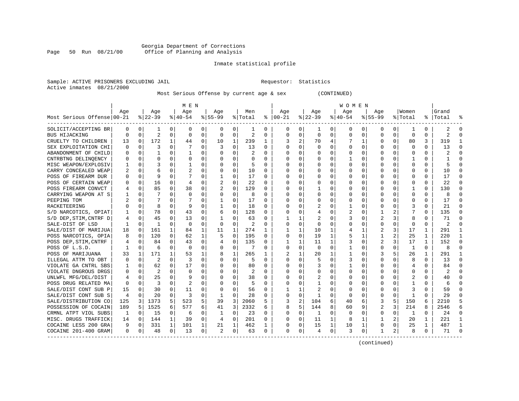#### Georgia Department of Corrections<br>Page 50 Run 08/21/00 Office of Planning and Analysis Page 50 Run 08/21/00 Office of Planning and Analysis

#### Inmate statistical profile

|                           | Sample: ACTIVE PRISONERS EXCLUDING JAIL | Requestor: Statistics |  |
|---------------------------|-----------------------------------------|-----------------------|--|
| Active inmates 08/21/2000 |                                         |                       |  |

Most Serious Offense by current age & sex (CONTINUED)

|                            | M E N    |          |                |              |                |          |              |          |          |              | <b>WOMEN</b>  |                |              |          |           |             |              |                |              |              |           |              |  |  |
|----------------------------|----------|----------|----------------|--------------|----------------|----------|--------------|----------|----------|--------------|---------------|----------------|--------------|----------|-----------|-------------|--------------|----------------|--------------|--------------|-----------|--------------|--|--|
|                            | Aqe      |          | Age            |              | Aqe            |          | Aqe          |          | Men      |              | Aqe           |                | Aqe          |          | Aqe       |             | Aqe          |                | Women        |              | Grand     |              |  |  |
| Most Serious Offense 00-21 |          |          | $ 22-39 $      |              | $8 40-54$      |          | $ 55-99$     |          | % Total  |              | $8   00 - 21$ |                | $ 22-39 $    |          | $ 40-54 $ |             | $8 55-99$    |                | % Total      |              | %   Total | ႜ            |  |  |
| SOLICIT/ACCEPTING BR       | 0        | 0        |                | 0            | 0              | 0        | 0            | 0        | 1        | 0            | 0             | 0              | 1            | 0        | 0         | 0           | 0            | 0              | -1           | 0            | 2         | n            |  |  |
| BUS HIJACKING              | $\Omega$ | $\Omega$ | $\overline{2}$ | 0            | $\Omega$       | $\Omega$ | 0            | 0        | 2        | $\Omega$     | $\Omega$      | 0              | $\Omega$     | 0        | $\Omega$  | 0           | 0            | 0              | $\mathbf 0$  | $\Omega$     |           | $\Omega$     |  |  |
| CRUELTY TO CHILDREN        | 13       | $\Omega$ | 172            | $\mathbf{1}$ | 44             | $\Omega$ | 10           | 1        | 239      | 1            | 3             | 2              | 70           | 4        |           | 1           | U            | $\Omega$       | 80           | 3            | 319       | -1           |  |  |
| SEX EXPLOITATION CHI       | ∩        | $\Omega$ | 3              | $\Omega$     | 7              | $\Omega$ | 3            | $\Omega$ | 13       | $\Omega$     | $\Omega$      | $\Omega$       | <sup>0</sup> | $\Omega$ | U         | $\Omega$    | U            | $\Omega$       | $\Omega$     | $\Omega$     | 13        | ∩            |  |  |
| ABANDONMENT OF CHILD       |          | $\Omega$ |                | $\Omega$     | 1              | $\Omega$ | O            | $\Omega$ | 2        | $\Omega$     | $\Omega$      | $\Omega$       | O            | $\Omega$ |           | $\Omega$    | U            | $\Omega$       | $\Omega$     | $\Omega$     | 2         |              |  |  |
| CNTRBTNG DELINOENCY        |          | $\Omega$ | U              | $\Omega$     | $\Omega$       | $\Omega$ | U            | $\Omega$ | $\Omega$ | O            |               | $\Omega$       |              | 0        |           | 0           | U            | 0              | -1           | 0            |           |              |  |  |
| MISC WEAPON/EXPLOSIV       |          | $\Omega$ | 3              | $\Omega$     | $\mathbf{1}$   | $\Omega$ | O            | $\Omega$ | 5        | $\Omega$     | $\Omega$      | $\Omega$       |              | U        |           | $\Omega$    | U            | 0              | $\Omega$     | $\Omega$     |           | $\Omega$     |  |  |
| CARRY CONCEALED WEAP       |          | 0        | 6              | $\Omega$     | $\overline{2}$ | $\Omega$ | O            | 0        | 10       | $\Omega$     | ∩             | $\Omega$       | O            | U        |           | $\Omega$    | U            | 0              | $\Omega$     | $\Omega$     | 10        | ∩            |  |  |
| POSS OF FIREARM DUR        |          | $\Omega$ | 9              | $\Omega$     |                | 0        | 1            | 0        | 17       | $\Omega$     | O             | $\Omega$       | 0            | U        |           | $\Omega$    | U            | 0              | 0            | 0            | 17        | ∩            |  |  |
| POSS OF CERTAIN WEAP       |          | $\Omega$ | 16             | $\Omega$     |                |          |              | U        | 22       | O            |               | O              | O            | U        |           | $\Omega$    |              | 0              | 0            | O            | 22        |              |  |  |
| POSS FIREARM CONVCT        |          | $\Omega$ | 85             | $\Omega$     | 38             | $\Omega$ |              | $\Omega$ | 129      | $\Omega$     | $\Omega$      | 0              |              | U        |           | $\Omega$    | U            | 0              | -1           | $\Omega$     | 130       |              |  |  |
| CARRYING WEAPON AT S       |          | $\Omega$ | 7              | $\Omega$     | $\Omega$       | $\Omega$ | 0            | $\Omega$ | 8        | <sup>0</sup> | $\Omega$      | $\Omega$       | <sup>0</sup> | U        |           | $\Omega$    | U            | 0              | $\Omega$     | $\Omega$     | 8         |              |  |  |
| PEEPING TOM                |          | 0        |                | $\Omega$     |                | $\Omega$ | 1            | $\Omega$ | 17       | 0            | $\Omega$      | $\Omega$       | 0            | U        |           | $\Omega$    | U            | 0              | $\Omega$     | $\Omega$     | 17        |              |  |  |
| RACKETEERING               |          | $\Omega$ | 8              | U            | 9              | O        | 1            | $\Omega$ | 18       | O            |               | $\Omega$       | 2            | 0        |           | $\Omega$    |              | 0              | 3            | $\Omega$     | 21        |              |  |  |
| S/D NARCOTICS, OPIAT       |          | 0        | 78             | $\Omega$     | 43             | $\Omega$ | 6            | 0        | 128      | 0            | $\Omega$      | $\Omega$       |              | 0        |           | 0           |              | 2              |              | $\Omega$     | 135       | $\cap$       |  |  |
| S/D DEP, STIM, CNTRF D     |          | $\Omega$ | 45             | $\Omega$     | 13             | $\Omega$ | -1           | 0        | 63       | $\Omega$     |               |                |              | 0        |           | $\Omega$    | 2            | 3              | 8            | $\Omega$     | 71        | ∩            |  |  |
| SALE-DIST OF LSD           |          | $\Omega$ | -1             | $\Omega$     | $\Omega$       | $\Omega$ | $\Omega$     | 0        | 2        | $\Omega$     | $\Omega$      | $\Omega$       | $\Omega$     | 0        |           | $\Omega$    | U            | 0              | $\Omega$     | $\Omega$     | 2         | ∩            |  |  |
| SALE/DIST OF MARIJUA       | 18       | 0        | 161            | 1            | 84             |          | 11           | 1        | 274      | 1            |               |                | 10           | 1        |           | 1           | 2            | 3              | 17           |              | 291       | -1           |  |  |
| POSS NARCOTICS, OPIA       |          | $\Omega$ | 120            | $\Omega$     | 62             | 1        | 5            | 0        | 195      | O            | $\Omega$      | $\Omega$       | 19           | 1        |           | 1           | 1            | $\overline{a}$ | 25           | 1            | 220       | -1           |  |  |
| POSS DEP, STIM, CNTRF      |          | $\Omega$ | 84             | $\Omega$     | 43             | $\Omega$ | 4            | $\Omega$ | 135      | <sup>0</sup> |               | 1              | 11           | 1        | 3         | $\Omega$    | 2            | 3              | 17           | $\mathbf{1}$ | 152       | ∩            |  |  |
| POSS OF L.S.D.             |          | $\Omega$ | 6              | U            | $\Omega$       | $\Omega$ | 0            | $\Omega$ | 7        | U            | $\Omega$      | $\Omega$       | $\Omega$     | $\Omega$ |           | $\Omega$    | O            | $\Omega$       | $\mathbf{1}$ | $\Omega$     | 8         |              |  |  |
| POSS OF MARIJUANA          | 33       | 1        | 171            | 1            | 53             |          | 8            | 1        | 265      | 1            | 2             |                | 20           | 1        |           | $\Omega$    | 3            | 5              | 26           | 1            | 291       |              |  |  |
| ILLEGAL ATTM TO OBT        |          | 0        | 2              | $\Omega$     | 3              | $\Omega$ | U            | 0        | 5        | $\Omega$     | $\Omega$      | $\Omega$       | 5            | 0        |           | $\mathbf 0$ | 0            | 0              | 8            | $\Omega$     | 13        | $\Omega$     |  |  |
| VIOLATE GA CNTRL SBS       |          | $\Omega$ | 62             | $\Omega$     | 17             | O        | O            | $\Omega$ | 80       | <sup>0</sup> | $\Omega$      | $\Omega$       | 3            | U        |           | $\Omega$    | U            | 0              | 4            | $\Omega$     | 84        | $\Omega$     |  |  |
| VIOLATE DNGROUS DRGS       | ∩        | $\Omega$ | 2              | 0            | $\Omega$       | O        | O            | 0        | 2        | $\Omega$     | ∩             | O              | O            | U        |           | $\Omega$    | U            | 0              | 0            | 0            | 2         | $\Omega$     |  |  |
| UNLWFL MFG/DEL/DIST        | 4        | $\Omega$ | 25             | 0            |                | O        | O            | 0        | 38       | O            | O             | 0              | 2            | U        |           | $\Omega$    |              | 0              | 2            | 0            | 40        |              |  |  |
| POSS DRUG RELATED MA       | O        | $\Omega$ | 3              | $\Omega$     |                |          | O            | O        | 5        |              | $\Omega$      |                |              | U        |           | O           | U            |                |              |              |           |              |  |  |
| SALE/DIST CONT SUB P       | 15       | $\Omega$ | 30             | $\Omega$     | 11             | $\Omega$ | O            | U        | 56       | U            |               |                |              | U        |           | $\Omega$    | U            | U              | 3            | <sup>n</sup> | 59        |              |  |  |
| SALE/DIST CONT SUB S       | 4        | O        | 20             | $\Omega$     | 3              | $\Omega$ | -1           | $\Omega$ | 28       | <sup>0</sup> | $\Omega$      | $\Omega$       | -1           | U        | $\Omega$  | $\Omega$    | U            | $\Omega$       | $\mathbf{1}$ | $\Omega$     | 29        |              |  |  |
| SALE/DISTRIBUTION CO       | 125      | 3        | 1373           | 5            | 523            | 5        | 39           | 3        | 2060     | 5            | 3             | $\overline{2}$ | 104          | 6        | 40        | 6           | 3            | 5              | 150          | 6            | 2210      |              |  |  |
| POSSESSION OF COCAIN       | 189      | 5        | 1525           | 6            | 577            | 6        | 41           | 3        | 2332     | 6            | 8             | 5              | 144          | 8        | 60        | 9           | 2            | 3              | 214          | 8            | 2546      | 6            |  |  |
| CRMNL ATPT VIOL SUBS       | 1        | 0        | 15             | $\Omega$     | -6             | $\Omega$ | $\mathbf{1}$ | $\Omega$ | 23       | $\Omega$     | $\Omega$      | $\Omega$       | 1            | 0        | $\Omega$  | $\Omega$    | 0            | 0              | -1           | $\Omega$     | 24        | $\Omega$     |  |  |
| MISC. DRUGS TRAFFICK       | 14       | $\Omega$ | 144            | 1            | 39             | $\Omega$ | 4            | $\Omega$ | 201      | $\Omega$     | $\Omega$      | $\Omega$       | 11           | 1        | 8         | 1           | $\mathbf{1}$ | 2              | 20           | $\mathbf{1}$ | 221       | $\mathbf{1}$ |  |  |
| COCAINE LESS 200 GRA       | 9        | 0        | 331            | 1            | 101            | 1        | 21           | 1        | 462      | 1            | 0             | 0              | 15           | 1        | 10        | 1           | 0            | $\Omega$       | 25           | $\mathbf{1}$ | 487       | -1           |  |  |
| COCAINE 201-400 GRAM       | $\Omega$ | 0        | 48             | $\Omega$     | 13             | $\Omega$ | 2            | 0        | 63       | 0            | $\Omega$      | 0              | 4            | 0        | 3         | $\Omega$    | 1            | 2              | 8            | $\Omega$     | 71        |              |  |  |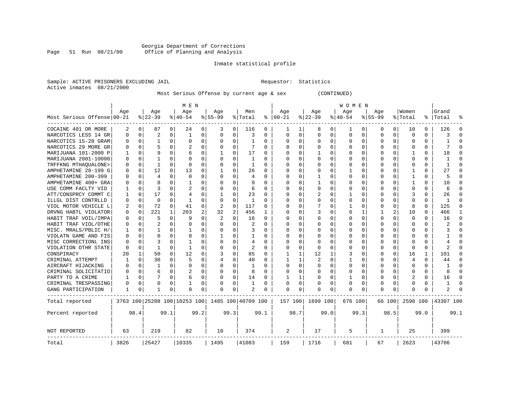#### Georgia Department of Corrections<br>Page 51 Run 08/21/00 Office of Planning and Analysis Page 51 Run 08/21/00 Office of Planning and Analysis

### Inmate statistical profile

|                           | Sample: ACTIVE PRISONERS EXCLUDING JAIL | Requestor: Statistics |  |
|---------------------------|-----------------------------------------|-----------------------|--|
| Active inmates 08/21/2000 |                                         |                       |  |

Most Serious Offense by current age & sex (CONTINUED)

|                              |              | M E N       |                              |              |              |      |                |                |                    |          |              |          | W O M E N   |              |          |              |           |          |              |          |           |              |  |
|------------------------------|--------------|-------------|------------------------------|--------------|--------------|------|----------------|----------------|--------------------|----------|--------------|----------|-------------|--------------|----------|--------------|-----------|----------|--------------|----------|-----------|--------------|--|
|                              | Age          |             | Age                          |              | Age          |      | Age            |                | Men                |          | Age          |          | Age         |              | Age      |              | Age       |          | Women        |          | Grand     |              |  |
| Most Serious Offense   00-21 |              |             | $ 22-39$                     |              | $ 40-54$     |      | $8 55-99$      |                | % Total            | ႜ        | $ 00-21$     |          | $8 22-39$   |              | $ 40-54$ |              | $8 55-99$ |          | % Total      | ႜ        | Total     |              |  |
| COCAINE 401 OR MORE          | 2            | $\Omega$    | 87                           | $\Omega$     | 24           | 0    | 3              | $\Omega$       | 116                | $\Omega$ | 1            | 1        | 8           | 0            | 1        | 0            | 0         | $\Omega$ | 10           | 0        | 126       | $\cap$       |  |
| NARCOTICS LESS 14 GR         | 0            | 0           | 2                            | $\Omega$     | 1            | 0    | $\Omega$       | $\mathbf 0$    | 3                  | 0        | 0            | $\Omega$ | $\mathbf 0$ | $\Omega$     | $\Omega$ | 0            | $\Omega$  | $\Omega$ | $\mathbf 0$  | 0        | 3         | $\Omega$     |  |
| NARCOTICS 15-28 GRAM         | U            | $\mathbf 0$ | 1                            | $\Omega$     | 0            | 0    | $\Omega$       | $\mathbf 0$    | -1                 | 0        | $\Omega$     | 0        | 0           | 0            | 0        | 0            | $\Omega$  | $\Omega$ | O            | 0        | 1         | $\bigcap$    |  |
| NARCOTICS 29 MORE GR         | U            | $\Omega$    | 5                            | $\Omega$     | 2            | 0    | $\Omega$       | $\Omega$       | 7                  | $\Omega$ | $\Omega$     | $\Omega$ | $\Omega$    | O            | U        | $\Omega$     | $\Omega$  | $\Omega$ | C            | $\Omega$ | 7         | $\Omega$     |  |
| MARIJUANA 101-2000 P         |              | $\Omega$    | 9                            | <sup>0</sup> | б            | 0    |                | $\Omega$       | 17                 | 0        | $\Omega$     | 0        |             | O            | U        | $\Omega$     | $\Omega$  | $\Omega$ |              | O        | 18        | $\Omega$     |  |
| MARIJUANA 2001-10000         | <sup>0</sup> | $\Omega$    |                              | <sup>0</sup> | $\Omega$     | U    |                | $\Omega$       | -1                 | O        | $\Omega$     | $\Omega$ | $\Omega$    | $\Omega$     | $\Omega$ | $\Omega$     | $\Omega$  | $\Omega$ | $\cap$       | U        |           | $\cap$       |  |
| TRFFKNG MTHAQUALONE>         | 0            | $\Omega$    | 1                            | 0            | $\Omega$     | 0    | $\Omega$       | $\Omega$       | -1                 | 0        | $\Omega$     | $\Omega$ | $\Omega$    | <sup>0</sup> | $\Omega$ | $\Omega$     | O         | $\Omega$ | O            | 0        | 1         | $\Omega$     |  |
| AMPHETAMINE 28-199 G         | 0            | 0           | 12                           | $\Omega$     | 13           | 0    |                | $\Omega$       | 26                 | 0        | $\Omega$     | $\Omega$ | $\Omega$    | $\Omega$     | 1        | $\Omega$     | O         | $\Omega$ | -1           | 0        | 27        | $\Omega$     |  |
| AMPHETAMINE 200-399          | U            | $\Omega$    | $\overline{4}$               | $\Omega$     | $\Omega$     | 0    |                | $\Omega$       | 4                  | $\Omega$ | $\Omega$     | $\Omega$ | 1           | $\Omega$     | U        | $\Omega$     | ∩         | $\Omega$ | $\mathbf{1}$ | 0        | 5         | $\cap$       |  |
| AMPHETAMINE 400+ GRA         | U            | 0           | R                            | 0            | -1           | 0    |                | $\Omega$       | 9                  | 0        | $\Omega$     | 0        | 1           | O            | U        | $\Omega$     | ∩         | $\Omega$ | -1           | 0        | 10        | $\Omega$     |  |
| USE COMM FACLTY VIO          | 1            | 0           | २                            | <sup>0</sup> | 2            | U    |                | $\Omega$       | 6                  | 0        | $\Omega$     | 0        | $\Omega$    | $\Omega$     | U        | $\Omega$     | $\Omega$  | $\Omega$ | C            | U        | 6         | $\Omega$     |  |
| ATT/CONSPRCY COMMT C         |              | $\Omega$    | 17                           | <sup>0</sup> | 4            | U    |                | $\Omega$       | 23                 | O        | $\Omega$     | $\Omega$ |             | $\Omega$     |          | $\Omega$     | $\Omega$  | $\Omega$ | ς            | 0        | 26        | $\Omega$     |  |
| ILLGL DIST CONTRLLD          | 0            | $\mathbf 0$ | $\Omega$                     | <sup>0</sup> | -1           | U    | $\Omega$       | $\Omega$       | 1                  | 0        | $\Omega$     | $\Omega$ | U           | $\Omega$     | $\Omega$ | $\Omega$     | O         | $\Omega$ | C            | 0        | 1         | $\Omega$     |  |
| VIOL MOTOR VEHICLE L         | 2            | $\mathbf 0$ | 72                           | $\Omega$     | 41           | 0    | $\overline{c}$ | $\mathbf 0$    | 117                | 0        | $\Omega$     | $\Omega$ |             | O            |          | 0            | O         | $\Omega$ | 8            | 0        | 125       | $\Omega$     |  |
| DRVNG HABTL VIOLATOR         | 0            | 0           | 221                          | $\mathbf{1}$ | 203          | 2    | 32             | $\overline{2}$ | 456                | -1       | $\Omega$     | $\Omega$ | 3           | O            | 6        | 1            | 1         | 2        | 10           | 0        | 466       | $\mathbf{1}$ |  |
| HABIT TRAF VOIL/IMPA         | 0            | 0           | 5                            | $\Omega$     | 9            | 0    | 2              | $\Omega$       | 16                 | $\Omega$ | $\Omega$     | $\Omega$ | O           | O            | U        | $\Omega$     | $\Omega$  | $\Omega$ | $\Omega$     | O        | 16        | $\Omega$     |  |
| HABIT TRAF VIOL/OTHE         | 0            | $\Omega$    |                              | <sup>0</sup> | $\Omega$     | 0    |                | $\Omega$       | 2                  | U        | $\Omega$     | 0        | O           | O            | U        | <sup>0</sup> | ∩         | $\Omega$ | C            | U        |           | $\bigcap$    |  |
| MISC. MRALS/PBLIC H/         | 1            | $\Omega$    | -1                           | <sup>0</sup> | -1           | 0    | $\Omega$       | $\Omega$       | 3                  | 0        | $\Omega$     | 0        | $\Omega$    | O            | $\Omega$ | $\Omega$     | ∩         | $\Omega$ | C            | 0        | ζ         | $\Omega$     |  |
| VIOLATN GAME AND FIS         | 0            | $\Omega$    | $\Omega$                     | $\Omega$     | $\Omega$     | 0    |                | $\Omega$       | 1                  | 0        | $\Omega$     | $\Omega$ | $\Omega$    | $\Omega$     | U        | $\Omega$     | $\Omega$  | $\Omega$ | C            | 0        |           | $\Omega$     |  |
| MISC CORRECTIONL INS         | 0            | $\Omega$    | 3                            | $\Omega$     | $\mathbf{1}$ | 0    |                | $\Omega$       | 4                  | $\Omega$ | $\Omega$     | $\Omega$ | 0           | $\Omega$     | Ω        | $\Omega$     | $\Omega$  | $\Omega$ | C            | 0        | 4         | $\bigcap$    |  |
| VIOLATION OTHR STATE         | 0            | 0           | 1                            | 0            | -1           | 0    | $\Omega$       | $\Omega$       | 2                  | $\Omega$ | $\Omega$     | $\Omega$ | $\Omega$    | O            | $\Omega$ | 0            | O         | $\Omega$ | C            | 0        | 2         | $\Omega$     |  |
| CONSPIRACY                   | 20           | 1           | 50                           | 0            | 12           | 0    | 3              | $\Omega$       | 85                 | $\Omega$ | 1            | 1        | 12          | 1            | 3        | $\Omega$     | $\Omega$  | $\Omega$ | 16           | 1        | 101       | $\Omega$     |  |
| CRIMINAL ATTEMPT             |              | $\Omega$    | 30                           | <sup>0</sup> | .5           | 0    | $\overline{4}$ | $\Omega$       | 40                 | U        | 1            | 1        |             | $\Omega$     |          | $\Omega$     | ∩         | $\Omega$ | 4            | U        | 44        | $\cap$       |  |
| AIRCRAFT HIJACKING           | U            | $\Omega$    | 1                            | 0            | $\Omega$     | 0    | $\Omega$       | $\Omega$       | -1                 | 0        | $\Omega$     | 0        | $\Omega$    | 0            | $\Omega$ | O            | $\Omega$  | $\Omega$ | $\Omega$     | 0        | 1         | $\Omega$     |  |
| CRIMINAL SOLICITATIO         | O            | 0           | 6                            | $\Omega$     | 2            | 0    | $\Omega$       | $\Omega$       | 8                  | 0        | $\Omega$     | $\Omega$ | 0           | $\Omega$     | Ω        | $\Omega$     | $\Omega$  | $\Omega$ | C            | U        | 8         | $\cap$       |  |
| PARTY TO A CRIME             |              | $\Omega$    | 7                            | $\Omega$     | б            | 0    | ∩              | $\Omega$       | 14                 | $\Omega$ | $\mathbf{1}$ | 1        | U           | $\Omega$     |          | $\Omega$     | $\Omega$  | $\Omega$ | 2            | 0        | 16        | $\Omega$     |  |
| CRIMINAL TRESPASSING         | 0            | $\Omega$    | $\Omega$                     | <sup>0</sup> |              | 0    | $\Omega$       | 0              | 1                  | O        | $\Omega$     | 0        | U           | O            | $\Omega$ | 0            | $\Omega$  | $\Omega$ | U            | 0        | 1         | $\Omega$     |  |
| GANG PARTICIPATION           | 1            | 0           | 1                            | 0            | 0            | 0    |                | 0              | 2                  | 0        | 0            | 0        | 0           | 0            | 0        | 0            | $\Omega$  | 0        | C            | 0        | 2         | $\cap$       |  |
| Total reported               |              |             | 3763 100 25208 100 10253 100 |              |              |      |                |                | 1485 100 40709 100 |          | 157 100      |          | 1699 100    |              | 676 100  |              | 66 100    |          | 2598 100     |          | 43307 100 |              |  |
| Percent reported             |              | 98.4        |                              | 99.1         |              | 99.2 |                | 99.3           |                    | 99.1     |              | 98.7     |             | 99.0         |          | 99.3         |           | 98.5     |              | 99.0     |           | 99.1         |  |
| NOT REPORTED                 | 63           |             | 219                          |              | 82           |      | 10             |                | 374                |          | 2            |          | 17          |              | 5        |              | 1         |          | 25           |          | 399       |              |  |
| Total                        | 3826         |             | 25427                        |              | 10335        |      | 1495           |                | 41083              |          | 159          |          | 1716        |              | 681      |              | 67        |          | 2623         |          | 43706     |              |  |